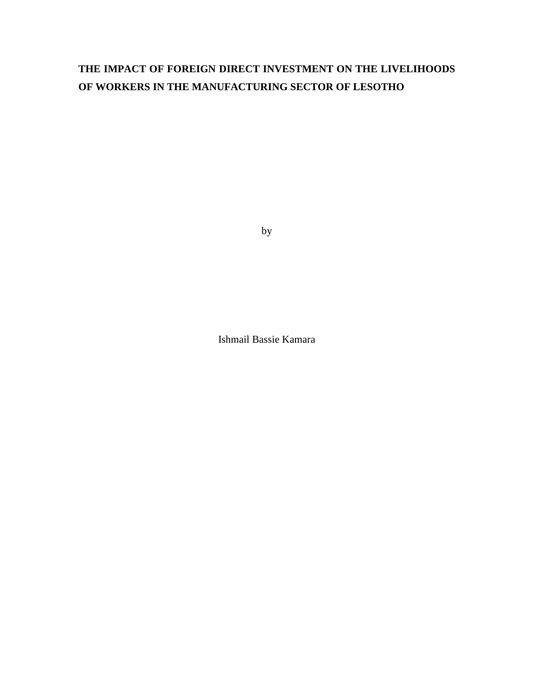# **THE IMPACT OF FOREIGN DIRECT INVESTMENT ON THE LIVELIHOODS OF WORKERS IN THE MANUFACTURING SECTOR OF LESOTHO**

by

Ishmail Bassie Kamara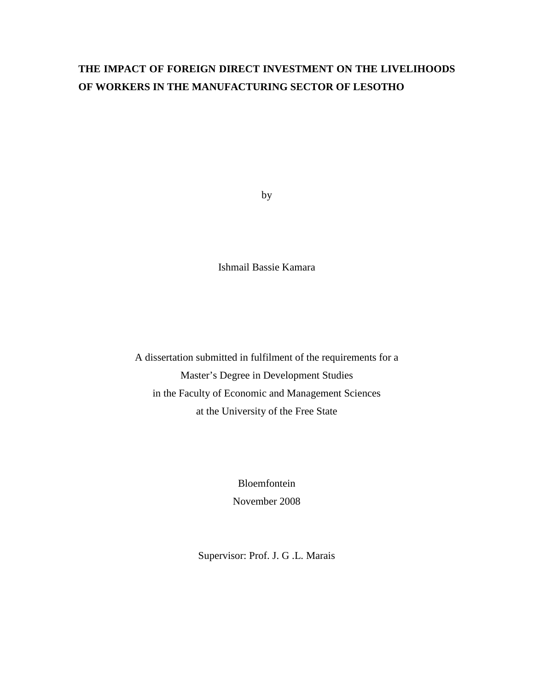# **THE IMPACT OF FOREIGN DIRECT INVESTMENT ON THE LIVELIHOODS OF WORKERS IN THE MANUFACTURING SECTOR OF LESOTHO**

by

Ishmail Bassie Kamara

A dissertation submitted in fulfilment of the requirements for a Master's Degree in Development Studies in the Faculty of Economic and Management Sciences at the University of the Free State

> Bloemfontein November 2008

Supervisor: Prof. J. G .L. Marais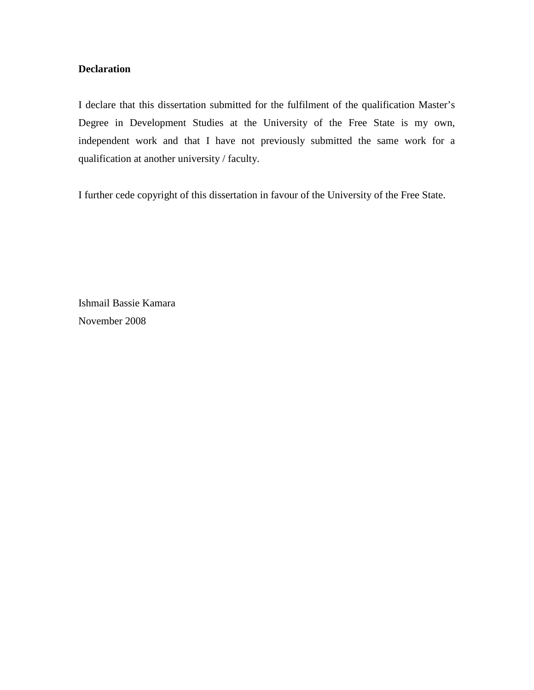## **Declaration**

I declare that this dissertation submitted for the fulfilment of the qualification Master's Degree in Development Studies at the University of the Free State is my own, independent work and that I have not previously submitted the same work for a qualification at another university / faculty.

I further cede copyright of this dissertation in favour of the University of the Free State.

Ishmail Bassie Kamara November 2008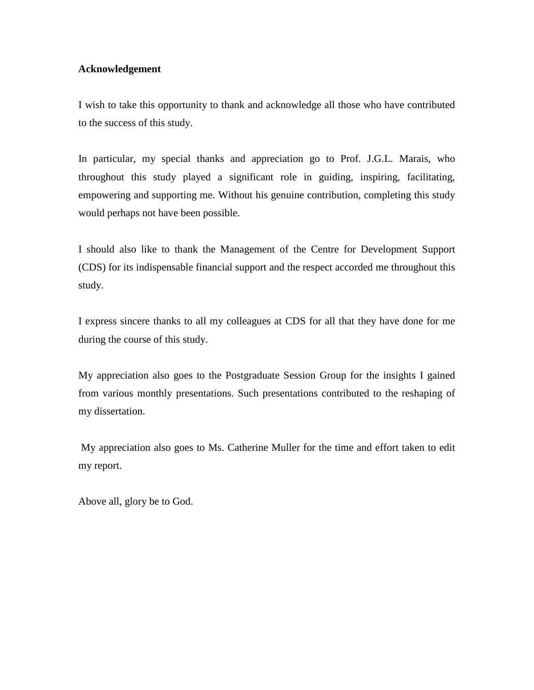## **Acknowledgement**

I wish to take this opportunity to thank and acknowledge all those who have contributed to the success of this study.

In particular, my special thanks and appreciation go to Prof. J.G.L. Marais, who throughout this study played a significant role in guiding, inspiring, facilitating, empowering and supporting me. Without his genuine contribution, completing this study would perhaps not have been possible.

I should also like to thank the Management of the Centre for Development Support (CDS) for its indispensable financial support and the respect accorded me throughout this study.

I express sincere thanks to all my colleagues at CDS for all that they have done for me during the course of this study.

My appreciation also goes to the Postgraduate Session Group for the insights I gained from various monthly presentations. Such presentations contributed to the reshaping of my dissertation.

 My appreciation also goes to Ms. Catherine Muller for the time and effort taken to edit my report.

Above all, glory be to God.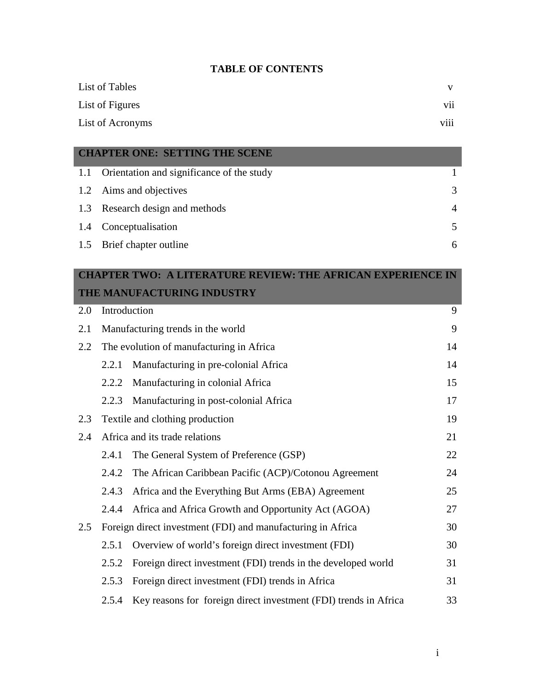## **TABLE OF CONTENTS**

| List of Tables   |                         |
|------------------|-------------------------|
| List of Figures  | $\cdot \cdot$<br>V11    |
| List of Acronyms | $\cdots$<br><b>V111</b> |

## **CHAPTER ONE: SETTING THE SCENE**

| 1.1 Orientation and significance of the study |                |
|-----------------------------------------------|----------------|
| 1.2 Aims and objectives                       | 3              |
| 1.3 Research design and methods               | $\overline{4}$ |
| 1.4 Conceptualisation                         |                |
| 1.5 Brief chapter outline                     | 6              |

# **CHAPTER TWO: A LITERATURE REVIEW: THE AFRICAN EXPERIENCE IN THE MANUFACTURING INDUSTRY**

| 2.0                                   |                                          | Introduction                                                     | 9  |  |  |
|---------------------------------------|------------------------------------------|------------------------------------------------------------------|----|--|--|
| 2.1                                   |                                          | Manufacturing trends in the world                                | 9  |  |  |
| 2.2                                   | The evolution of manufacturing in Africa |                                                                  |    |  |  |
|                                       | 2.2.1                                    | Manufacturing in pre-colonial Africa                             | 14 |  |  |
|                                       | 2.2.2                                    | Manufacturing in colonial Africa                                 | 15 |  |  |
|                                       | 2.2.3                                    | Manufacturing in post-colonial Africa                            | 17 |  |  |
| 2.3                                   |                                          | Textile and clothing production                                  | 19 |  |  |
| 2.4<br>Africa and its trade relations |                                          |                                                                  |    |  |  |
|                                       | 2.4.1                                    | The General System of Preference (GSP)                           | 22 |  |  |
|                                       | 2.4.2                                    | The African Caribbean Pacific (ACP)/Cotonou Agreement            | 24 |  |  |
|                                       | 2.4.3                                    | Africa and the Everything But Arms (EBA) Agreement               | 25 |  |  |
|                                       | 2.4.4                                    | Africa and Africa Growth and Opportunity Act (AGOA)              | 27 |  |  |
| 2.5                                   |                                          | Foreign direct investment (FDI) and manufacturing in Africa      | 30 |  |  |
|                                       | 2.5.1                                    | Overview of world's foreign direct investment (FDI)              | 30 |  |  |
|                                       | 2.5.2                                    | Foreign direct investment (FDI) trends in the developed world    | 31 |  |  |
|                                       | 2.5.3                                    | Foreign direct investment (FDI) trends in Africa                 | 31 |  |  |
|                                       | 2.5.4                                    | Key reasons for foreign direct investment (FDI) trends in Africa | 33 |  |  |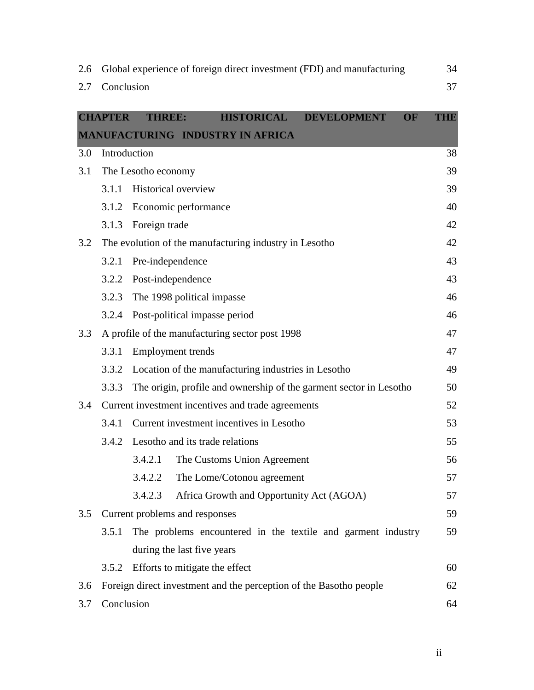| 2.6 | Global experience of foreign direct investment (FDI) and manufacturing |                                                                    |            |  |  |
|-----|------------------------------------------------------------------------|--------------------------------------------------------------------|------------|--|--|
| 2.7 | Conclusion                                                             |                                                                    | 37         |  |  |
|     |                                                                        |                                                                    |            |  |  |
|     | <b>CHAPTER</b>                                                         | <b>HISTORICAL</b><br>OF<br><b>THREE:</b><br><b>DEVELOPMENT</b>     | <b>THE</b> |  |  |
|     |                                                                        | MANUFACTURING INDUSTRY IN AFRICA                                   |            |  |  |
| 3.0 |                                                                        | Introduction                                                       | 38         |  |  |
| 3.1 |                                                                        | The Lesotho economy                                                | 39         |  |  |
|     | 3.1.1                                                                  | <b>Historical overview</b>                                         | 39         |  |  |
|     | 3.1.2                                                                  | Economic performance                                               | 40         |  |  |
|     | 3.1.3                                                                  | Foreign trade                                                      | 42         |  |  |
| 3.2 |                                                                        | The evolution of the manufacturing industry in Lesotho             | 42         |  |  |
|     | 3.2.1                                                                  | Pre-independence                                                   | 43         |  |  |
|     | 3.2.2                                                                  | Post-independence                                                  | 43         |  |  |
|     | 3.2.3                                                                  | The 1998 political impasse                                         | 46         |  |  |
|     | 3.2.4                                                                  | Post-political impasse period                                      | 46         |  |  |
| 3.3 |                                                                        | A profile of the manufacturing sector post 1998                    | 47         |  |  |
|     | 3.3.1                                                                  | <b>Employment</b> trends                                           | 47         |  |  |
|     | 3.3.2                                                                  | Location of the manufacturing industries in Lesotho                | 49         |  |  |
|     | 3.3.3                                                                  | The origin, profile and ownership of the garment sector in Lesotho | 50         |  |  |
| 3.4 |                                                                        | Current investment incentives and trade agreements                 | 52         |  |  |
|     | 3.4.1                                                                  | Current investment incentives in Lesotho                           | 53         |  |  |
|     | 3.4.2                                                                  | Lesotho and its trade relations                                    | 55         |  |  |
|     |                                                                        | 3.4.2.1<br>The Customs Union Agreement                             | 56         |  |  |
|     |                                                                        | 3.4.2.2<br>The Lome/Cotonou agreement                              | 57         |  |  |
|     |                                                                        | 3.4.2.3<br>Africa Growth and Opportunity Act (AGOA)                | 57         |  |  |
| 3.5 |                                                                        | Current problems and responses                                     | 59         |  |  |
|     | 3.5.1                                                                  | The problems encountered in the textile and garment industry       | 59         |  |  |
|     |                                                                        | during the last five years                                         |            |  |  |
|     | 3.5.2                                                                  | Efforts to mitigate the effect                                     | 60         |  |  |
| 3.6 |                                                                        | Foreign direct investment and the perception of the Basotho people | 62         |  |  |
| 3.7 | Conclusion                                                             |                                                                    |            |  |  |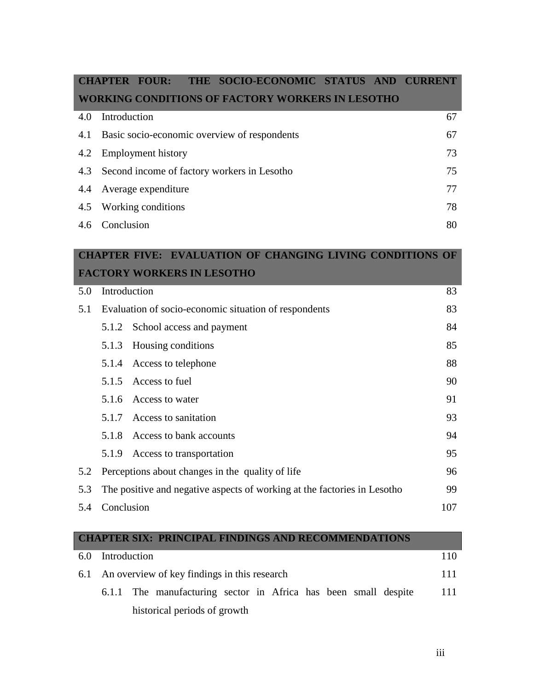|     | <b>CHAPTER FOUR:</b><br>THE SOCIO-ECONOMIC STATUS<br><b>AND</b> | <b>CURRENT</b> |
|-----|-----------------------------------------------------------------|----------------|
|     | <b>WORKING CONDITIONS OF FACTORY WORKERS IN LESOTHO</b>         |                |
| 4.0 | Introduction                                                    | 67             |
| 4.1 | Basic socio-economic overview of respondents                    | 67             |
| 4.2 | <b>Employment history</b>                                       | 73             |
| 4.3 | Second income of factory workers in Lesotho                     | 75             |
| 4.4 | Average expenditure                                             | 77             |
| 4.5 | Working conditions                                              | 78             |
| 4.6 | Conclusion                                                      | 80             |
|     |                                                                 |                |

## **CHAPTER FIVE: EVALUATION OF CHANGING LIVING CONDITIONS OF FACTORY WORKERS IN LESOTHO**

|     |            | THULONI WUNNDIW HYDDUIN                                                  |     |
|-----|------------|--------------------------------------------------------------------------|-----|
| 5.0 |            | Introduction                                                             | 83  |
| 5.1 |            | Evaluation of socio-economic situation of respondents                    | 83  |
|     |            | 5.1.2 School access and payment                                          | 84  |
|     | 5.1.3      | Housing conditions                                                       | 85  |
|     |            | 5.1.4 Access to telephone                                                | 88  |
|     |            | 5.1.5 Access to fuel                                                     | 90  |
|     |            | 5.1.6 Access to water                                                    | 91  |
|     |            | 5.1.7 Access to sanitation                                               | 93  |
|     |            | 5.1.8 Access to bank accounts                                            | 94  |
|     |            | 5.1.9 Access to transportation                                           | 95  |
| 5.2 |            | Perceptions about changes in the quality of life                         | 96  |
| 5.3 |            | The positive and negative aspects of working at the factories in Lesotho | 99  |
| 5.4 | Conclusion |                                                                          | 107 |

|    |              | <b>CHAPTER SIX: PRINCIPAL FINDINGS AND RECOMMENDATIONS</b>      |  |  |  |     |
|----|--------------|-----------------------------------------------------------------|--|--|--|-----|
| 60 | Introduction |                                                                 |  |  |  | 110 |
|    |              | 6.1 An overview of key findings in this research                |  |  |  | 111 |
|    |              | 6.1.1 The manufacturing sector in Africa has been small despite |  |  |  | 111 |
|    |              | historical periods of growth                                    |  |  |  |     |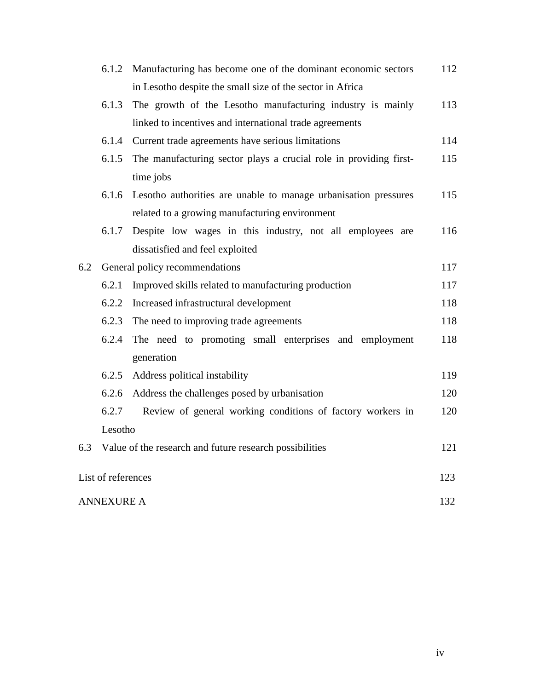|     | 6.1.2                          | Manufacturing has become one of the dominant economic sectors     | 112 |  |
|-----|--------------------------------|-------------------------------------------------------------------|-----|--|
|     |                                | in Lesotho despite the small size of the sector in Africa         |     |  |
|     | 6.1.3                          | The growth of the Lesotho manufacturing industry is mainly        | 113 |  |
|     |                                | linked to incentives and international trade agreements           |     |  |
|     | 6.1.4                          | Current trade agreements have serious limitations                 | 114 |  |
|     | 6.1.5                          | The manufacturing sector plays a crucial role in providing first- | 115 |  |
|     |                                | time jobs                                                         |     |  |
|     | 6.1.6                          | Lesotho authorities are unable to manage urbanisation pressures   | 115 |  |
|     |                                | related to a growing manufacturing environment                    |     |  |
|     | 6.1.7                          | Despite low wages in this industry, not all employees are         | 116 |  |
|     |                                | dissatisfied and feel exploited                                   |     |  |
| 6.2 | General policy recommendations |                                                                   |     |  |
|     | 6.2.1                          | Improved skills related to manufacturing production               | 117 |  |
|     | 6.2.2                          | Increased infrastructural development                             | 118 |  |
|     | 6.2.3                          | The need to improving trade agreements                            | 118 |  |
|     | 6.2.4                          | The need to promoting small enterprises and employment            | 118 |  |
|     |                                | generation                                                        |     |  |
|     | 6.2.5                          | Address political instability                                     | 119 |  |
|     | 6.2.6                          | Address the challenges posed by urbanisation                      | 120 |  |
|     | 6.2.7                          | Review of general working conditions of factory workers in        | 120 |  |
|     | Lesotho                        |                                                                   |     |  |
| 6.3 |                                | Value of the research and future research possibilities           | 121 |  |
|     |                                |                                                                   |     |  |
|     | List of references             |                                                                   | 123 |  |
|     | <b>ANNEXURE A</b>              |                                                                   | 132 |  |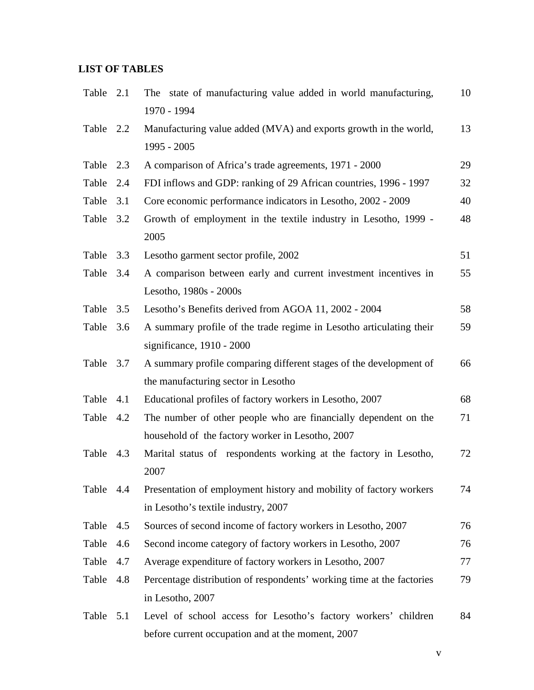## **LIST OF TABLES**

| Table 2.1 |     | The state of manufacturing value added in world manufacturing,          | 10 |
|-----------|-----|-------------------------------------------------------------------------|----|
|           |     | 1970 - 1994                                                             |    |
| Table 2.2 |     | Manufacturing value added (MVA) and exports growth in the world,        | 13 |
|           |     | 1995 - 2005                                                             |    |
| Table     | 2.3 | A comparison of Africa's trade agreements, 1971 - 2000                  | 29 |
| Table     | 2.4 | FDI inflows and GDP: ranking of 29 African countries, 1996 - 1997       | 32 |
| Table     | 3.1 | Core economic performance indicators in Lesotho, 2002 - 2009            | 40 |
| Table 3.2 |     | Growth of employment in the textile industry in Lesotho, 1999 -<br>2005 | 48 |
| Table     | 3.3 | Lesotho garment sector profile, 2002                                    | 51 |
| Table 3.4 |     | A comparison between early and current investment incentives in         | 55 |
|           |     | Lesotho, 1980s - 2000s                                                  |    |
| Table     | 3.5 | Lesotho's Benefits derived from AGOA 11, 2002 - 2004                    | 58 |
| Table     | 3.6 | A summary profile of the trade regime in Lesotho articulating their     | 59 |
|           |     | significance, 1910 - 2000                                               |    |
| Table     | 3.7 | A summary profile comparing different stages of the development of      | 66 |
|           |     | the manufacturing sector in Lesotho                                     |    |
| Table     | 4.1 | Educational profiles of factory workers in Lesotho, 2007                | 68 |
| Table 4.2 |     | The number of other people who are financially dependent on the         | 71 |
|           |     | household of the factory worker in Lesotho, 2007                        |    |
| Table     | 4.3 | Marital status of respondents working at the factory in Lesotho,        | 72 |
|           |     | 2007                                                                    |    |
| Table     | 4.4 | Presentation of employment history and mobility of factory workers      | 74 |
|           |     | in Lesotho's textile industry, 2007                                     |    |
| Table     | 4.5 | Sources of second income of factory workers in Lesotho, 2007            | 76 |
| Table     | 4.6 | Second income category of factory workers in Lesotho, 2007              | 76 |
| Table     | 4.7 | Average expenditure of factory workers in Lesotho, 2007                 | 77 |
| Table     | 4.8 | Percentage distribution of respondents' working time at the factories   | 79 |
|           |     | in Lesotho, 2007                                                        |    |
| Table     | 5.1 | Level of school access for Lesotho's factory workers' children          | 84 |
|           |     | before current occupation and at the moment, 2007                       |    |

v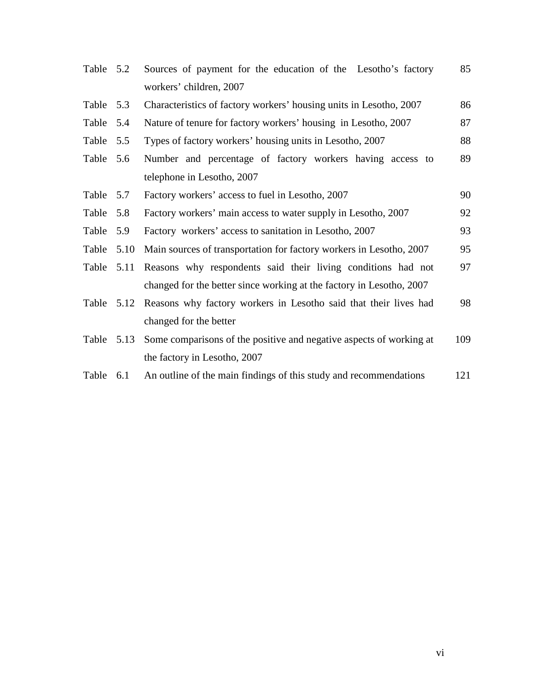| Table 5.2 |      | Sources of payment for the education of the Lesotho's factory               | 85  |
|-----------|------|-----------------------------------------------------------------------------|-----|
|           |      | workers' children, 2007                                                     |     |
| Table 5.3 |      | Characteristics of factory workers' housing units in Lesotho, 2007          | 86  |
| Table     | 5.4  | Nature of tenure for factory workers' housing in Lesotho, 2007              | 87  |
| Table 5.5 |      | Types of factory workers' housing units in Lesotho, 2007                    | 88  |
| Table     | 5.6  | Number and percentage of factory workers having access to                   | 89  |
|           |      | telephone in Lesotho, 2007                                                  |     |
| Table     | 5.7  | Factory workers' access to fuel in Lesotho, 2007                            | 90  |
| Table     | 5.8  | Factory workers' main access to water supply in Lesotho, 2007               | 92  |
| Table     | 5.9  | Factory workers' access to sanitation in Lesotho, 2007                      | 93  |
| Table     | 5.10 | Main sources of transportation for factory workers in Lesotho, 2007         | 95  |
| Table     | 5.11 | Reasons why respondents said their living conditions had not                | 97  |
|           |      | changed for the better since working at the factory in Lesotho, 2007        |     |
|           |      | Table 5.12 Reasons why factory workers in Lesotho said that their lives had | 98  |
|           |      | changed for the better                                                      |     |
| Table     | 5.13 | Some comparisons of the positive and negative aspects of working at         | 109 |
|           |      | the factory in Lesotho, 2007                                                |     |
| Table     | 6.1  | An outline of the main findings of this study and recommendations           | 121 |
|           |      |                                                                             |     |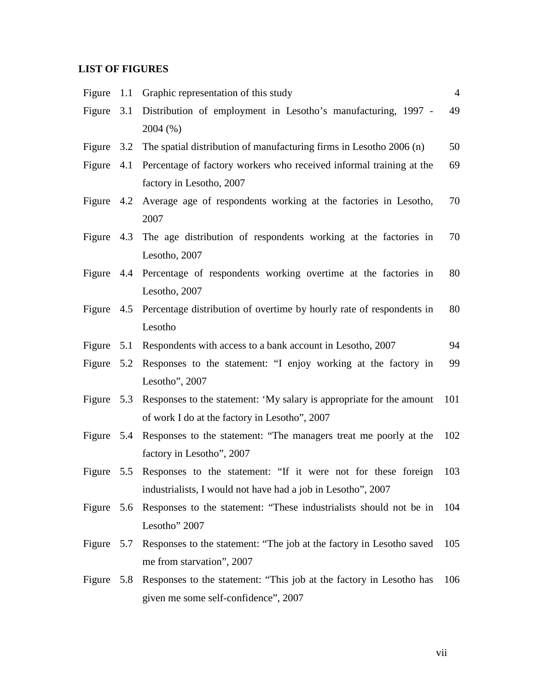## **LIST OF FIGURES**

| Figure       |     | 1.1 Graphic representation of this study                                        | $\overline{4}$ |
|--------------|-----|---------------------------------------------------------------------------------|----------------|
| Figure       | 3.1 | Distribution of employment in Lesotho's manufacturing, 1997 -                   | 49             |
|              |     | 2004 (%)                                                                        |                |
| Figure $3.2$ |     | The spatial distribution of manufacturing firms in Lesotho 2006 (n)             | 50             |
| Figure $4.1$ |     | Percentage of factory workers who received informal training at the             | 69             |
|              |     | factory in Lesotho, 2007                                                        |                |
|              |     | Figure 4.2 Average age of respondents working at the factories in Lesotho,      | 70             |
|              |     | 2007                                                                            |                |
|              |     | Figure 4.3 The age distribution of respondents working at the factories in      | 70             |
|              |     | Lesotho, 2007                                                                   |                |
|              |     | Figure 4.4 Percentage of respondents working overtime at the factories in       | 80             |
|              |     | Lesotho, 2007                                                                   |                |
|              |     | Figure 4.5 Percentage distribution of overtime by hourly rate of respondents in | 80             |
|              |     | Lesotho                                                                         |                |
|              |     | Figure 5.1 Respondents with access to a bank account in Lesotho, 2007           | 94             |
|              |     | Figure 5.2 Responses to the statement: "I enjoy working at the factory in       | 99             |
|              |     | Lesotho", 2007                                                                  |                |
|              |     | Figure 5.3 Responses to the statement: 'My salary is appropriate for the amount | 101            |
|              |     | of work I do at the factory in Lesotho", 2007                                   |                |
|              |     | Figure 5.4 Responses to the statement: "The managers treat me poorly at the     | 102            |
|              |     | factory in Lesotho", 2007                                                       |                |
| Figure       |     | 5.5 Responses to the statement: "If it were not for these foreign               | 103            |
|              |     | industrialists, I would not have had a job in Lesotho", 2007                    |                |
|              |     | Figure 5.6 Responses to the statement: "These industrialists should not be in   | 104            |
|              |     | Lesotho" 2007                                                                   |                |
| Figure       | 5.7 | Responses to the statement: "The job at the factory in Lesotho saved            | 105            |
|              |     | me from starvation", 2007                                                       |                |
| Figure       |     | 5.8 Responses to the statement: "This job at the factory in Lesotho has         | 106            |
|              |     | given me some self-confidence", 2007                                            |                |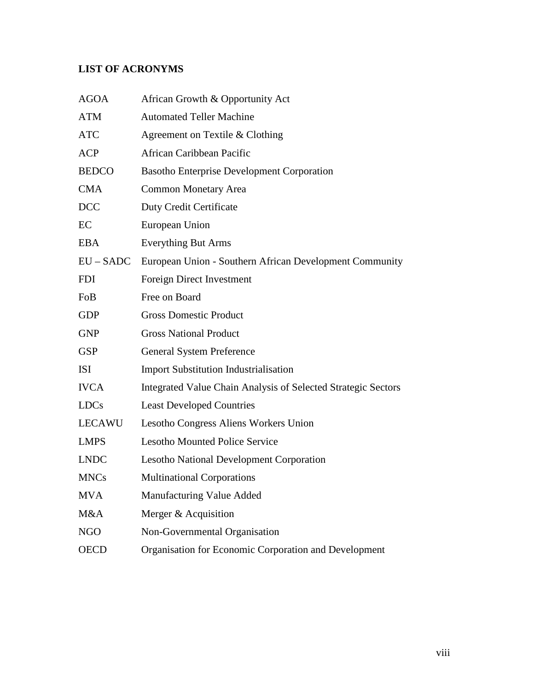# **LIST OF ACRONYMS**

| <b>AGOA</b>   | African Growth & Opportunity Act                              |
|---------------|---------------------------------------------------------------|
| <b>ATM</b>    | <b>Automated Teller Machine</b>                               |
| <b>ATC</b>    | Agreement on Textile & Clothing                               |
| <b>ACP</b>    | African Caribbean Pacific                                     |
| <b>BEDCO</b>  | <b>Basotho Enterprise Development Corporation</b>             |
| <b>CMA</b>    | <b>Common Monetary Area</b>                                   |
| <b>DCC</b>    | Duty Credit Certificate                                       |
| EC            | European Union                                                |
| <b>EBA</b>    | <b>Everything But Arms</b>                                    |
| $EU - SADC$   | European Union - Southern African Development Community       |
| <b>FDI</b>    | Foreign Direct Investment                                     |
| FoB           | Free on Board                                                 |
| <b>GDP</b>    | <b>Gross Domestic Product</b>                                 |
| <b>GNP</b>    | <b>Gross National Product</b>                                 |
| <b>GSP</b>    | <b>General System Preference</b>                              |
| <b>ISI</b>    | <b>Import Substitution Industrialisation</b>                  |
| <b>IVCA</b>   | Integrated Value Chain Analysis of Selected Strategic Sectors |
| <b>LDCs</b>   | <b>Least Developed Countries</b>                              |
| <b>LECAWU</b> | Lesotho Congress Aliens Workers Union                         |
| <b>LMPS</b>   | <b>Lesotho Mounted Police Service</b>                         |
| <b>LNDC</b>   | <b>Lesotho National Development Corporation</b>               |
| <b>MNCs</b>   | <b>Multinational Corporations</b>                             |
| <b>MVA</b>    | Manufacturing Value Added                                     |
| M&A           | Merger & Acquisition                                          |
| <b>NGO</b>    | Non-Governmental Organisation                                 |
| <b>OECD</b>   | Organisation for Economic Corporation and Development         |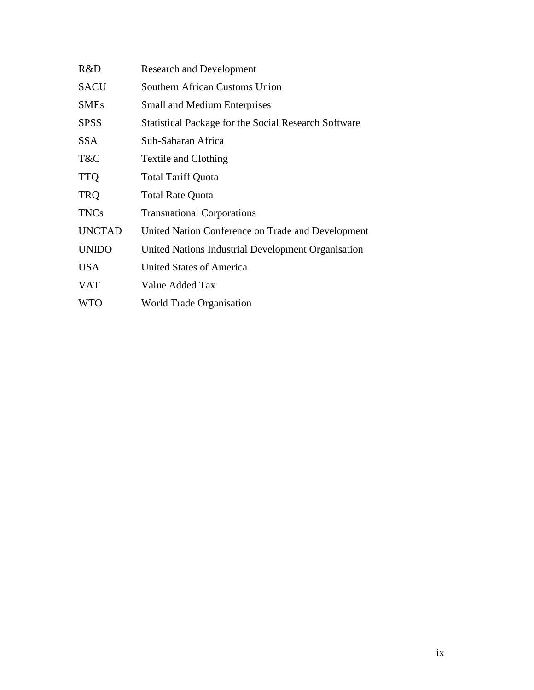| R&D           | <b>Research and Development</b>                             |
|---------------|-------------------------------------------------------------|
| <b>SACU</b>   | Southern African Customs Union                              |
| <b>SMEs</b>   | <b>Small and Medium Enterprises</b>                         |
| <b>SPSS</b>   | <b>Statistical Package for the Social Research Software</b> |
| SSA.          | Sub-Saharan Africa                                          |
| T&C           | Textile and Clothing                                        |
| <b>TTQ</b>    | <b>Total Tariff Quota</b>                                   |
| <b>TRQ</b>    | <b>Total Rate Quota</b>                                     |
| <b>TNCs</b>   | <b>Transnational Corporations</b>                           |
| <b>UNCTAD</b> | United Nation Conference on Trade and Development           |
| <b>UNIDO</b>  | United Nations Industrial Development Organisation          |
| <b>USA</b>    | United States of America                                    |
| <b>VAT</b>    | Value Added Tax                                             |
| <b>WTO</b>    | World Trade Organisation                                    |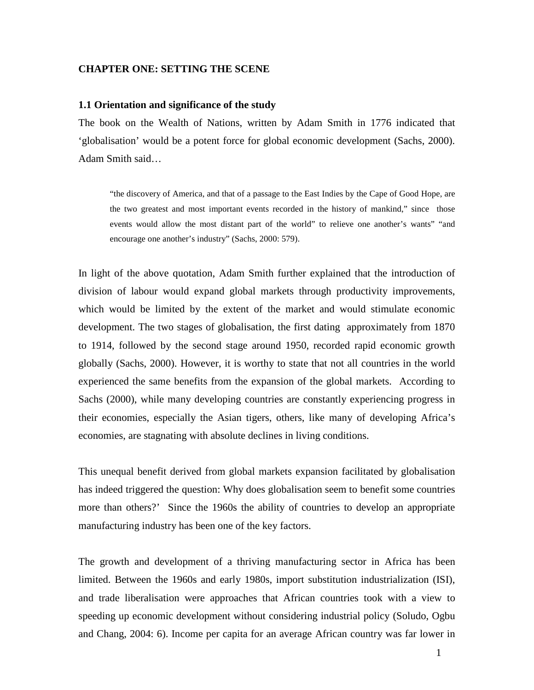## **CHAPTER ONE: SETTING THE SCENE**

## **1.1 Orientation and significance of the study**

The book on the Wealth of Nations, written by Adam Smith in 1776 indicated that 'globalisation' would be a potent force for global economic development (Sachs, 2000). Adam Smith said…

"the discovery of America, and that of a passage to the East Indies by the Cape of Good Hope, are the two greatest and most important events recorded in the history of mankind," since those events would allow the most distant part of the world" to relieve one another's wants" "and encourage one another's industry" (Sachs, 2000: 579).

In light of the above quotation, Adam Smith further explained that the introduction of division of labour would expand global markets through productivity improvements, which would be limited by the extent of the market and would stimulate economic development. The two stages of globalisation, the first dating approximately from 1870 to 1914, followed by the second stage around 1950, recorded rapid economic growth globally (Sachs, 2000). However, it is worthy to state that not all countries in the world experienced the same benefits from the expansion of the global markets. According to Sachs (2000), while many developing countries are constantly experiencing progress in their economies, especially the Asian tigers, others, like many of developing Africa's economies, are stagnating with absolute declines in living conditions.

This unequal benefit derived from global markets expansion facilitated by globalisation has indeed triggered the question: Why does globalisation seem to benefit some countries more than others?' Since the 1960s the ability of countries to develop an appropriate manufacturing industry has been one of the key factors.

The growth and development of a thriving manufacturing sector in Africa has been limited. Between the 1960s and early 1980s, import substitution industrialization (ISI), and trade liberalisation were approaches that African countries took with a view to speeding up economic development without considering industrial policy (Soludo, Ogbu and Chang, 2004: 6). Income per capita for an average African country was far lower in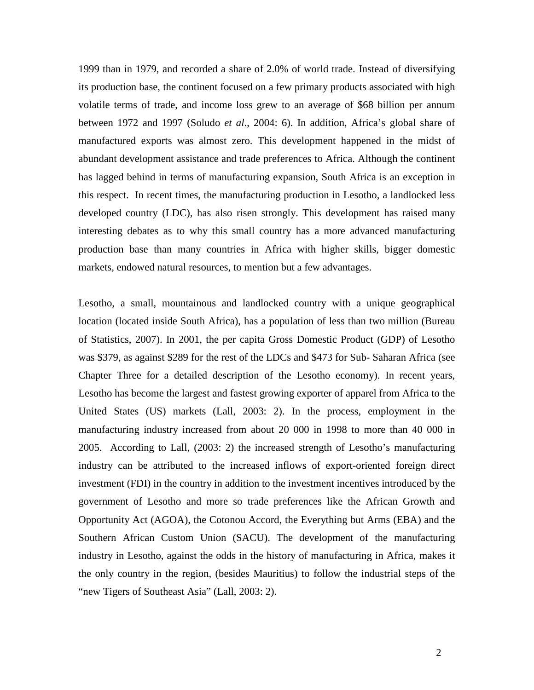1999 than in 1979, and recorded a share of 2.0% of world trade. Instead of diversifying its production base, the continent focused on a few primary products associated with high volatile terms of trade, and income loss grew to an average of \$68 billion per annum between 1972 and 1997 (Soludo *et al*., 2004: 6). In addition, Africa's global share of manufactured exports was almost zero. This development happened in the midst of abundant development assistance and trade preferences to Africa. Although the continent has lagged behind in terms of manufacturing expansion, South Africa is an exception in this respect. In recent times, the manufacturing production in Lesotho, a landlocked less developed country (LDC), has also risen strongly. This development has raised many interesting debates as to why this small country has a more advanced manufacturing production base than many countries in Africa with higher skills, bigger domestic markets, endowed natural resources, to mention but a few advantages.

Lesotho, a small, mountainous and landlocked country with a unique geographical location (located inside South Africa), has a population of less than two million (Bureau of Statistics, 2007). In 2001, the per capita Gross Domestic Product (GDP) of Lesotho was \$379, as against \$289 for the rest of the LDCs and \$473 for Sub- Saharan Africa (see Chapter Three for a detailed description of the Lesotho economy). In recent years, Lesotho has become the largest and fastest growing exporter of apparel from Africa to the United States (US) markets (Lall, 2003: 2). In the process, employment in the manufacturing industry increased from about 20 000 in 1998 to more than 40 000 in 2005. According to Lall, (2003: 2) the increased strength of Lesotho's manufacturing industry can be attributed to the increased inflows of export-oriented foreign direct investment (FDI) in the country in addition to the investment incentives introduced by the government of Lesotho and more so trade preferences like the African Growth and Opportunity Act (AGOA), the Cotonou Accord, the Everything but Arms (EBA) and the Southern African Custom Union (SACU). The development of the manufacturing industry in Lesotho, against the odds in the history of manufacturing in Africa, makes it the only country in the region, (besides Mauritius) to follow the industrial steps of the "new Tigers of Southeast Asia" (Lall, 2003: 2).

2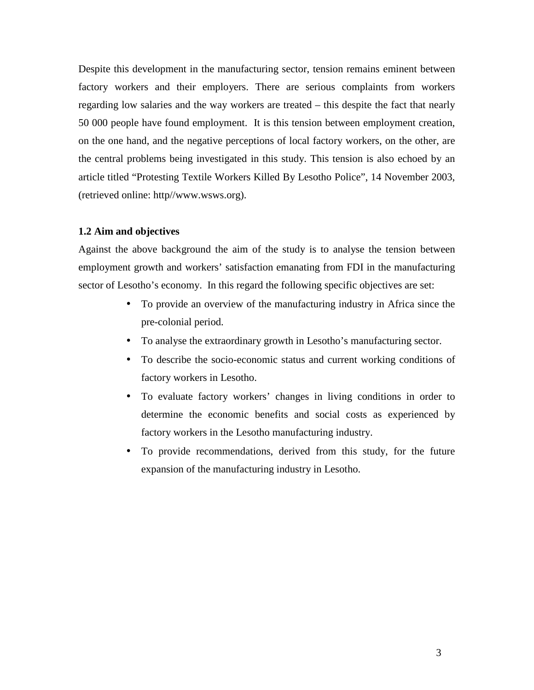Despite this development in the manufacturing sector, tension remains eminent between factory workers and their employers. There are serious complaints from workers regarding low salaries and the way workers are treated – this despite the fact that nearly 50 000 people have found employment. It is this tension between employment creation, on the one hand, and the negative perceptions of local factory workers, on the other, are the central problems being investigated in this study. This tension is also echoed by an article titled "Protesting Textile Workers Killed By Lesotho Police", 14 November 2003, (retrieved online: http//www.wsws.org).

## **1.2 Aim and objectives**

Against the above background the aim of the study is to analyse the tension between employment growth and workers' satisfaction emanating from FDI in the manufacturing sector of Lesotho's economy. In this regard the following specific objectives are set:

- To provide an overview of the manufacturing industry in Africa since the pre-colonial period.
- To analyse the extraordinary growth in Lesotho's manufacturing sector.
- To describe the socio-economic status and current working conditions of factory workers in Lesotho.
- To evaluate factory workers' changes in living conditions in order to determine the economic benefits and social costs as experienced by factory workers in the Lesotho manufacturing industry.
- To provide recommendations, derived from this study, for the future expansion of the manufacturing industry in Lesotho.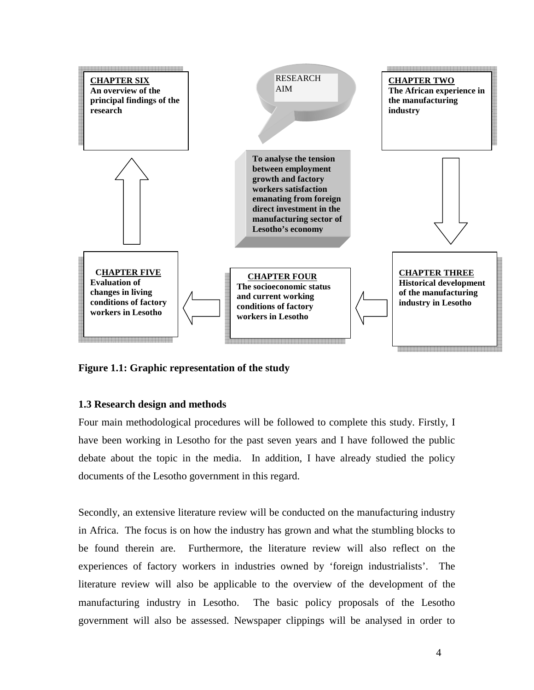

**Figure 1.1: Graphic representation of the study** 

## **1.3 Research design and methods**

Four main methodological procedures will be followed to complete this study. Firstly, I have been working in Lesotho for the past seven years and I have followed the public debate about the topic in the media. In addition, I have already studied the policy documents of the Lesotho government in this regard.

Secondly, an extensive literature review will be conducted on the manufacturing industry in Africa. The focus is on how the industry has grown and what the stumbling blocks to be found therein are. Furthermore, the literature review will also reflect on the experiences of factory workers in industries owned by 'foreign industrialists'. The literature review will also be applicable to the overview of the development of the manufacturing industry in Lesotho. The basic policy proposals of the Lesotho government will also be assessed. Newspaper clippings will be analysed in order to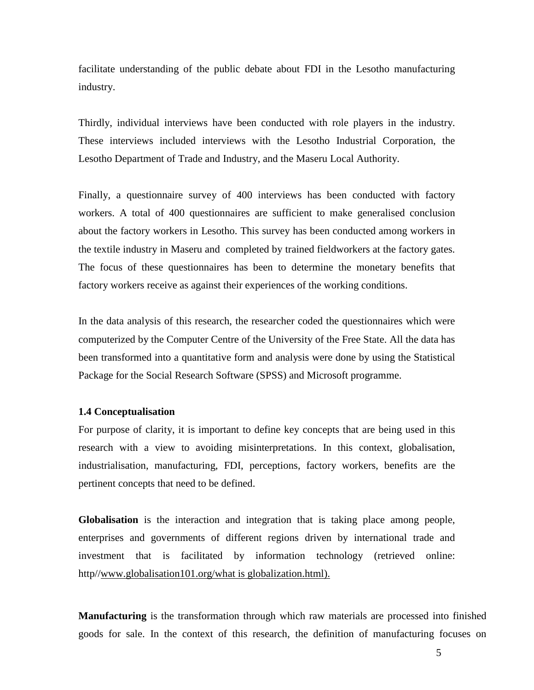facilitate understanding of the public debate about FDI in the Lesotho manufacturing industry.

Thirdly, individual interviews have been conducted with role players in the industry. These interviews included interviews with the Lesotho Industrial Corporation, the Lesotho Department of Trade and Industry, and the Maseru Local Authority.

Finally, a questionnaire survey of 400 interviews has been conducted with factory workers. A total of 400 questionnaires are sufficient to make generalised conclusion about the factory workers in Lesotho. This survey has been conducted among workers in the textile industry in Maseru and completed by trained fieldworkers at the factory gates. The focus of these questionnaires has been to determine the monetary benefits that factory workers receive as against their experiences of the working conditions.

In the data analysis of this research, the researcher coded the questionnaires which were computerized by the Computer Centre of the University of the Free State. All the data has been transformed into a quantitative form and analysis were done by using the Statistical Package for the Social Research Software (SPSS) and Microsoft programme.

## **1.4 Conceptualisation**

For purpose of clarity, it is important to define key concepts that are being used in this research with a view to avoiding misinterpretations. In this context, globalisation, industrialisation, manufacturing, FDI, perceptions, factory workers, benefits are the pertinent concepts that need to be defined.

**Globalisation** is the interaction and integration that is taking place among people, enterprises and governments of different regions driven by international trade and investment that is facilitated by information technology (retrieved online: http//www.globalisation101.org/what is globalization.html).

**Manufacturing** is the transformation through which raw materials are processed into finished goods for sale. In the context of this research, the definition of manufacturing focuses on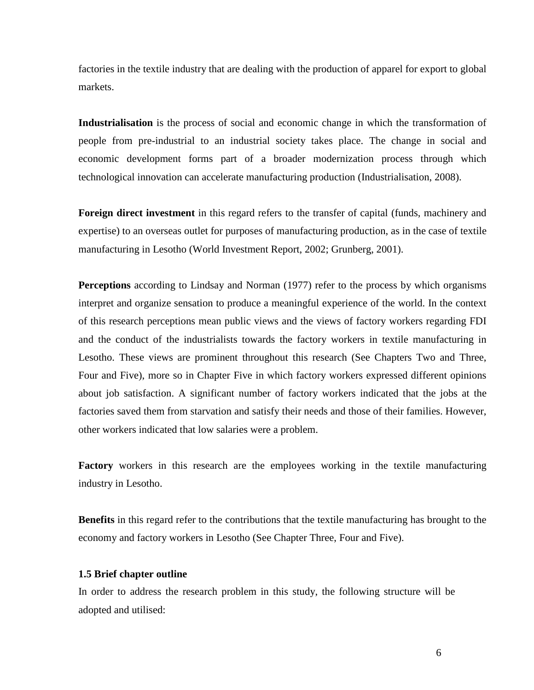factories in the textile industry that are dealing with the production of apparel for export to global markets.

**Industrialisation** is the process of social and economic change in which the transformation of people from pre-industrial to an industrial society takes place. The change in social and economic development forms part of a broader modernization process through which technological innovation can accelerate manufacturing production (Industrialisation, 2008).

**Foreign direct investment** in this regard refers to the transfer of capital (funds, machinery and expertise) to an overseas outlet for purposes of manufacturing production, as in the case of textile manufacturing in Lesotho (World Investment Report, 2002; Grunberg, 2001).

**Perceptions** according to Lindsay and Norman (1977) refer to the process by which organisms interpret and organize sensation to produce a meaningful experience of the world. In the context of this research perceptions mean public views and the views of factory workers regarding FDI and the conduct of the industrialists towards the factory workers in textile manufacturing in Lesotho. These views are prominent throughout this research (See Chapters Two and Three, Four and Five), more so in Chapter Five in which factory workers expressed different opinions about job satisfaction. A significant number of factory workers indicated that the jobs at the factories saved them from starvation and satisfy their needs and those of their families. However, other workers indicated that low salaries were a problem.

**Factory** workers in this research are the employees working in the textile manufacturing industry in Lesotho.

**Benefits** in this regard refer to the contributions that the textile manufacturing has brought to the economy and factory workers in Lesotho (See Chapter Three, Four and Five).

## **1.5 Brief chapter outline**

In order to address the research problem in this study, the following structure will be adopted and utilised: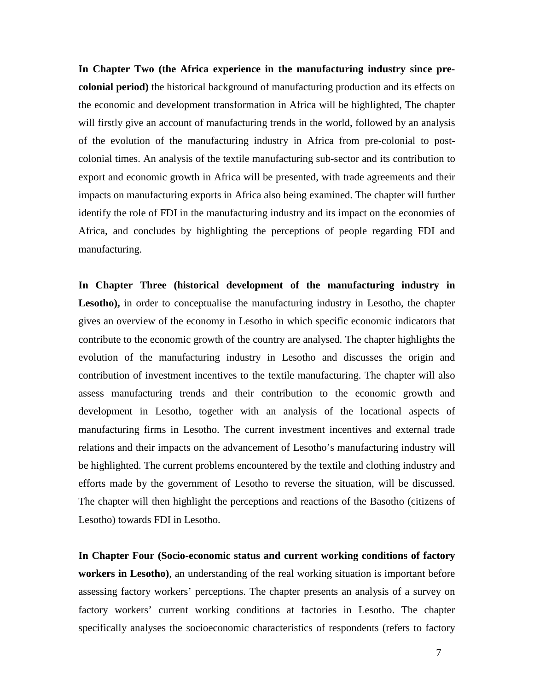**In Chapter Two (the Africa experience in the manufacturing industry since precolonial period)** the historical background of manufacturing production and its effects on the economic and development transformation in Africa will be highlighted, The chapter will firstly give an account of manufacturing trends in the world, followed by an analysis of the evolution of the manufacturing industry in Africa from pre-colonial to postcolonial times. An analysis of the textile manufacturing sub-sector and its contribution to export and economic growth in Africa will be presented, with trade agreements and their impacts on manufacturing exports in Africa also being examined. The chapter will further identify the role of FDI in the manufacturing industry and its impact on the economies of Africa, and concludes by highlighting the perceptions of people regarding FDI and manufacturing.

**In Chapter Three (historical development of the manufacturing industry in Lesotho),** in order to conceptualise the manufacturing industry in Lesotho, the chapter gives an overview of the economy in Lesotho in which specific economic indicators that contribute to the economic growth of the country are analysed. The chapter highlights the evolution of the manufacturing industry in Lesotho and discusses the origin and contribution of investment incentives to the textile manufacturing. The chapter will also assess manufacturing trends and their contribution to the economic growth and development in Lesotho, together with an analysis of the locational aspects of manufacturing firms in Lesotho. The current investment incentives and external trade relations and their impacts on the advancement of Lesotho's manufacturing industry will be highlighted. The current problems encountered by the textile and clothing industry and efforts made by the government of Lesotho to reverse the situation, will be discussed. The chapter will then highlight the perceptions and reactions of the Basotho (citizens of Lesotho) towards FDI in Lesotho.

**In Chapter Four (Socio-economic status and current working conditions of factory workers in Lesotho)**, an understanding of the real working situation is important before assessing factory workers' perceptions. The chapter presents an analysis of a survey on factory workers' current working conditions at factories in Lesotho. The chapter specifically analyses the socioeconomic characteristics of respondents (refers to factory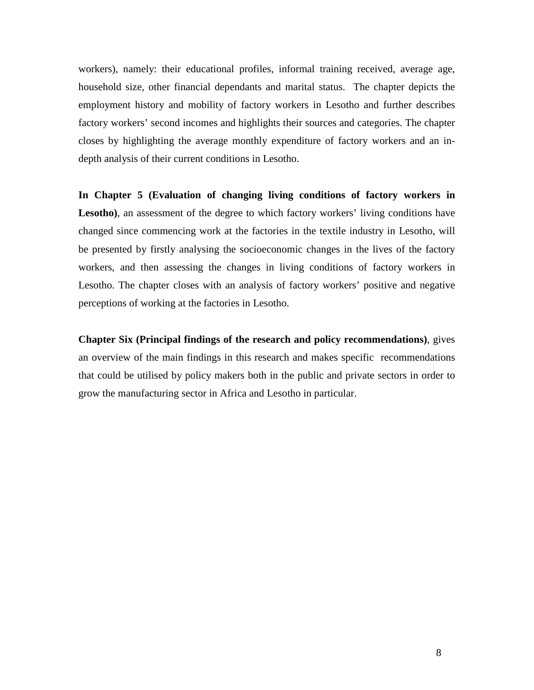workers), namely: their educational profiles, informal training received, average age, household size, other financial dependants and marital status. The chapter depicts the employment history and mobility of factory workers in Lesotho and further describes factory workers' second incomes and highlights their sources and categories. The chapter closes by highlighting the average monthly expenditure of factory workers and an indepth analysis of their current conditions in Lesotho.

**In Chapter 5 (Evaluation of changing living conditions of factory workers in**  Lesotho), an assessment of the degree to which factory workers' living conditions have changed since commencing work at the factories in the textile industry in Lesotho, will be presented by firstly analysing the socioeconomic changes in the lives of the factory workers, and then assessing the changes in living conditions of factory workers in Lesotho. The chapter closes with an analysis of factory workers' positive and negative perceptions of working at the factories in Lesotho.

**Chapter Six (Principal findings of the research and policy recommendations)**, gives an overview of the main findings in this research and makes specific recommendations that could be utilised by policy makers both in the public and private sectors in order to grow the manufacturing sector in Africa and Lesotho in particular.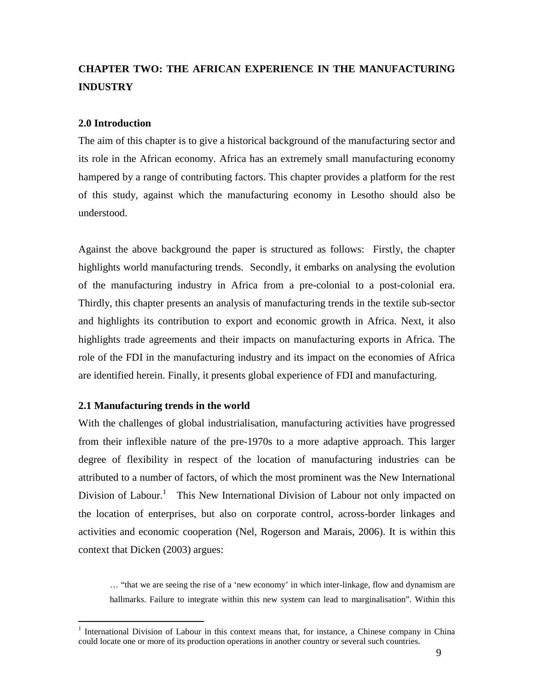# **CHAPTER TWO: THE AFRICAN EXPERIENCE IN THE MANUFACTURING INDUSTRY**

## **2.0 Introduction**

The aim of this chapter is to give a historical background of the manufacturing sector and its role in the African economy. Africa has an extremely small manufacturing economy hampered by a range of contributing factors. This chapter provides a platform for the rest of this study, against which the manufacturing economy in Lesotho should also be understood.

Against the above background the paper is structured as follows: Firstly, the chapter highlights world manufacturing trends. Secondly, it embarks on analysing the evolution of the manufacturing industry in Africa from a pre-colonial to a post-colonial era. Thirdly, this chapter presents an analysis of manufacturing trends in the textile sub-sector and highlights its contribution to export and economic growth in Africa. Next, it also highlights trade agreements and their impacts on manufacturing exports in Africa. The role of the FDI in the manufacturing industry and its impact on the economies of Africa are identified herein. Finally, it presents global experience of FDI and manufacturing.

## **2.1 Manufacturing trends in the world**

<u>.</u>

With the challenges of global industrialisation, manufacturing activities have progressed from their inflexible nature of the pre-1970s to a more adaptive approach. This larger degree of flexibility in respect of the location of manufacturing industries can be attributed to a number of factors, of which the most prominent was the New International Division of Labour.<sup>1</sup> This New International Division of Labour not only impacted on the location of enterprises, but also on corporate control, across-border linkages and activities and economic cooperation (Nel, Rogerson and Marais, 2006). It is within this context that Dicken (2003) argues:

… "that we are seeing the rise of a 'new economy' in which inter-linkage, flow and dynamism are hallmarks. Failure to integrate within this new system can lead to marginalisation". Within this

<sup>&</sup>lt;sup>1</sup> International Division of Labour in this context means that, for instance, a Chinese company in China could locate one or more of its production operations in another country or several such countries.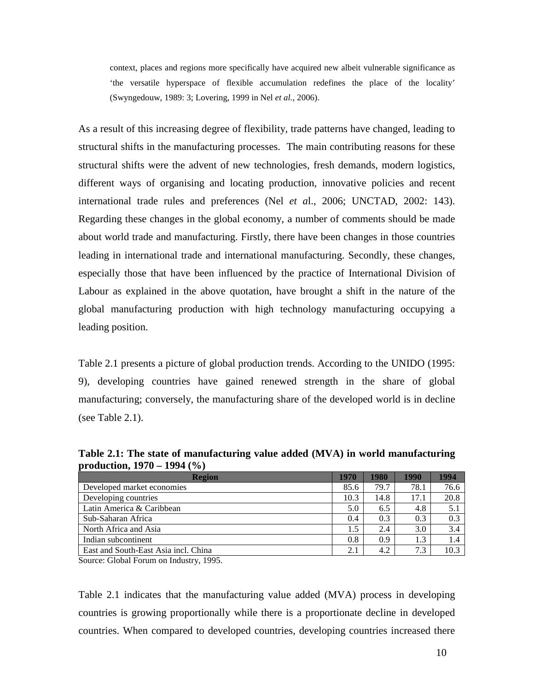context, places and regions more specifically have acquired new albeit vulnerable significance as 'the versatile hyperspace of flexible accumulation redefines the place of the locality' (Swyngedouw, 1989: 3; Lovering, 1999 in Nel *et al.*, 2006).

As a result of this increasing degree of flexibility, trade patterns have changed, leading to structural shifts in the manufacturing processes. The main contributing reasons for these structural shifts were the advent of new technologies, fresh demands, modern logistics, different ways of organising and locating production, innovative policies and recent international trade rules and preferences (Nel *et a*l., 2006; UNCTAD, 2002: 143). Regarding these changes in the global economy, a number of comments should be made about world trade and manufacturing. Firstly, there have been changes in those countries leading in international trade and international manufacturing. Secondly, these changes, especially those that have been influenced by the practice of International Division of Labour as explained in the above quotation, have brought a shift in the nature of the global manufacturing production with high technology manufacturing occupying a leading position.

Table 2.1 presents a picture of global production trends. According to the UNIDO (1995: 9), developing countries have gained renewed strength in the share of global manufacturing; conversely, the manufacturing share of the developed world is in decline (see Table 2.1).

| $\mu$ outer than $\mu$ , $\mu$ , $\sigma$ |      |      |      |      |  |  |  |
|-------------------------------------------|------|------|------|------|--|--|--|
| <b>Region</b>                             | 1970 | 1980 | 1990 | 1994 |  |  |  |
| Developed market economies                | 85.6 | 79.7 | 78.1 | 76.6 |  |  |  |
| Developing countries                      | 10.3 | 14.8 | 17.1 | 20.8 |  |  |  |
| Latin America & Caribbean                 | 5.0  | 6.5  | 4.8  | 5.1  |  |  |  |
| Sub-Saharan Africa                        |      | 0.3  | 0.3  | 0.3  |  |  |  |
| North Africa and Asia                     | 1.5  | 2.4  | 3.0  | 3.4  |  |  |  |
| Indian subcontinent                       | 0.8  | 0.9  | 1.3  | 1.4  |  |  |  |
| East and South-East Asia incl. China      |      | 4.2  | 7.3  | 10.3 |  |  |  |

**Table 2.1: The state of manufacturing value added (MVA) in world manufacturing production, 1970 – 1994 (%)** 

Source: Global Forum on Industry, 1995.

Table 2.1 indicates that the manufacturing value added (MVA) process in developing countries is growing proportionally while there is a proportionate decline in developed countries. When compared to developed countries, developing countries increased there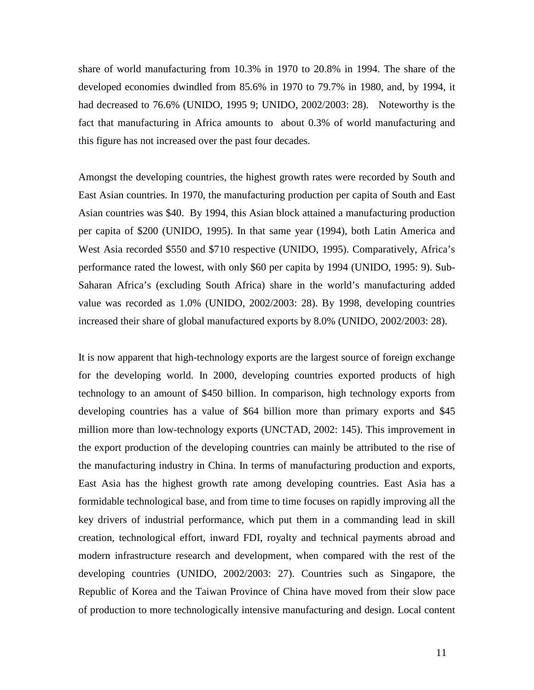share of world manufacturing from 10.3% in 1970 to 20.8% in 1994. The share of the developed economies dwindled from 85.6% in 1970 to 79.7% in 1980, and, by 1994, it had decreased to 76.6% (UNIDO, 1995 9; UNIDO, 2002/2003: 28). Noteworthy is the fact that manufacturing in Africa amounts to about 0.3% of world manufacturing and this figure has not increased over the past four decades.

Amongst the developing countries, the highest growth rates were recorded by South and East Asian countries. In 1970, the manufacturing production per capita of South and East Asian countries was \$40. By 1994, this Asian block attained a manufacturing production per capita of \$200 (UNIDO, 1995). In that same year (1994), both Latin America and West Asia recorded \$550 and \$710 respective (UNIDO, 1995). Comparatively, Africa's performance rated the lowest, with only \$60 per capita by 1994 (UNIDO, 1995: 9). Sub-Saharan Africa's (excluding South Africa) share in the world's manufacturing added value was recorded as 1.0% (UNIDO, 2002/2003: 28). By 1998, developing countries increased their share of global manufactured exports by 8.0% (UNIDO, 2002/2003: 28).

It is now apparent that high-technology exports are the largest source of foreign exchange for the developing world. In 2000, developing countries exported products of high technology to an amount of \$450 billion. In comparison, high technology exports from developing countries has a value of \$64 billion more than primary exports and \$45 million more than low-technology exports (UNCTAD, 2002: 145). This improvement in the export production of the developing countries can mainly be attributed to the rise of the manufacturing industry in China. In terms of manufacturing production and exports, East Asia has the highest growth rate among developing countries. East Asia has a formidable technological base, and from time to time focuses on rapidly improving all the key drivers of industrial performance, which put them in a commanding lead in skill creation, technological effort, inward FDI, royalty and technical payments abroad and modern infrastructure research and development, when compared with the rest of the developing countries (UNIDO, 2002/2003: 27). Countries such as Singapore, the Republic of Korea and the Taiwan Province of China have moved from their slow pace of production to more technologically intensive manufacturing and design. Local content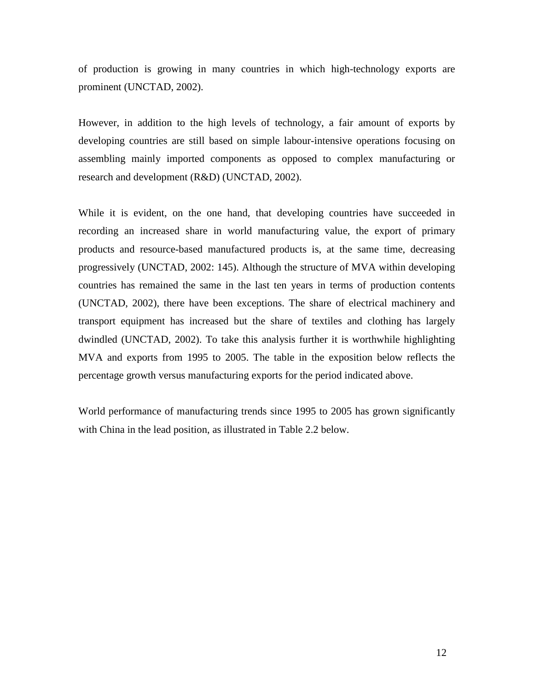of production is growing in many countries in which high-technology exports are prominent (UNCTAD, 2002).

However, in addition to the high levels of technology, a fair amount of exports by developing countries are still based on simple labour-intensive operations focusing on assembling mainly imported components as opposed to complex manufacturing or research and development (R&D) (UNCTAD, 2002).

While it is evident, on the one hand, that developing countries have succeeded in recording an increased share in world manufacturing value, the export of primary products and resource-based manufactured products is, at the same time, decreasing progressively (UNCTAD, 2002: 145). Although the structure of MVA within developing countries has remained the same in the last ten years in terms of production contents (UNCTAD, 2002), there have been exceptions. The share of electrical machinery and transport equipment has increased but the share of textiles and clothing has largely dwindled (UNCTAD, 2002). To take this analysis further it is worthwhile highlighting MVA and exports from 1995 to 2005. The table in the exposition below reflects the percentage growth versus manufacturing exports for the period indicated above.

World performance of manufacturing trends since 1995 to 2005 has grown significantly with China in the lead position, as illustrated in Table 2.2 below.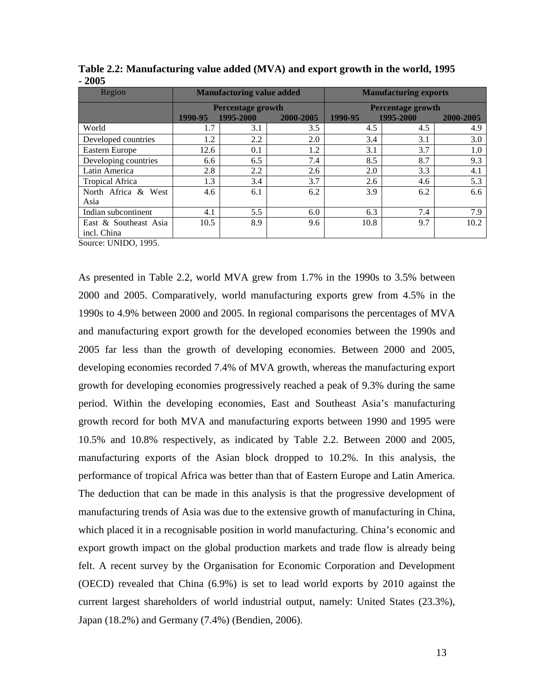| Region                 |         | <b>Manufacturing value added</b> |           | <b>Manufacturing exports</b> |           |           |
|------------------------|---------|----------------------------------|-----------|------------------------------|-----------|-----------|
|                        |         | <b>Percentage growth</b>         |           | <b>Percentage growth</b>     |           |           |
|                        | 1990-95 | 1995-2000                        | 2000-2005 | 1990-95                      | 1995-2000 | 2000-2005 |
| World                  | 1.7     | 3.1                              | 3.5       | 4.5                          | 4.5       | 4.9       |
| Developed countries    | 1.2     | 2.2                              | 2.0       | 3.4                          | 3.1       | 3.0       |
| Eastern Europe         | 12.6    | 0.1                              | 1.2       | 3.1                          | 3.7       | 1.0       |
| Developing countries   | 6.6     | 6.5                              | 7.4       | 8.5                          | 8.7       | 9.3       |
| Latin America          | 2.8     | 2.2                              | 2.6       | 2.0                          | 3.3       | 4.1       |
| <b>Tropical Africa</b> | 1.3     | 3.4                              | 3.7       | 2.6                          | 4.6       | 5.3       |
| North Africa & West    | 4.6     | 6.1                              | 6.2       | 3.9                          | 6.2       | 6.6       |
| Asia                   |         |                                  |           |                              |           |           |
| Indian subcontinent    | 4.1     | 5.5                              | 6.0       | 6.3                          | 7.4       | 7.9       |
| East & Southeast Asia  | 10.5    | 8.9                              | 9.6       | 10.8                         | 9.7       | 10.2      |
| incl. China            |         |                                  |           |                              |           |           |

**Table 2.2: Manufacturing value added (MVA) and export growth in the world, 1995 - 2005**

Source: UNIDO, 1995.

As presented in Table 2.2, world MVA grew from 1.7% in the 1990s to 3.5% between 2000 and 2005. Comparatively, world manufacturing exports grew from 4.5% in the 1990s to 4.9% between 2000 and 2005. In regional comparisons the percentages of MVA and manufacturing export growth for the developed economies between the 1990s and 2005 far less than the growth of developing economies. Between 2000 and 2005, developing economies recorded 7.4% of MVA growth, whereas the manufacturing export growth for developing economies progressively reached a peak of 9.3% during the same period. Within the developing economies, East and Southeast Asia's manufacturing growth record for both MVA and manufacturing exports between 1990 and 1995 were 10.5% and 10.8% respectively, as indicated by Table 2.2. Between 2000 and 2005, manufacturing exports of the Asian block dropped to 10.2%. In this analysis, the performance of tropical Africa was better than that of Eastern Europe and Latin America. The deduction that can be made in this analysis is that the progressive development of manufacturing trends of Asia was due to the extensive growth of manufacturing in China, which placed it in a recognisable position in world manufacturing. China's economic and export growth impact on the global production markets and trade flow is already being felt. A recent survey by the Organisation for Economic Corporation and Development (OECD) revealed that China (6.9%) is set to lead world exports by 2010 against the current largest shareholders of world industrial output, namely: United States (23.3%), Japan (18.2%) and Germany (7.4%) (Bendien, 2006).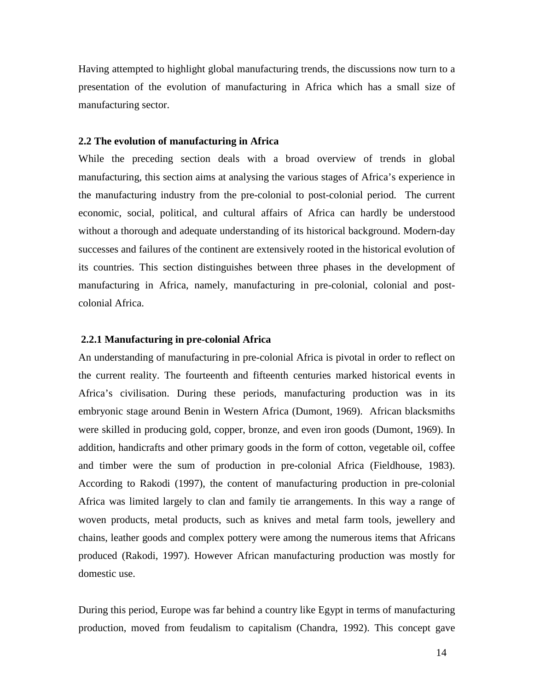Having attempted to highlight global manufacturing trends, the discussions now turn to a presentation of the evolution of manufacturing in Africa which has a small size of manufacturing sector.

## **2.2 The evolution of manufacturing in Africa**

While the preceding section deals with a broad overview of trends in global manufacturing, this section aims at analysing the various stages of Africa's experience in the manufacturing industry from the pre-colonial to post-colonial period. The current economic, social, political, and cultural affairs of Africa can hardly be understood without a thorough and adequate understanding of its historical background. Modern-day successes and failures of the continent are extensively rooted in the historical evolution of its countries. This section distinguishes between three phases in the development of manufacturing in Africa, namely, manufacturing in pre-colonial, colonial and postcolonial Africa.

## **2.2.1 Manufacturing in pre-colonial Africa**

An understanding of manufacturing in pre-colonial Africa is pivotal in order to reflect on the current reality. The fourteenth and fifteenth centuries marked historical events in Africa's civilisation. During these periods, manufacturing production was in its embryonic stage around Benin in Western Africa (Dumont, 1969). African blacksmiths were skilled in producing gold, copper, bronze, and even iron goods (Dumont, 1969). In addition, handicrafts and other primary goods in the form of cotton, vegetable oil, coffee and timber were the sum of production in pre-colonial Africa (Fieldhouse, 1983). According to Rakodi (1997), the content of manufacturing production in pre-colonial Africa was limited largely to clan and family tie arrangements. In this way a range of woven products, metal products, such as knives and metal farm tools, jewellery and chains, leather goods and complex pottery were among the numerous items that Africans produced (Rakodi, 1997). However African manufacturing production was mostly for domestic use.

During this period, Europe was far behind a country like Egypt in terms of manufacturing production, moved from feudalism to capitalism (Chandra, 1992). This concept gave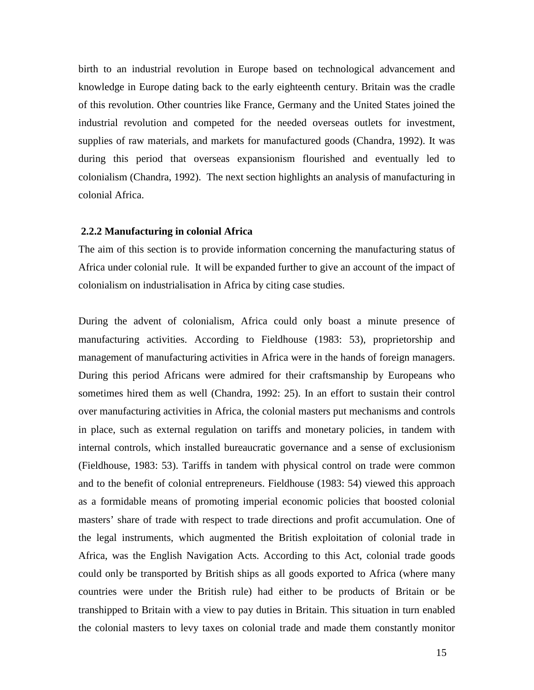birth to an industrial revolution in Europe based on technological advancement and knowledge in Europe dating back to the early eighteenth century. Britain was the cradle of this revolution. Other countries like France, Germany and the United States joined the industrial revolution and competed for the needed overseas outlets for investment, supplies of raw materials, and markets for manufactured goods (Chandra, 1992). It was during this period that overseas expansionism flourished and eventually led to colonialism (Chandra, 1992). The next section highlights an analysis of manufacturing in colonial Africa.

### **2.2.2 Manufacturing in colonial Africa**

The aim of this section is to provide information concerning the manufacturing status of Africa under colonial rule. It will be expanded further to give an account of the impact of colonialism on industrialisation in Africa by citing case studies.

During the advent of colonialism, Africa could only boast a minute presence of manufacturing activities. According to Fieldhouse (1983: 53), proprietorship and management of manufacturing activities in Africa were in the hands of foreign managers. During this period Africans were admired for their craftsmanship by Europeans who sometimes hired them as well (Chandra, 1992: 25). In an effort to sustain their control over manufacturing activities in Africa, the colonial masters put mechanisms and controls in place, such as external regulation on tariffs and monetary policies, in tandem with internal controls, which installed bureaucratic governance and a sense of exclusionism (Fieldhouse, 1983: 53). Tariffs in tandem with physical control on trade were common and to the benefit of colonial entrepreneurs. Fieldhouse (1983: 54) viewed this approach as a formidable means of promoting imperial economic policies that boosted colonial masters' share of trade with respect to trade directions and profit accumulation. One of the legal instruments, which augmented the British exploitation of colonial trade in Africa, was the English Navigation Acts. According to this Act, colonial trade goods could only be transported by British ships as all goods exported to Africa (where many countries were under the British rule) had either to be products of Britain or be transhipped to Britain with a view to pay duties in Britain. This situation in turn enabled the colonial masters to levy taxes on colonial trade and made them constantly monitor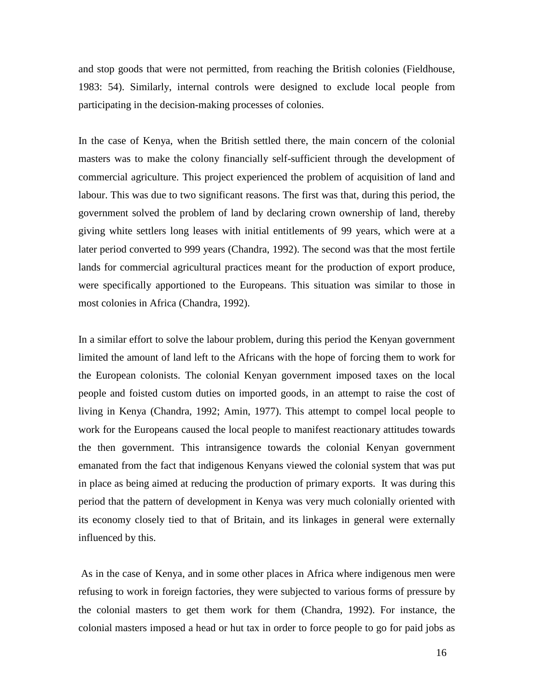and stop goods that were not permitted, from reaching the British colonies (Fieldhouse, 1983: 54). Similarly, internal controls were designed to exclude local people from participating in the decision-making processes of colonies.

In the case of Kenya, when the British settled there, the main concern of the colonial masters was to make the colony financially self-sufficient through the development of commercial agriculture. This project experienced the problem of acquisition of land and labour. This was due to two significant reasons. The first was that, during this period, the government solved the problem of land by declaring crown ownership of land, thereby giving white settlers long leases with initial entitlements of 99 years, which were at a later period converted to 999 years (Chandra, 1992). The second was that the most fertile lands for commercial agricultural practices meant for the production of export produce, were specifically apportioned to the Europeans. This situation was similar to those in most colonies in Africa (Chandra, 1992).

In a similar effort to solve the labour problem, during this period the Kenyan government limited the amount of land left to the Africans with the hope of forcing them to work for the European colonists. The colonial Kenyan government imposed taxes on the local people and foisted custom duties on imported goods, in an attempt to raise the cost of living in Kenya (Chandra, 1992; Amin, 1977). This attempt to compel local people to work for the Europeans caused the local people to manifest reactionary attitudes towards the then government. This intransigence towards the colonial Kenyan government emanated from the fact that indigenous Kenyans viewed the colonial system that was put in place as being aimed at reducing the production of primary exports. It was during this period that the pattern of development in Kenya was very much colonially oriented with its economy closely tied to that of Britain, and its linkages in general were externally influenced by this.

 As in the case of Kenya, and in some other places in Africa where indigenous men were refusing to work in foreign factories, they were subjected to various forms of pressure by the colonial masters to get them work for them (Chandra, 1992). For instance, the colonial masters imposed a head or hut tax in order to force people to go for paid jobs as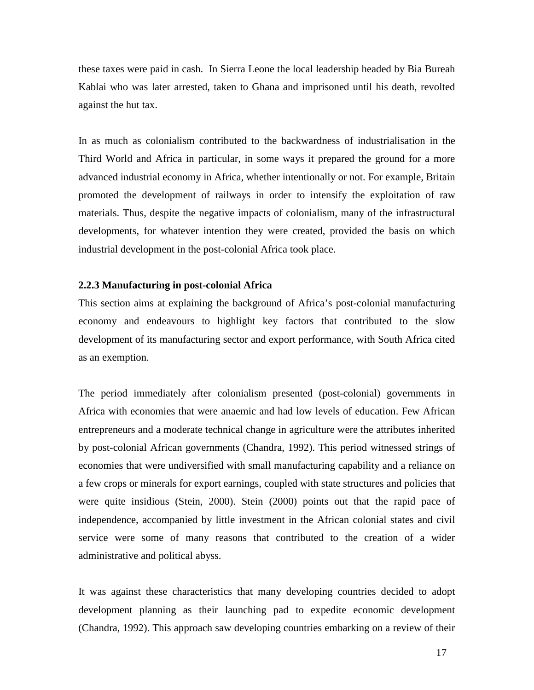these taxes were paid in cash. In Sierra Leone the local leadership headed by Bia Bureah Kablai who was later arrested, taken to Ghana and imprisoned until his death, revolted against the hut tax.

In as much as colonialism contributed to the backwardness of industrialisation in the Third World and Africa in particular, in some ways it prepared the ground for a more advanced industrial economy in Africa, whether intentionally or not. For example, Britain promoted the development of railways in order to intensify the exploitation of raw materials. Thus, despite the negative impacts of colonialism, many of the infrastructural developments, for whatever intention they were created, provided the basis on which industrial development in the post-colonial Africa took place.

## **2.2.3 Manufacturing in post-colonial Africa**

This section aims at explaining the background of Africa's post-colonial manufacturing economy and endeavours to highlight key factors that contributed to the slow development of its manufacturing sector and export performance, with South Africa cited as an exemption.

The period immediately after colonialism presented (post-colonial) governments in Africa with economies that were anaemic and had low levels of education. Few African entrepreneurs and a moderate technical change in agriculture were the attributes inherited by post-colonial African governments (Chandra, 1992). This period witnessed strings of economies that were undiversified with small manufacturing capability and a reliance on a few crops or minerals for export earnings, coupled with state structures and policies that were quite insidious (Stein, 2000). Stein (2000) points out that the rapid pace of independence, accompanied by little investment in the African colonial states and civil service were some of many reasons that contributed to the creation of a wider administrative and political abyss.

It was against these characteristics that many developing countries decided to adopt development planning as their launching pad to expedite economic development (Chandra, 1992). This approach saw developing countries embarking on a review of their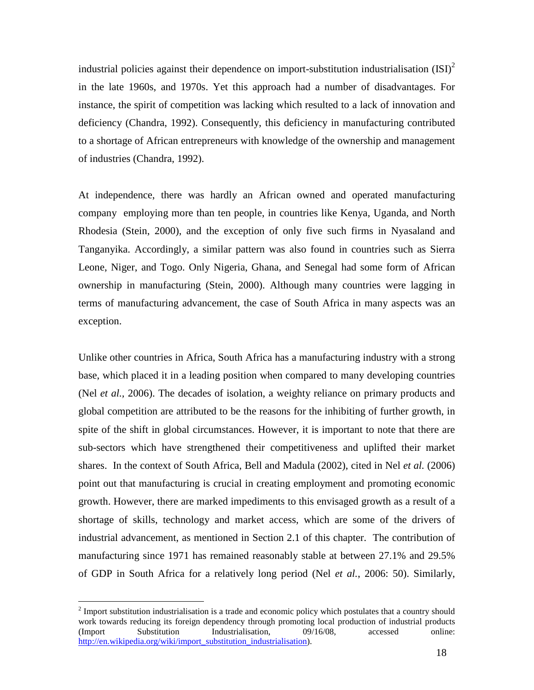industrial policies against their dependence on import-substitution industrialisation  $(SI)^2$ in the late 1960s, and 1970s. Yet this approach had a number of disadvantages. For instance, the spirit of competition was lacking which resulted to a lack of innovation and deficiency (Chandra, 1992). Consequently, this deficiency in manufacturing contributed to a shortage of African entrepreneurs with knowledge of the ownership and management of industries (Chandra, 1992).

At independence, there was hardly an African owned and operated manufacturing company employing more than ten people, in countries like Kenya, Uganda, and North Rhodesia (Stein, 2000), and the exception of only five such firms in Nyasaland and Tanganyika. Accordingly, a similar pattern was also found in countries such as Sierra Leone, Niger, and Togo. Only Nigeria, Ghana, and Senegal had some form of African ownership in manufacturing (Stein, 2000). Although many countries were lagging in terms of manufacturing advancement, the case of South Africa in many aspects was an exception.

Unlike other countries in Africa, South Africa has a manufacturing industry with a strong base, which placed it in a leading position when compared to many developing countries (Nel *et al.,* 2006). The decades of isolation, a weighty reliance on primary products and global competition are attributed to be the reasons for the inhibiting of further growth, in spite of the shift in global circumstances. However, it is important to note that there are sub-sectors which have strengthened their competitiveness and uplifted their market shares. In the context of South Africa, Bell and Madula (2002), cited in Nel *et al.* (2006) point out that manufacturing is crucial in creating employment and promoting economic growth. However, there are marked impediments to this envisaged growth as a result of a shortage of skills, technology and market access, which are some of the drivers of industrial advancement, as mentioned in Section 2.1 of this chapter. The contribution of manufacturing since 1971 has remained reasonably stable at between 27.1% and 29.5% of GDP in South Africa for a relatively long period (Nel *et al.*, 2006: 50). Similarly,

 $\overline{a}$ 

 $2^{2}$  Import substitution industrialisation is a trade and economic policy which postulates that a country should work towards reducing its foreign dependency through promoting local production of industrial products (Import Substitution Industrialisation, 09/16/08, accessed online: http://en.wikipedia.org/wiki/import\_substitution\_industrialisation).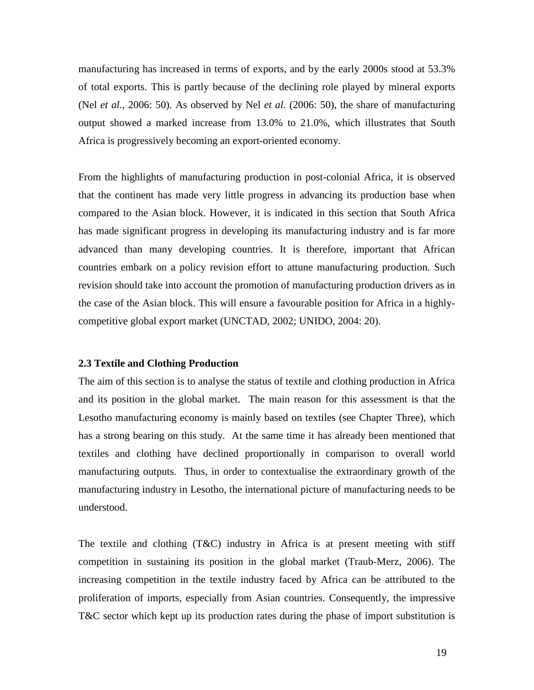manufacturing has increased in terms of exports, and by the early 2000s stood at 53.3% of total exports. This is partly because of the declining role played by mineral exports (Nel *et al.*, 2006: 50). As observed by Nel *et al.* (2006: 50), the share of manufacturing output showed a marked increase from 13.0% to 21.0%, which illustrates that South Africa is progressively becoming an export-oriented economy.

From the highlights of manufacturing production in post-colonial Africa, it is observed that the continent has made very little progress in advancing its production base when compared to the Asian block. However, it is indicated in this section that South Africa has made significant progress in developing its manufacturing industry and is far more advanced than many developing countries. It is therefore, important that African countries embark on a policy revision effort to attune manufacturing production. Such revision should take into account the promotion of manufacturing production drivers as in the case of the Asian block. This will ensure a favourable position for Africa in a highlycompetitive global export market (UNCTAD, 2002; UNIDO, 2004: 20).

## **2.3 Textile and Clothing Production**

The aim of this section is to analyse the status of textile and clothing production in Africa and its position in the global market. The main reason for this assessment is that the Lesotho manufacturing economy is mainly based on textiles (see Chapter Three), which has a strong bearing on this study. At the same time it has already been mentioned that textiles and clothing have declined proportionally in comparison to overall world manufacturing outputs. Thus, in order to contextualise the extraordinary growth of the manufacturing industry in Lesotho, the international picture of manufacturing needs to be understood.

The textile and clothing (T&C) industry in Africa is at present meeting with stiff competition in sustaining its position in the global market (Traub-Merz, 2006). The increasing competition in the textile industry faced by Africa can be attributed to the proliferation of imports, especially from Asian countries. Consequently, the impressive T&C sector which kept up its production rates during the phase of import substitution is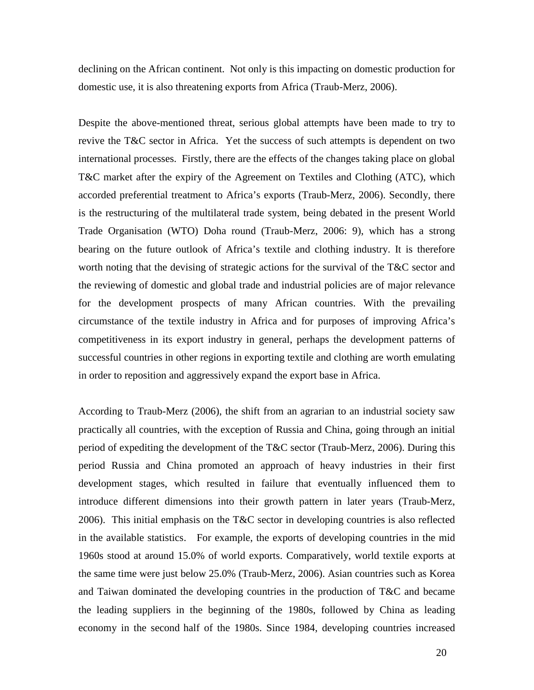declining on the African continent. Not only is this impacting on domestic production for domestic use, it is also threatening exports from Africa (Traub-Merz, 2006).

Despite the above-mentioned threat, serious global attempts have been made to try to revive the T&C sector in Africa. Yet the success of such attempts is dependent on two international processes. Firstly, there are the effects of the changes taking place on global T&C market after the expiry of the Agreement on Textiles and Clothing (ATC), which accorded preferential treatment to Africa's exports (Traub-Merz, 2006). Secondly, there is the restructuring of the multilateral trade system, being debated in the present World Trade Organisation (WTO) Doha round (Traub-Merz, 2006: 9), which has a strong bearing on the future outlook of Africa's textile and clothing industry. It is therefore worth noting that the devising of strategic actions for the survival of the T&C sector and the reviewing of domestic and global trade and industrial policies are of major relevance for the development prospects of many African countries. With the prevailing circumstance of the textile industry in Africa and for purposes of improving Africa's competitiveness in its export industry in general, perhaps the development patterns of successful countries in other regions in exporting textile and clothing are worth emulating in order to reposition and aggressively expand the export base in Africa.

According to Traub-Merz (2006), the shift from an agrarian to an industrial society saw practically all countries, with the exception of Russia and China, going through an initial period of expediting the development of the T&C sector (Traub-Merz, 2006). During this period Russia and China promoted an approach of heavy industries in their first development stages, which resulted in failure that eventually influenced them to introduce different dimensions into their growth pattern in later years (Traub-Merz, 2006). This initial emphasis on the T&C sector in developing countries is also reflected in the available statistics. For example, the exports of developing countries in the mid 1960s stood at around 15.0% of world exports. Comparatively, world textile exports at the same time were just below 25.0% (Traub-Merz, 2006). Asian countries such as Korea and Taiwan dominated the developing countries in the production of T&C and became the leading suppliers in the beginning of the 1980s, followed by China as leading economy in the second half of the 1980s. Since 1984, developing countries increased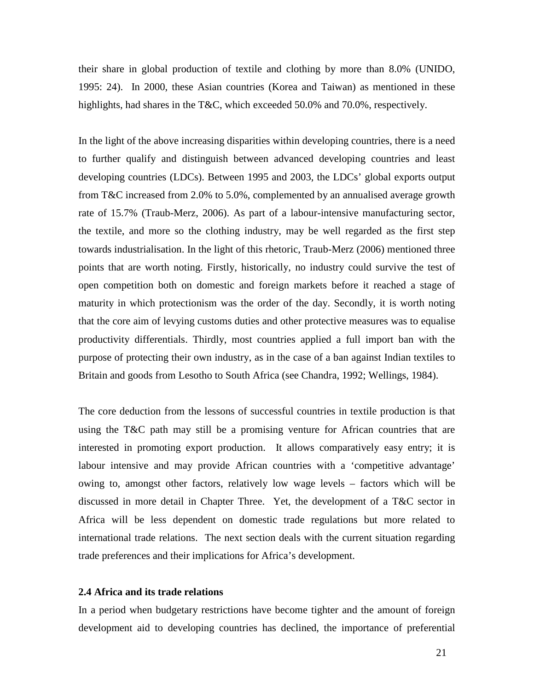their share in global production of textile and clothing by more than 8.0% (UNIDO, 1995: 24). In 2000, these Asian countries (Korea and Taiwan) as mentioned in these highlights, had shares in the T&C, which exceeded 50.0% and 70.0%, respectively.

In the light of the above increasing disparities within developing countries, there is a need to further qualify and distinguish between advanced developing countries and least developing countries (LDCs). Between 1995 and 2003, the LDCs' global exports output from T&C increased from 2.0% to 5.0%, complemented by an annualised average growth rate of 15.7% (Traub-Merz, 2006). As part of a labour-intensive manufacturing sector, the textile, and more so the clothing industry, may be well regarded as the first step towards industrialisation. In the light of this rhetoric, Traub-Merz (2006) mentioned three points that are worth noting. Firstly, historically, no industry could survive the test of open competition both on domestic and foreign markets before it reached a stage of maturity in which protectionism was the order of the day. Secondly, it is worth noting that the core aim of levying customs duties and other protective measures was to equalise productivity differentials. Thirdly, most countries applied a full import ban with the purpose of protecting their own industry, as in the case of a ban against Indian textiles to Britain and goods from Lesotho to South Africa (see Chandra, 1992; Wellings, 1984).

The core deduction from the lessons of successful countries in textile production is that using the T&C path may still be a promising venture for African countries that are interested in promoting export production. It allows comparatively easy entry; it is labour intensive and may provide African countries with a 'competitive advantage' owing to, amongst other factors, relatively low wage levels – factors which will be discussed in more detail in Chapter Three. Yet, the development of a T&C sector in Africa will be less dependent on domestic trade regulations but more related to international trade relations. The next section deals with the current situation regarding trade preferences and their implications for Africa's development.

### **2.4 Africa and its trade relations**

In a period when budgetary restrictions have become tighter and the amount of foreign development aid to developing countries has declined, the importance of preferential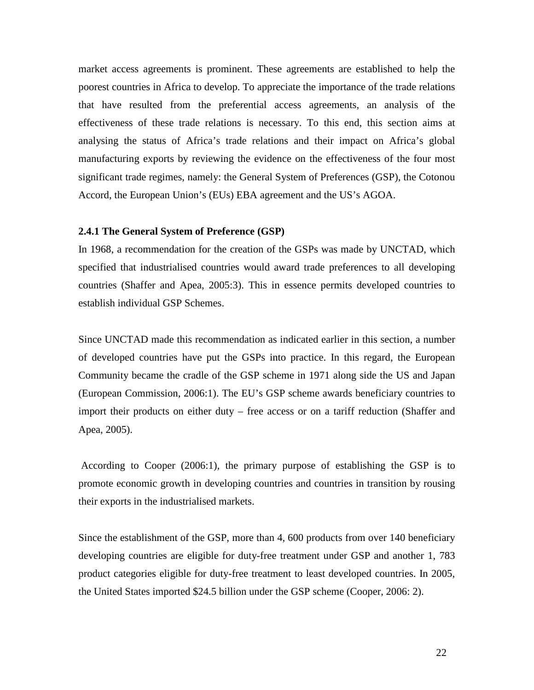market access agreements is prominent. These agreements are established to help the poorest countries in Africa to develop. To appreciate the importance of the trade relations that have resulted from the preferential access agreements, an analysis of the effectiveness of these trade relations is necessary. To this end, this section aims at analysing the status of Africa's trade relations and their impact on Africa's global manufacturing exports by reviewing the evidence on the effectiveness of the four most significant trade regimes, namely: the General System of Preferences (GSP), the Cotonou Accord, the European Union's (EUs) EBA agreement and the US's AGOA.

### **2.4.1 The General System of Preference (GSP)**

In 1968, a recommendation for the creation of the GSPs was made by UNCTAD, which specified that industrialised countries would award trade preferences to all developing countries (Shaffer and Apea, 2005:3). This in essence permits developed countries to establish individual GSP Schemes.

Since UNCTAD made this recommendation as indicated earlier in this section, a number of developed countries have put the GSPs into practice. In this regard, the European Community became the cradle of the GSP scheme in 1971 along side the US and Japan (European Commission, 2006:1). The EU's GSP scheme awards beneficiary countries to import their products on either duty – free access or on a tariff reduction (Shaffer and Apea, 2005).

 According to Cooper (2006:1), the primary purpose of establishing the GSP is to promote economic growth in developing countries and countries in transition by rousing their exports in the industrialised markets.

Since the establishment of the GSP, more than 4, 600 products from over 140 beneficiary developing countries are eligible for duty-free treatment under GSP and another 1, 783 product categories eligible for duty-free treatment to least developed countries. In 2005, the United States imported \$24.5 billion under the GSP scheme (Cooper, 2006: 2).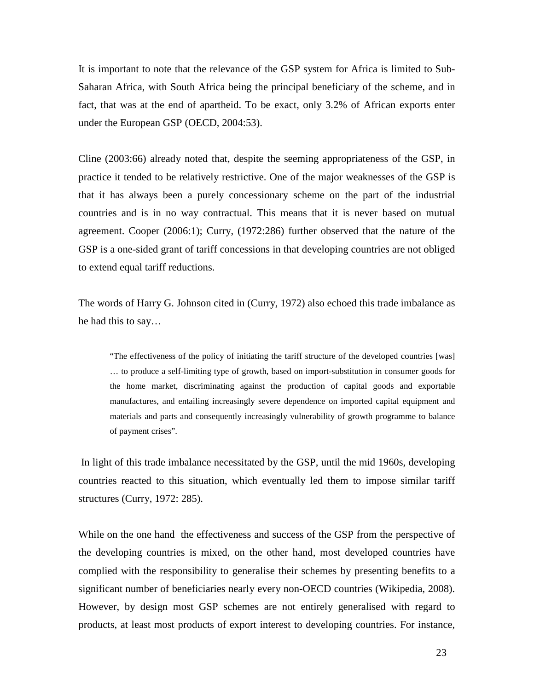It is important to note that the relevance of the GSP system for Africa is limited to Sub-Saharan Africa, with South Africa being the principal beneficiary of the scheme, and in fact, that was at the end of apartheid. To be exact, only 3.2% of African exports enter under the European GSP (OECD, 2004:53).

Cline (2003:66) already noted that, despite the seeming appropriateness of the GSP, in practice it tended to be relatively restrictive. One of the major weaknesses of the GSP is that it has always been a purely concessionary scheme on the part of the industrial countries and is in no way contractual. This means that it is never based on mutual agreement. Cooper (2006:1); Curry, (1972:286) further observed that the nature of the GSP is a one-sided grant of tariff concessions in that developing countries are not obliged to extend equal tariff reductions.

The words of Harry G. Johnson cited in (Curry, 1972) also echoed this trade imbalance as he had this to say…

"The effectiveness of the policy of initiating the tariff structure of the developed countries [was] … to produce a self-limiting type of growth, based on import-substitution in consumer goods for the home market, discriminating against the production of capital goods and exportable manufactures, and entailing increasingly severe dependence on imported capital equipment and materials and parts and consequently increasingly vulnerability of growth programme to balance of payment crises".

 In light of this trade imbalance necessitated by the GSP, until the mid 1960s, developing countries reacted to this situation, which eventually led them to impose similar tariff structures (Curry, 1972: 285).

While on the one hand the effectiveness and success of the GSP from the perspective of the developing countries is mixed, on the other hand, most developed countries have complied with the responsibility to generalise their schemes by presenting benefits to a significant number of beneficiaries nearly every non-OECD countries (Wikipedia, 2008). However, by design most GSP schemes are not entirely generalised with regard to products, at least most products of export interest to developing countries. For instance,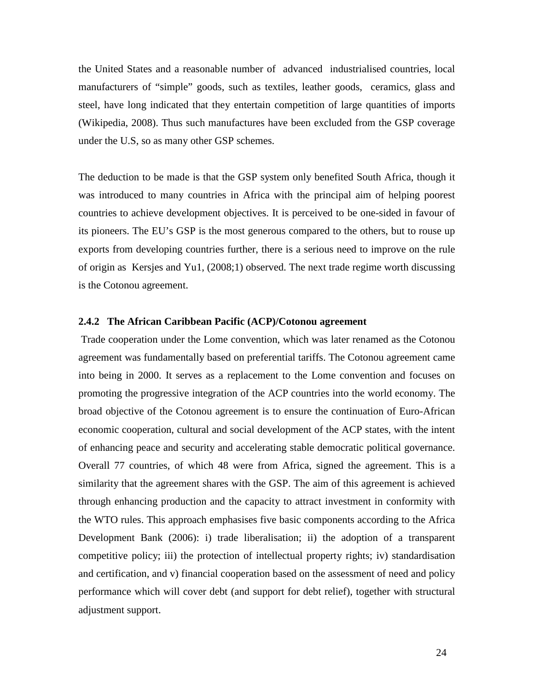the United States and a reasonable number of advanced industrialised countries, local manufacturers of "simple" goods, such as textiles, leather goods, ceramics, glass and steel, have long indicated that they entertain competition of large quantities of imports (Wikipedia, 2008). Thus such manufactures have been excluded from the GSP coverage under the U.S, so as many other GSP schemes.

The deduction to be made is that the GSP system only benefited South Africa, though it was introduced to many countries in Africa with the principal aim of helping poorest countries to achieve development objectives. It is perceived to be one-sided in favour of its pioneers. The EU's GSP is the most generous compared to the others, but to rouse up exports from developing countries further, there is a serious need to improve on the rule of origin as Kersjes and Yu1, (2008;1) observed. The next trade regime worth discussing is the Cotonou agreement.

### **2.4.2 The African Caribbean Pacific (ACP)/Cotonou agreement**

 Trade cooperation under the Lome convention, which was later renamed as the Cotonou agreement was fundamentally based on preferential tariffs. The Cotonou agreement came into being in 2000. It serves as a replacement to the Lome convention and focuses on promoting the progressive integration of the ACP countries into the world economy. The broad objective of the Cotonou agreement is to ensure the continuation of Euro-African economic cooperation, cultural and social development of the ACP states, with the intent of enhancing peace and security and accelerating stable democratic political governance. Overall 77 countries, of which 48 were from Africa, signed the agreement. This is a similarity that the agreement shares with the GSP. The aim of this agreement is achieved through enhancing production and the capacity to attract investment in conformity with the WTO rules. This approach emphasises five basic components according to the Africa Development Bank (2006): i) trade liberalisation; ii) the adoption of a transparent competitive policy; iii) the protection of intellectual property rights; iv) standardisation and certification, and v) financial cooperation based on the assessment of need and policy performance which will cover debt (and support for debt relief), together with structural adjustment support.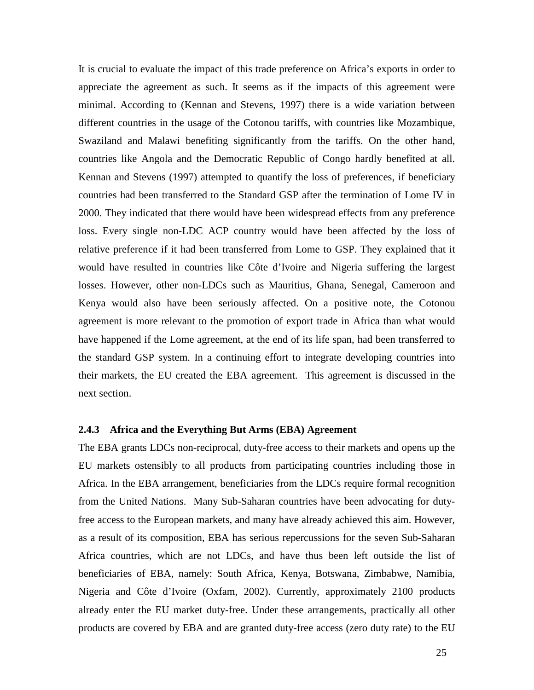It is crucial to evaluate the impact of this trade preference on Africa's exports in order to appreciate the agreement as such. It seems as if the impacts of this agreement were minimal. According to (Kennan and Stevens, 1997) there is a wide variation between different countries in the usage of the Cotonou tariffs, with countries like Mozambique, Swaziland and Malawi benefiting significantly from the tariffs. On the other hand, countries like Angola and the Democratic Republic of Congo hardly benefited at all. Kennan and Stevens (1997) attempted to quantify the loss of preferences, if beneficiary countries had been transferred to the Standard GSP after the termination of Lome IV in 2000. They indicated that there would have been widespread effects from any preference loss. Every single non-LDC ACP country would have been affected by the loss of relative preference if it had been transferred from Lome to GSP. They explained that it would have resulted in countries like Côte d'Ivoire and Nigeria suffering the largest losses. However, other non-LDCs such as Mauritius, Ghana, Senegal, Cameroon and Kenya would also have been seriously affected. On a positive note, the Cotonou agreement is more relevant to the promotion of export trade in Africa than what would have happened if the Lome agreement, at the end of its life span, had been transferred to the standard GSP system. In a continuing effort to integrate developing countries into their markets, the EU created the EBA agreement. This agreement is discussed in the next section.

## **2.4.3 Africa and the Everything But Arms (EBA) Agreement**

The EBA grants LDCs non-reciprocal, duty-free access to their markets and opens up the EU markets ostensibly to all products from participating countries including those in Africa. In the EBA arrangement, beneficiaries from the LDCs require formal recognition from the United Nations. Many Sub-Saharan countries have been advocating for dutyfree access to the European markets, and many have already achieved this aim. However, as a result of its composition, EBA has serious repercussions for the seven Sub-Saharan Africa countries, which are not LDCs, and have thus been left outside the list of beneficiaries of EBA, namely: South Africa, Kenya, Botswana, Zimbabwe, Namibia, Nigeria and Côte d'Ivoire (Oxfam, 2002). Currently, approximately 2100 products already enter the EU market duty-free. Under these arrangements, practically all other products are covered by EBA and are granted duty-free access (zero duty rate) to the EU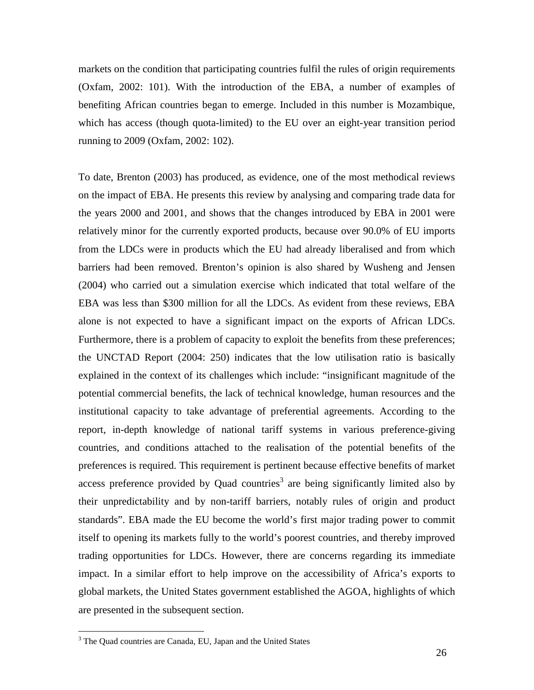markets on the condition that participating countries fulfil the rules of origin requirements (Oxfam, 2002: 101). With the introduction of the EBA, a number of examples of benefiting African countries began to emerge. Included in this number is Mozambique, which has access (though quota-limited) to the EU over an eight-year transition period running to 2009 (Oxfam, 2002: 102).

To date, Brenton (2003) has produced, as evidence, one of the most methodical reviews on the impact of EBA. He presents this review by analysing and comparing trade data for the years 2000 and 2001, and shows that the changes introduced by EBA in 2001 were relatively minor for the currently exported products, because over 90.0% of EU imports from the LDCs were in products which the EU had already liberalised and from which barriers had been removed. Brenton's opinion is also shared by Wusheng and Jensen (2004) who carried out a simulation exercise which indicated that total welfare of the EBA was less than \$300 million for all the LDCs. As evident from these reviews, EBA alone is not expected to have a significant impact on the exports of African LDCs. Furthermore, there is a problem of capacity to exploit the benefits from these preferences; the UNCTAD Report (2004: 250) indicates that the low utilisation ratio is basically explained in the context of its challenges which include: "insignificant magnitude of the potential commercial benefits, the lack of technical knowledge, human resources and the institutional capacity to take advantage of preferential agreements. According to the report, in-depth knowledge of national tariff systems in various preference-giving countries, and conditions attached to the realisation of the potential benefits of the preferences is required. This requirement is pertinent because effective benefits of market access preference provided by Quad countries<sup>3</sup> are being significantly limited also by their unpredictability and by non-tariff barriers, notably rules of origin and product standards". EBA made the EU become the world's first major trading power to commit itself to opening its markets fully to the world's poorest countries, and thereby improved trading opportunities for LDCs. However, there are concerns regarding its immediate impact. In a similar effort to help improve on the accessibility of Africa's exports to global markets, the United States government established the AGOA, highlights of which are presented in the subsequent section.

 $\overline{a}$ 

<sup>&</sup>lt;sup>3</sup> The Quad countries are Canada, EU, Japan and the United States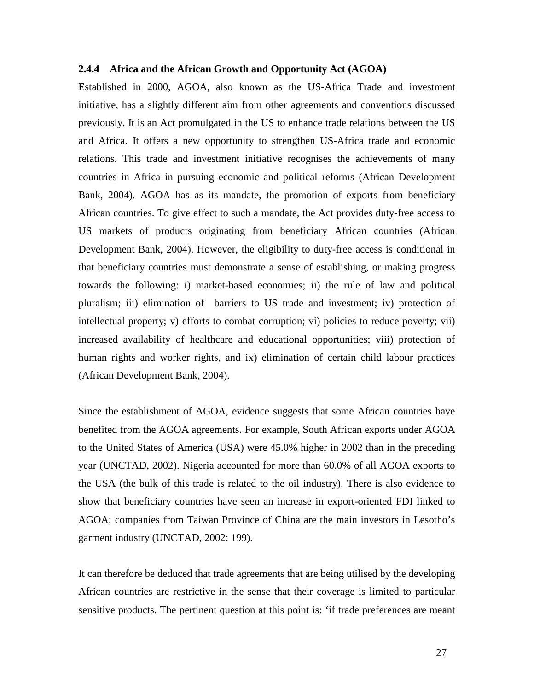## **2.4.4 Africa and the African Growth and Opportunity Act (AGOA)**

Established in 2000, AGOA, also known as the US-Africa Trade and investment initiative, has a slightly different aim from other agreements and conventions discussed previously. It is an Act promulgated in the US to enhance trade relations between the US and Africa. It offers a new opportunity to strengthen US-Africa trade and economic relations. This trade and investment initiative recognises the achievements of many countries in Africa in pursuing economic and political reforms (African Development Bank, 2004). AGOA has as its mandate, the promotion of exports from beneficiary African countries. To give effect to such a mandate, the Act provides duty-free access to US markets of products originating from beneficiary African countries (African Development Bank, 2004). However, the eligibility to duty-free access is conditional in that beneficiary countries must demonstrate a sense of establishing, or making progress towards the following: i) market-based economies; ii) the rule of law and political pluralism; iii) elimination of barriers to US trade and investment; iv) protection of intellectual property; v) efforts to combat corruption; vi) policies to reduce poverty; vii) increased availability of healthcare and educational opportunities; viii) protection of human rights and worker rights, and ix) elimination of certain child labour practices (African Development Bank, 2004).

Since the establishment of AGOA, evidence suggests that some African countries have benefited from the AGOA agreements. For example, South African exports under AGOA to the United States of America (USA) were 45.0% higher in 2002 than in the preceding year (UNCTAD, 2002). Nigeria accounted for more than 60.0% of all AGOA exports to the USA (the bulk of this trade is related to the oil industry). There is also evidence to show that beneficiary countries have seen an increase in export-oriented FDI linked to AGOA; companies from Taiwan Province of China are the main investors in Lesotho's garment industry (UNCTAD, 2002: 199).

It can therefore be deduced that trade agreements that are being utilised by the developing African countries are restrictive in the sense that their coverage is limited to particular sensitive products. The pertinent question at this point is: 'if trade preferences are meant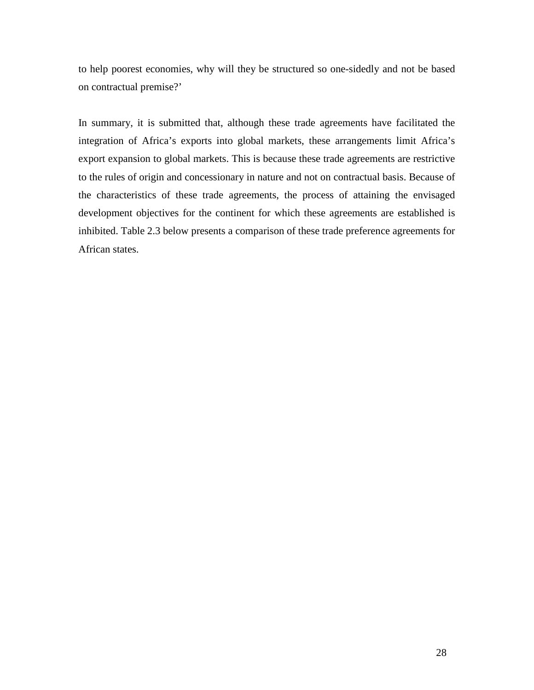to help poorest economies, why will they be structured so one-sidedly and not be based on contractual premise?'

In summary, it is submitted that, although these trade agreements have facilitated the integration of Africa's exports into global markets, these arrangements limit Africa's export expansion to global markets. This is because these trade agreements are restrictive to the rules of origin and concessionary in nature and not on contractual basis. Because of the characteristics of these trade agreements, the process of attaining the envisaged development objectives for the continent for which these agreements are established is inhibited. Table 2.3 below presents a comparison of these trade preference agreements for African states.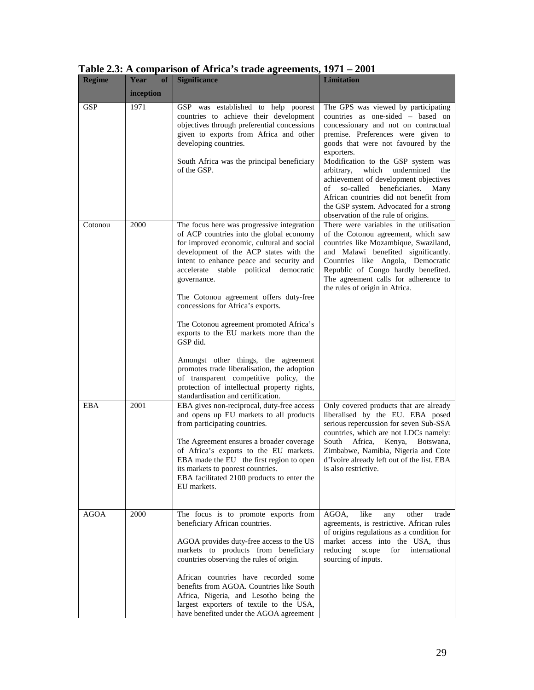| <b>Regime</b> | Year<br><b>of</b> | <b>Significance</b>                                                                                                                                                                                                                                                                                                                                                                                                                                                                                                                                                                                                                                 | <b>Limitation</b>                                                                                                                                                                                                                                                                                                                                                                                                                                                       |
|---------------|-------------------|-----------------------------------------------------------------------------------------------------------------------------------------------------------------------------------------------------------------------------------------------------------------------------------------------------------------------------------------------------------------------------------------------------------------------------------------------------------------------------------------------------------------------------------------------------------------------------------------------------------------------------------------------------|-------------------------------------------------------------------------------------------------------------------------------------------------------------------------------------------------------------------------------------------------------------------------------------------------------------------------------------------------------------------------------------------------------------------------------------------------------------------------|
|               | inception         |                                                                                                                                                                                                                                                                                                                                                                                                                                                                                                                                                                                                                                                     |                                                                                                                                                                                                                                                                                                                                                                                                                                                                         |
| GSP           | 1971              | GSP was established to help poorest<br>countries to achieve their development<br>objectives through preferential concessions<br>given to exports from Africa and other<br>developing countries.<br>South Africa was the principal beneficiary<br>of the GSP.                                                                                                                                                                                                                                                                                                                                                                                        | The GPS was viewed by participating<br>countries as one-sided - based on<br>concessionary and not on contractual<br>premise. Preferences were given to<br>goods that were not favoured by the<br>exporters.<br>Modification to the GSP system was<br>which<br>undermined<br>arbitrary,<br>the<br>achievement of development objectives<br>so-called<br>beneficiaries.<br>οf<br>Many<br>African countries did not benefit from<br>the GSP system. Advocated for a strong |
| Cotonou       | 2000              | The focus here was progressive integration<br>of ACP countries into the global economy<br>for improved economic, cultural and social<br>development of the ACP states with the<br>intent to enhance peace and security and<br>accelerate stable political democratic<br>governance.<br>The Cotonou agreement offers duty-free<br>concessions for Africa's exports.<br>The Cotonou agreement promoted Africa's<br>exports to the EU markets more than the<br>GSP did.<br>Amongst other things, the agreement<br>promotes trade liberalisation, the adoption<br>of transparent competitive policy, the<br>protection of intellectual property rights, | observation of the rule of origins.<br>There were variables in the utilisation<br>of the Cotonou agreement, which saw<br>countries like Mozambique, Swaziland,<br>and Malawi benefited significantly.<br>Countries like Angola, Democratic<br>Republic of Congo hardly benefited.<br>The agreement calls for adherence to<br>the rules of origin in Africa.                                                                                                             |
| EBA           | 2001              | standardisation and certification.<br>EBA gives non-reciprocal, duty-free access<br>and opens up EU markets to all products<br>from participating countries.<br>The Agreement ensures a broader coverage.<br>of Africa's exports to the EU markets.<br>EBA made the EU the first region to open<br>its markets to poorest countries.<br>EBA facilitated 2100 products to enter the<br>EU markets.                                                                                                                                                                                                                                                   | Only covered products that are already<br>liberalised by the EU. EBA posed<br>serious repercussion for seven Sub-SSA<br>countries, which are not LDCs namely:<br>South<br>Africa,<br>Kenya, Botswana,<br>Zimbabwe, Namibia, Nigeria and Cote<br>d'Ivoire already left out of the list. EBA<br>is also restrictive.                                                                                                                                                      |
| <b>AGOA</b>   | 2000              | The focus is to promote exports from<br>beneficiary African countries.<br>AGOA provides duty-free access to the US<br>markets to products from beneficiary<br>countries observing the rules of origin.<br>African countries have recorded some<br>benefits from AGOA. Countries like South<br>Africa, Nigeria, and Lesotho being the<br>largest exporters of textile to the USA,<br>have benefited under the AGOA agreement                                                                                                                                                                                                                         | AGOA,<br>like<br>other<br>trade<br>any<br>agreements, is restrictive. African rules<br>of origins regulations as a condition for<br>market access into the USA, thus<br>scope<br>reducing<br>for<br>international<br>sourcing of inputs.                                                                                                                                                                                                                                |

**Table 2.3: A comparison of Africa's trade agreements, 1971 – 2001**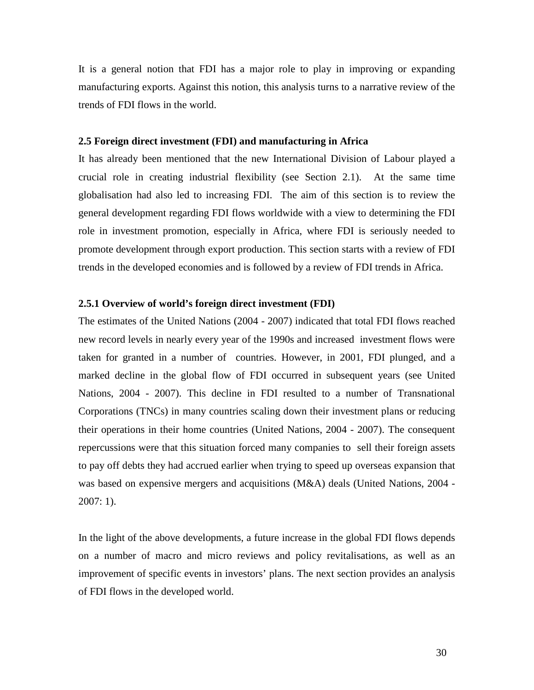It is a general notion that FDI has a major role to play in improving or expanding manufacturing exports. Against this notion, this analysis turns to a narrative review of the trends of FDI flows in the world.

## **2.5 Foreign direct investment (FDI) and manufacturing in Africa**

It has already been mentioned that the new International Division of Labour played a crucial role in creating industrial flexibility (see Section 2.1). At the same time globalisation had also led to increasing FDI. The aim of this section is to review the general development regarding FDI flows worldwide with a view to determining the FDI role in investment promotion, especially in Africa, where FDI is seriously needed to promote development through export production. This section starts with a review of FDI trends in the developed economies and is followed by a review of FDI trends in Africa.

# **2.5.1 Overview of world's foreign direct investment (FDI)**

The estimates of the United Nations (2004 - 2007) indicated that total FDI flows reached new record levels in nearly every year of the 1990s and increased investment flows were taken for granted in a number of countries. However, in 2001, FDI plunged, and a marked decline in the global flow of FDI occurred in subsequent years (see United Nations, 2004 - 2007). This decline in FDI resulted to a number of Transnational Corporations (TNCs) in many countries scaling down their investment plans or reducing their operations in their home countries (United Nations, 2004 - 2007). The consequent repercussions were that this situation forced many companies to sell their foreign assets to pay off debts they had accrued earlier when trying to speed up overseas expansion that was based on expensive mergers and acquisitions (M&A) deals (United Nations, 2004 - 2007: 1).

In the light of the above developments, a future increase in the global FDI flows depends on a number of macro and micro reviews and policy revitalisations, as well as an improvement of specific events in investors' plans. The next section provides an analysis of FDI flows in the developed world.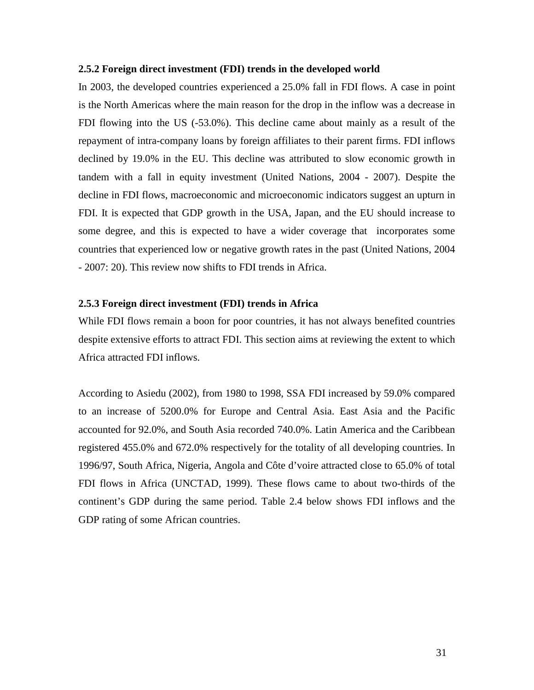### **2.5.2 Foreign direct investment (FDI) trends in the developed world**

In 2003, the developed countries experienced a 25.0% fall in FDI flows. A case in point is the North Americas where the main reason for the drop in the inflow was a decrease in FDI flowing into the US (-53.0%). This decline came about mainly as a result of the repayment of intra-company loans by foreign affiliates to their parent firms. FDI inflows declined by 19.0% in the EU. This decline was attributed to slow economic growth in tandem with a fall in equity investment (United Nations, 2004 - 2007). Despite the decline in FDI flows, macroeconomic and microeconomic indicators suggest an upturn in FDI. It is expected that GDP growth in the USA, Japan, and the EU should increase to some degree, and this is expected to have a wider coverage that incorporates some countries that experienced low or negative growth rates in the past (United Nations, 2004 - 2007: 20). This review now shifts to FDI trends in Africa.

# **2.5.3 Foreign direct investment (FDI) trends in Africa**

While FDI flows remain a boon for poor countries, it has not always benefited countries despite extensive efforts to attract FDI. This section aims at reviewing the extent to which Africa attracted FDI inflows.

According to Asiedu (2002), from 1980 to 1998, SSA FDI increased by 59.0% compared to an increase of 5200.0% for Europe and Central Asia. East Asia and the Pacific accounted for 92.0%, and South Asia recorded 740.0%. Latin America and the Caribbean registered 455.0% and 672.0% respectively for the totality of all developing countries. In 1996/97, South Africa, Nigeria, Angola and Côte d'voire attracted close to 65.0% of total FDI flows in Africa (UNCTAD, 1999). These flows came to about two-thirds of the continent's GDP during the same period. Table 2.4 below shows FDI inflows and the GDP rating of some African countries.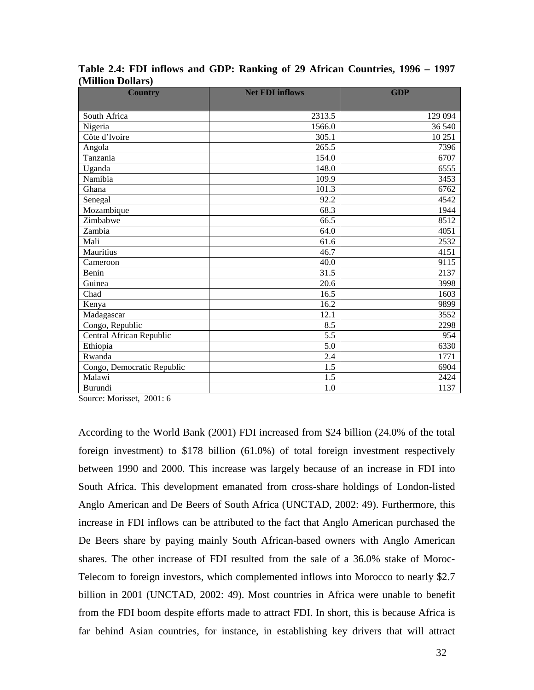| <b>Country</b>             | <b>Net FDI inflows</b> | <b>GDP</b> |
|----------------------------|------------------------|------------|
|                            |                        |            |
| South Africa               | 2313.5                 | 129 094    |
| Nigeria                    | 1566.0                 | 36 540     |
| Côte d'Ivoire              | 305.1                  | 10 251     |
| Angola                     | 265.5                  | 7396       |
| Tanzania                   | 154.0                  | 6707       |
| Uganda                     | 148.0                  | 6555       |
| Namibia                    | 109.9                  | 3453       |
| Ghana                      | 101.3                  | 6762       |
| Senegal                    | 92.2                   | 4542       |
| Mozambique                 | 68.3                   | 1944       |
| Zimbabwe                   | 66.5                   | 8512       |
| Zambia                     | 64.0                   | 4051       |
| Mali                       | 61.6                   | 2532       |
| Mauritius                  | 46.7                   | 4151       |
| Cameroon                   | 40.0                   | 9115       |
| Benin                      | 31.5                   | 2137       |
| Guinea                     | 20.6                   | 3998       |
| Chad                       | 16.5                   | 1603       |
| Kenya                      | 16.2                   | 9899       |
| Madagascar                 | 12.1                   | 3552       |
| Congo, Republic            | 8.5                    | 2298       |
| Central African Republic   | 5.5                    | 954        |
| Ethiopia                   | 5.0                    | 6330       |
| Rwanda                     | 2.4                    | 1771       |
| Congo, Democratic Republic | 1.5                    | 6904       |
| Malawi                     | 1.5                    | 2424       |
| Burundi                    | 1.0                    | 1137       |

**Table 2.4: FDI inflows and GDP: Ranking of 29 African Countries, 1996 – 1997 (Million Dollars)** 

Source: Morisset, 2001: 6

According to the World Bank (2001) FDI increased from \$24 billion (24.0% of the total foreign investment) to \$178 billion (61.0%) of total foreign investment respectively between 1990 and 2000. This increase was largely because of an increase in FDI into South Africa. This development emanated from cross-share holdings of London-listed Anglo American and De Beers of South Africa (UNCTAD, 2002: 49). Furthermore, this increase in FDI inflows can be attributed to the fact that Anglo American purchased the De Beers share by paying mainly South African-based owners with Anglo American shares. The other increase of FDI resulted from the sale of a 36.0% stake of Moroc-Telecom to foreign investors, which complemented inflows into Morocco to nearly \$2.7 billion in 2001 (UNCTAD, 2002: 49). Most countries in Africa were unable to benefit from the FDI boom despite efforts made to attract FDI. In short, this is because Africa is far behind Asian countries, for instance, in establishing key drivers that will attract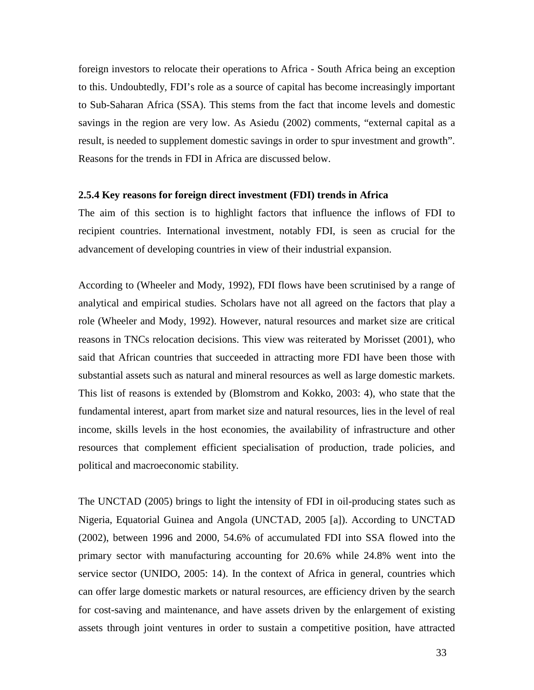foreign investors to relocate their operations to Africa - South Africa being an exception to this. Undoubtedly, FDI's role as a source of capital has become increasingly important to Sub-Saharan Africa (SSA). This stems from the fact that income levels and domestic savings in the region are very low. As Asiedu (2002) comments, "external capital as a result, is needed to supplement domestic savings in order to spur investment and growth". Reasons for the trends in FDI in Africa are discussed below.

## **2.5.4 Key reasons for foreign direct investment (FDI) trends in Africa**

The aim of this section is to highlight factors that influence the inflows of FDI to recipient countries. International investment, notably FDI, is seen as crucial for the advancement of developing countries in view of their industrial expansion.

According to (Wheeler and Mody, 1992), FDI flows have been scrutinised by a range of analytical and empirical studies. Scholars have not all agreed on the factors that play a role (Wheeler and Mody, 1992). However, natural resources and market size are critical reasons in TNCs relocation decisions. This view was reiterated by Morisset (2001), who said that African countries that succeeded in attracting more FDI have been those with substantial assets such as natural and mineral resources as well as large domestic markets. This list of reasons is extended by (Blomstrom and Kokko, 2003: 4), who state that the fundamental interest, apart from market size and natural resources, lies in the level of real income, skills levels in the host economies, the availability of infrastructure and other resources that complement efficient specialisation of production, trade policies, and political and macroeconomic stability.

The UNCTAD (2005) brings to light the intensity of FDI in oil-producing states such as Nigeria, Equatorial Guinea and Angola (UNCTAD, 2005 [a]). According to UNCTAD (2002), between 1996 and 2000, 54.6% of accumulated FDI into SSA flowed into the primary sector with manufacturing accounting for 20.6% while 24.8% went into the service sector (UNIDO, 2005: 14). In the context of Africa in general, countries which can offer large domestic markets or natural resources, are efficiency driven by the search for cost-saving and maintenance, and have assets driven by the enlargement of existing assets through joint ventures in order to sustain a competitive position, have attracted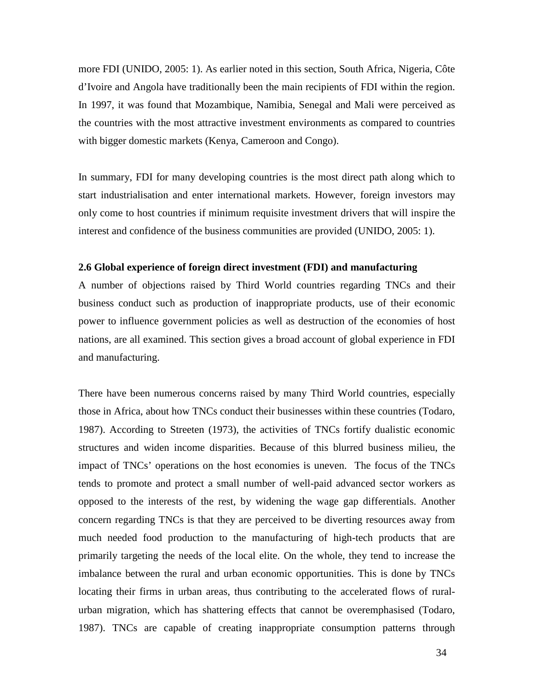more FDI (UNIDO, 2005: 1). As earlier noted in this section, South Africa, Nigeria, Côte d'Ivoire and Angola have traditionally been the main recipients of FDI within the region. In 1997, it was found that Mozambique, Namibia, Senegal and Mali were perceived as the countries with the most attractive investment environments as compared to countries with bigger domestic markets (Kenya, Cameroon and Congo).

In summary, FDI for many developing countries is the most direct path along which to start industrialisation and enter international markets. However, foreign investors may only come to host countries if minimum requisite investment drivers that will inspire the interest and confidence of the business communities are provided (UNIDO, 2005: 1).

#### **2.6 Global experience of foreign direct investment (FDI) and manufacturing**

A number of objections raised by Third World countries regarding TNCs and their business conduct such as production of inappropriate products, use of their economic power to influence government policies as well as destruction of the economies of host nations, are all examined. This section gives a broad account of global experience in FDI and manufacturing.

There have been numerous concerns raised by many Third World countries, especially those in Africa, about how TNCs conduct their businesses within these countries (Todaro, 1987). According to Streeten (1973), the activities of TNCs fortify dualistic economic structures and widen income disparities. Because of this blurred business milieu, the impact of TNCs' operations on the host economies is uneven. The focus of the TNCs tends to promote and protect a small number of well-paid advanced sector workers as opposed to the interests of the rest, by widening the wage gap differentials. Another concern regarding TNCs is that they are perceived to be diverting resources away from much needed food production to the manufacturing of high-tech products that are primarily targeting the needs of the local elite. On the whole, they tend to increase the imbalance between the rural and urban economic opportunities. This is done by TNCs locating their firms in urban areas, thus contributing to the accelerated flows of ruralurban migration, which has shattering effects that cannot be overemphasised (Todaro, 1987). TNCs are capable of creating inappropriate consumption patterns through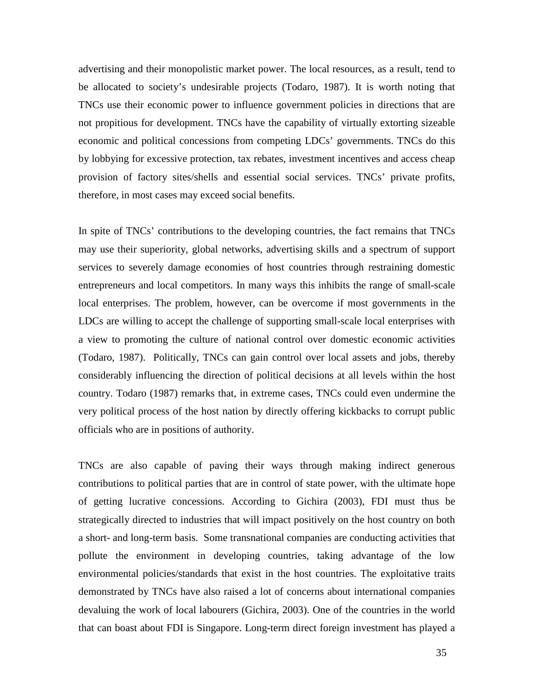advertising and their monopolistic market power. The local resources, as a result, tend to be allocated to society's undesirable projects (Todaro, 1987). It is worth noting that TNCs use their economic power to influence government policies in directions that are not propitious for development. TNCs have the capability of virtually extorting sizeable economic and political concessions from competing LDCs' governments. TNCs do this by lobbying for excessive protection, tax rebates, investment incentives and access cheap provision of factory sites/shells and essential social services. TNCs' private profits, therefore, in most cases may exceed social benefits.

In spite of TNCs' contributions to the developing countries, the fact remains that TNCs may use their superiority, global networks, advertising skills and a spectrum of support services to severely damage economies of host countries through restraining domestic entrepreneurs and local competitors. In many ways this inhibits the range of small-scale local enterprises. The problem, however, can be overcome if most governments in the LDCs are willing to accept the challenge of supporting small-scale local enterprises with a view to promoting the culture of national control over domestic economic activities (Todaro, 1987). Politically, TNCs can gain control over local assets and jobs, thereby considerably influencing the direction of political decisions at all levels within the host country. Todaro (1987) remarks that, in extreme cases, TNCs could even undermine the very political process of the host nation by directly offering kickbacks to corrupt public officials who are in positions of authority.

TNCs are also capable of paving their ways through making indirect generous contributions to political parties that are in control of state power, with the ultimate hope of getting lucrative concessions. According to Gichira (2003), FDI must thus be strategically directed to industries that will impact positively on the host country on both a short- and long-term basis. Some transnational companies are conducting activities that pollute the environment in developing countries, taking advantage of the low environmental policies/standards that exist in the host countries. The exploitative traits demonstrated by TNCs have also raised a lot of concerns about international companies devaluing the work of local labourers (Gichira, 2003). One of the countries in the world that can boast about FDI is Singapore. Long-term direct foreign investment has played a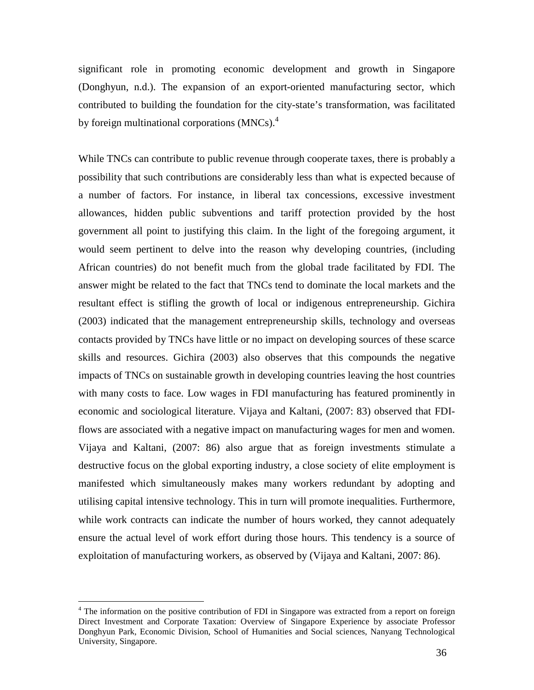significant role in promoting economic development and growth in Singapore (Donghyun, n.d.). The expansion of an export-oriented manufacturing sector, which contributed to building the foundation for the city-state's transformation, was facilitated by foreign multinational corporations  $(MNCs)^4$ .

While TNCs can contribute to public revenue through cooperate taxes, there is probably a possibility that such contributions are considerably less than what is expected because of a number of factors. For instance, in liberal tax concessions, excessive investment allowances, hidden public subventions and tariff protection provided by the host government all point to justifying this claim. In the light of the foregoing argument, it would seem pertinent to delve into the reason why developing countries, (including African countries) do not benefit much from the global trade facilitated by FDI. The answer might be related to the fact that TNCs tend to dominate the local markets and the resultant effect is stifling the growth of local or indigenous entrepreneurship. Gichira (2003) indicated that the management entrepreneurship skills, technology and overseas contacts provided by TNCs have little or no impact on developing sources of these scarce skills and resources. Gichira (2003) also observes that this compounds the negative impacts of TNCs on sustainable growth in developing countries leaving the host countries with many costs to face. Low wages in FDI manufacturing has featured prominently in economic and sociological literature. Vijaya and Kaltani, (2007: 83) observed that FDIflows are associated with a negative impact on manufacturing wages for men and women. Vijaya and Kaltani, (2007: 86) also argue that as foreign investments stimulate a destructive focus on the global exporting industry, a close society of elite employment is manifested which simultaneously makes many workers redundant by adopting and utilising capital intensive technology. This in turn will promote inequalities. Furthermore, while work contracts can indicate the number of hours worked, they cannot adequately ensure the actual level of work effort during those hours. This tendency is a source of exploitation of manufacturing workers, as observed by (Vijaya and Kaltani, 2007: 86).

<u>.</u>

<sup>&</sup>lt;sup>4</sup> The information on the positive contribution of FDI in Singapore was extracted from a report on foreign Direct Investment and Corporate Taxation: Overview of Singapore Experience by associate Professor Donghyun Park, Economic Division, School of Humanities and Social sciences, Nanyang Technological University, Singapore.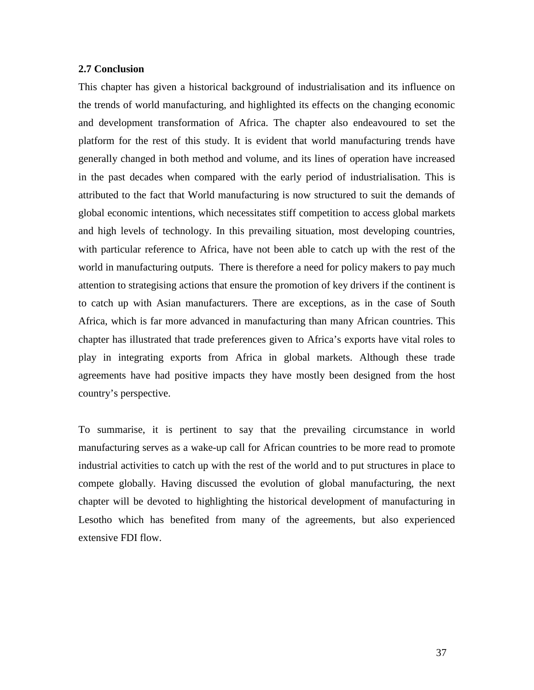# **2.7 Conclusion**

This chapter has given a historical background of industrialisation and its influence on the trends of world manufacturing, and highlighted its effects on the changing economic and development transformation of Africa. The chapter also endeavoured to set the platform for the rest of this study. It is evident that world manufacturing trends have generally changed in both method and volume, and its lines of operation have increased in the past decades when compared with the early period of industrialisation. This is attributed to the fact that World manufacturing is now structured to suit the demands of global economic intentions, which necessitates stiff competition to access global markets and high levels of technology. In this prevailing situation, most developing countries, with particular reference to Africa, have not been able to catch up with the rest of the world in manufacturing outputs. There is therefore a need for policy makers to pay much attention to strategising actions that ensure the promotion of key drivers if the continent is to catch up with Asian manufacturers. There are exceptions, as in the case of South Africa, which is far more advanced in manufacturing than many African countries. This chapter has illustrated that trade preferences given to Africa's exports have vital roles to play in integrating exports from Africa in global markets. Although these trade agreements have had positive impacts they have mostly been designed from the host country's perspective.

To summarise, it is pertinent to say that the prevailing circumstance in world manufacturing serves as a wake-up call for African countries to be more read to promote industrial activities to catch up with the rest of the world and to put structures in place to compete globally. Having discussed the evolution of global manufacturing, the next chapter will be devoted to highlighting the historical development of manufacturing in Lesotho which has benefited from many of the agreements, but also experienced extensive FDI flow.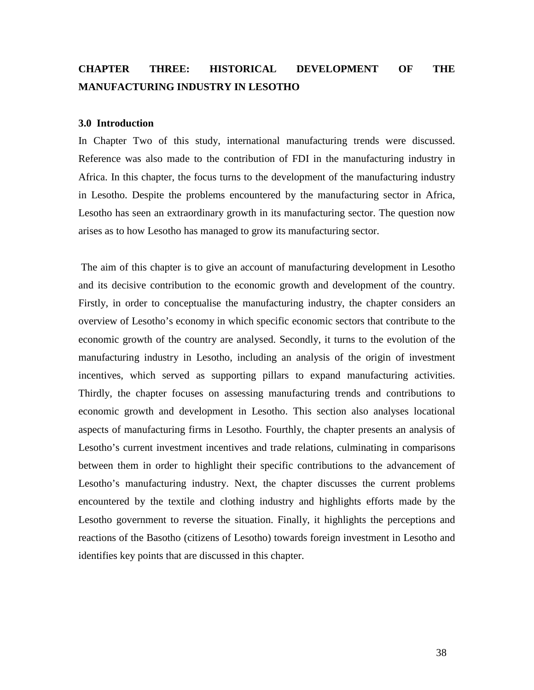# **CHAPTER THREE: HISTORICAL DEVELOPMENT OF THE MANUFACTURING INDUSTRY IN LESOTHO**

#### **3.0 Introduction**

In Chapter Two of this study, international manufacturing trends were discussed. Reference was also made to the contribution of FDI in the manufacturing industry in Africa. In this chapter, the focus turns to the development of the manufacturing industry in Lesotho. Despite the problems encountered by the manufacturing sector in Africa, Lesotho has seen an extraordinary growth in its manufacturing sector. The question now arises as to how Lesotho has managed to grow its manufacturing sector.

 The aim of this chapter is to give an account of manufacturing development in Lesotho and its decisive contribution to the economic growth and development of the country. Firstly, in order to conceptualise the manufacturing industry, the chapter considers an overview of Lesotho's economy in which specific economic sectors that contribute to the economic growth of the country are analysed. Secondly, it turns to the evolution of the manufacturing industry in Lesotho, including an analysis of the origin of investment incentives, which served as supporting pillars to expand manufacturing activities. Thirdly, the chapter focuses on assessing manufacturing trends and contributions to economic growth and development in Lesotho. This section also analyses locational aspects of manufacturing firms in Lesotho. Fourthly, the chapter presents an analysis of Lesotho's current investment incentives and trade relations, culminating in comparisons between them in order to highlight their specific contributions to the advancement of Lesotho's manufacturing industry. Next, the chapter discusses the current problems encountered by the textile and clothing industry and highlights efforts made by the Lesotho government to reverse the situation. Finally, it highlights the perceptions and reactions of the Basotho (citizens of Lesotho) towards foreign investment in Lesotho and identifies key points that are discussed in this chapter.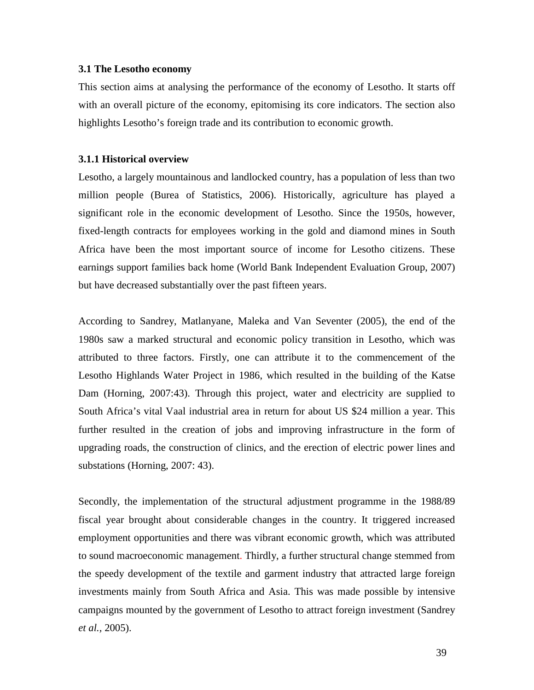## **3.1 The Lesotho economy**

This section aims at analysing the performance of the economy of Lesotho. It starts off with an overall picture of the economy, epitomising its core indicators. The section also highlights Lesotho's foreign trade and its contribution to economic growth.

# **3.1.1 Historical overview**

Lesotho, a largely mountainous and landlocked country, has a population of less than two million people (Burea of Statistics, 2006). Historically, agriculture has played a significant role in the economic development of Lesotho. Since the 1950s, however, fixed-length contracts for employees working in the gold and diamond mines in South Africa have been the most important source of income for Lesotho citizens. These earnings support families back home (World Bank Independent Evaluation Group, 2007) but have decreased substantially over the past fifteen years.

According to Sandrey, Matlanyane, Maleka and Van Seventer (2005), the end of the 1980s saw a marked structural and economic policy transition in Lesotho, which was attributed to three factors. Firstly, one can attribute it to the commencement of the Lesotho Highlands Water Project in 1986, which resulted in the building of the Katse Dam (Horning, 2007:43). Through this project, water and electricity are supplied to South Africa's vital Vaal industrial area in return for about US \$24 million a year. This further resulted in the creation of jobs and improving infrastructure in the form of upgrading roads, the construction of clinics, and the erection of electric power lines and substations (Horning, 2007: 43).

Secondly, the implementation of the structural adjustment programme in the 1988/89 fiscal year brought about considerable changes in the country. It triggered increased employment opportunities and there was vibrant economic growth, which was attributed to sound macroeconomic management. Thirdly, a further structural change stemmed from the speedy development of the textile and garment industry that attracted large foreign investments mainly from South Africa and Asia. This was made possible by intensive campaigns mounted by the government of Lesotho to attract foreign investment (Sandrey *et al.,* 2005).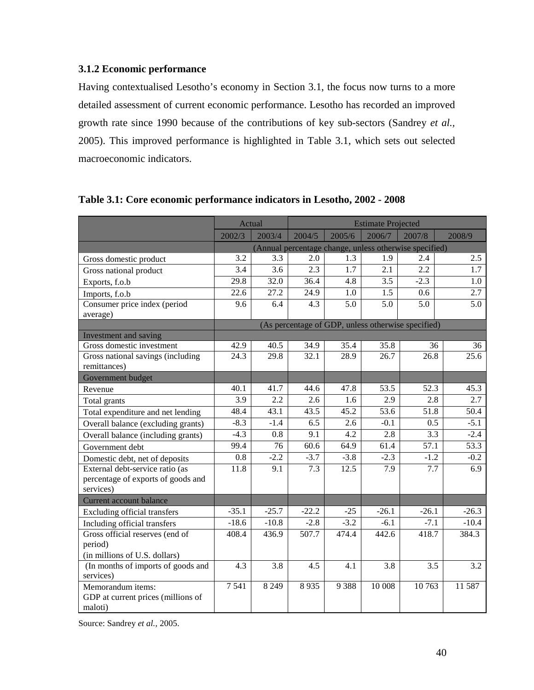# **3.1.2 Economic performance**

Having contextualised Lesotho's economy in Section 3.1, the focus now turns to a more detailed assessment of current economic performance. Lesotho has recorded an improved growth rate since 1990 because of the contributions of key sub-sectors (Sandrey *et al.,* 2005). This improved performance is highlighted in Table 3.1, which sets out selected macroeconomic indicators.

|                                            | Actual            |                   | <b>Estimate Projected</b> |                   |                  |                                                        |         |
|--------------------------------------------|-------------------|-------------------|---------------------------|-------------------|------------------|--------------------------------------------------------|---------|
|                                            | 2002/3            | 2003/4            | 2004/5                    | 2005/6            | 2006/7           | 2007/8                                                 | 2008/9  |
|                                            |                   |                   |                           |                   |                  | (Annual percentage change, unless otherwise specified) |         |
| Gross domestic product                     | 3.2               | 3.3               | 2.0                       | 1.3               | 1.9              | 2.4                                                    | 2.5     |
| Gross national product                     | 3.4               | 3.6               | 2.3                       | 1.7               | 2.1              | 2.2                                                    | 1.7     |
| Exports, f.o.b                             | 29.8              | $\overline{32.0}$ | 36.4                      | $\overline{4.8}$  | $\overline{3.5}$ | $-2.3$                                                 | 1.0     |
| Imports, f.o.b                             | $\overline{22.6}$ | 27.2              | 24.9                      | 1.0               | 1.5              | 0.6                                                    | 2.7     |
| Consumer price index (period               | 9.6               | 6.4               | 4.3                       | 5.0               | 5.0              | 5.0                                                    | 5.0     |
| average)                                   |                   |                   |                           |                   |                  |                                                        |         |
|                                            |                   |                   |                           |                   |                  | (As percentage of GDP, unless otherwise specified)     |         |
| Investment and saving                      |                   |                   |                           |                   |                  |                                                        |         |
| Gross domestic investment                  | 42.9              | 40.5              | 34.9                      | 35.4              | 35.8             | 36                                                     | 36      |
| Gross national savings (including          | 24.3              | 29.8              | 32.1                      | $\overline{28.9}$ | 26.7             | 26.8                                                   | 25.6    |
| remittances)                               |                   |                   |                           |                   |                  |                                                        |         |
| Government budget                          | 40.1              | 41.7              | 44.6                      | 47.8              | 53.5             | 52.3                                                   | 45.3    |
| Revenue                                    | $\overline{3.9}$  | 2.2               | 2.6                       | 1.6               | $\overline{2.9}$ | $\overline{2.8}$                                       | 2.7     |
| Total grants                               |                   |                   |                           |                   |                  |                                                        |         |
| Total expenditure and net lending          | 48.4              | 43.1              | 43.5                      | 45.2              | 53.6             | 51.8                                                   | 50.4    |
| Overall balance (excluding grants)         | $-8.3$            | $-1.4$            | 6.5                       | 2.6               | $-0.1$           | 0.5                                                    | $-5.1$  |
| Overall balance (including grants)         | $-4.3$            | 0.8               | 9.1                       | 4.2               | 2.8              | 3.3                                                    | $-2.4$  |
| Government debt                            | 99.4              | 76                | 60.6                      | 64.9              | 61.4             | 57.1                                                   | 53.3    |
| Domestic debt, net of deposits             | 0.8               | $-2.2$            | $-3.7$                    | $-3.8$            | $-2.3$           | $-1.2$                                                 | $-0.2$  |
| External debt-service ratio (as            | $\overline{11.8}$ | $\overline{9.1}$  | $\overline{7.3}$          | 12.5              | 7.9              | 7.7                                                    | 6.9     |
| percentage of exports of goods and         |                   |                   |                           |                   |                  |                                                        |         |
| services)                                  |                   |                   |                           |                   |                  |                                                        |         |
| Current account balance                    | $-35.1$           | $-25.7$           | $-22.2$                   | $-25$             | $-26.1$          | $-26.1$                                                | $-26.3$ |
| <b>Excluding official transfers</b>        | $-18.6$           | $-10.8$           | $-2.8$                    | $-3.2$            | $-6.1$           | $-7.1$                                                 | $-10.4$ |
| Including official transfers               |                   |                   |                           |                   |                  |                                                        |         |
| Gross official reserves (end of<br>period) | 408.4             | 436.9             | 507.7                     | 474.4             | 442.6            | 418.7                                                  | 384.3   |
| (in millions of U.S. dollars)              |                   |                   |                           |                   |                  |                                                        |         |
| (In months of imports of goods and         | 4.3               | 3.8               | 4.5                       | 4.1               | 3.8              | 3.5                                                    | 3.2     |
| services)                                  |                   |                   |                           |                   |                  |                                                        |         |
| Memorandum items:                          | 7541              | 8 2 4 9           | 8935                      | 9 3 8 8           | 10 008           | 10763                                                  | 11 587  |
| GDP at current prices (millions of         |                   |                   |                           |                   |                  |                                                        |         |
| maloti)                                    |                   |                   |                           |                   |                  |                                                        |         |

**Table 3.1: Core economic performance indicators in Lesotho, 2002 - 2008** 

Source: Sandrey *et al.,* 2005.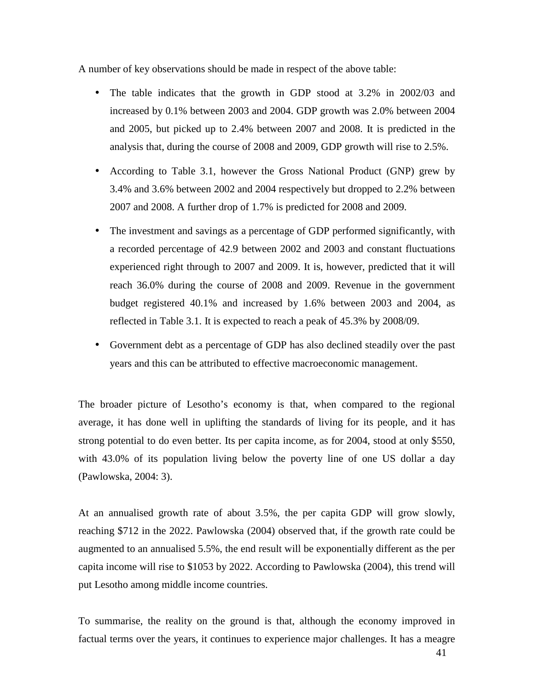A number of key observations should be made in respect of the above table:

- The table indicates that the growth in GDP stood at 3.2% in 2002/03 and increased by 0.1% between 2003 and 2004. GDP growth was 2.0% between 2004 and 2005, but picked up to 2.4% between 2007 and 2008. It is predicted in the analysis that, during the course of 2008 and 2009, GDP growth will rise to 2.5%.
- According to Table 3.1, however the Gross National Product (GNP) grew by 3.4% and 3.6% between 2002 and 2004 respectively but dropped to 2.2% between 2007 and 2008. A further drop of 1.7% is predicted for 2008 and 2009.
- The investment and savings as a percentage of GDP performed significantly, with a recorded percentage of 42.9 between 2002 and 2003 and constant fluctuations experienced right through to 2007 and 2009. It is, however, predicted that it will reach 36.0% during the course of 2008 and 2009. Revenue in the government budget registered 40.1% and increased by 1.6% between 2003 and 2004, as reflected in Table 3.1. It is expected to reach a peak of 45.3% by 2008/09.
- Government debt as a percentage of GDP has also declined steadily over the past years and this can be attributed to effective macroeconomic management.

The broader picture of Lesotho's economy is that, when compared to the regional average, it has done well in uplifting the standards of living for its people, and it has strong potential to do even better. Its per capita income, as for 2004, stood at only \$550, with 43.0% of its population living below the poverty line of one US dollar a day (Pawlowska, 2004: 3).

At an annualised growth rate of about 3.5%, the per capita GDP will grow slowly, reaching \$712 in the 2022. Pawlowska (2004) observed that, if the growth rate could be augmented to an annualised 5.5%, the end result will be exponentially different as the per capita income will rise to \$1053 by 2022. According to Pawlowska (2004), this trend will put Lesotho among middle income countries.

To summarise, the reality on the ground is that, although the economy improved in factual terms over the years, it continues to experience major challenges. It has a meagre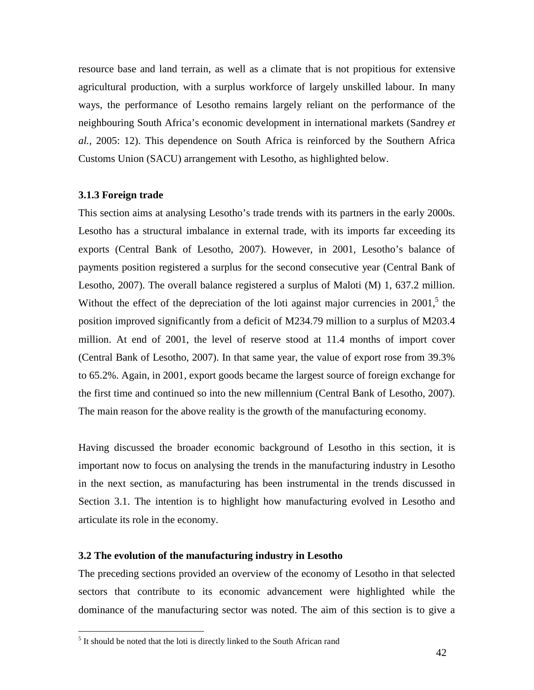resource base and land terrain, as well as a climate that is not propitious for extensive agricultural production, with a surplus workforce of largely unskilled labour. In many ways, the performance of Lesotho remains largely reliant on the performance of the neighbouring South Africa's economic development in international markets (Sandrey *et al.,* 2005: 12). This dependence on South Africa is reinforced by the Southern Africa Customs Union (SACU) arrangement with Lesotho, as highlighted below.

## **3.1.3 Foreign trade**

<u>.</u>

This section aims at analysing Lesotho's trade trends with its partners in the early 2000s. Lesotho has a structural imbalance in external trade, with its imports far exceeding its exports (Central Bank of Lesotho, 2007). However, in 2001, Lesotho's balance of payments position registered a surplus for the second consecutive year (Central Bank of Lesotho, 2007). The overall balance registered a surplus of Maloti (M) 1, 637.2 million. Without the effect of the depreciation of the loti against major currencies in 2001, $5$  the position improved significantly from a deficit of M234.79 million to a surplus of M203.4 million. At end of 2001, the level of reserve stood at 11.4 months of import cover (Central Bank of Lesotho, 2007). In that same year, the value of export rose from 39.3% to 65.2%. Again, in 2001, export goods became the largest source of foreign exchange for the first time and continued so into the new millennium (Central Bank of Lesotho, 2007). The main reason for the above reality is the growth of the manufacturing economy.

Having discussed the broader economic background of Lesotho in this section, it is important now to focus on analysing the trends in the manufacturing industry in Lesotho in the next section, as manufacturing has been instrumental in the trends discussed in Section 3.1. The intention is to highlight how manufacturing evolved in Lesotho and articulate its role in the economy.

# **3.2 The evolution of the manufacturing industry in Lesotho**

The preceding sections provided an overview of the economy of Lesotho in that selected sectors that contribute to its economic advancement were highlighted while the dominance of the manufacturing sector was noted. The aim of this section is to give a

<sup>&</sup>lt;sup>5</sup> It should be noted that the loti is directly linked to the South African rand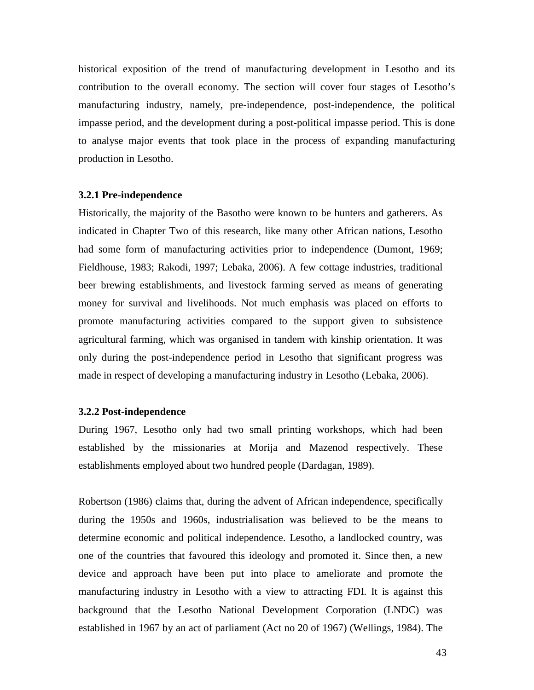historical exposition of the trend of manufacturing development in Lesotho and its contribution to the overall economy. The section will cover four stages of Lesotho's manufacturing industry, namely, pre-independence, post-independence, the political impasse period, and the development during a post-political impasse period. This is done to analyse major events that took place in the process of expanding manufacturing production in Lesotho.

#### **3.2.1 Pre-independence**

Historically, the majority of the Basotho were known to be hunters and gatherers. As indicated in Chapter Two of this research, like many other African nations, Lesotho had some form of manufacturing activities prior to independence (Dumont, 1969; Fieldhouse, 1983; Rakodi, 1997; Lebaka, 2006). A few cottage industries, traditional beer brewing establishments, and livestock farming served as means of generating money for survival and livelihoods. Not much emphasis was placed on efforts to promote manufacturing activities compared to the support given to subsistence agricultural farming, which was organised in tandem with kinship orientation. It was only during the post-independence period in Lesotho that significant progress was made in respect of developing a manufacturing industry in Lesotho (Lebaka, 2006).

#### **3.2.2 Post-independence**

During 1967, Lesotho only had two small printing workshops, which had been established by the missionaries at Morija and Mazenod respectively. These establishments employed about two hundred people (Dardagan, 1989).

Robertson (1986) claims that, during the advent of African independence, specifically during the 1950s and 1960s, industrialisation was believed to be the means to determine economic and political independence. Lesotho, a landlocked country, was one of the countries that favoured this ideology and promoted it. Since then, a new device and approach have been put into place to ameliorate and promote the manufacturing industry in Lesotho with a view to attracting FDI. It is against this background that the Lesotho National Development Corporation (LNDC) was established in 1967 by an act of parliament (Act no 20 of 1967) (Wellings, 1984). The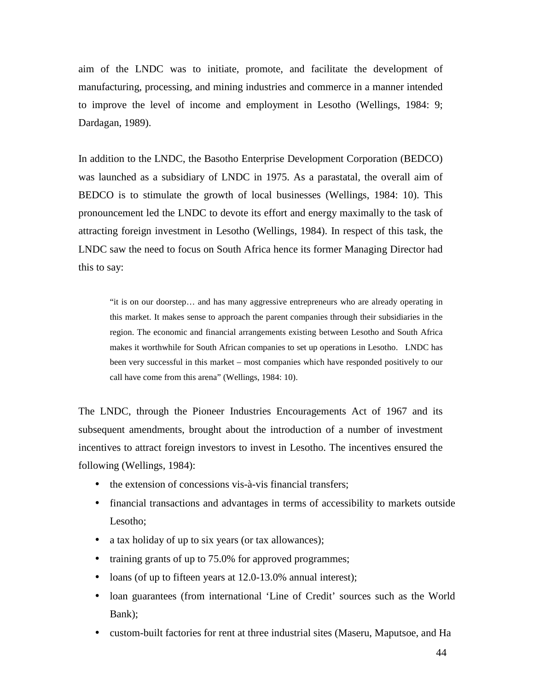aim of the LNDC was to initiate, promote, and facilitate the development of manufacturing, processing, and mining industries and commerce in a manner intended to improve the level of income and employment in Lesotho (Wellings, 1984: 9; Dardagan, 1989).

In addition to the LNDC, the Basotho Enterprise Development Corporation (BEDCO) was launched as a subsidiary of LNDC in 1975. As a parastatal, the overall aim of BEDCO is to stimulate the growth of local businesses (Wellings, 1984: 10). This pronouncement led the LNDC to devote its effort and energy maximally to the task of attracting foreign investment in Lesotho (Wellings, 1984). In respect of this task, the LNDC saw the need to focus on South Africa hence its former Managing Director had this to say:

"it is on our doorstep… and has many aggressive entrepreneurs who are already operating in this market. It makes sense to approach the parent companies through their subsidiaries in the region. The economic and financial arrangements existing between Lesotho and South Africa makes it worthwhile for South African companies to set up operations in Lesotho. LNDC has been very successful in this market – most companies which have responded positively to our call have come from this arena" (Wellings, 1984: 10).

The LNDC, through the Pioneer Industries Encouragements Act of 1967 and its subsequent amendments, brought about the introduction of a number of investment incentives to attract foreign investors to invest in Lesotho. The incentives ensured the following (Wellings, 1984):

- the extension of concessions vis-à-vis financial transfers;
- financial transactions and advantages in terms of accessibility to markets outside Lesotho;
- a tax holiday of up to six years (or tax allowances);
- training grants of up to 75.0% for approved programmes;
- loans (of up to fifteen years at 12.0-13.0% annual interest);
- loan guarantees (from international 'Line of Credit' sources such as the World Bank);
- custom-built factories for rent at three industrial sites (Maseru, Maputsoe, and Ha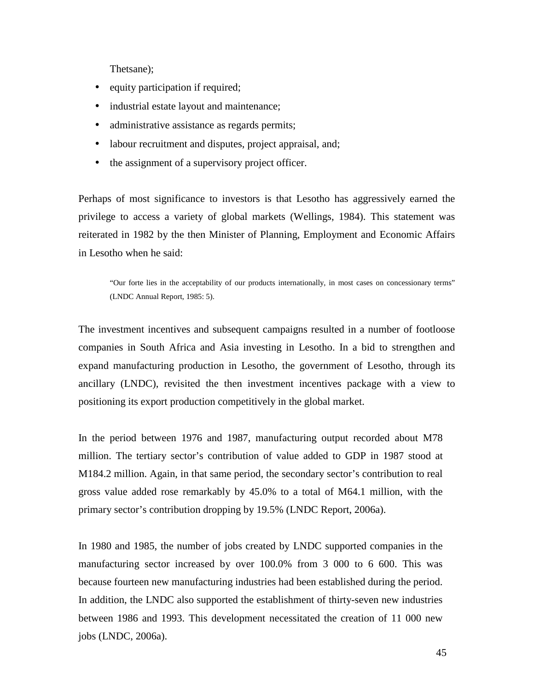Thetsane);

- equity participation if required;
- industrial estate layout and maintenance;
- administrative assistance as regards permits;
- labour recruitment and disputes, project appraisal, and;
- the assignment of a supervisory project officer.

Perhaps of most significance to investors is that Lesotho has aggressively earned the privilege to access a variety of global markets (Wellings, 1984). This statement was reiterated in 1982 by the then Minister of Planning, Employment and Economic Affairs in Lesotho when he said:

"Our forte lies in the acceptability of our products internationally, in most cases on concessionary terms" (LNDC Annual Report, 1985: 5).

The investment incentives and subsequent campaigns resulted in a number of footloose companies in South Africa and Asia investing in Lesotho. In a bid to strengthen and expand manufacturing production in Lesotho, the government of Lesotho, through its ancillary (LNDC), revisited the then investment incentives package with a view to positioning its export production competitively in the global market.

In the period between 1976 and 1987, manufacturing output recorded about M78 million. The tertiary sector's contribution of value added to GDP in 1987 stood at M184.2 million. Again, in that same period, the secondary sector's contribution to real gross value added rose remarkably by 45.0% to a total of M64.1 million, with the primary sector's contribution dropping by 19.5% (LNDC Report, 2006a).

In 1980 and 1985, the number of jobs created by LNDC supported companies in the manufacturing sector increased by over 100.0% from 3 000 to 6 600. This was because fourteen new manufacturing industries had been established during the period. In addition, the LNDC also supported the establishment of thirty-seven new industries between 1986 and 1993. This development necessitated the creation of 11 000 new jobs (LNDC, 2006a).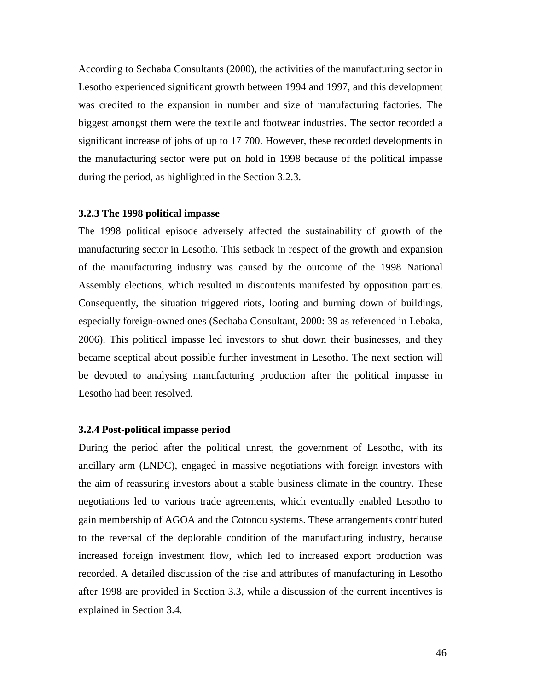According to Sechaba Consultants (2000), the activities of the manufacturing sector in Lesotho experienced significant growth between 1994 and 1997, and this development was credited to the expansion in number and size of manufacturing factories. The biggest amongst them were the textile and footwear industries. The sector recorded a significant increase of jobs of up to 17 700. However, these recorded developments in the manufacturing sector were put on hold in 1998 because of the political impasse during the period, as highlighted in the Section 3.2.3.

### **3.2.3 The 1998 political impasse**

The 1998 political episode adversely affected the sustainability of growth of the manufacturing sector in Lesotho. This setback in respect of the growth and expansion of the manufacturing industry was caused by the outcome of the 1998 National Assembly elections, which resulted in discontents manifested by opposition parties. Consequently, the situation triggered riots, looting and burning down of buildings, especially foreign-owned ones (Sechaba Consultant, 2000: 39 as referenced in Lebaka, 2006). This political impasse led investors to shut down their businesses, and they became sceptical about possible further investment in Lesotho. The next section will be devoted to analysing manufacturing production after the political impasse in Lesotho had been resolved.

#### **3.2.4 Post-political impasse period**

During the period after the political unrest, the government of Lesotho, with its ancillary arm (LNDC), engaged in massive negotiations with foreign investors with the aim of reassuring investors about a stable business climate in the country. These negotiations led to various trade agreements, which eventually enabled Lesotho to gain membership of AGOA and the Cotonou systems. These arrangements contributed to the reversal of the deplorable condition of the manufacturing industry, because increased foreign investment flow, which led to increased export production was recorded. A detailed discussion of the rise and attributes of manufacturing in Lesotho after 1998 are provided in Section 3.3, while a discussion of the current incentives is explained in Section 3.4.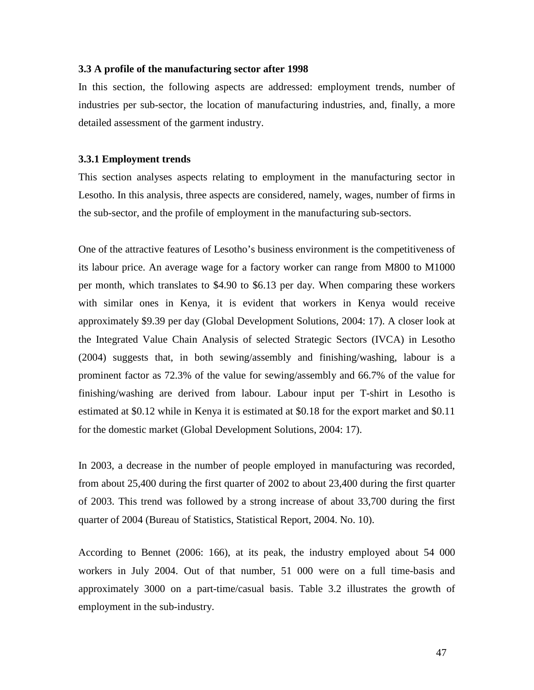#### **3.3 A profile of the manufacturing sector after 1998**

In this section, the following aspects are addressed: employment trends, number of industries per sub-sector, the location of manufacturing industries, and, finally, a more detailed assessment of the garment industry.

### **3.3.1 Employment trends**

This section analyses aspects relating to employment in the manufacturing sector in Lesotho. In this analysis, three aspects are considered, namely, wages, number of firms in the sub-sector, and the profile of employment in the manufacturing sub-sectors.

One of the attractive features of Lesotho's business environment is the competitiveness of its labour price. An average wage for a factory worker can range from M800 to M1000 per month, which translates to \$4.90 to \$6.13 per day. When comparing these workers with similar ones in Kenya, it is evident that workers in Kenya would receive approximately \$9.39 per day (Global Development Solutions, 2004: 17). A closer look at the Integrated Value Chain Analysis of selected Strategic Sectors (IVCA) in Lesotho (2004) suggests that, in both sewing/assembly and finishing/washing, labour is a prominent factor as 72.3% of the value for sewing/assembly and 66.7% of the value for finishing/washing are derived from labour. Labour input per T-shirt in Lesotho is estimated at \$0.12 while in Kenya it is estimated at \$0.18 for the export market and \$0.11 for the domestic market (Global Development Solutions, 2004: 17).

In 2003, a decrease in the number of people employed in manufacturing was recorded, from about 25,400 during the first quarter of 2002 to about 23,400 during the first quarter of 2003. This trend was followed by a strong increase of about 33,700 during the first quarter of 2004 (Bureau of Statistics, Statistical Report, 2004. No. 10).

According to Bennet (2006: 166), at its peak, the industry employed about 54 000 workers in July 2004. Out of that number, 51 000 were on a full time-basis and approximately 3000 on a part-time/casual basis. Table 3.2 illustrates the growth of employment in the sub-industry.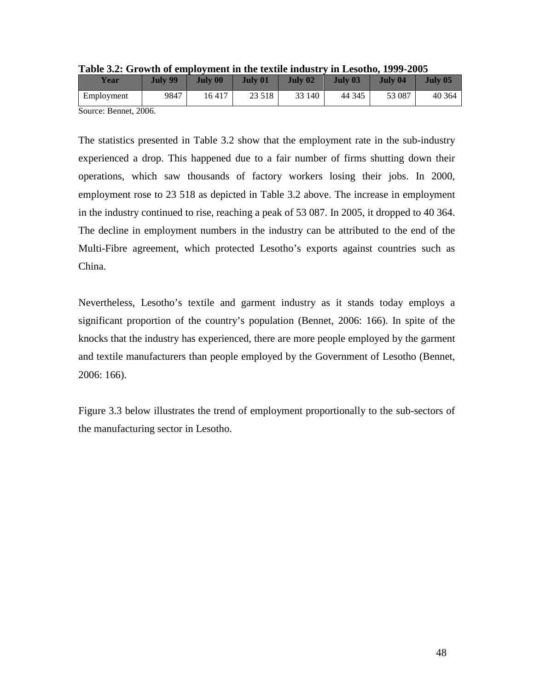| Year                | <b>July 99</b> | <b>July 00</b> | <b>July 01</b> | July 02 | July 03 | July 04 | July 05 |
|---------------------|----------------|----------------|----------------|---------|---------|---------|---------|
| Employment          | 9847           | 16417          | 23 5 18        | 33 140  | 44 345  | 53 087  | 40 364  |
| Source: Rennet 2006 |                |                |                |         |         |         |         |

|  |  |  | Table 3.2: Growth of employment in the textile industry in Lesotho, 1999-2005 |
|--|--|--|-------------------------------------------------------------------------------|
|--|--|--|-------------------------------------------------------------------------------|

Source: Bennet, 2006.

The statistics presented in Table 3.2 show that the employment rate in the sub-industry experienced a drop. This happened due to a fair number of firms shutting down their operations, which saw thousands of factory workers losing their jobs. In 2000, employment rose to 23 518 as depicted in Table 3.2 above. The increase in employment in the industry continued to rise, reaching a peak of 53 087. In 2005, it dropped to 40 364. The decline in employment numbers in the industry can be attributed to the end of the Multi-Fibre agreement, which protected Lesotho's exports against countries such as China.

Nevertheless, Lesotho's textile and garment industry as it stands today employs a significant proportion of the country's population (Bennet, 2006: 166). In spite of the knocks that the industry has experienced, there are more people employed by the garment and textile manufacturers than people employed by the Government of Lesotho (Bennet, 2006: 166).

Figure 3.3 below illustrates the trend of employment proportionally to the sub-sectors of the manufacturing sector in Lesotho.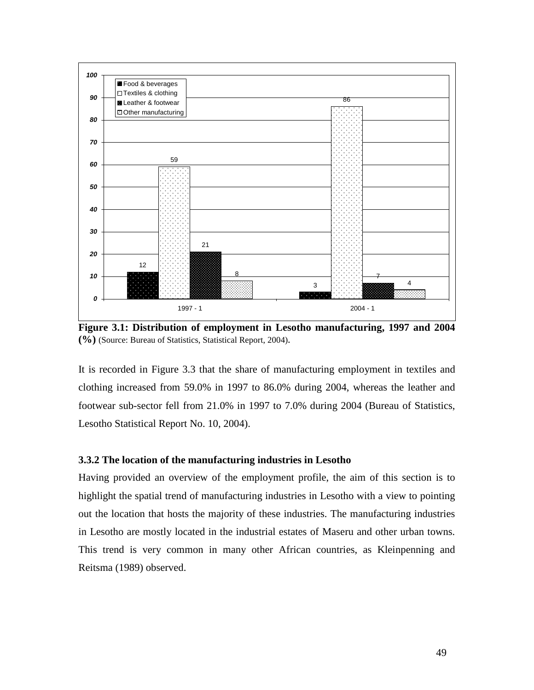

**Figure 3.1: Distribution of employment in Lesotho manufacturing, 1997 and 2004 (%)** (Source: Bureau of Statistics, Statistical Report, 2004).

It is recorded in Figure 3.3 that the share of manufacturing employment in textiles and clothing increased from 59.0% in 1997 to 86.0% during 2004, whereas the leather and footwear sub-sector fell from 21.0% in 1997 to 7.0% during 2004 (Bureau of Statistics, Lesotho Statistical Report No. 10, 2004).

# **3.3.2 The location of the manufacturing industries in Lesotho**

Having provided an overview of the employment profile, the aim of this section is to highlight the spatial trend of manufacturing industries in Lesotho with a view to pointing out the location that hosts the majority of these industries. The manufacturing industries in Lesotho are mostly located in the industrial estates of Maseru and other urban towns. This trend is very common in many other African countries, as Kleinpenning and Reitsma (1989) observed.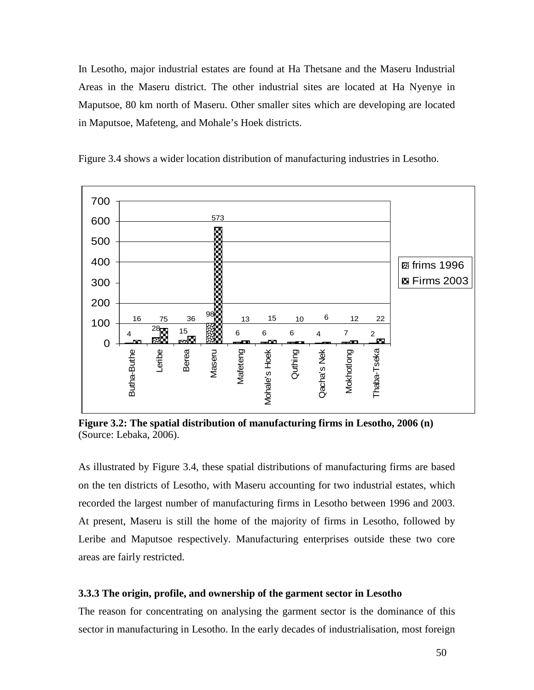In Lesotho, major industrial estates are found at Ha Thetsane and the Maseru Industrial Areas in the Maseru district. The other industrial sites are located at Ha Nyenye in Maputsoe, 80 km north of Maseru. Other smaller sites which are developing are located in Maputsoe, Mafeteng, and Mohale's Hoek districts.



Figure 3.4 shows a wider location distribution of manufacturing industries in Lesotho.

**Figure 3.2: The spatial distribution of manufacturing firms in Lesotho, 2006 (n)**  (Source: Lebaka, 2006).

As illustrated by Figure 3.4, these spatial distributions of manufacturing firms are based on the ten districts of Lesotho, with Maseru accounting for two industrial estates, which recorded the largest number of manufacturing firms in Lesotho between 1996 and 2003. At present, Maseru is still the home of the majority of firms in Lesotho, followed by Leribe and Maputsoe respectively. Manufacturing enterprises outside these two core areas are fairly restricted.

#### **3.3.3 The origin, profile, and ownership of the garment sector in Lesotho**

The reason for concentrating on analysing the garment sector is the dominance of this sector in manufacturing in Lesotho. In the early decades of industrialisation, most foreign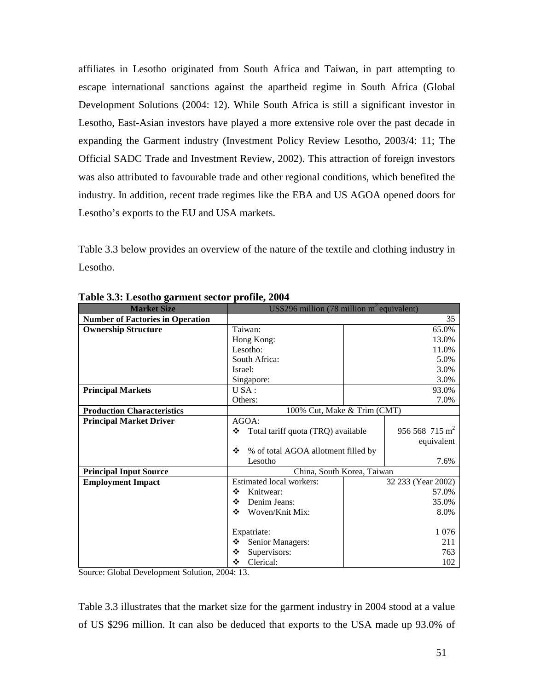affiliates in Lesotho originated from South Africa and Taiwan, in part attempting to escape international sanctions against the apartheid regime in South Africa (Global Development Solutions (2004: 12). While South Africa is still a significant investor in Lesotho, East-Asian investors have played a more extensive role over the past decade in expanding the Garment industry (Investment Policy Review Lesotho, 2003/4: 11; The Official SADC Trade and Investment Review, 2002). This attraction of foreign investors was also attributed to favourable trade and other regional conditions, which benefited the industry. In addition, recent trade regimes like the EBA and US AGOA opened doors for Lesotho's exports to the EU and USA markets.

Table 3.3 below provides an overview of the nature of the textile and clothing industry in Lesotho.

| <b>Market Size</b>                      | US\$296 million (78 million $m^2$ equivalent) |                    |                         |  |
|-----------------------------------------|-----------------------------------------------|--------------------|-------------------------|--|
| <b>Number of Factories in Operation</b> |                                               |                    | 35                      |  |
| <b>Ownership Structure</b>              | Taiwan:                                       |                    | 65.0%                   |  |
|                                         | Hong Kong:                                    |                    | 13.0%                   |  |
|                                         | Lesotho:                                      |                    | 11.0%                   |  |
|                                         | South Africa:                                 |                    | 5.0%                    |  |
|                                         | Israel:                                       |                    | 3.0%                    |  |
|                                         | Singapore:                                    |                    | 3.0%                    |  |
| <b>Principal Markets</b>                | USA:                                          |                    | 93.0%                   |  |
|                                         | Others:                                       |                    | 7.0%                    |  |
| <b>Production Characteristics</b>       | 100% Cut, Make & Trim (CMT)                   |                    |                         |  |
| <b>Principal Market Driver</b>          | AGOA:                                         |                    |                         |  |
|                                         | ❖<br>Total tariff quota (TRQ) available       |                    | $956568715 \text{ m}^2$ |  |
|                                         |                                               |                    | equivalent              |  |
|                                         | % of total AGOA allotment filled by<br>❖      |                    |                         |  |
|                                         | Lesotho                                       |                    | 7.6%                    |  |
| <b>Principal Input Source</b>           | China, South Korea, Taiwan                    |                    |                         |  |
| <b>Employment Impact</b>                | Estimated local workers:                      | 32 233 (Year 2002) |                         |  |
|                                         | ❖<br>Knitwear:                                |                    | 57.0%                   |  |
|                                         | ❖<br>Denim Jeans:                             |                    | 35.0%                   |  |
|                                         | ❖<br>Woven/Knit Mix:                          |                    | 8.0%                    |  |
|                                         |                                               |                    |                         |  |
|                                         | Expatriate:                                   |                    | 1 0 7 6                 |  |
|                                         | ❖<br>Senior Managers:                         |                    | 211                     |  |
|                                         | ❖<br>Supervisors:                             |                    | 763                     |  |
|                                         | ❖<br>Clerical:                                |                    | 102                     |  |

**Table 3.3: Lesotho garment sector profile, 2004** 

Source: Global Development Solution, 2004: 13.

Table 3.3 illustrates that the market size for the garment industry in 2004 stood at a value of US \$296 million. It can also be deduced that exports to the USA made up 93.0% of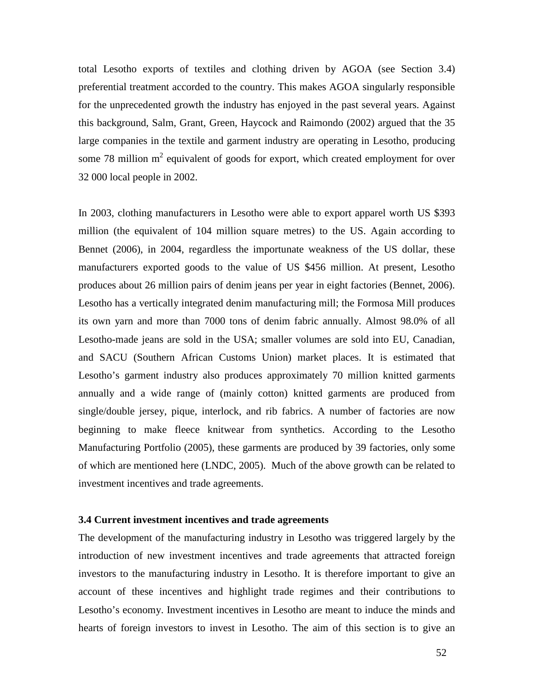total Lesotho exports of textiles and clothing driven by AGOA (see Section 3.4) preferential treatment accorded to the country. This makes AGOA singularly responsible for the unprecedented growth the industry has enjoyed in the past several years. Against this background, Salm, Grant, Green, Haycock and Raimondo (2002) argued that the 35 large companies in the textile and garment industry are operating in Lesotho, producing some 78 million  $m<sup>2</sup>$  equivalent of goods for export, which created employment for over 32 000 local people in 2002.

In 2003, clothing manufacturers in Lesotho were able to export apparel worth US \$393 million (the equivalent of 104 million square metres) to the US. Again according to Bennet (2006), in 2004, regardless the importunate weakness of the US dollar, these manufacturers exported goods to the value of US \$456 million. At present, Lesotho produces about 26 million pairs of denim jeans per year in eight factories (Bennet, 2006). Lesotho has a vertically integrated denim manufacturing mill; the Formosa Mill produces its own yarn and more than 7000 tons of denim fabric annually. Almost 98.0% of all Lesotho-made jeans are sold in the USA; smaller volumes are sold into EU, Canadian, and SACU (Southern African Customs Union) market places. It is estimated that Lesotho's garment industry also produces approximately 70 million knitted garments annually and a wide range of (mainly cotton) knitted garments are produced from single/double jersey, pique, interlock, and rib fabrics. A number of factories are now beginning to make fleece knitwear from synthetics. According to the Lesotho Manufacturing Portfolio (2005), these garments are produced by 39 factories, only some of which are mentioned here (LNDC, 2005). Much of the above growth can be related to investment incentives and trade agreements.

#### **3.4 Current investment incentives and trade agreements**

The development of the manufacturing industry in Lesotho was triggered largely by the introduction of new investment incentives and trade agreements that attracted foreign investors to the manufacturing industry in Lesotho. It is therefore important to give an account of these incentives and highlight trade regimes and their contributions to Lesotho's economy. Investment incentives in Lesotho are meant to induce the minds and hearts of foreign investors to invest in Lesotho. The aim of this section is to give an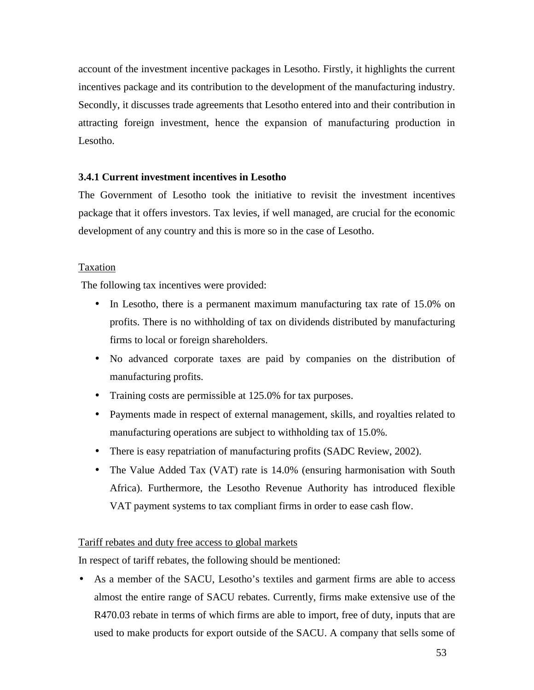account of the investment incentive packages in Lesotho. Firstly, it highlights the current incentives package and its contribution to the development of the manufacturing industry. Secondly, it discusses trade agreements that Lesotho entered into and their contribution in attracting foreign investment, hence the expansion of manufacturing production in Lesotho.

# **3.4.1 Current investment incentives in Lesotho**

The Government of Lesotho took the initiative to revisit the investment incentives package that it offers investors. Tax levies, if well managed, are crucial for the economic development of any country and this is more so in the case of Lesotho.

# **Taxation**

The following tax incentives were provided:

- In Lesotho, there is a permanent maximum manufacturing tax rate of 15.0% on profits. There is no withholding of tax on dividends distributed by manufacturing firms to local or foreign shareholders.
- No advanced corporate taxes are paid by companies on the distribution of manufacturing profits.
- Training costs are permissible at 125.0% for tax purposes.
- Payments made in respect of external management, skills, and royalties related to manufacturing operations are subject to withholding tax of 15.0%.
- There is easy repatriation of manufacturing profits (SADC Review, 2002).
- The Value Added Tax (VAT) rate is 14.0% (ensuring harmonisation with South Africa). Furthermore, the Lesotho Revenue Authority has introduced flexible VAT payment systems to tax compliant firms in order to ease cash flow.

# Tariff rebates and duty free access to global markets

In respect of tariff rebates, the following should be mentioned:

• As a member of the SACU, Lesotho's textiles and garment firms are able to access almost the entire range of SACU rebates. Currently, firms make extensive use of the R470.03 rebate in terms of which firms are able to import, free of duty, inputs that are used to make products for export outside of the SACU. A company that sells some of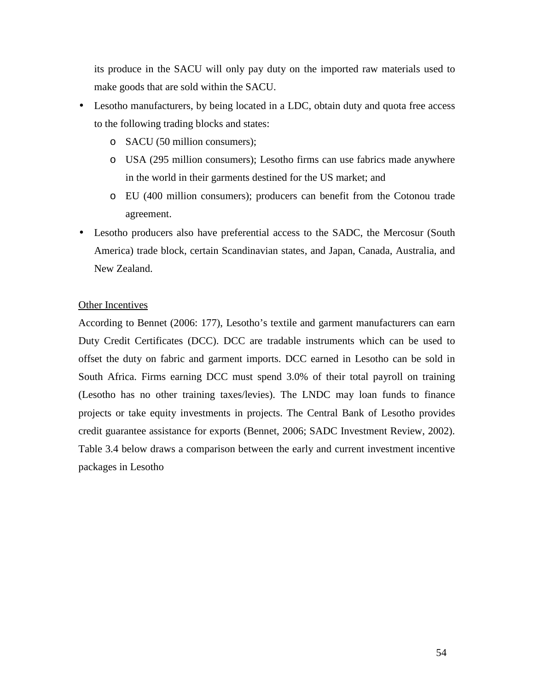its produce in the SACU will only pay duty on the imported raw materials used to make goods that are sold within the SACU.

- Lesotho manufacturers, by being located in a LDC, obtain duty and quota free access to the following trading blocks and states:
	- o SACU (50 million consumers);
	- o USA (295 million consumers); Lesotho firms can use fabrics made anywhere in the world in their garments destined for the US market; and
	- o EU (400 million consumers); producers can benefit from the Cotonou trade agreement.
- Lesotho producers also have preferential access to the SADC, the Mercosur (South America) trade block, certain Scandinavian states, and Japan, Canada, Australia, and New Zealand.

# Other Incentives

According to Bennet (2006: 177), Lesotho's textile and garment manufacturers can earn Duty Credit Certificates (DCC). DCC are tradable instruments which can be used to offset the duty on fabric and garment imports. DCC earned in Lesotho can be sold in South Africa. Firms earning DCC must spend 3.0% of their total payroll on training (Lesotho has no other training taxes/levies). The LNDC may loan funds to finance projects or take equity investments in projects. The Central Bank of Lesotho provides credit guarantee assistance for exports (Bennet, 2006; SADC Investment Review, 2002). Table 3.4 below draws a comparison between the early and current investment incentive packages in Lesotho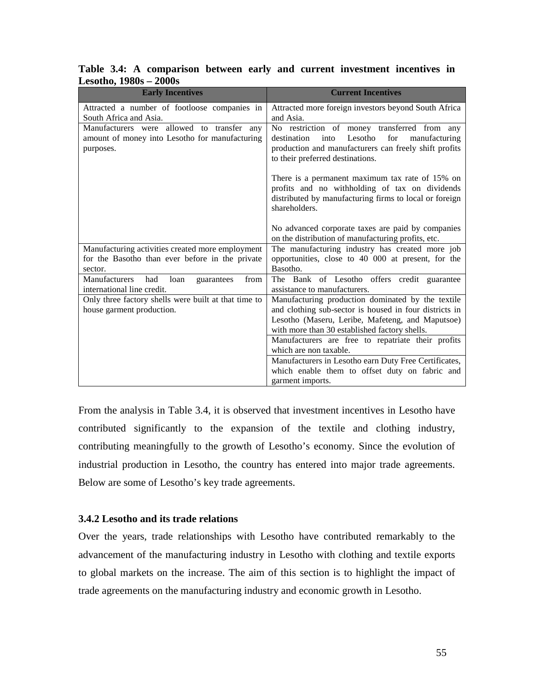| <b>Early Incentives</b>                                                                                        | <b>Current Incentives</b>                                                                                                                                                                                        |
|----------------------------------------------------------------------------------------------------------------|------------------------------------------------------------------------------------------------------------------------------------------------------------------------------------------------------------------|
| Attracted a number of footloose companies in<br>South Africa and Asia.                                         | Attracted more foreign investors beyond South Africa<br>and Asia.                                                                                                                                                |
| Manufacturers were allowed to transfer any<br>amount of money into Lesotho for manufacturing<br>purposes.      | No restriction of money transferred from any<br>Lesotho<br>destination<br>into<br>for<br>manufacturing<br>production and manufacturers can freely shift profits<br>to their preferred destinations.              |
|                                                                                                                | There is a permanent maximum tax rate of 15% on<br>profits and no withholding of tax on dividends<br>distributed by manufacturing firms to local or foreign<br>shareholders.                                     |
|                                                                                                                | No advanced corporate taxes are paid by companies<br>on the distribution of manufacturing profits, etc.                                                                                                          |
| Manufacturing activities created more employment<br>for the Basotho than ever before in the private<br>sector. | The manufacturing industry has created more job<br>opportunities, close to 40 000 at present, for the<br>Basotho.                                                                                                |
| Manufacturers<br>had<br>from<br>loan<br>guarantees<br>international line credit.                               | The Bank of Lesotho offers credit guarantee<br>assistance to manufacturers.                                                                                                                                      |
| Only three factory shells were built at that time to<br>house garment production.                              | Manufacturing production dominated by the textile<br>and clothing sub-sector is housed in four districts in<br>Lesotho (Maseru, Leribe, Mafeteng, and Maputsoe)<br>with more than 30 established factory shells. |
|                                                                                                                | Manufacturers are free to repatriate their profits<br>which are non taxable.                                                                                                                                     |
|                                                                                                                | Manufacturers in Lesotho earn Duty Free Certificates,<br>which enable them to offset duty on fabric and<br>garment imports.                                                                                      |

**Table 3.4: A comparison between early and current investment incentives in Lesotho, 1980s – 2000s** 

From the analysis in Table 3.4, it is observed that investment incentives in Lesotho have contributed significantly to the expansion of the textile and clothing industry, contributing meaningfully to the growth of Lesotho's economy. Since the evolution of industrial production in Lesotho, the country has entered into major trade agreements. Below are some of Lesotho's key trade agreements.

# **3.4.2 Lesotho and its trade relations**

Over the years, trade relationships with Lesotho have contributed remarkably to the advancement of the manufacturing industry in Lesotho with clothing and textile exports to global markets on the increase. The aim of this section is to highlight the impact of trade agreements on the manufacturing industry and economic growth in Lesotho.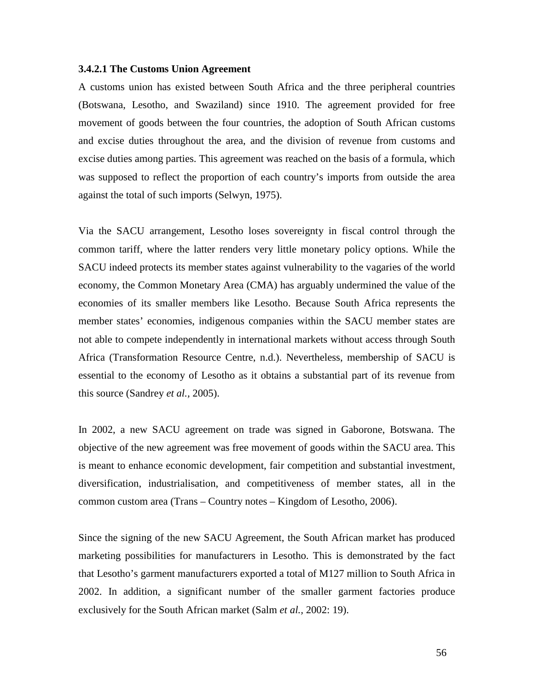#### **3.4.2.1 The Customs Union Agreement**

A customs union has existed between South Africa and the three peripheral countries (Botswana, Lesotho, and Swaziland) since 1910. The agreement provided for free movement of goods between the four countries, the adoption of South African customs and excise duties throughout the area, and the division of revenue from customs and excise duties among parties. This agreement was reached on the basis of a formula, which was supposed to reflect the proportion of each country's imports from outside the area against the total of such imports (Selwyn, 1975).

Via the SACU arrangement, Lesotho loses sovereignty in fiscal control through the common tariff, where the latter renders very little monetary policy options. While the SACU indeed protects its member states against vulnerability to the vagaries of the world economy, the Common Monetary Area (CMA) has arguably undermined the value of the economies of its smaller members like Lesotho. Because South Africa represents the member states' economies, indigenous companies within the SACU member states are not able to compete independently in international markets without access through South Africa (Transformation Resource Centre, n.d.). Nevertheless, membership of SACU is essential to the economy of Lesotho as it obtains a substantial part of its revenue from this source (Sandrey *et al.,* 2005).

In 2002, a new SACU agreement on trade was signed in Gaborone, Botswana. The objective of the new agreement was free movement of goods within the SACU area. This is meant to enhance economic development, fair competition and substantial investment, diversification, industrialisation, and competitiveness of member states, all in the common custom area (Trans – Country notes – Kingdom of Lesotho, 2006).

Since the signing of the new SACU Agreement, the South African market has produced marketing possibilities for manufacturers in Lesotho. This is demonstrated by the fact that Lesotho's garment manufacturers exported a total of M127 million to South Africa in 2002. In addition, a significant number of the smaller garment factories produce exclusively for the South African market (Salm *et al.,* 2002: 19).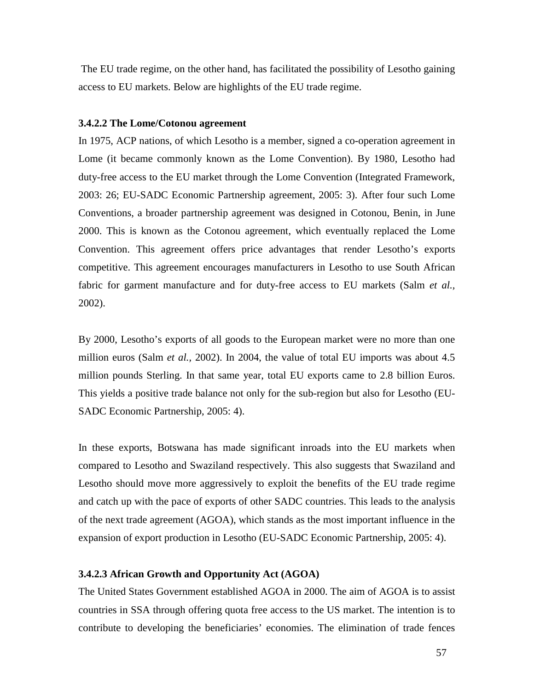The EU trade regime, on the other hand, has facilitated the possibility of Lesotho gaining access to EU markets. Below are highlights of the EU trade regime.

#### **3.4.2.2 The Lome/Cotonou agreement**

In 1975, ACP nations, of which Lesotho is a member, signed a co-operation agreement in Lome (it became commonly known as the Lome Convention). By 1980, Lesotho had duty-free access to the EU market through the Lome Convention (Integrated Framework, 2003: 26; EU-SADC Economic Partnership agreement, 2005: 3). After four such Lome Conventions, a broader partnership agreement was designed in Cotonou, Benin, in June 2000. This is known as the Cotonou agreement, which eventually replaced the Lome Convention. This agreement offers price advantages that render Lesotho's exports competitive. This agreement encourages manufacturers in Lesotho to use South African fabric for garment manufacture and for duty-free access to EU markets (Salm *et al.,* 2002).

By 2000, Lesotho's exports of all goods to the European market were no more than one million euros (Salm *et al.,* 2002). In 2004, the value of total EU imports was about 4.5 million pounds Sterling. In that same year, total EU exports came to 2.8 billion Euros. This yields a positive trade balance not only for the sub-region but also for Lesotho (EU-SADC Economic Partnership, 2005: 4).

In these exports, Botswana has made significant inroads into the EU markets when compared to Lesotho and Swaziland respectively. This also suggests that Swaziland and Lesotho should move more aggressively to exploit the benefits of the EU trade regime and catch up with the pace of exports of other SADC countries. This leads to the analysis of the next trade agreement (AGOA), which stands as the most important influence in the expansion of export production in Lesotho (EU-SADC Economic Partnership, 2005: 4).

## **3.4.2.3 African Growth and Opportunity Act (AGOA)**

The United States Government established AGOA in 2000. The aim of AGOA is to assist countries in SSA through offering quota free access to the US market. The intention is to contribute to developing the beneficiaries' economies. The elimination of trade fences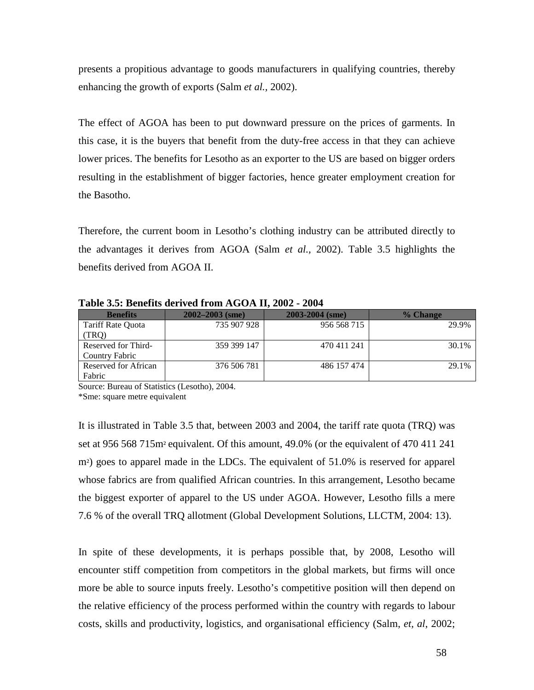presents a propitious advantage to goods manufacturers in qualifying countries, thereby enhancing the growth of exports (Salm *et al.,* 2002).

The effect of AGOA has been to put downward pressure on the prices of garments. In this case, it is the buyers that benefit from the duty-free access in that they can achieve lower prices. The benefits for Lesotho as an exporter to the US are based on bigger orders resulting in the establishment of bigger factories, hence greater employment creation for the Basotho.

Therefore, the current boom in Lesotho's clothing industry can be attributed directly to the advantages it derives from AGOA (Salm *et al.,* 2002). Table 3.5 highlights the benefits derived from AGOA II.

**Table 3.5: Benefits derived from AGOA II, 2002 - 2004** 

| <b>Benefits</b>       | $2002 - 2003$ (sme) | 2003-2004 (sme) | % Change |
|-----------------------|---------------------|-----------------|----------|
| Tariff Rate Ouota     | 735 907 928         | 956 568 715     | 29.9%    |
| (TRO)                 |                     |                 |          |
| Reserved for Third-   | 359 399 147         | 470 411 241     | 30.1%    |
| <b>Country Fabric</b> |                     |                 |          |
| Reserved for African  | 376 506 781         | 486 157 474     | 29.1%    |
| Fabric                |                     |                 |          |

Source: Bureau of Statistics (Lesotho), 2004.

\*Sme: square metre equivalent

It is illustrated in Table 3.5 that, between 2003 and 2004, the tariff rate quota (TRQ) was set at 956 568 715m² equivalent. Of this amount, 49.0% (or the equivalent of 470 411 241 m²) goes to apparel made in the LDCs. The equivalent of 51.0% is reserved for apparel whose fabrics are from qualified African countries. In this arrangement, Lesotho became the biggest exporter of apparel to the US under AGOA. However, Lesotho fills a mere 7.6 % of the overall TRQ allotment (Global Development Solutions, LLCTM, 2004: 13).

In spite of these developments, it is perhaps possible that, by 2008, Lesotho will encounter stiff competition from competitors in the global markets, but firms will once more be able to source inputs freely. Lesotho's competitive position will then depend on the relative efficiency of the process performed within the country with regards to labour costs, skills and productivity, logistics, and organisational efficiency (Salm, *et, al*, 2002;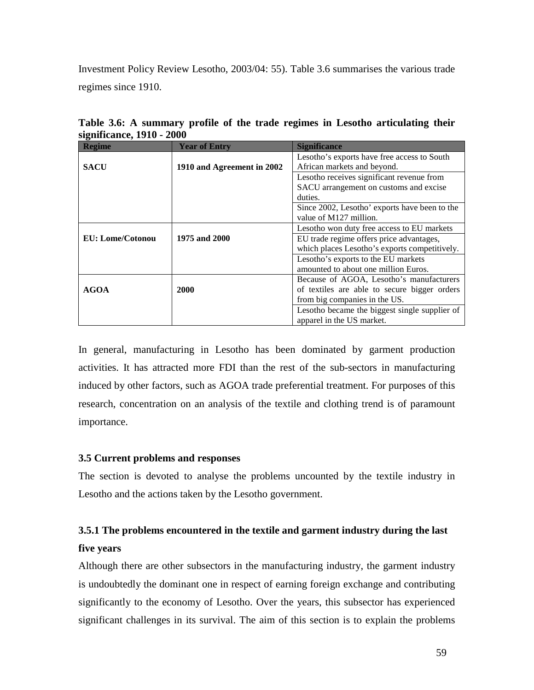Investment Policy Review Lesotho, 2003/04: 55). Table 3.6 summarises the various trade regimes since 1910.

| <b>Regime</b>    | <b>Year of Entry</b>       | <b>Significance</b>                           |
|------------------|----------------------------|-----------------------------------------------|
|                  |                            | Lesotho's exports have free access to South   |
| <b>SACU</b>      | 1910 and Agreement in 2002 | African markets and beyond.                   |
|                  |                            | Lesotho receives significant revenue from     |
|                  |                            | SACU arrangement on customs and excise        |
|                  |                            | duties.                                       |
|                  |                            | Since 2002, Lesotho' exports have been to the |
|                  |                            | value of M127 million.                        |
|                  |                            | Lesotho won duty free access to EU markets    |
| EU: Lome/Cotonou | 1975 and 2000              | EU trade regime offers price advantages,      |
|                  |                            | which places Lesotho's exports competitively. |
|                  |                            | Lesotho's exports to the EU markets           |
|                  |                            | amounted to about one million Euros.          |
|                  |                            | Because of AGOA, Lesotho's manufacturers      |
| <b>AGOA</b>      | 2000                       | of textiles are able to secure bigger orders  |
|                  |                            | from big companies in the US.                 |
|                  |                            | Lesotho became the biggest single supplier of |
|                  |                            | apparel in the US market.                     |

**Table 3.6: A summary profile of the trade regimes in Lesotho articulating their significance, 1910 - 2000** 

In general, manufacturing in Lesotho has been dominated by garment production activities. It has attracted more FDI than the rest of the sub-sectors in manufacturing induced by other factors, such as AGOA trade preferential treatment. For purposes of this research, concentration on an analysis of the textile and clothing trend is of paramount importance.

# **3.5 Current problems and responses**

The section is devoted to analyse the problems uncounted by the textile industry in Lesotho and the actions taken by the Lesotho government.

# **3.5.1 The problems encountered in the textile and garment industry during the last five years**

Although there are other subsectors in the manufacturing industry, the garment industry is undoubtedly the dominant one in respect of earning foreign exchange and contributing significantly to the economy of Lesotho. Over the years, this subsector has experienced significant challenges in its survival. The aim of this section is to explain the problems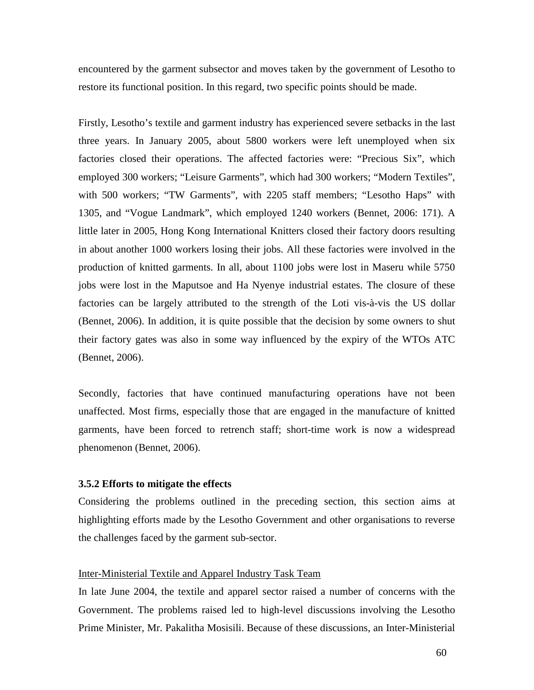encountered by the garment subsector and moves taken by the government of Lesotho to restore its functional position. In this regard, two specific points should be made.

Firstly, Lesotho's textile and garment industry has experienced severe setbacks in the last three years. In January 2005, about 5800 workers were left unemployed when six factories closed their operations. The affected factories were: "Precious Six", which employed 300 workers; "Leisure Garments", which had 300 workers; "Modern Textiles", with 500 workers; "TW Garments", with 2205 staff members; "Lesotho Haps" with 1305, and "Vogue Landmark", which employed 1240 workers (Bennet, 2006: 171). A little later in 2005, Hong Kong International Knitters closed their factory doors resulting in about another 1000 workers losing their jobs. All these factories were involved in the production of knitted garments. In all, about 1100 jobs were lost in Maseru while 5750 jobs were lost in the Maputsoe and Ha Nyenye industrial estates. The closure of these factories can be largely attributed to the strength of the Loti vis-à-vis the US dollar (Bennet, 2006). In addition, it is quite possible that the decision by some owners to shut their factory gates was also in some way influenced by the expiry of the WTOs ATC (Bennet, 2006).

Secondly, factories that have continued manufacturing operations have not been unaffected. Most firms, especially those that are engaged in the manufacture of knitted garments, have been forced to retrench staff; short-time work is now a widespread phenomenon (Bennet, 2006).

## **3.5.2 Efforts to mitigate the effects**

Considering the problems outlined in the preceding section, this section aims at highlighting efforts made by the Lesotho Government and other organisations to reverse the challenges faced by the garment sub-sector.

### Inter-Ministerial Textile and Apparel Industry Task Team

In late June 2004, the textile and apparel sector raised a number of concerns with the Government. The problems raised led to high-level discussions involving the Lesotho Prime Minister, Mr. Pakalitha Mosisili. Because of these discussions, an Inter-Ministerial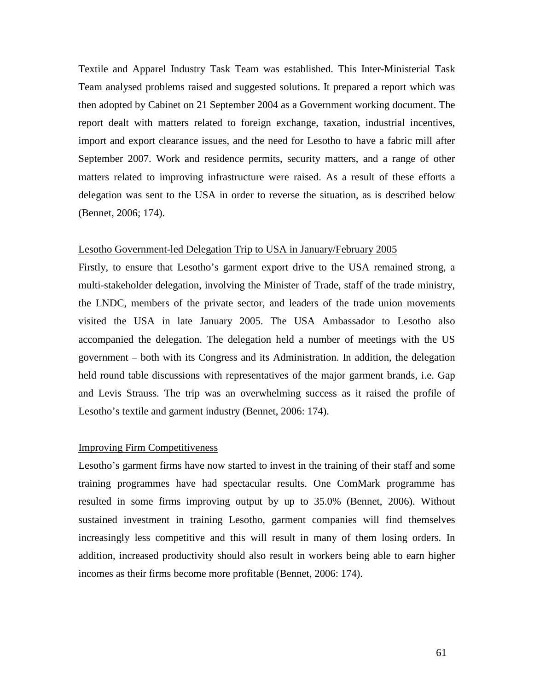Textile and Apparel Industry Task Team was established. This Inter-Ministerial Task Team analysed problems raised and suggested solutions. It prepared a report which was then adopted by Cabinet on 21 September 2004 as a Government working document. The report dealt with matters related to foreign exchange, taxation, industrial incentives, import and export clearance issues, and the need for Lesotho to have a fabric mill after September 2007. Work and residence permits, security matters, and a range of other matters related to improving infrastructure were raised. As a result of these efforts a delegation was sent to the USA in order to reverse the situation, as is described below (Bennet, 2006; 174).

#### Lesotho Government-led Delegation Trip to USA in January/February 2005

Firstly, to ensure that Lesotho's garment export drive to the USA remained strong, a multi-stakeholder delegation, involving the Minister of Trade, staff of the trade ministry, the LNDC, members of the private sector, and leaders of the trade union movements visited the USA in late January 2005. The USA Ambassador to Lesotho also accompanied the delegation. The delegation held a number of meetings with the US government – both with its Congress and its Administration. In addition, the delegation held round table discussions with representatives of the major garment brands, i.e. Gap and Levis Strauss. The trip was an overwhelming success as it raised the profile of Lesotho's textile and garment industry (Bennet, 2006: 174).

#### Improving Firm Competitiveness

Lesotho's garment firms have now started to invest in the training of their staff and some training programmes have had spectacular results. One ComMark programme has resulted in some firms improving output by up to 35.0% (Bennet, 2006). Without sustained investment in training Lesotho, garment companies will find themselves increasingly less competitive and this will result in many of them losing orders. In addition, increased productivity should also result in workers being able to earn higher incomes as their firms become more profitable (Bennet, 2006: 174).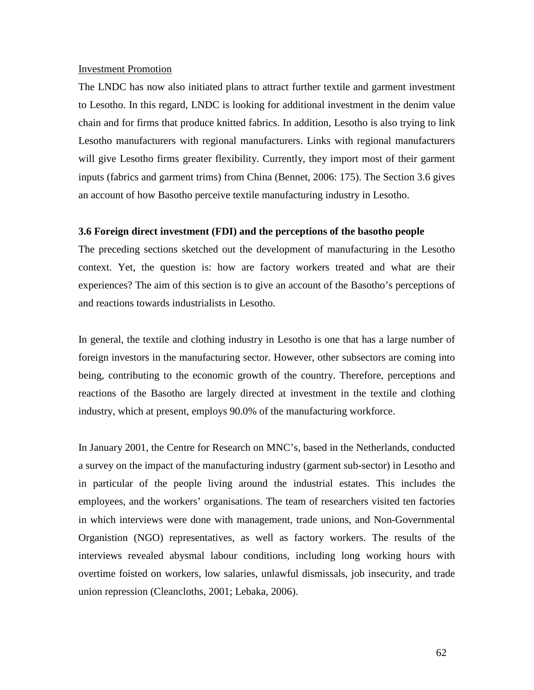#### Investment Promotion

The LNDC has now also initiated plans to attract further textile and garment investment to Lesotho. In this regard, LNDC is looking for additional investment in the denim value chain and for firms that produce knitted fabrics. In addition, Lesotho is also trying to link Lesotho manufacturers with regional manufacturers. Links with regional manufacturers will give Lesotho firms greater flexibility. Currently, they import most of their garment inputs (fabrics and garment trims) from China (Bennet, 2006: 175). The Section 3.6 gives an account of how Basotho perceive textile manufacturing industry in Lesotho.

#### **3.6 Foreign direct investment (FDI) and the perceptions of the basotho people**

The preceding sections sketched out the development of manufacturing in the Lesotho context. Yet, the question is: how are factory workers treated and what are their experiences? The aim of this section is to give an account of the Basotho's perceptions of and reactions towards industrialists in Lesotho.

In general, the textile and clothing industry in Lesotho is one that has a large number of foreign investors in the manufacturing sector. However, other subsectors are coming into being, contributing to the economic growth of the country. Therefore, perceptions and reactions of the Basotho are largely directed at investment in the textile and clothing industry, which at present, employs 90.0% of the manufacturing workforce.

In January 2001, the Centre for Research on MNC's, based in the Netherlands, conducted a survey on the impact of the manufacturing industry (garment sub-sector) in Lesotho and in particular of the people living around the industrial estates. This includes the employees, and the workers' organisations. The team of researchers visited ten factories in which interviews were done with management, trade unions, and Non-Governmental Organistion (NGO) representatives, as well as factory workers. The results of the interviews revealed abysmal labour conditions, including long working hours with overtime foisted on workers, low salaries, unlawful dismissals, job insecurity, and trade union repression (Cleancloths, 2001; Lebaka, 2006).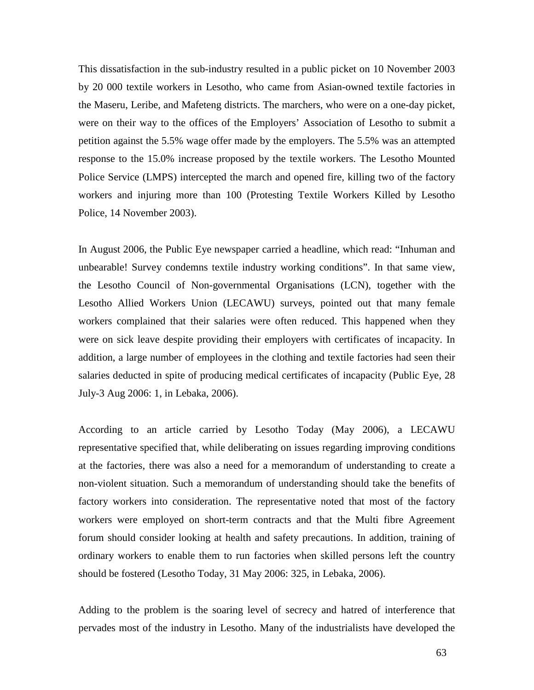This dissatisfaction in the sub-industry resulted in a public picket on 10 November 2003 by 20 000 textile workers in Lesotho, who came from Asian-owned textile factories in the Maseru, Leribe, and Mafeteng districts. The marchers, who were on a one-day picket, were on their way to the offices of the Employers' Association of Lesotho to submit a petition against the 5.5% wage offer made by the employers. The 5.5% was an attempted response to the 15.0% increase proposed by the textile workers. The Lesotho Mounted Police Service (LMPS) intercepted the march and opened fire, killing two of the factory workers and injuring more than 100 (Protesting Textile Workers Killed by Lesotho Police, 14 November 2003).

In August 2006, the Public Eye newspaper carried a headline, which read: "Inhuman and unbearable! Survey condemns textile industry working conditions". In that same view, the Lesotho Council of Non-governmental Organisations (LCN), together with the Lesotho Allied Workers Union (LECAWU) surveys, pointed out that many female workers complained that their salaries were often reduced. This happened when they were on sick leave despite providing their employers with certificates of incapacity. In addition, a large number of employees in the clothing and textile factories had seen their salaries deducted in spite of producing medical certificates of incapacity (Public Eye, 28 July-3 Aug 2006: 1, in Lebaka, 2006).

According to an article carried by Lesotho Today (May 2006), a LECAWU representative specified that, while deliberating on issues regarding improving conditions at the factories, there was also a need for a memorandum of understanding to create a non-violent situation. Such a memorandum of understanding should take the benefits of factory workers into consideration. The representative noted that most of the factory workers were employed on short-term contracts and that the Multi fibre Agreement forum should consider looking at health and safety precautions. In addition, training of ordinary workers to enable them to run factories when skilled persons left the country should be fostered (Lesotho Today, 31 May 2006: 325, in Lebaka, 2006).

Adding to the problem is the soaring level of secrecy and hatred of interference that pervades most of the industry in Lesotho. Many of the industrialists have developed the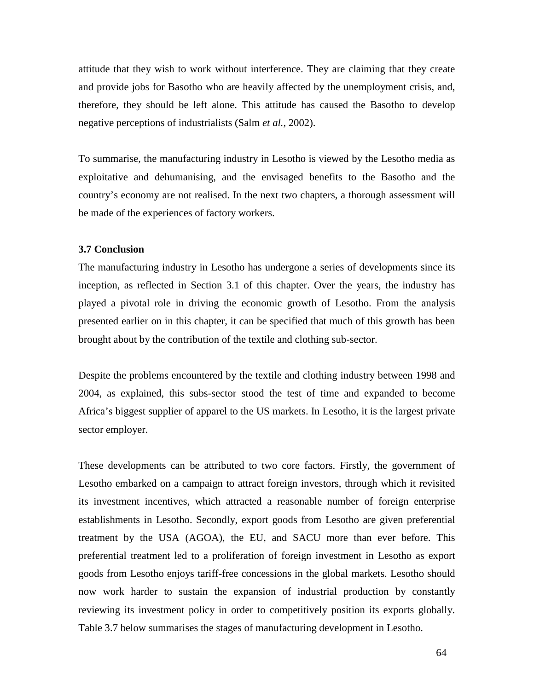attitude that they wish to work without interference. They are claiming that they create and provide jobs for Basotho who are heavily affected by the unemployment crisis, and, therefore, they should be left alone. This attitude has caused the Basotho to develop negative perceptions of industrialists (Salm *et al.,* 2002).

To summarise, the manufacturing industry in Lesotho is viewed by the Lesotho media as exploitative and dehumanising, and the envisaged benefits to the Basotho and the country's economy are not realised. In the next two chapters, a thorough assessment will be made of the experiences of factory workers.

#### **3.7 Conclusion**

The manufacturing industry in Lesotho has undergone a series of developments since its inception, as reflected in Section 3.1 of this chapter. Over the years, the industry has played a pivotal role in driving the economic growth of Lesotho. From the analysis presented earlier on in this chapter, it can be specified that much of this growth has been brought about by the contribution of the textile and clothing sub-sector.

Despite the problems encountered by the textile and clothing industry between 1998 and 2004, as explained, this subs-sector stood the test of time and expanded to become Africa's biggest supplier of apparel to the US markets. In Lesotho, it is the largest private sector employer.

These developments can be attributed to two core factors. Firstly, the government of Lesotho embarked on a campaign to attract foreign investors, through which it revisited its investment incentives, which attracted a reasonable number of foreign enterprise establishments in Lesotho. Secondly, export goods from Lesotho are given preferential treatment by the USA (AGOA), the EU, and SACU more than ever before. This preferential treatment led to a proliferation of foreign investment in Lesotho as export goods from Lesotho enjoys tariff-free concessions in the global markets. Lesotho should now work harder to sustain the expansion of industrial production by constantly reviewing its investment policy in order to competitively position its exports globally. Table 3.7 below summarises the stages of manufacturing development in Lesotho.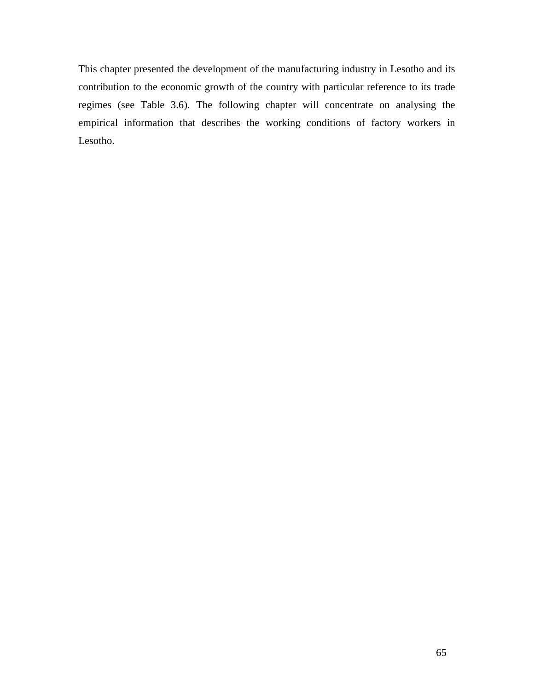This chapter presented the development of the manufacturing industry in Lesotho and its contribution to the economic growth of the country with particular reference to its trade regimes (see Table 3.6). The following chapter will concentrate on analysing the empirical information that describes the working conditions of factory workers in Lesotho.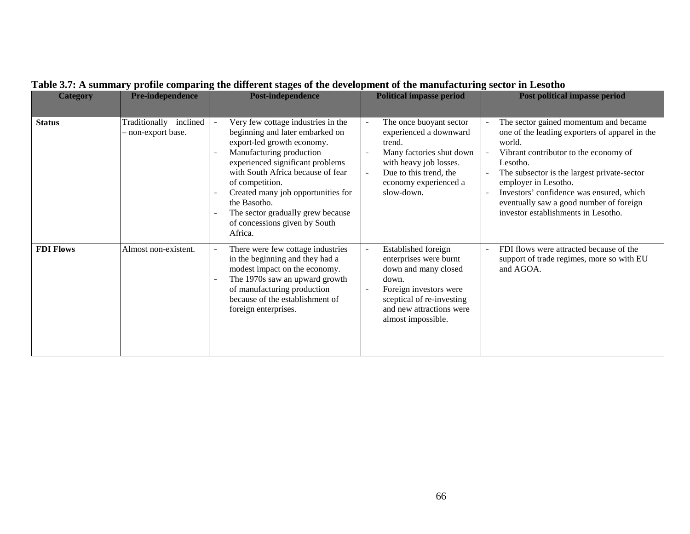| <b>Category</b>  | Pre-independence                                | <b>Post-independence</b>                                                                                                                                                                                                                                                                                                                                           | <b>Political impasse period</b>                                                                                                                                                                                | <b>Post political impasse period</b>                                                                                                                                                                                                                                                                                                                        |
|------------------|-------------------------------------------------|--------------------------------------------------------------------------------------------------------------------------------------------------------------------------------------------------------------------------------------------------------------------------------------------------------------------------------------------------------------------|----------------------------------------------------------------------------------------------------------------------------------------------------------------------------------------------------------------|-------------------------------------------------------------------------------------------------------------------------------------------------------------------------------------------------------------------------------------------------------------------------------------------------------------------------------------------------------------|
| <b>Status</b>    | Traditionally<br>inclined<br>- non-export base. | Very few cottage industries in the<br>beginning and later embarked on<br>export-led growth economy.<br>Manufacturing production<br>experienced significant problems<br>with South Africa because of fear<br>of competition.<br>Created many job opportunities for<br>the Basotho.<br>The sector gradually grew because<br>of concessions given by South<br>Africa. | The once buoyant sector<br>experienced a downward<br>trend.<br>Many factories shut down<br>$\overline{\phantom{a}}$<br>with heavy job losses.<br>Due to this trend, the<br>economy experienced a<br>slow-down. | The sector gained momentum and became<br>one of the leading exporters of apparel in the<br>world.<br>Vibrant contributor to the economy of<br>Lesotho.<br>The subsector is the largest private-sector<br>employer in Lesotho.<br>Investors' confidence was ensured, which<br>eventually saw a good number of foreign<br>investor establishments in Lesotho. |
| <b>FDI Flows</b> | Almost non-existent.                            | There were few cottage industries<br>in the beginning and they had a<br>modest impact on the economy.<br>The 1970s saw an upward growth<br>of manufacturing production<br>because of the establishment of<br>foreign enterprises.                                                                                                                                  | Established foreign<br>enterprises were burnt<br>down and many closed<br>down.<br>Foreign investors were<br>sceptical of re-investing<br>and new attractions were<br>almost impossible.                        | FDI flows were attracted because of the<br>support of trade regimes, more so with EU<br>and AGOA.                                                                                                                                                                                                                                                           |

## **Table 3.7: A summary profile comparing the different stages of the development of the manufacturing sector in Lesotho**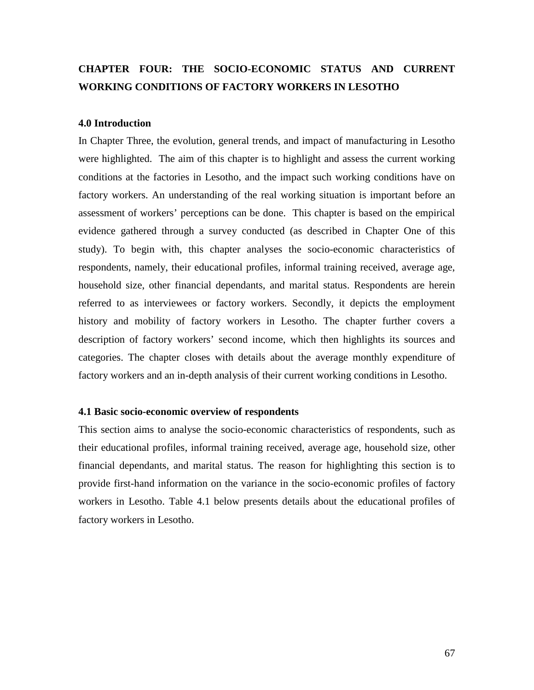# **CHAPTER FOUR: THE SOCIO-ECONOMIC STATUS AND CURRENT WORKING CONDITIONS OF FACTORY WORKERS IN LESOTHO**

#### **4.0 Introduction**

In Chapter Three, the evolution, general trends, and impact of manufacturing in Lesotho were highlighted. The aim of this chapter is to highlight and assess the current working conditions at the factories in Lesotho, and the impact such working conditions have on factory workers. An understanding of the real working situation is important before an assessment of workers' perceptions can be done. This chapter is based on the empirical evidence gathered through a survey conducted (as described in Chapter One of this study). To begin with, this chapter analyses the socio-economic characteristics of respondents, namely, their educational profiles, informal training received, average age, household size, other financial dependants, and marital status. Respondents are herein referred to as interviewees or factory workers. Secondly, it depicts the employment history and mobility of factory workers in Lesotho. The chapter further covers a description of factory workers' second income, which then highlights its sources and categories. The chapter closes with details about the average monthly expenditure of factory workers and an in-depth analysis of their current working conditions in Lesotho.

#### **4.1 Basic socio-economic overview of respondents**

This section aims to analyse the socio-economic characteristics of respondents, such as their educational profiles, informal training received, average age, household size, other financial dependants, and marital status. The reason for highlighting this section is to provide first-hand information on the variance in the socio-economic profiles of factory workers in Lesotho. Table 4.1 below presents details about the educational profiles of factory workers in Lesotho.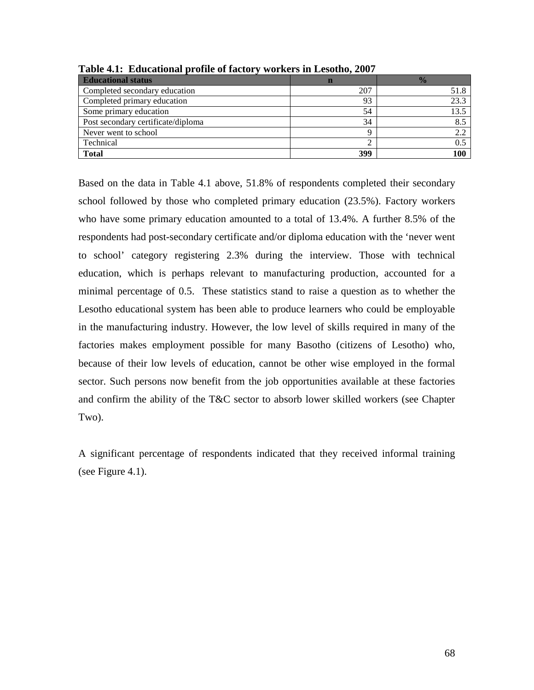| <b>Educational status</b>          |     | $\frac{1}{2}$ |
|------------------------------------|-----|---------------|
| Completed secondary education      | 207 | 51.8          |
| Completed primary education        | 93  | 23.3          |
| Some primary education             | 54  | 13.5          |
| Post secondary certificate/diploma | 34  | 8.5           |
| Never went to school               |     | 2.2           |
| Technical                          |     | 0.5           |
| <b>Total</b>                       | 399 | 100           |

**Table 4.1: Educational profile of factory workers in Lesotho, 2007** 

Based on the data in Table 4.1 above, 51.8% of respondents completed their secondary school followed by those who completed primary education (23.5%). Factory workers who have some primary education amounted to a total of 13.4%. A further 8.5% of the respondents had post-secondary certificate and/or diploma education with the 'never went to school' category registering 2.3% during the interview. Those with technical education, which is perhaps relevant to manufacturing production, accounted for a minimal percentage of 0.5. These statistics stand to raise a question as to whether the Lesotho educational system has been able to produce learners who could be employable in the manufacturing industry. However, the low level of skills required in many of the factories makes employment possible for many Basotho (citizens of Lesotho) who, because of their low levels of education, cannot be other wise employed in the formal sector. Such persons now benefit from the job opportunities available at these factories and confirm the ability of the T&C sector to absorb lower skilled workers (see Chapter Two).

A significant percentage of respondents indicated that they received informal training (see Figure 4.1).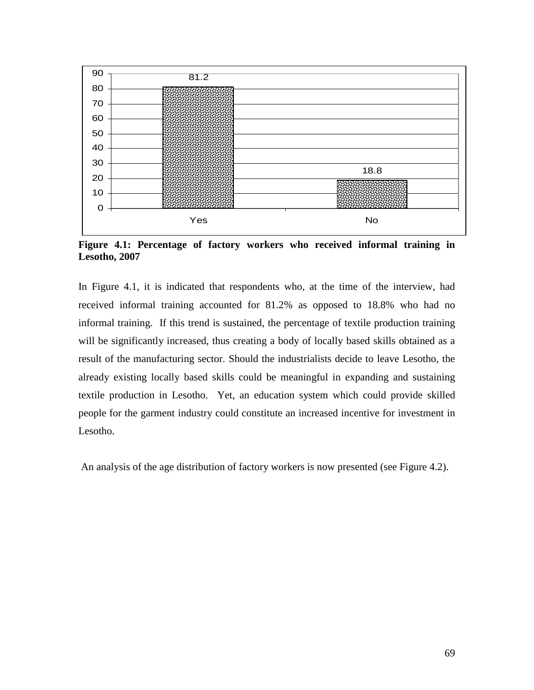

**Figure 4.1: Percentage of factory workers who received informal training in Lesotho, 2007**

In Figure 4.1, it is indicated that respondents who, at the time of the interview, had received informal training accounted for 81.2% as opposed to 18.8% who had no informal training. If this trend is sustained, the percentage of textile production training will be significantly increased, thus creating a body of locally based skills obtained as a result of the manufacturing sector. Should the industrialists decide to leave Lesotho, the already existing locally based skills could be meaningful in expanding and sustaining textile production in Lesotho. Yet, an education system which could provide skilled people for the garment industry could constitute an increased incentive for investment in Lesotho.

An analysis of the age distribution of factory workers is now presented (see Figure 4.2).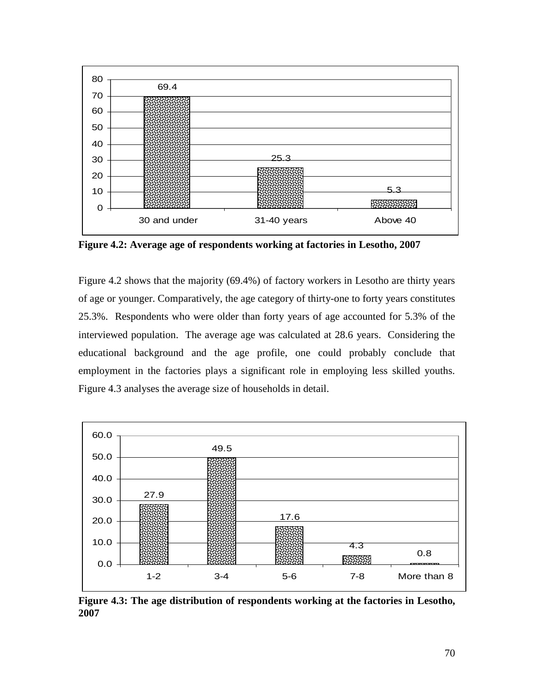

**Figure 4.2: Average age of respondents working at factories in Lesotho, 2007**

Figure 4.2 shows that the majority (69.4%) of factory workers in Lesotho are thirty years of age or younger. Comparatively, the age category of thirty-one to forty years constitutes 25.3%. Respondents who were older than forty years of age accounted for 5.3% of the interviewed population. The average age was calculated at 28.6 years. Considering the educational background and the age profile, one could probably conclude that employment in the factories plays a significant role in employing less skilled youths. Figure 4.3 analyses the average size of households in detail.



**Figure 4.3: The age distribution of respondents working at the factories in Lesotho, 2007**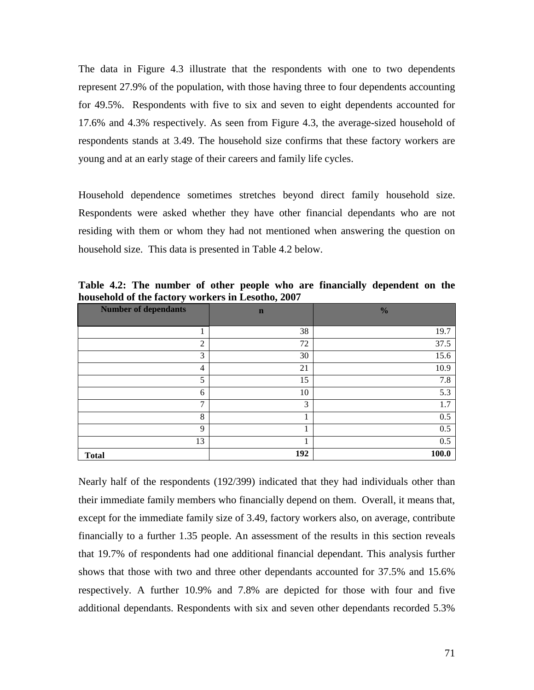The data in Figure 4.3 illustrate that the respondents with one to two dependents represent 27.9% of the population, with those having three to four dependents accounting for 49.5%. Respondents with five to six and seven to eight dependents accounted for 17.6% and 4.3% respectively. As seen from Figure 4.3, the average-sized household of respondents stands at 3.49. The household size confirms that these factory workers are young and at an early stage of their careers and family life cycles.

Household dependence sometimes stretches beyond direct family household size. Respondents were asked whether they have other financial dependants who are not residing with them or whom they had not mentioned when answering the question on household size. This data is presented in Table 4.2 below.

| <b>Number of dependants</b> | $\mathbf n$ | $\frac{0}{0}$ |
|-----------------------------|-------------|---------------|
|                             |             |               |
|                             | 38          | 19.7          |
| $\overline{2}$              | 72          | 37.5          |
| 3                           | 30          | 15.6          |
| $\overline{4}$              | 21          | 10.9          |
| 5                           | 15          | 7.8           |
| 6                           | 10          | 5.3           |
| $\mathcal{I}$               | 3           | 1.7           |
| 8                           |             | 0.5           |
| 9                           |             | 0.5           |
| 13                          |             | 0.5           |
| <b>Total</b>                | 192         | 100.0         |

**Table 4.2: The number of other people who are financially dependent on the household of the factory workers in Lesotho, 2007** 

Nearly half of the respondents (192/399) indicated that they had individuals other than their immediate family members who financially depend on them. Overall, it means that, except for the immediate family size of 3.49, factory workers also, on average, contribute financially to a further 1.35 people. An assessment of the results in this section reveals that 19.7% of respondents had one additional financial dependant. This analysis further shows that those with two and three other dependants accounted for 37.5% and 15.6% respectively. A further 10.9% and 7.8% are depicted for those with four and five additional dependants. Respondents with six and seven other dependants recorded 5.3%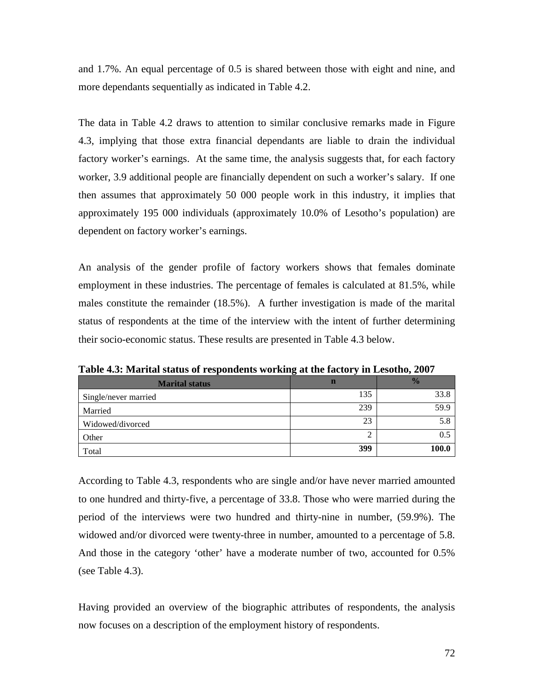and 1.7%. An equal percentage of 0.5 is shared between those with eight and nine, and more dependants sequentially as indicated in Table 4.2.

The data in Table 4.2 draws to attention to similar conclusive remarks made in Figure 4.3, implying that those extra financial dependants are liable to drain the individual factory worker's earnings. At the same time, the analysis suggests that, for each factory worker, 3.9 additional people are financially dependent on such a worker's salary. If one then assumes that approximately 50 000 people work in this industry, it implies that approximately 195 000 individuals (approximately 10.0% of Lesotho's population) are dependent on factory worker's earnings.

An analysis of the gender profile of factory workers shows that females dominate employment in these industries. The percentage of females is calculated at 81.5%, while males constitute the remainder (18.5%). A further investigation is made of the marital status of respondents at the time of the interview with the intent of further determining their socio-economic status. These results are presented in Table 4.3 below.

| <b>Marital status</b> | n   | $\frac{1}{2}$ |
|-----------------------|-----|---------------|
| Single/never married  | 135 | 33.8          |
| Married               | 239 | 59.9          |
| Widowed/divorced      | 23  | 5.8           |
| Other                 | ∠   | 0.5           |
| Total                 | 399 | 100.0         |

**Table 4.3: Marital status of respondents working at the factory in Lesotho, 2007** 

According to Table 4.3, respondents who are single and/or have never married amounted to one hundred and thirty-five, a percentage of 33.8. Those who were married during the period of the interviews were two hundred and thirty-nine in number, (59.9%). The widowed and/or divorced were twenty-three in number, amounted to a percentage of 5.8. And those in the category 'other' have a moderate number of two, accounted for 0.5% (see Table 4.3).

Having provided an overview of the biographic attributes of respondents, the analysis now focuses on a description of the employment history of respondents.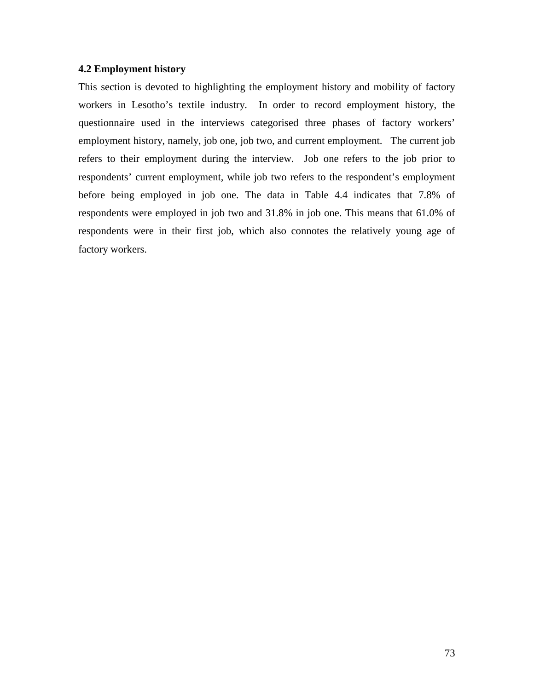#### **4.2 Employment history**

This section is devoted to highlighting the employment history and mobility of factory workers in Lesotho's textile industry. In order to record employment history, the questionnaire used in the interviews categorised three phases of factory workers' employment history, namely, job one, job two, and current employment. The current job refers to their employment during the interview. Job one refers to the job prior to respondents' current employment, while job two refers to the respondent's employment before being employed in job one. The data in Table 4.4 indicates that 7.8% of respondents were employed in job two and 31.8% in job one. This means that 61.0% of respondents were in their first job, which also connotes the relatively young age of factory workers.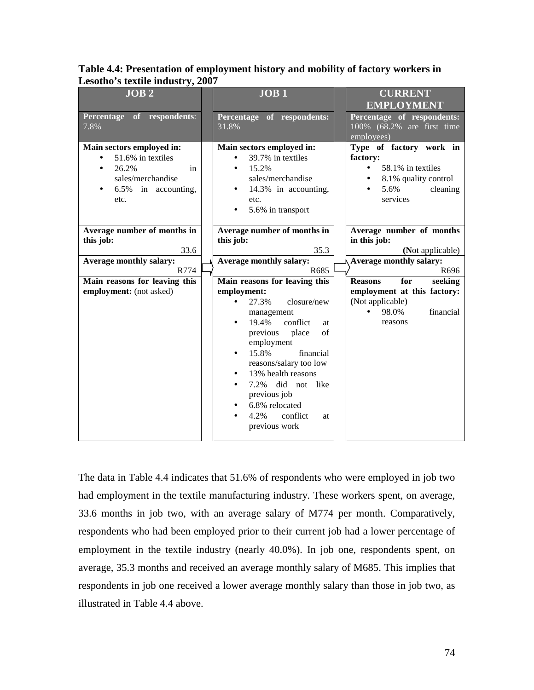| JOB <sub>2</sub>                                                                                                  |  | JOB <sub>1</sub>                                                                                                                                                                                                                                                                                                                                                                   |  | <b>CURRENT</b><br><b>EMPLOYMENT</b>                                                                                                        |
|-------------------------------------------------------------------------------------------------------------------|--|------------------------------------------------------------------------------------------------------------------------------------------------------------------------------------------------------------------------------------------------------------------------------------------------------------------------------------------------------------------------------------|--|--------------------------------------------------------------------------------------------------------------------------------------------|
| Percentage of respondents:<br>7.8%                                                                                |  | Percentage of respondents:<br>31.8%                                                                                                                                                                                                                                                                                                                                                |  | Percentage of respondents:<br>100% (68.2% are first time<br>employees)                                                                     |
| Main sectors employed in:<br>51.6% in textiles<br>26.2%<br>in<br>sales/merchandise<br>6.5% in accounting,<br>etc. |  | Main sectors employed in:<br>39.7% in textiles<br>15.2%<br>sales/merchandise<br>14.3% in accounting,<br>etc.<br>5.6% in transport                                                                                                                                                                                                                                                  |  | Type of factory work in<br>factory:<br>58.1% in textiles<br>$\bullet$<br>8.1% quality control<br>5.6%<br>cleaning<br>$\bullet$<br>services |
| Average number of months in<br>this job:<br>33.6                                                                  |  | Average number of months in<br>this job:<br>35.3                                                                                                                                                                                                                                                                                                                                   |  | Average number of months<br>in this job:<br>(Not applicable)                                                                               |
| Average monthly salary:<br>R774                                                                                   |  | <b>Average monthly salary:</b><br>R685                                                                                                                                                                                                                                                                                                                                             |  | Average monthly salary:<br>R696                                                                                                            |
| Main reasons for leaving this<br>employment: (not asked)                                                          |  | Main reasons for leaving this<br>employment:<br>27.3%<br>closure/new<br>$\bullet$<br>management<br>conflict<br>19.4%<br>at<br>of<br>previous<br>place<br>employment<br>15.8%<br>financial<br>$\bullet$<br>reasons/salary too low<br>13% health reasons<br>$\bullet$<br>7.2% did not like<br>$\bullet$<br>previous job<br>6.8% relocated<br>4.2%<br>conflict<br>at<br>previous work |  | for<br><b>Reasons</b><br>seeking<br>employment at this factory:<br>(Not applicable)<br>financial<br>98.0%<br>$\bullet$<br>reasons          |

**Table 4.4: Presentation of employment history and mobility of factory workers in Lesotho's textile industry, 2007** 

The data in Table 4.4 indicates that 51.6% of respondents who were employed in job two had employment in the textile manufacturing industry. These workers spent, on average, 33.6 months in job two, with an average salary of M774 per month. Comparatively, respondents who had been employed prior to their current job had a lower percentage of employment in the textile industry (nearly 40.0%). In job one, respondents spent, on average, 35.3 months and received an average monthly salary of M685. This implies that respondents in job one received a lower average monthly salary than those in job two, as illustrated in Table 4.4 above.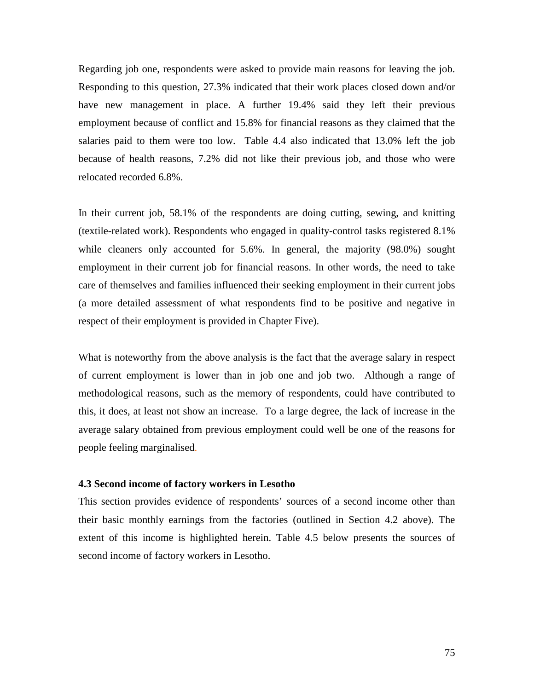Regarding job one, respondents were asked to provide main reasons for leaving the job. Responding to this question, 27.3% indicated that their work places closed down and/or have new management in place. A further 19.4% said they left their previous employment because of conflict and 15.8% for financial reasons as they claimed that the salaries paid to them were too low. Table 4.4 also indicated that 13.0% left the job because of health reasons, 7.2% did not like their previous job, and those who were relocated recorded 6.8%.

In their current job, 58.1% of the respondents are doing cutting, sewing, and knitting (textile-related work). Respondents who engaged in quality-control tasks registered 8.1% while cleaners only accounted for 5.6%. In general, the majority (98.0%) sought employment in their current job for financial reasons. In other words, the need to take care of themselves and families influenced their seeking employment in their current jobs (a more detailed assessment of what respondents find to be positive and negative in respect of their employment is provided in Chapter Five).

What is noteworthy from the above analysis is the fact that the average salary in respect of current employment is lower than in job one and job two. Although a range of methodological reasons, such as the memory of respondents, could have contributed to this, it does, at least not show an increase. To a large degree, the lack of increase in the average salary obtained from previous employment could well be one of the reasons for people feeling marginalised.

## **4.3 Second income of factory workers in Lesotho**

This section provides evidence of respondents' sources of a second income other than their basic monthly earnings from the factories (outlined in Section 4.2 above). The extent of this income is highlighted herein. Table 4.5 below presents the sources of second income of factory workers in Lesotho.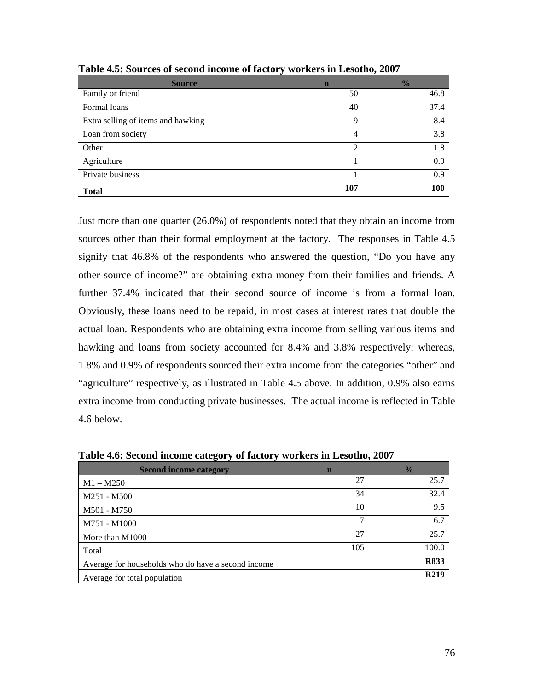| <b>Source</b>                      | n   | $\frac{1}{2}$ |
|------------------------------------|-----|---------------|
| Family or friend                   | 50  | 46.8          |
| Formal loans                       | 40  | 37.4          |
| Extra selling of items and hawking | 9   | 8.4           |
| Loan from society                  | 4   | 3.8           |
| Other                              | 2   | 1.8           |
| Agriculture                        |     | 0.9           |
| Private business                   |     | 0.9           |
| <b>Total</b>                       | 107 | 100           |

**Table 4.5: Sources of second income of factory workers in Lesotho, 2007** 

Just more than one quarter (26.0%) of respondents noted that they obtain an income from sources other than their formal employment at the factory. The responses in Table 4.5 signify that 46.8% of the respondents who answered the question, "Do you have any other source of income?" are obtaining extra money from their families and friends. A further 37.4% indicated that their second source of income is from a formal loan. Obviously, these loans need to be repaid, in most cases at interest rates that double the actual loan. Respondents who are obtaining extra income from selling various items and hawking and loans from society accounted for 8.4% and 3.8% respectively: whereas, 1.8% and 0.9% of respondents sourced their extra income from the categories "other" and "agriculture" respectively, as illustrated in Table 4.5 above. In addition, 0.9% also earns extra income from conducting private businesses. The actual income is reflected in Table 4.6 below.

**Table 4.6: Second income category of factory workers in Lesotho, 2007** 

| <b>Second income category</b>                      | $\mathbf n$ | $\frac{0}{0}$     |
|----------------------------------------------------|-------------|-------------------|
| $M1 - M250$                                        | 27          | 25.7              |
| M251 - M500                                        | 34          | 32.4              |
| M501 - M750                                        | 10          | 9.5               |
| M751 - M1000                                       | ⇁           | 6.7               |
| More than M1000                                    | 27          | 25.7              |
| Total                                              | 105         | 100.0             |
| Average for households who do have a second income |             | <b>R833</b>       |
| Average for total population                       |             | R <sub>2</sub> 19 |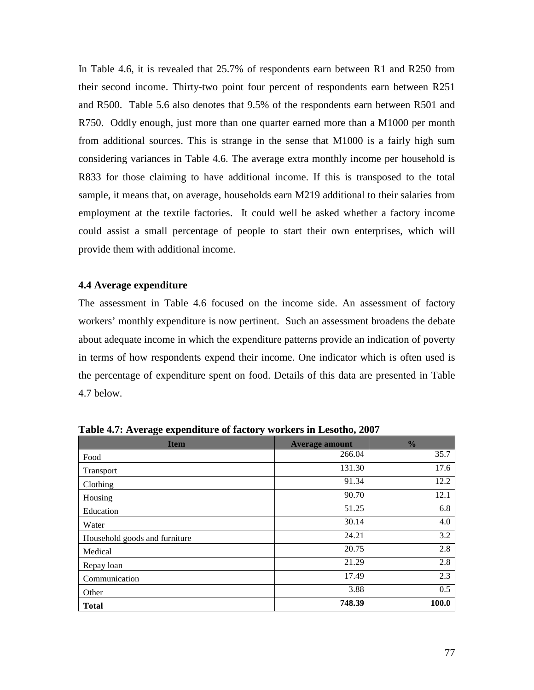In Table 4.6, it is revealed that 25.7% of respondents earn between R1 and R250 from their second income. Thirty-two point four percent of respondents earn between R251 and R500. Table 5.6 also denotes that 9.5% of the respondents earn between R501 and R750. Oddly enough, just more than one quarter earned more than a M1000 per month from additional sources. This is strange in the sense that M1000 is a fairly high sum considering variances in Table 4.6. The average extra monthly income per household is R833 for those claiming to have additional income. If this is transposed to the total sample, it means that, on average, households earn M219 additional to their salaries from employment at the textile factories. It could well be asked whether a factory income could assist a small percentage of people to start their own enterprises, which will provide them with additional income.

#### **4.4 Average expenditure**

The assessment in Table 4.6 focused on the income side. An assessment of factory workers' monthly expenditure is now pertinent. Such an assessment broadens the debate about adequate income in which the expenditure patterns provide an indication of poverty in terms of how respondents expend their income. One indicator which is often used is the percentage of expenditure spent on food. Details of this data are presented in Table 4.7 below.

| <b>Item</b>                   | <b>Average amount</b> | $\frac{0}{0}$ |
|-------------------------------|-----------------------|---------------|
| Food                          | 266.04                | 35.7          |
| Transport                     | 131.30                | 17.6          |
| Clothing                      | 91.34                 | 12.2          |
| Housing                       | 90.70                 | 12.1          |
| Education                     | 51.25                 | 6.8           |
| Water                         | 30.14                 | 4.0           |
| Household goods and furniture | 24.21                 | 3.2           |
| Medical                       | 20.75                 | 2.8           |
| Repay loan                    | 21.29                 | 2.8           |
| Communication                 | 17.49                 | 2.3           |
| Other                         | 3.88                  | 0.5           |
| <b>Total</b>                  | 748.39                | 100.0         |

**Table 4.7: Average expenditure of factory workers in Lesotho, 2007**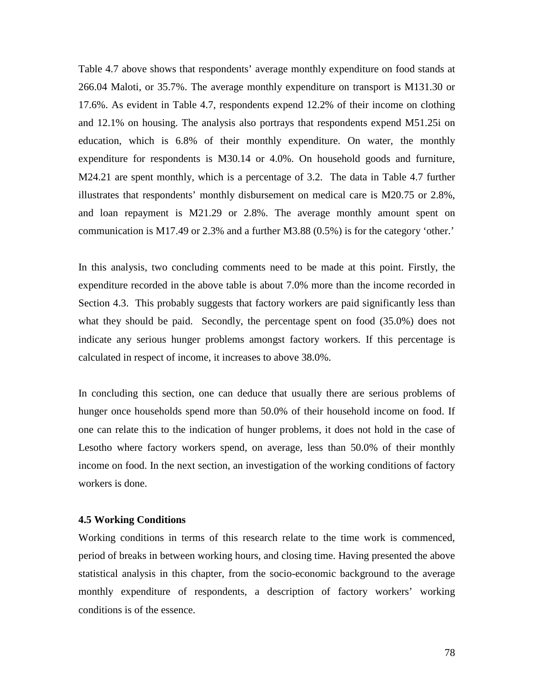Table 4.7 above shows that respondents' average monthly expenditure on food stands at 266.04 Maloti, or 35.7%. The average monthly expenditure on transport is M131.30 or 17.6%. As evident in Table 4.7, respondents expend 12.2% of their income on clothing and 12.1% on housing. The analysis also portrays that respondents expend M51.25i on education, which is 6.8% of their monthly expenditure. On water, the monthly expenditure for respondents is M30.14 or 4.0%. On household goods and furniture, M24.21 are spent monthly, which is a percentage of 3.2. The data in Table 4.7 further illustrates that respondents' monthly disbursement on medical care is M20.75 or 2.8%, and loan repayment is M21.29 or 2.8%. The average monthly amount spent on communication is M17.49 or 2.3% and a further M3.88 (0.5%) is for the category 'other.'

In this analysis, two concluding comments need to be made at this point. Firstly, the expenditure recorded in the above table is about 7.0% more than the income recorded in Section 4.3. This probably suggests that factory workers are paid significantly less than what they should be paid. Secondly, the percentage spent on food  $(35.0\%)$  does not indicate any serious hunger problems amongst factory workers. If this percentage is calculated in respect of income, it increases to above 38.0%.

In concluding this section, one can deduce that usually there are serious problems of hunger once households spend more than 50.0% of their household income on food. If one can relate this to the indication of hunger problems, it does not hold in the case of Lesotho where factory workers spend, on average, less than 50.0% of their monthly income on food. In the next section, an investigation of the working conditions of factory workers is done.

#### **4.5 Working Conditions**

Working conditions in terms of this research relate to the time work is commenced, period of breaks in between working hours, and closing time. Having presented the above statistical analysis in this chapter, from the socio-economic background to the average monthly expenditure of respondents, a description of factory workers' working conditions is of the essence.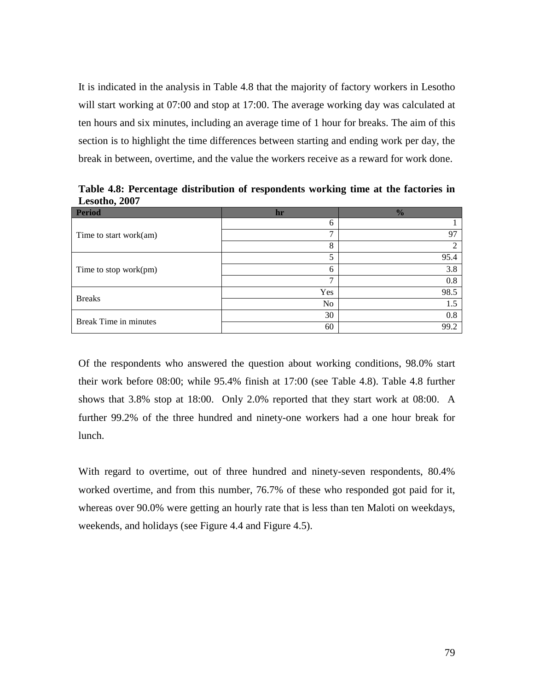It is indicated in the analysis in Table 4.8 that the majority of factory workers in Lesotho will start working at 07:00 and stop at 17:00. The average working day was calculated at ten hours and six minutes, including an average time of 1 hour for breaks. The aim of this section is to highlight the time differences between starting and ending work per day, the break in between, overtime, and the value the workers receive as a reward for work done.

**Period hr %**  Time to start work(am) 6 1 7 97 8 2 Time to stop work(pm) 5 95.4 6 3.8 7 0.8 Breaks Yes 98.5 No 1.5 Break Time in minutes  $30 \t\t 0.8$ 60 99.2

**Table 4.8: Percentage distribution of respondents working time at the factories in Lesotho, 2007**

Of the respondents who answered the question about working conditions, 98.0% start their work before 08:00; while 95.4% finish at 17:00 (see Table 4.8). Table 4.8 further shows that 3.8% stop at 18:00. Only 2.0% reported that they start work at 08:00. A further 99.2% of the three hundred and ninety-one workers had a one hour break for lunch.

With regard to overtime, out of three hundred and ninety-seven respondents, 80.4% worked overtime, and from this number, 76.7% of these who responded got paid for it, whereas over 90.0% were getting an hourly rate that is less than ten Maloti on weekdays, weekends, and holidays (see Figure 4.4 and Figure 4.5).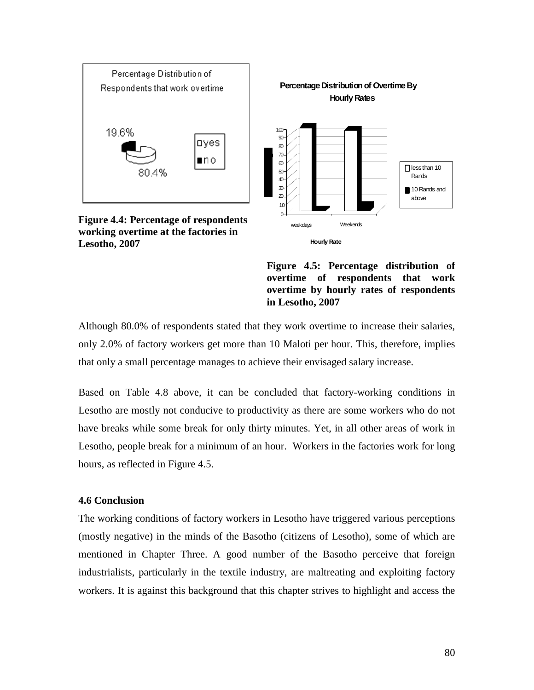

**Hourly Rate**



Although 80.0% of respondents stated that they work overtime to increase their salaries, only 2.0% of factory workers get more than 10 Maloti per hour. This, therefore, implies that only a small percentage manages to achieve their envisaged salary increase.

Based on Table 4.8 above, it can be concluded that factory-working conditions in Lesotho are mostly not conducive to productivity as there are some workers who do not have breaks while some break for only thirty minutes. Yet, in all other areas of work in Lesotho, people break for a minimum of an hour. Workers in the factories work for long hours, as reflected in Figure 4.5.

## **4.6 Conclusion**

**Lesotho, 2007** 

The working conditions of factory workers in Lesotho have triggered various perceptions (mostly negative) in the minds of the Basotho (citizens of Lesotho), some of which are mentioned in Chapter Three. A good number of the Basotho perceive that foreign industrialists, particularly in the textile industry, are maltreating and exploiting factory workers. It is against this background that this chapter strives to highlight and access the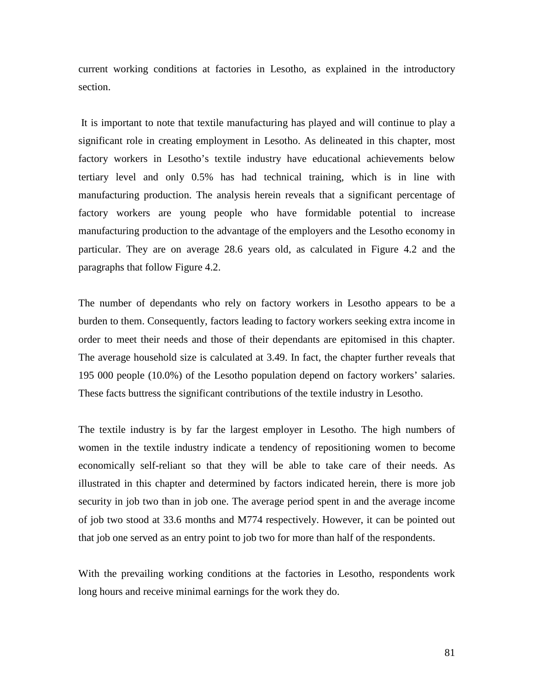current working conditions at factories in Lesotho, as explained in the introductory section.

 It is important to note that textile manufacturing has played and will continue to play a significant role in creating employment in Lesotho. As delineated in this chapter, most factory workers in Lesotho's textile industry have educational achievements below tertiary level and only 0.5% has had technical training, which is in line with manufacturing production. The analysis herein reveals that a significant percentage of factory workers are young people who have formidable potential to increase manufacturing production to the advantage of the employers and the Lesotho economy in particular. They are on average 28.6 years old, as calculated in Figure 4.2 and the paragraphs that follow Figure 4.2.

The number of dependants who rely on factory workers in Lesotho appears to be a burden to them. Consequently, factors leading to factory workers seeking extra income in order to meet their needs and those of their dependants are epitomised in this chapter. The average household size is calculated at 3.49. In fact, the chapter further reveals that 195 000 people (10.0%) of the Lesotho population depend on factory workers' salaries. These facts buttress the significant contributions of the textile industry in Lesotho.

The textile industry is by far the largest employer in Lesotho. The high numbers of women in the textile industry indicate a tendency of repositioning women to become economically self-reliant so that they will be able to take care of their needs. As illustrated in this chapter and determined by factors indicated herein, there is more job security in job two than in job one. The average period spent in and the average income of job two stood at 33.6 months and M774 respectively. However, it can be pointed out that job one served as an entry point to job two for more than half of the respondents.

With the prevailing working conditions at the factories in Lesotho, respondents work long hours and receive minimal earnings for the work they do.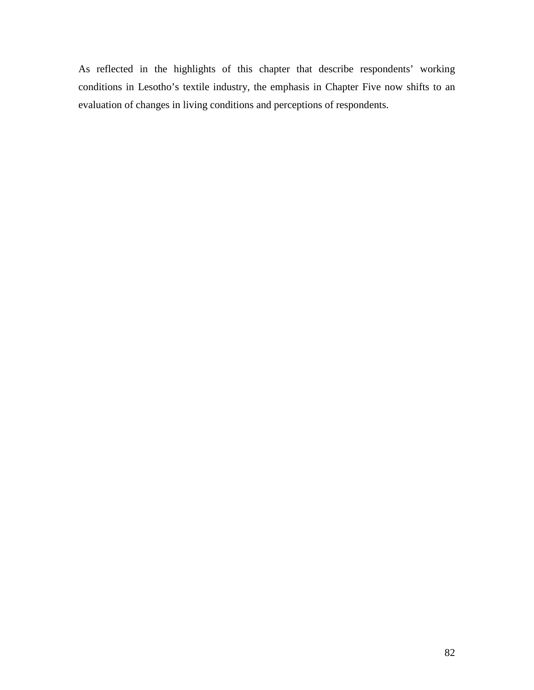As reflected in the highlights of this chapter that describe respondents' working conditions in Lesotho's textile industry, the emphasis in Chapter Five now shifts to an evaluation of changes in living conditions and perceptions of respondents.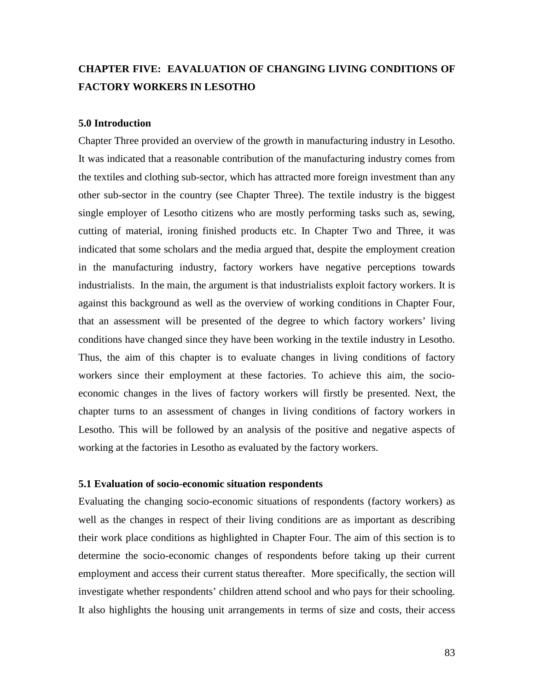## **CHAPTER FIVE: EAVALUATION OF CHANGING LIVING CONDITIONS OF FACTORY WORKERS IN LESOTHO**

#### **5.0 Introduction**

Chapter Three provided an overview of the growth in manufacturing industry in Lesotho. It was indicated that a reasonable contribution of the manufacturing industry comes from the textiles and clothing sub-sector, which has attracted more foreign investment than any other sub-sector in the country (see Chapter Three). The textile industry is the biggest single employer of Lesotho citizens who are mostly performing tasks such as, sewing, cutting of material, ironing finished products etc. In Chapter Two and Three, it was indicated that some scholars and the media argued that, despite the employment creation in the manufacturing industry, factory workers have negative perceptions towards industrialists. In the main, the argument is that industrialists exploit factory workers. It is against this background as well as the overview of working conditions in Chapter Four, that an assessment will be presented of the degree to which factory workers' living conditions have changed since they have been working in the textile industry in Lesotho. Thus, the aim of this chapter is to evaluate changes in living conditions of factory workers since their employment at these factories. To achieve this aim, the socioeconomic changes in the lives of factory workers will firstly be presented. Next, the chapter turns to an assessment of changes in living conditions of factory workers in Lesotho. This will be followed by an analysis of the positive and negative aspects of working at the factories in Lesotho as evaluated by the factory workers.

## **5.1 Evaluation of socio-economic situation respondents**

Evaluating the changing socio-economic situations of respondents (factory workers) as well as the changes in respect of their living conditions are as important as describing their work place conditions as highlighted in Chapter Four. The aim of this section is to determine the socio-economic changes of respondents before taking up their current employment and access their current status thereafter. More specifically, the section will investigate whether respondents' children attend school and who pays for their schooling. It also highlights the housing unit arrangements in terms of size and costs, their access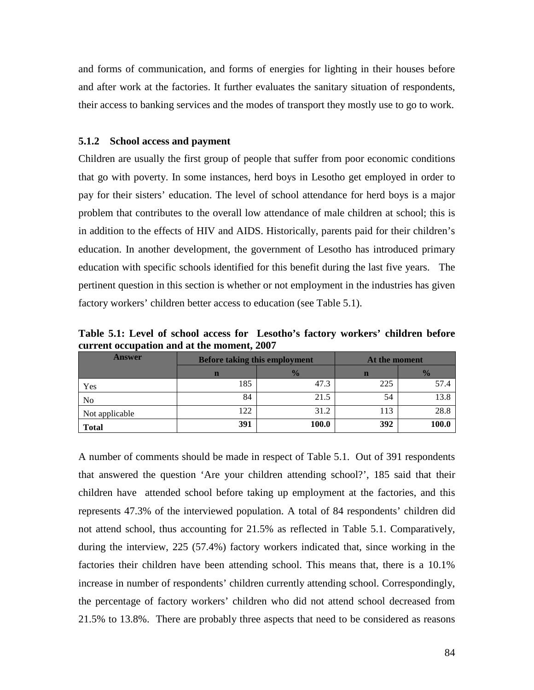and forms of communication, and forms of energies for lighting in their houses before and after work at the factories. It further evaluates the sanitary situation of respondents, their access to banking services and the modes of transport they mostly use to go to work.

#### **5.1.2 School access and payment**

Children are usually the first group of people that suffer from poor economic conditions that go with poverty. In some instances, herd boys in Lesotho get employed in order to pay for their sisters' education. The level of school attendance for herd boys is a major problem that contributes to the overall low attendance of male children at school; this is in addition to the effects of HIV and AIDS. Historically, parents paid for their children's education. In another development, the government of Lesotho has introduced primary education with specific schools identified for this benefit during the last five years. The pertinent question in this section is whether or not employment in the industries has given factory workers' children better access to education (see Table 5.1).

**Table 5.1: Level of school access for Lesotho's factory workers' children before current occupation and at the moment, 2007** 

| <b>Answer</b>  |     | <b>Before taking this employment</b> | At the moment |               |  |
|----------------|-----|--------------------------------------|---------------|---------------|--|
|                | n   | $\frac{1}{2}$                        | $\mathbf n$   | $\frac{1}{2}$ |  |
| Yes            | 185 | 47.3                                 | 225           | 57.4          |  |
| N <sub>0</sub> | 84  | 21.5                                 | 54            | 13.8          |  |
| Not applicable | 122 | 31.2                                 | 113           | 28.8          |  |
| <b>Total</b>   | 391 | 100.0                                | 392           | 100.0         |  |

A number of comments should be made in respect of Table 5.1. Out of 391 respondents that answered the question 'Are your children attending school?', 185 said that their children have attended school before taking up employment at the factories, and this represents 47.3% of the interviewed population. A total of 84 respondents' children did not attend school, thus accounting for 21.5% as reflected in Table 5.1. Comparatively, during the interview, 225 (57.4%) factory workers indicated that, since working in the factories their children have been attending school. This means that, there is a 10.1% increase in number of respondents' children currently attending school. Correspondingly, the percentage of factory workers' children who did not attend school decreased from 21.5% to 13.8%. There are probably three aspects that need to be considered as reasons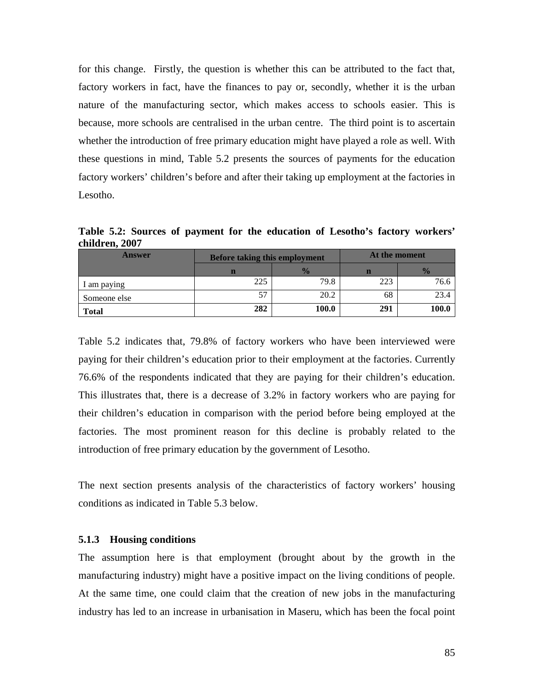for this change. Firstly, the question is whether this can be attributed to the fact that, factory workers in fact, have the finances to pay or, secondly, whether it is the urban nature of the manufacturing sector, which makes access to schools easier. This is because, more schools are centralised in the urban centre. The third point is to ascertain whether the introduction of free primary education might have played a role as well. With these questions in mind, Table 5.2 presents the sources of payments for the education factory workers' children's before and after their taking up employment at the factories in Lesotho.

**Table 5.2: Sources of payment for the education of Lesotho's factory workers' children, 2007** 

| <b>Answer</b> | <b>Before taking this employment</b> |               | At the moment |               |  |
|---------------|--------------------------------------|---------------|---------------|---------------|--|
|               |                                      | $\frac{1}{2}$ | n             | $\frac{1}{2}$ |  |
| 1 am paying   | 225                                  | 79.8          | 223           | 76.6          |  |
| Someone else  | 57                                   | 20.2          | 68            | 23.4          |  |
| <b>Total</b>  | 282                                  | 100.0         | 291           | 100.0         |  |

Table 5.2 indicates that, 79.8% of factory workers who have been interviewed were paying for their children's education prior to their employment at the factories. Currently 76.6% of the respondents indicated that they are paying for their children's education. This illustrates that, there is a decrease of 3.2% in factory workers who are paying for their children's education in comparison with the period before being employed at the factories. The most prominent reason for this decline is probably related to the introduction of free primary education by the government of Lesotho.

The next section presents analysis of the characteristics of factory workers' housing conditions as indicated in Table 5.3 below.

#### **5.1.3 Housing conditions**

The assumption here is that employment (brought about by the growth in the manufacturing industry) might have a positive impact on the living conditions of people. At the same time, one could claim that the creation of new jobs in the manufacturing industry has led to an increase in urbanisation in Maseru, which has been the focal point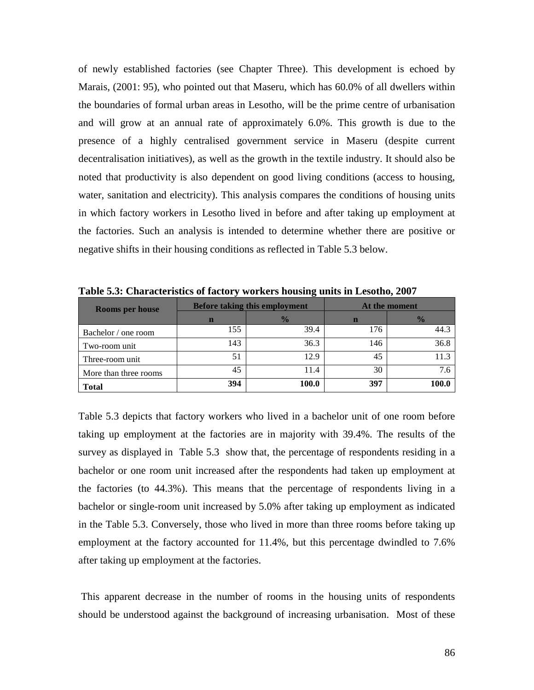of newly established factories (see Chapter Three). This development is echoed by Marais, (2001: 95), who pointed out that Maseru, which has 60.0% of all dwellers within the boundaries of formal urban areas in Lesotho, will be the prime centre of urbanisation and will grow at an annual rate of approximately 6.0%. This growth is due to the presence of a highly centralised government service in Maseru (despite current decentralisation initiatives), as well as the growth in the textile industry. It should also be noted that productivity is also dependent on good living conditions (access to housing, water, sanitation and electricity). This analysis compares the conditions of housing units in which factory workers in Lesotho lived in before and after taking up employment at the factories. Such an analysis is intended to determine whether there are positive or negative shifts in their housing conditions as reflected in Table 5.3 below.

| <b>Rooms per house</b> |     | <b>Before taking this employment</b> |     | At the moment |
|------------------------|-----|--------------------------------------|-----|---------------|
|                        | n   | $\frac{1}{2}$                        | n   | $\frac{0}{0}$ |
| Bachelor / one room    | 155 | 39.4                                 | 176 | 44.3          |
| Two-room unit          | 143 | 36.3                                 | 146 | 36.8          |
| Three-room unit        | 51  | 12.9                                 | 45  | 11.3          |
| More than three rooms  | 45  | 11.4                                 | 30  | 7.6           |
| <b>Total</b>           | 394 | 100.0                                | 397 | 100.6         |

**Table 5.3: Characteristics of factory workers housing units in Lesotho, 2007** 

Table 5.3 depicts that factory workers who lived in a bachelor unit of one room before taking up employment at the factories are in majority with 39.4%. The results of the survey as displayed in Table 5.3 show that, the percentage of respondents residing in a bachelor or one room unit increased after the respondents had taken up employment at the factories (to 44.3%). This means that the percentage of respondents living in a bachelor or single-room unit increased by 5.0% after taking up employment as indicated in the Table 5.3. Conversely, those who lived in more than three rooms before taking up employment at the factory accounted for 11.4%, but this percentage dwindled to 7.6% after taking up employment at the factories.

 This apparent decrease in the number of rooms in the housing units of respondents should be understood against the background of increasing urbanisation. Most of these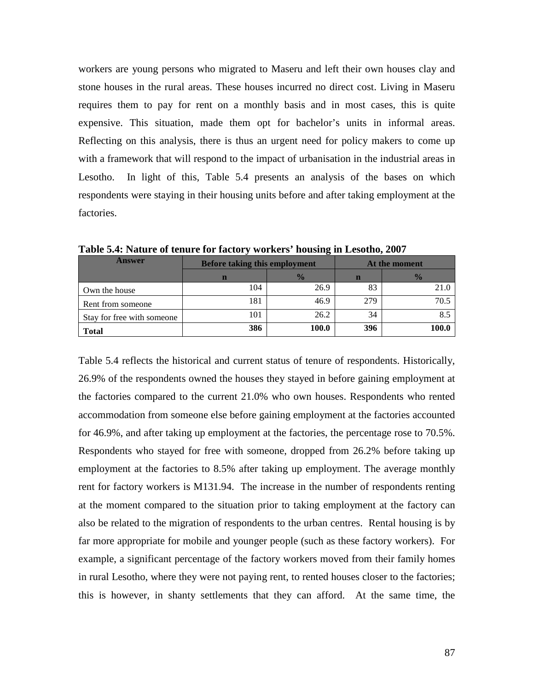workers are young persons who migrated to Maseru and left their own houses clay and stone houses in the rural areas. These houses incurred no direct cost. Living in Maseru requires them to pay for rent on a monthly basis and in most cases, this is quite expensive. This situation, made them opt for bachelor's units in informal areas. Reflecting on this analysis, there is thus an urgent need for policy makers to come up with a framework that will respond to the impact of urbanisation in the industrial areas in Lesotho. In light of this, Table 5.4 presents an analysis of the bases on which respondents were staying in their housing units before and after taking employment at the factories.

| Answer                     | <b>Before taking this employment</b> |               | At the moment |               |  |
|----------------------------|--------------------------------------|---------------|---------------|---------------|--|
|                            | n                                    | $\frac{0}{2}$ | n             | $\frac{0}{0}$ |  |
| Own the house              | 104                                  | 26.9          | 83            | 21.0          |  |
| Rent from someone          | 181                                  | 46.9          | 279           | 70.5          |  |
| Stay for free with someone | 101                                  | 26.2          | 34            |               |  |
| <b>Total</b>               | 386                                  | 100.0         | 396           | 100.0         |  |

**Table 5.4: Nature of tenure for factory workers' housing in Lesotho, 2007** 

Table 5.4 reflects the historical and current status of tenure of respondents. Historically, 26.9% of the respondents owned the houses they stayed in before gaining employment at the factories compared to the current 21.0% who own houses. Respondents who rented accommodation from someone else before gaining employment at the factories accounted for 46.9%, and after taking up employment at the factories, the percentage rose to 70.5%. Respondents who stayed for free with someone, dropped from 26.2% before taking up employment at the factories to 8.5% after taking up employment. The average monthly rent for factory workers is M131.94. The increase in the number of respondents renting at the moment compared to the situation prior to taking employment at the factory can also be related to the migration of respondents to the urban centres. Rental housing is by far more appropriate for mobile and younger people (such as these factory workers). For example, a significant percentage of the factory workers moved from their family homes in rural Lesotho, where they were not paying rent, to rented houses closer to the factories; this is however, in shanty settlements that they can afford. At the same time, the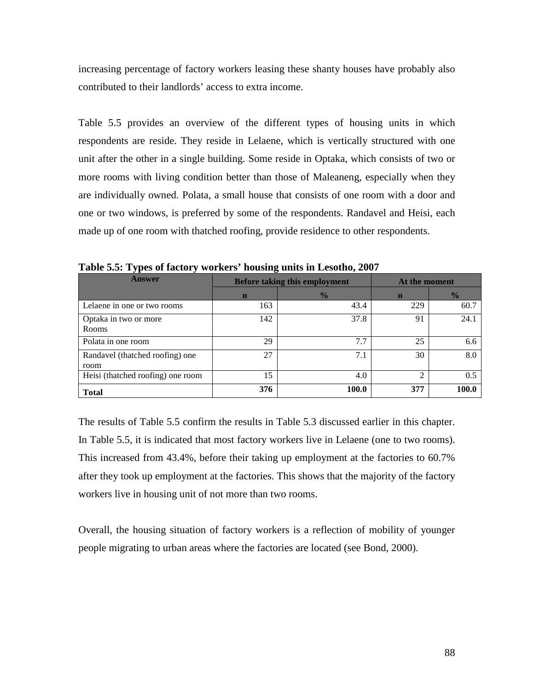increasing percentage of factory workers leasing these shanty houses have probably also contributed to their landlords' access to extra income.

Table 5.5 provides an overview of the different types of housing units in which respondents are reside. They reside in Lelaene, which is vertically structured with one unit after the other in a single building. Some reside in Optaka, which consists of two or more rooms with living condition better than those of Maleaneng, especially when they are individually owned. Polata, a small house that consists of one room with a door and one or two windows, is preferred by some of the respondents. Randavel and Heisi, each made up of one room with thatched roofing, provide residence to other respondents.

| <b>Answer</b>                           |             | <b>Before taking this employment</b> | At the moment |               |  |
|-----------------------------------------|-------------|--------------------------------------|---------------|---------------|--|
|                                         | $\mathbf n$ | $\frac{1}{2}$                        | $\mathbf n$   | $\frac{0}{2}$ |  |
| Lelaene in one or two rooms             | 163         | 43.4                                 | 229           | 60.7          |  |
| Optaka in two or more<br>Rooms          | 142         | 37.8                                 | 91            | 24.1          |  |
| Polata in one room                      | 29          | 7.7                                  | 25            | 6.6           |  |
| Randavel (thatched roofing) one<br>room | 27          | 7.1                                  | 30            | 8.0           |  |
| Heisi (thatched roofing) one room       | 15          | 4.0                                  | ◠             | 0.5           |  |
| <b>Total</b>                            | 376         | 100.0                                | 377           | 100.0         |  |

**Table 5.5: Types of factory workers' housing units in Lesotho, 2007** 

The results of Table 5.5 confirm the results in Table 5.3 discussed earlier in this chapter. In Table 5.5, it is indicated that most factory workers live in Lelaene (one to two rooms). This increased from 43.4%, before their taking up employment at the factories to 60.7% after they took up employment at the factories. This shows that the majority of the factory workers live in housing unit of not more than two rooms.

Overall, the housing situation of factory workers is a reflection of mobility of younger people migrating to urban areas where the factories are located (see Bond, 2000).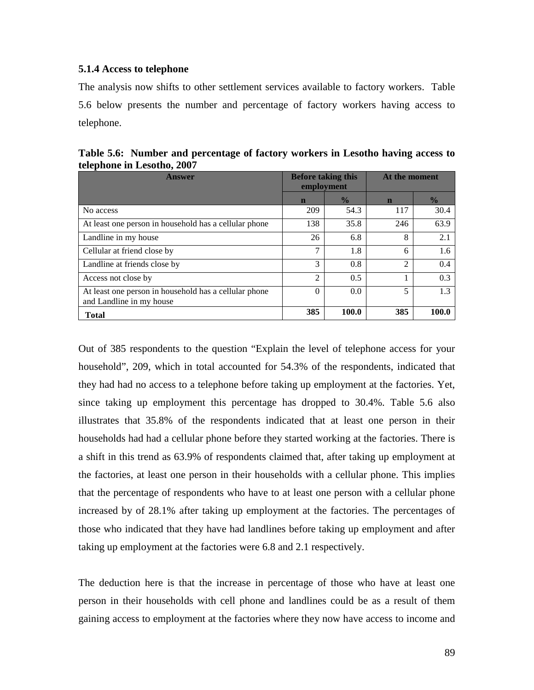#### **5.1.4 Access to telephone**

The analysis now shifts to other settlement services available to factory workers. Table 5.6 below presents the number and percentage of factory workers having access to telephone.

| Answer                                                                            | <b>Before taking this</b><br>employment |               | At the moment  |               |
|-----------------------------------------------------------------------------------|-----------------------------------------|---------------|----------------|---------------|
|                                                                                   | $\mathbf n$                             | $\frac{0}{0}$ | $\mathbf n$    | $\frac{0}{0}$ |
| No access                                                                         | 209                                     | 54.3          | 117            | 30.4          |
| At least one person in household has a cellular phone                             | 138                                     | 35.8          | 246            | 63.9          |
| Landline in my house                                                              | 26                                      | 6.8           | 8              | 2.1           |
| Cellular at friend close by                                                       |                                         | 1.8           | 6              | $1.6^{\circ}$ |
| Landline at friends close by                                                      | 3                                       | 0.8           | $\mathfrak{D}$ | 0.4           |
| Access not close by                                                               | $\mathfrak{D}$                          | 0.5           |                | 0.3           |
| At least one person in household has a cellular phone<br>and Landline in my house | $\Omega$                                | 0.0           | 5              | 1.3           |
| <b>Total</b>                                                                      | 385                                     | 100.0         | 385            | 100.0         |

**Table 5.6: Number and percentage of factory workers in Lesotho having access to telephone in Lesotho, 2007** 

Out of 385 respondents to the question "Explain the level of telephone access for your household", 209, which in total accounted for 54.3% of the respondents, indicated that they had had no access to a telephone before taking up employment at the factories. Yet, since taking up employment this percentage has dropped to 30.4%. Table 5.6 also illustrates that 35.8% of the respondents indicated that at least one person in their households had had a cellular phone before they started working at the factories. There is a shift in this trend as 63.9% of respondents claimed that, after taking up employment at the factories, at least one person in their households with a cellular phone. This implies that the percentage of respondents who have to at least one person with a cellular phone increased by of 28.1% after taking up employment at the factories. The percentages of those who indicated that they have had landlines before taking up employment and after taking up employment at the factories were 6.8 and 2.1 respectively.

The deduction here is that the increase in percentage of those who have at least one person in their households with cell phone and landlines could be as a result of them gaining access to employment at the factories where they now have access to income and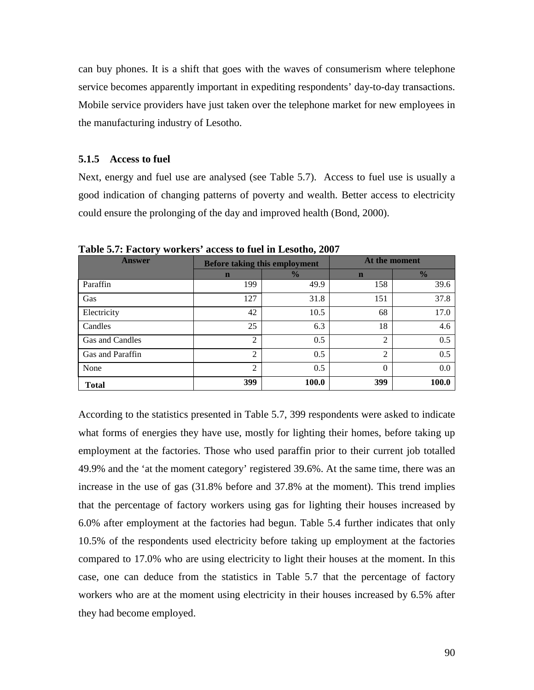can buy phones. It is a shift that goes with the waves of consumerism where telephone service becomes apparently important in expediting respondents' day-to-day transactions. Mobile service providers have just taken over the telephone market for new employees in the manufacturing industry of Lesotho.

#### **5.1.5 Access to fuel**

Next, energy and fuel use are analysed (see Table 5.7). Access to fuel use is usually a good indication of changing patterns of poverty and wealth. Better access to electricity could ensure the prolonging of the day and improved health (Bond, 2000).

| <b>Answer</b>    |                | <b>Before taking this employment</b> | At the moment |               |
|------------------|----------------|--------------------------------------|---------------|---------------|
|                  | $\mathbf n$    | $\frac{0}{0}$                        | $\mathbf n$   | $\frac{0}{2}$ |
| Paraffin         | 199            | 49.9                                 | 158           | 39.6          |
| Gas              | 127            | 31.8                                 | 151           | 37.8          |
| Electricity      | 42             | 10.5                                 | 68            | 17.0          |
| Candles          | 25             | 6.3                                  | 18            | 4.6           |
| Gas and Candles  | 2              | 0.5                                  | 2             | 0.5           |
| Gas and Paraffin | 2              | 0.5                                  | 2             | 0.5           |
| None             | $\mathfrak{D}$ | 0.5                                  | $\Omega$      | 0.0           |
| <b>Total</b>     | 399            | <b>100.0</b>                         | 399           | 100.0         |

**Table 5.7: Factory workers' access to fuel in Lesotho, 2007** 

According to the statistics presented in Table 5.7, 399 respondents were asked to indicate what forms of energies they have use, mostly for lighting their homes, before taking up employment at the factories. Those who used paraffin prior to their current job totalled 49.9% and the 'at the moment category' registered 39.6%. At the same time, there was an increase in the use of gas (31.8% before and 37.8% at the moment). This trend implies that the percentage of factory workers using gas for lighting their houses increased by 6.0% after employment at the factories had begun. Table 5.4 further indicates that only 10.5% of the respondents used electricity before taking up employment at the factories compared to 17.0% who are using electricity to light their houses at the moment. In this case, one can deduce from the statistics in Table 5.7 that the percentage of factory workers who are at the moment using electricity in their houses increased by 6.5% after they had become employed.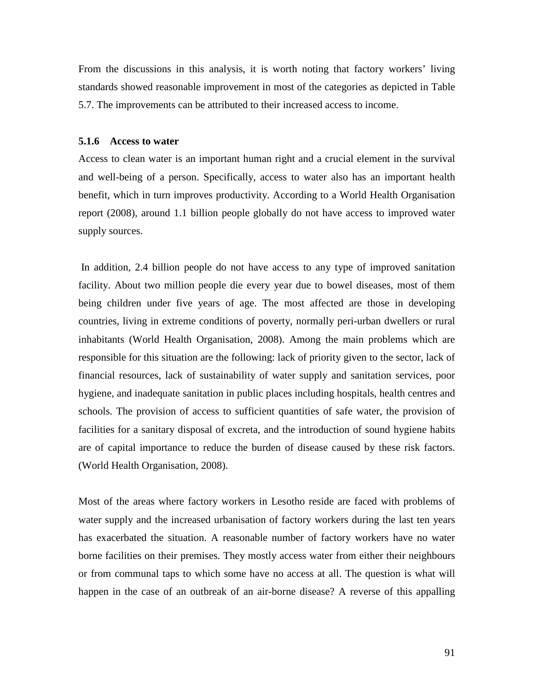From the discussions in this analysis, it is worth noting that factory workers' living standards showed reasonable improvement in most of the categories as depicted in Table 5.7. The improvements can be attributed to their increased access to income.

#### **5.1.6 Access to water**

Access to clean water is an important human right and a crucial element in the survival and well-being of a person. Specifically, access to water also has an important health benefit, which in turn improves productivity. According to a World Health Organisation report (2008), around 1.1 billion people globally do not have access to improved water supply sources.

 In addition, 2.4 billion people do not have access to any type of improved sanitation facility. About two million people die every year due to bowel diseases, most of them being children under five years of age. The most affected are those in developing countries, living in extreme conditions of poverty, normally peri-urban dwellers or rural inhabitants (World Health Organisation, 2008). Among the main problems which are responsible for this situation are the following: lack of priority given to the sector, lack of financial resources, lack of sustainability of water supply and sanitation services, poor hygiene, and inadequate sanitation in public places including hospitals, health centres and schools. The provision of access to sufficient quantities of safe water, the provision of facilities for a sanitary disposal of excreta, and the introduction of sound hygiene habits are of capital importance to reduce the burden of disease caused by these risk factors. (World Health Organisation, 2008).

Most of the areas where factory workers in Lesotho reside are faced with problems of water supply and the increased urbanisation of factory workers during the last ten years has exacerbated the situation. A reasonable number of factory workers have no water borne facilities on their premises. They mostly access water from either their neighbours or from communal taps to which some have no access at all. The question is what will happen in the case of an outbreak of an air-borne disease? A reverse of this appalling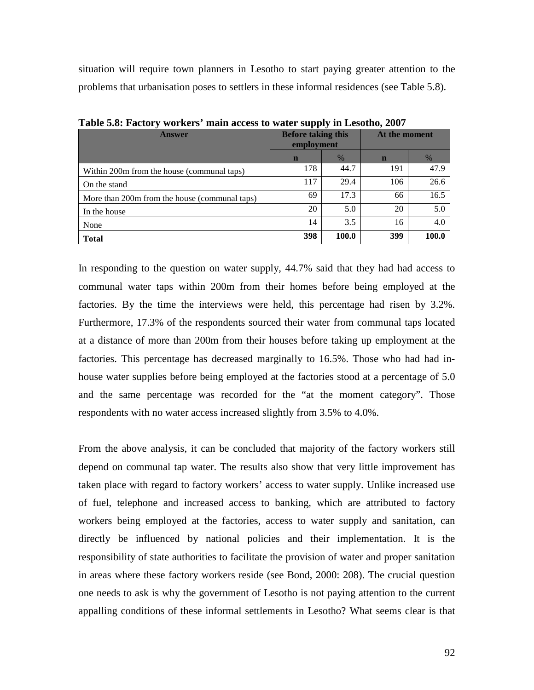situation will require town planners in Lesotho to start paying greater attention to the problems that urbanisation poses to settlers in these informal residences (see Table 5.8).

| $\frac{1}{2}$ and $\frac{1}{2}$ are $\frac{1}{2}$ and $\frac{1}{2}$ are $\frac{1}{2}$ and $\frac{1}{2}$ are $\frac{1}{2}$ and $\frac{1}{2}$ and $\frac{1}{2}$ are $\frac{1}{2}$ and $\frac{1}{2}$ are $\frac{1}{2}$ and $\frac{1}{2}$ are $\frac{1}{2}$ and $\frac{1}{2}$ are $\frac{1}{2}$ a |                                         |               |               |               |
|-----------------------------------------------------------------------------------------------------------------------------------------------------------------------------------------------------------------------------------------------------------------------------------------------|-----------------------------------------|---------------|---------------|---------------|
| <b>Answer</b>                                                                                                                                                                                                                                                                                 | <b>Before taking this</b><br>employment |               | At the moment |               |
|                                                                                                                                                                                                                                                                                               | $\mathbf n$                             | $\frac{0}{6}$ | $\mathbf n$   | $\frac{0}{6}$ |
| Within 200m from the house (communal taps)                                                                                                                                                                                                                                                    | 178                                     | 44.7          | 191           | 47.9          |
| On the stand                                                                                                                                                                                                                                                                                  | 117                                     | 29.4          | 106           | 26.6          |
| More than 200m from the house (communal taps)                                                                                                                                                                                                                                                 | 69                                      | 17.3          | 66            | 16.5          |
| In the house                                                                                                                                                                                                                                                                                  | 20                                      | 5.0           | 20            | 5.0           |
| None                                                                                                                                                                                                                                                                                          | 14                                      | 3.5           | 16            | 4.0           |
| <b>Total</b>                                                                                                                                                                                                                                                                                  | 398                                     | 100.0         | 399           | 100.0         |

**Table 5.8: Factory workers' main access to water supply in Lesotho, 2007** 

In responding to the question on water supply, 44.7% said that they had had access to communal water taps within 200m from their homes before being employed at the factories. By the time the interviews were held, this percentage had risen by 3.2%. Furthermore, 17.3% of the respondents sourced their water from communal taps located at a distance of more than 200m from their houses before taking up employment at the factories. This percentage has decreased marginally to 16.5%. Those who had had inhouse water supplies before being employed at the factories stood at a percentage of 5.0 and the same percentage was recorded for the "at the moment category". Those respondents with no water access increased slightly from 3.5% to 4.0%.

From the above analysis, it can be concluded that majority of the factory workers still depend on communal tap water. The results also show that very little improvement has taken place with regard to factory workers' access to water supply. Unlike increased use of fuel, telephone and increased access to banking, which are attributed to factory workers being employed at the factories, access to water supply and sanitation, can directly be influenced by national policies and their implementation. It is the responsibility of state authorities to facilitate the provision of water and proper sanitation in areas where these factory workers reside (see Bond, 2000: 208). The crucial question one needs to ask is why the government of Lesotho is not paying attention to the current appalling conditions of these informal settlements in Lesotho? What seems clear is that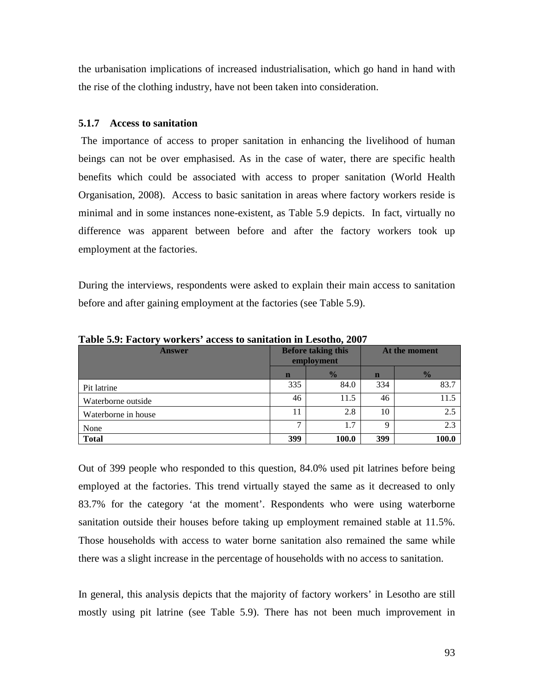the urbanisation implications of increased industrialisation, which go hand in hand with the rise of the clothing industry, have not been taken into consideration.

#### **5.1.7 Access to sanitation**

 The importance of access to proper sanitation in enhancing the livelihood of human beings can not be over emphasised. As in the case of water, there are specific health benefits which could be associated with access to proper sanitation (World Health Organisation, 2008). Access to basic sanitation in areas where factory workers reside is minimal and in some instances none-existent, as Table 5.9 depicts. In fact, virtually no difference was apparent between before and after the factory workers took up employment at the factories.

During the interviews, respondents were asked to explain their main access to sanitation before and after gaining employment at the factories (see Table 5.9).

| <b>Answer</b>       | <b>Before taking this</b><br>employment |               | At the moment |               |
|---------------------|-----------------------------------------|---------------|---------------|---------------|
|                     | n                                       | $\frac{1}{2}$ | $\mathbf n$   | $\frac{1}{2}$ |
| Pit latrine         | 335                                     | 84.0          | 334           | 83.7          |
| Waterborne outside  | 46                                      | 11.5          | 46            | 11.5          |
| Waterborne in house | 11                                      | 2.8           | 10            | 2.5           |
| None                | ⇁                                       | 1.7           | $\mathbf Q$   | 2.3           |
| <b>Total</b>        | 399                                     | 100.0         | 399           | 100.0         |

**Table 5.9: Factory workers' access to sanitation in Lesotho, 2007** 

Out of 399 people who responded to this question, 84.0% used pit latrines before being employed at the factories. This trend virtually stayed the same as it decreased to only 83.7% for the category 'at the moment'. Respondents who were using waterborne sanitation outside their houses before taking up employment remained stable at 11.5%. Those households with access to water borne sanitation also remained the same while there was a slight increase in the percentage of households with no access to sanitation.

In general, this analysis depicts that the majority of factory workers' in Lesotho are still mostly using pit latrine (see Table 5.9). There has not been much improvement in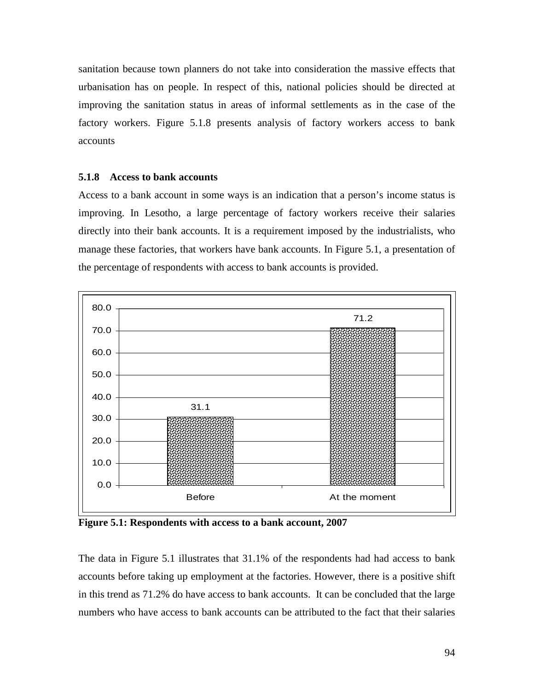sanitation because town planners do not take into consideration the massive effects that urbanisation has on people. In respect of this, national policies should be directed at improving the sanitation status in areas of informal settlements as in the case of the factory workers. Figure 5.1.8 presents analysis of factory workers access to bank accounts

#### **5.1.8 Access to bank accounts**

Access to a bank account in some ways is an indication that a person's income status is improving. In Lesotho, a large percentage of factory workers receive their salaries directly into their bank accounts. It is a requirement imposed by the industrialists, who manage these factories, that workers have bank accounts. In Figure 5.1, a presentation of the percentage of respondents with access to bank accounts is provided.



**Figure 5.1: Respondents with access to a bank account, 2007** 

The data in Figure 5.1 illustrates that 31.1% of the respondents had had access to bank accounts before taking up employment at the factories. However, there is a positive shift in this trend as 71.2% do have access to bank accounts. It can be concluded that the large numbers who have access to bank accounts can be attributed to the fact that their salaries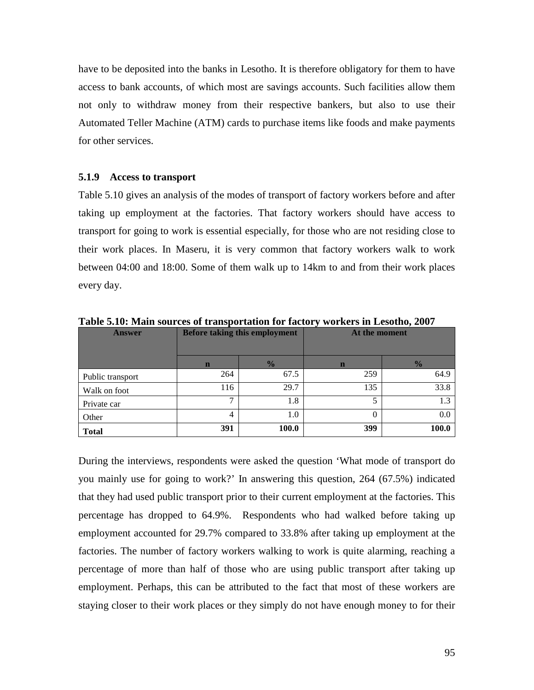have to be deposited into the banks in Lesotho. It is therefore obligatory for them to have access to bank accounts, of which most are savings accounts. Such facilities allow them not only to withdraw money from their respective bankers, but also to use their Automated Teller Machine (ATM) cards to purchase items like foods and make payments for other services.

#### **5.1.9 Access to transport**

Table 5.10 gives an analysis of the modes of transport of factory workers before and after taking up employment at the factories. That factory workers should have access to transport for going to work is essential especially, for those who are not residing close to their work places. In Maseru, it is very common that factory workers walk to work between 04:00 and 18:00. Some of them walk up to 14km to and from their work places every day.

| <b>Answer</b>    | Before taking this employment |               | At the moment |               |
|------------------|-------------------------------|---------------|---------------|---------------|
|                  | $\mathbf n$                   | $\frac{0}{6}$ | $\mathbf n$   | $\frac{0}{0}$ |
| Public transport | 264                           | 67.5          | 259           | 64.9          |
| Walk on foot     | 116                           | 29.7          | 135           | 33.8          |
| Private car      | ⇁                             | 1.8           |               | 1.3           |
| Other            | 4                             | 1.0           | $\Omega$      | 0.0           |
| <b>Total</b>     | 391                           | 100.0         | 399           | 100.0         |

**Table 5.10: Main sources of transportation for factory workers in Lesotho, 2007** 

During the interviews, respondents were asked the question 'What mode of transport do you mainly use for going to work?' In answering this question, 264 (67.5%) indicated that they had used public transport prior to their current employment at the factories. This percentage has dropped to 64.9%. Respondents who had walked before taking up employment accounted for 29.7% compared to 33.8% after taking up employment at the factories. The number of factory workers walking to work is quite alarming, reaching a percentage of more than half of those who are using public transport after taking up employment. Perhaps, this can be attributed to the fact that most of these workers are staying closer to their work places or they simply do not have enough money to for their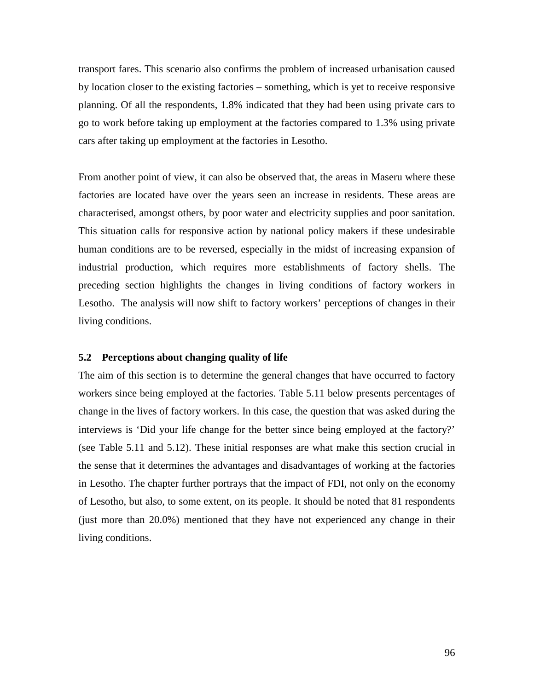transport fares. This scenario also confirms the problem of increased urbanisation caused by location closer to the existing factories – something, which is yet to receive responsive planning. Of all the respondents, 1.8% indicated that they had been using private cars to go to work before taking up employment at the factories compared to 1.3% using private cars after taking up employment at the factories in Lesotho.

From another point of view, it can also be observed that, the areas in Maseru where these factories are located have over the years seen an increase in residents. These areas are characterised, amongst others, by poor water and electricity supplies and poor sanitation. This situation calls for responsive action by national policy makers if these undesirable human conditions are to be reversed, especially in the midst of increasing expansion of industrial production, which requires more establishments of factory shells. The preceding section highlights the changes in living conditions of factory workers in Lesotho. The analysis will now shift to factory workers' perceptions of changes in their living conditions.

### **5.2 Perceptions about changing quality of life**

The aim of this section is to determine the general changes that have occurred to factory workers since being employed at the factories. Table 5.11 below presents percentages of change in the lives of factory workers. In this case, the question that was asked during the interviews is 'Did your life change for the better since being employed at the factory?' (see Table 5.11 and 5.12). These initial responses are what make this section crucial in the sense that it determines the advantages and disadvantages of working at the factories in Lesotho. The chapter further portrays that the impact of FDI, not only on the economy of Lesotho, but also, to some extent, on its people. It should be noted that 81 respondents (just more than 20.0%) mentioned that they have not experienced any change in their living conditions.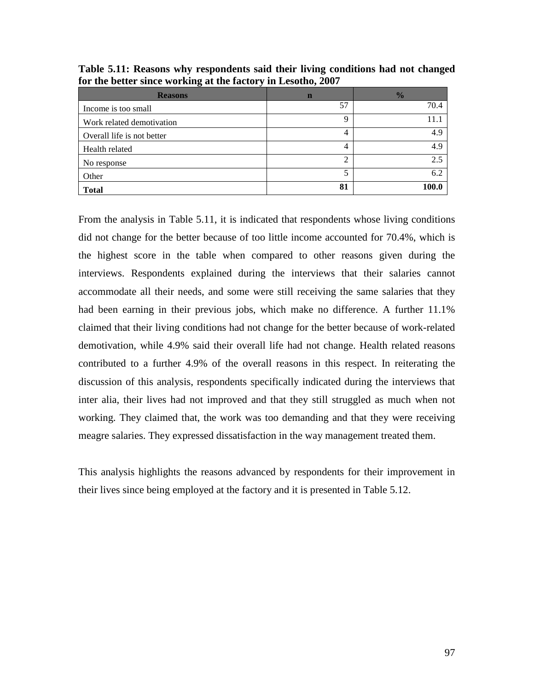| <b>Reasons</b>             | n  | $\frac{1}{2}$ |
|----------------------------|----|---------------|
| Income is too small        | 57 | 70.4          |
| Work related demotivation  | 9  | 11.1          |
| Overall life is not better | 4  | 4.9           |
| Health related             | 4  | 4.9           |
| No response                | 2  | 2.5           |
| Other                      | 5  | 6.2           |
| <b>Total</b>               | 81 | 100.0         |

**Table 5.11: Reasons why respondents said their living conditions had not changed for the better since working at the factory in Lesotho, 2007** 

From the analysis in Table 5.11, it is indicated that respondents whose living conditions did not change for the better because of too little income accounted for 70.4%, which is the highest score in the table when compared to other reasons given during the interviews. Respondents explained during the interviews that their salaries cannot accommodate all their needs, and some were still receiving the same salaries that they had been earning in their previous jobs, which make no difference. A further 11.1% claimed that their living conditions had not change for the better because of work-related demotivation, while 4.9% said their overall life had not change. Health related reasons contributed to a further 4.9% of the overall reasons in this respect. In reiterating the discussion of this analysis, respondents specifically indicated during the interviews that inter alia, their lives had not improved and that they still struggled as much when not working. They claimed that, the work was too demanding and that they were receiving meagre salaries. They expressed dissatisfaction in the way management treated them.

This analysis highlights the reasons advanced by respondents for their improvement in their lives since being employed at the factory and it is presented in Table 5.12.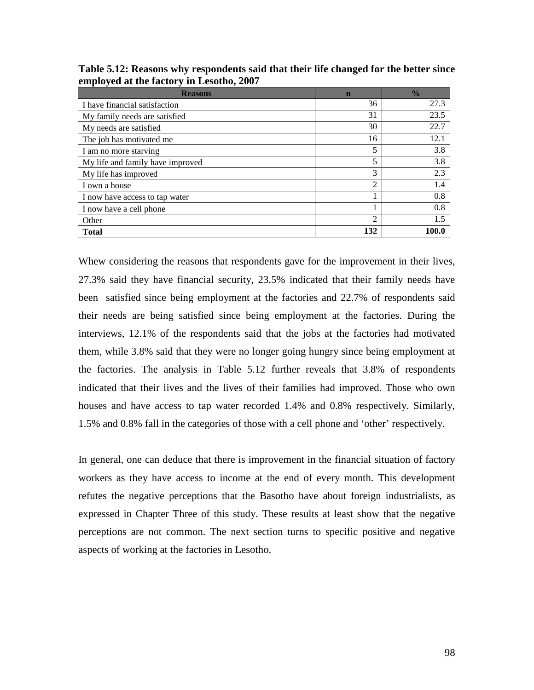| <b>Reasons</b>                   | $\mathbf n$ | $\frac{0}{0}$ |
|----------------------------------|-------------|---------------|
| I have financial satisfaction    | 36          | 27.3          |
| My family needs are satisfied    | 31          | 23.5          |
| My needs are satisfied           | 30          | 22.7          |
| The job has motivated me         | 16          | 12.1          |
| I am no more starving            | 5           | 3.8           |
| My life and family have improved | 5           | 3.8           |
| My life has improved             | 3           | 2.3           |
| I own a house                    | 2           | 1.4           |
| I now have access to tap water   |             | 0.8           |
| I now have a cell phone          |             | 0.8           |
| Other                            | 2           | 1.5           |
| <b>Total</b>                     | 132         | 100.0         |

**Table 5.12: Reasons why respondents said that their life changed for the better since employed at the factory in Lesotho, 2007** 

Whew considering the reasons that respondents gave for the improvement in their lives, 27.3% said they have financial security, 23.5% indicated that their family needs have been satisfied since being employment at the factories and 22.7% of respondents said their needs are being satisfied since being employment at the factories. During the interviews, 12.1% of the respondents said that the jobs at the factories had motivated them, while 3.8% said that they were no longer going hungry since being employment at the factories. The analysis in Table 5.12 further reveals that 3.8% of respondents indicated that their lives and the lives of their families had improved. Those who own houses and have access to tap water recorded 1.4% and 0.8% respectively. Similarly, 1.5% and 0.8% fall in the categories of those with a cell phone and 'other' respectively.

In general, one can deduce that there is improvement in the financial situation of factory workers as they have access to income at the end of every month. This development refutes the negative perceptions that the Basotho have about foreign industrialists, as expressed in Chapter Three of this study. These results at least show that the negative perceptions are not common. The next section turns to specific positive and negative aspects of working at the factories in Lesotho.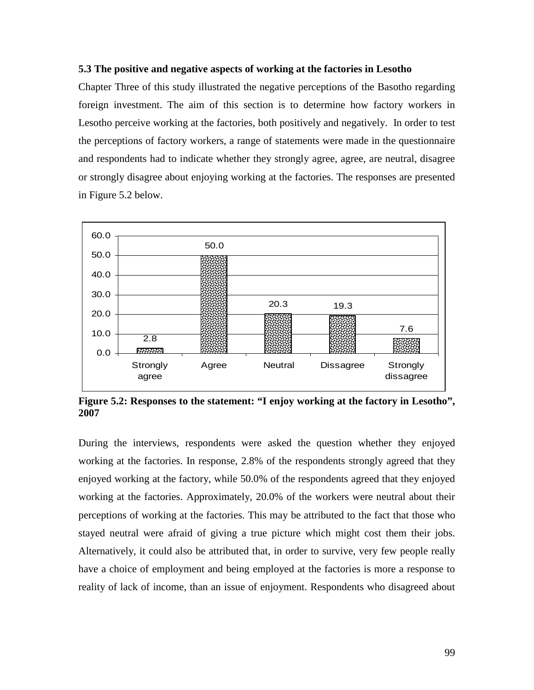### **5.3 The positive and negative aspects of working at the factories in Lesotho**

Chapter Three of this study illustrated the negative perceptions of the Basotho regarding foreign investment. The aim of this section is to determine how factory workers in Lesotho perceive working at the factories, both positively and negatively. In order to test the perceptions of factory workers, a range of statements were made in the questionnaire and respondents had to indicate whether they strongly agree, agree, are neutral, disagree or strongly disagree about enjoying working at the factories. The responses are presented in Figure 5.2 below.



**Figure 5.2: Responses to the statement: "I enjoy working at the factory in Lesotho", 2007**

During the interviews, respondents were asked the question whether they enjoyed working at the factories. In response, 2.8% of the respondents strongly agreed that they enjoyed working at the factory, while 50.0% of the respondents agreed that they enjoyed working at the factories. Approximately, 20.0% of the workers were neutral about their perceptions of working at the factories. This may be attributed to the fact that those who stayed neutral were afraid of giving a true picture which might cost them their jobs. Alternatively, it could also be attributed that, in order to survive, very few people really have a choice of employment and being employed at the factories is more a response to reality of lack of income, than an issue of enjoyment. Respondents who disagreed about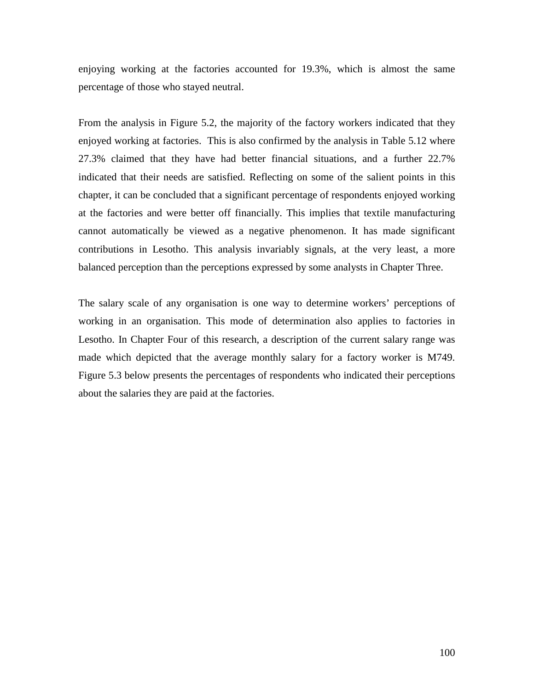enjoying working at the factories accounted for 19.3%, which is almost the same percentage of those who stayed neutral.

From the analysis in Figure 5.2, the majority of the factory workers indicated that they enjoyed working at factories. This is also confirmed by the analysis in Table 5.12 where 27.3% claimed that they have had better financial situations, and a further 22.7% indicated that their needs are satisfied. Reflecting on some of the salient points in this chapter, it can be concluded that a significant percentage of respondents enjoyed working at the factories and were better off financially. This implies that textile manufacturing cannot automatically be viewed as a negative phenomenon. It has made significant contributions in Lesotho. This analysis invariably signals, at the very least, a more balanced perception than the perceptions expressed by some analysts in Chapter Three.

The salary scale of any organisation is one way to determine workers' perceptions of working in an organisation. This mode of determination also applies to factories in Lesotho. In Chapter Four of this research, a description of the current salary range was made which depicted that the average monthly salary for a factory worker is M749. Figure 5.3 below presents the percentages of respondents who indicated their perceptions about the salaries they are paid at the factories.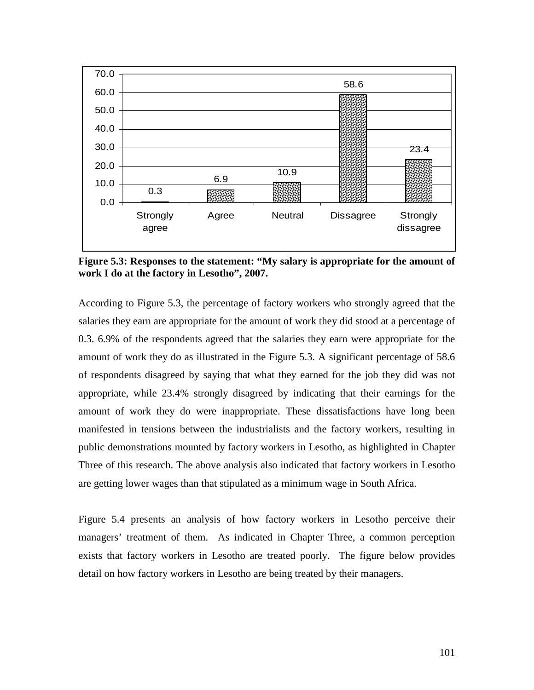

**Figure 5.3: Responses to the statement: "My salary is appropriate for the amount of work I do at the factory in Lesotho", 2007.** 

According to Figure 5.3, the percentage of factory workers who strongly agreed that the salaries they earn are appropriate for the amount of work they did stood at a percentage of 0.3. 6.9% of the respondents agreed that the salaries they earn were appropriate for the amount of work they do as illustrated in the Figure 5.3. A significant percentage of 58.6 of respondents disagreed by saying that what they earned for the job they did was not appropriate, while 23.4% strongly disagreed by indicating that their earnings for the amount of work they do were inappropriate. These dissatisfactions have long been manifested in tensions between the industrialists and the factory workers, resulting in public demonstrations mounted by factory workers in Lesotho, as highlighted in Chapter Three of this research. The above analysis also indicated that factory workers in Lesotho are getting lower wages than that stipulated as a minimum wage in South Africa.

Figure 5.4 presents an analysis of how factory workers in Lesotho perceive their managers' treatment of them. As indicated in Chapter Three, a common perception exists that factory workers in Lesotho are treated poorly. The figure below provides detail on how factory workers in Lesotho are being treated by their managers.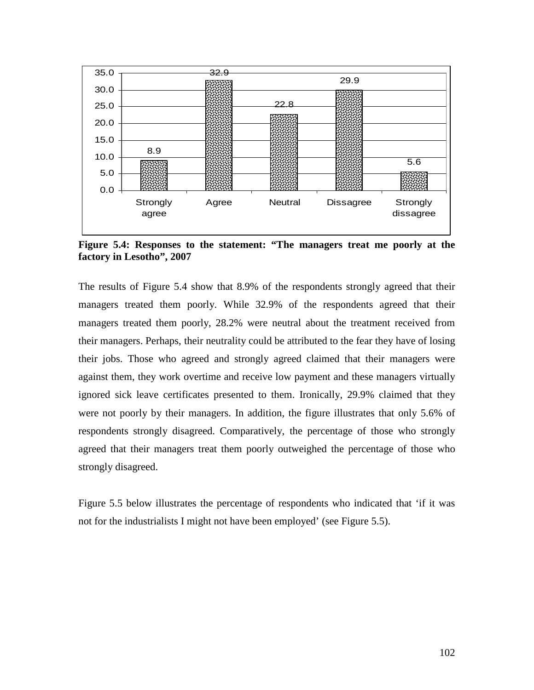

**Figure 5.4: Responses to the statement: "The managers treat me poorly at the factory in Lesotho", 2007** 

The results of Figure 5.4 show that 8.9% of the respondents strongly agreed that their managers treated them poorly. While 32.9% of the respondents agreed that their managers treated them poorly, 28.2% were neutral about the treatment received from their managers. Perhaps, their neutrality could be attributed to the fear they have of losing their jobs. Those who agreed and strongly agreed claimed that their managers were against them, they work overtime and receive low payment and these managers virtually ignored sick leave certificates presented to them. Ironically, 29.9% claimed that they were not poorly by their managers. In addition, the figure illustrates that only 5.6% of respondents strongly disagreed. Comparatively, the percentage of those who strongly agreed that their managers treat them poorly outweighed the percentage of those who strongly disagreed.

Figure 5.5 below illustrates the percentage of respondents who indicated that 'if it was not for the industrialists I might not have been employed' (see Figure 5.5).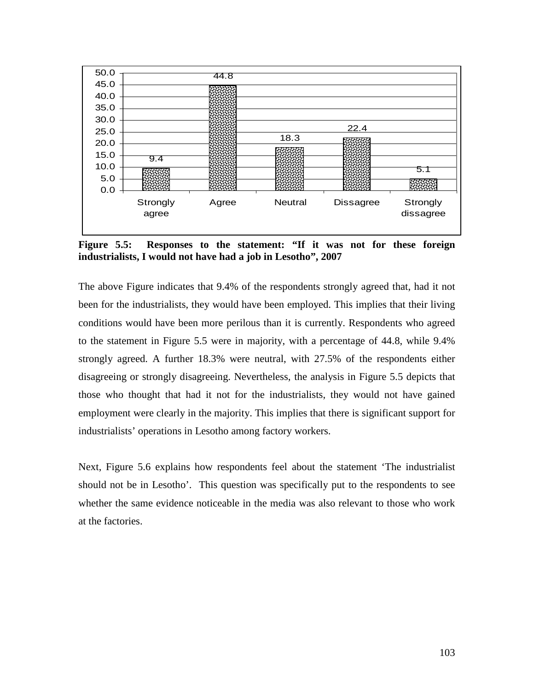

**Figure 5.5: Responses to the statement: "If it was not for these foreign industrialists, I would not have had a job in Lesotho", 2007** 

The above Figure indicates that 9.4% of the respondents strongly agreed that, had it not been for the industrialists, they would have been employed. This implies that their living conditions would have been more perilous than it is currently. Respondents who agreed to the statement in Figure 5.5 were in majority, with a percentage of 44.8, while 9.4% strongly agreed. A further 18.3% were neutral, with 27.5% of the respondents either disagreeing or strongly disagreeing. Nevertheless, the analysis in Figure 5.5 depicts that those who thought that had it not for the industrialists, they would not have gained employment were clearly in the majority. This implies that there is significant support for industrialists' operations in Lesotho among factory workers.

Next, Figure 5.6 explains how respondents feel about the statement 'The industrialist should not be in Lesotho'. This question was specifically put to the respondents to see whether the same evidence noticeable in the media was also relevant to those who work at the factories.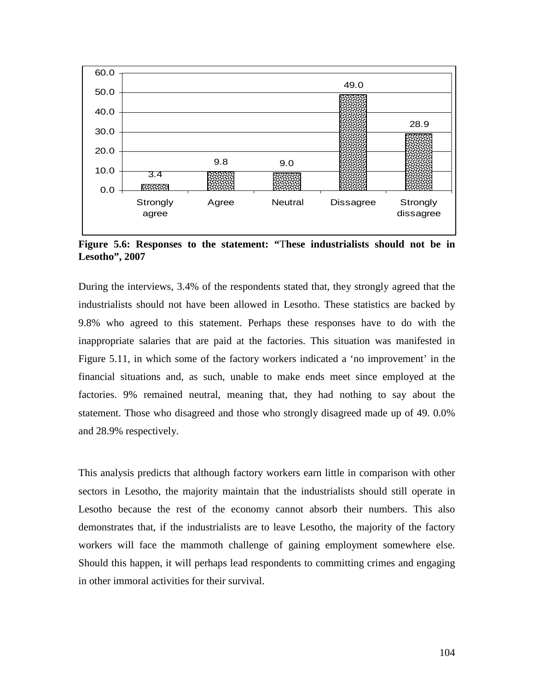

**Figure 5.6: Responses to the statement: "**T**hese industrialists should not be in Lesotho", 2007** 

During the interviews, 3.4% of the respondents stated that, they strongly agreed that the industrialists should not have been allowed in Lesotho. These statistics are backed by 9.8% who agreed to this statement. Perhaps these responses have to do with the inappropriate salaries that are paid at the factories. This situation was manifested in Figure 5.11, in which some of the factory workers indicated a 'no improvement' in the financial situations and, as such, unable to make ends meet since employed at the factories. 9% remained neutral, meaning that, they had nothing to say about the statement. Those who disagreed and those who strongly disagreed made up of 49. 0.0% and 28.9% respectively.

This analysis predicts that although factory workers earn little in comparison with other sectors in Lesotho, the majority maintain that the industrialists should still operate in Lesotho because the rest of the economy cannot absorb their numbers. This also demonstrates that, if the industrialists are to leave Lesotho, the majority of the factory workers will face the mammoth challenge of gaining employment somewhere else. Should this happen, it will perhaps lead respondents to committing crimes and engaging in other immoral activities for their survival.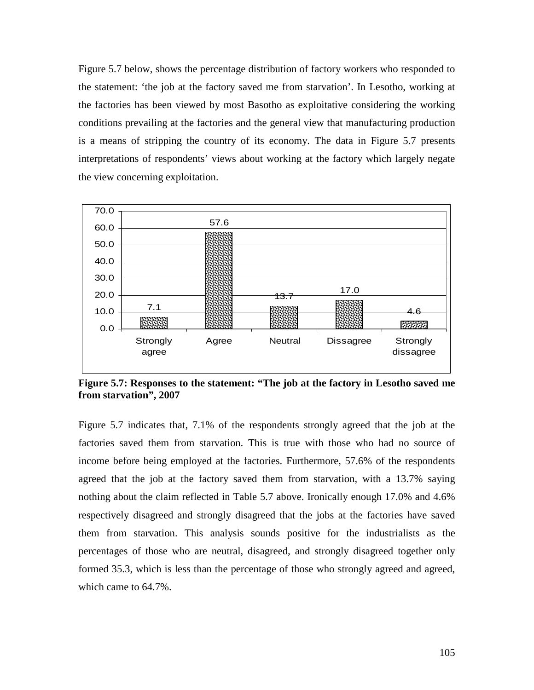Figure 5.7 below, shows the percentage distribution of factory workers who responded to the statement: 'the job at the factory saved me from starvation'. In Lesotho, working at the factories has been viewed by most Basotho as exploitative considering the working conditions prevailing at the factories and the general view that manufacturing production is a means of stripping the country of its economy. The data in Figure 5.7 presents interpretations of respondents' views about working at the factory which largely negate the view concerning exploitation.



**Figure 5.7: Responses to the statement: "The job at the factory in Lesotho saved me from starvation", 2007** 

Figure 5.7 indicates that, 7.1% of the respondents strongly agreed that the job at the factories saved them from starvation. This is true with those who had no source of income before being employed at the factories. Furthermore, 57.6% of the respondents agreed that the job at the factory saved them from starvation, with a 13.7% saying nothing about the claim reflected in Table 5.7 above. Ironically enough 17.0% and 4.6% respectively disagreed and strongly disagreed that the jobs at the factories have saved them from starvation. This analysis sounds positive for the industrialists as the percentages of those who are neutral, disagreed, and strongly disagreed together only formed 35.3, which is less than the percentage of those who strongly agreed and agreed, which came to 64.7%.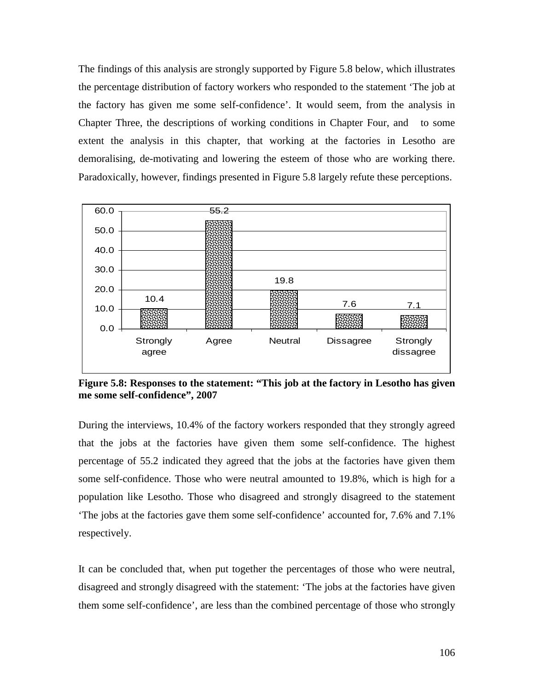The findings of this analysis are strongly supported by Figure 5.8 below, which illustrates the percentage distribution of factory workers who responded to the statement 'The job at the factory has given me some self-confidence'. It would seem, from the analysis in Chapter Three, the descriptions of working conditions in Chapter Four, and to some extent the analysis in this chapter, that working at the factories in Lesotho are demoralising, de-motivating and lowering the esteem of those who are working there. Paradoxically, however, findings presented in Figure 5.8 largely refute these perceptions.



**Figure 5.8: Responses to the statement: "This job at the factory in Lesotho has given me some self-confidence", 2007** 

During the interviews, 10.4% of the factory workers responded that they strongly agreed that the jobs at the factories have given them some self-confidence. The highest percentage of 55.2 indicated they agreed that the jobs at the factories have given them some self-confidence. Those who were neutral amounted to 19.8%, which is high for a population like Lesotho. Those who disagreed and strongly disagreed to the statement 'The jobs at the factories gave them some self-confidence' accounted for, 7.6% and 7.1% respectively.

It can be concluded that, when put together the percentages of those who were neutral, disagreed and strongly disagreed with the statement: 'The jobs at the factories have given them some self-confidence', are less than the combined percentage of those who strongly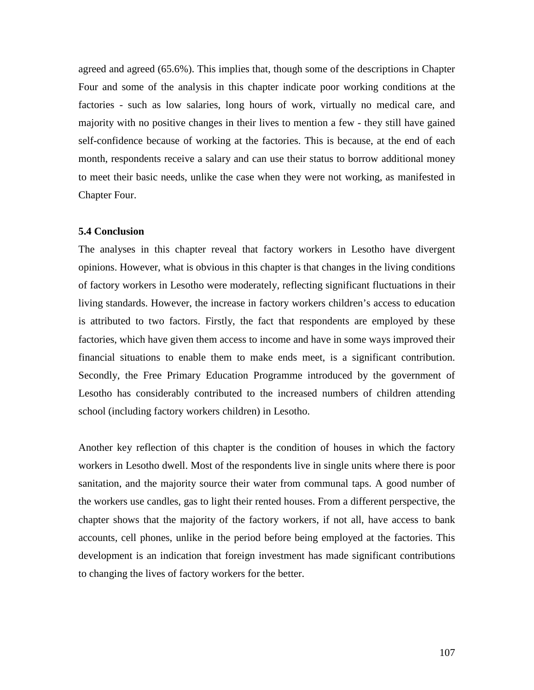agreed and agreed (65.6%). This implies that, though some of the descriptions in Chapter Four and some of the analysis in this chapter indicate poor working conditions at the factories - such as low salaries, long hours of work, virtually no medical care, and majority with no positive changes in their lives to mention a few - they still have gained self-confidence because of working at the factories. This is because, at the end of each month, respondents receive a salary and can use their status to borrow additional money to meet their basic needs, unlike the case when they were not working, as manifested in Chapter Four.

### **5.4 Conclusion**

The analyses in this chapter reveal that factory workers in Lesotho have divergent opinions. However, what is obvious in this chapter is that changes in the living conditions of factory workers in Lesotho were moderately, reflecting significant fluctuations in their living standards. However, the increase in factory workers children's access to education is attributed to two factors. Firstly, the fact that respondents are employed by these factories, which have given them access to income and have in some ways improved their financial situations to enable them to make ends meet, is a significant contribution. Secondly, the Free Primary Education Programme introduced by the government of Lesotho has considerably contributed to the increased numbers of children attending school (including factory workers children) in Lesotho.

Another key reflection of this chapter is the condition of houses in which the factory workers in Lesotho dwell. Most of the respondents live in single units where there is poor sanitation, and the majority source their water from communal taps. A good number of the workers use candles, gas to light their rented houses. From a different perspective, the chapter shows that the majority of the factory workers, if not all, have access to bank accounts, cell phones, unlike in the period before being employed at the factories. This development is an indication that foreign investment has made significant contributions to changing the lives of factory workers for the better.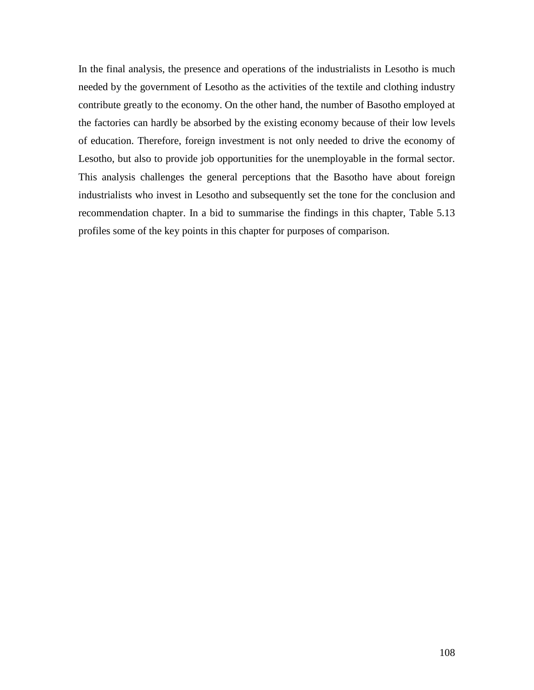In the final analysis, the presence and operations of the industrialists in Lesotho is much needed by the government of Lesotho as the activities of the textile and clothing industry contribute greatly to the economy. On the other hand, the number of Basotho employed at the factories can hardly be absorbed by the existing economy because of their low levels of education. Therefore, foreign investment is not only needed to drive the economy of Lesotho, but also to provide job opportunities for the unemployable in the formal sector. This analysis challenges the general perceptions that the Basotho have about foreign industrialists who invest in Lesotho and subsequently set the tone for the conclusion and recommendation chapter. In a bid to summarise the findings in this chapter, Table 5.13 profiles some of the key points in this chapter for purposes of comparison.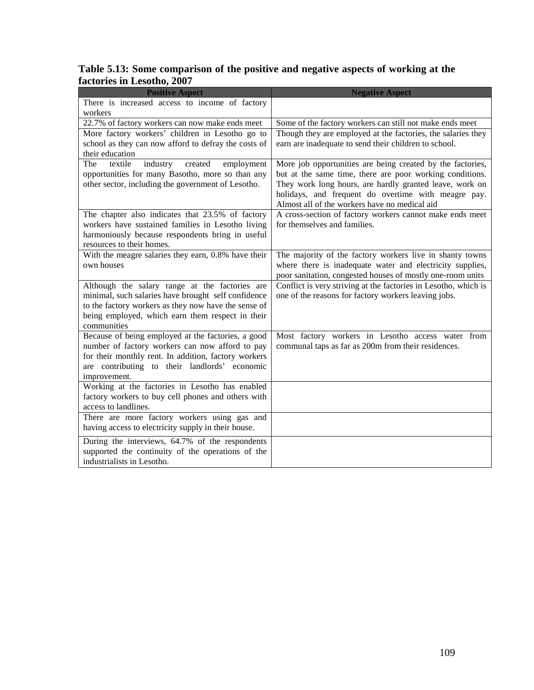# **Table 5.13: Some comparison of the positive and negative aspects of working at the factories in Lesotho, 2007**

| <b>Positive Aspect</b>                                                                                                                                                                                                           | <b>Negative Aspect</b>                                                                                                                                                                                                                                                                    |
|----------------------------------------------------------------------------------------------------------------------------------------------------------------------------------------------------------------------------------|-------------------------------------------------------------------------------------------------------------------------------------------------------------------------------------------------------------------------------------------------------------------------------------------|
| There is increased access to income of factory                                                                                                                                                                                   |                                                                                                                                                                                                                                                                                           |
| workers                                                                                                                                                                                                                          |                                                                                                                                                                                                                                                                                           |
| 22.7% of factory workers can now make ends meet                                                                                                                                                                                  | Some of the factory workers can still not make ends meet                                                                                                                                                                                                                                  |
| More factory workers' children in Lesotho go to<br>school as they can now afford to defray the costs of<br>their education                                                                                                       | Though they are employed at the factories, the salaries they<br>earn are inadequate to send their children to school.                                                                                                                                                                     |
| textile<br>The<br>industry<br>created<br>employment<br>opportunities for many Basotho, more so than any<br>other sector, including the government of Lesotho.                                                                    | More job opportunities are being created by the factories,<br>but at the same time, there are poor working conditions.<br>They work long hours, are hardly granted leave, work on<br>holidays, and frequent do overtime with meagre pay.<br>Almost all of the workers have no medical aid |
| The chapter also indicates that 23.5% of factory<br>workers have sustained families in Lesotho living<br>harmoniously because respondents bring in useful<br>resources to their homes.                                           | A cross-section of factory workers cannot make ends meet<br>for themselves and families.                                                                                                                                                                                                  |
| With the meagre salaries they earn, 0.8% have their<br>own houses                                                                                                                                                                | The majority of the factory workers live in shanty towns<br>where there is inadequate water and electricity supplies,<br>poor sanitation, congested houses of mostly one-room units                                                                                                       |
| Although the salary range at the factories are<br>minimal, such salaries have brought self confidence<br>to the factory workers as they now have the sense of<br>being employed, which earn them respect in their<br>communities | Conflict is very striving at the factories in Lesotho, which is<br>one of the reasons for factory workers leaving jobs.                                                                                                                                                                   |
| Because of being employed at the factories, a good<br>number of factory workers can now afford to pay<br>for their monthly rent. In addition, factory workers<br>are contributing to their landlords' economic<br>improvement.   | Most factory workers in Lesotho access water from<br>communal taps as far as 200m from their residences.                                                                                                                                                                                  |
| Working at the factories in Lesotho has enabled<br>factory workers to buy cell phones and others with<br>access to landlines.                                                                                                    |                                                                                                                                                                                                                                                                                           |
| There are more factory workers using gas and<br>having access to electricity supply in their house.                                                                                                                              |                                                                                                                                                                                                                                                                                           |
| During the interviews, 64.7% of the respondents<br>supported the continuity of the operations of the<br>industrialists in Lesotho.                                                                                               |                                                                                                                                                                                                                                                                                           |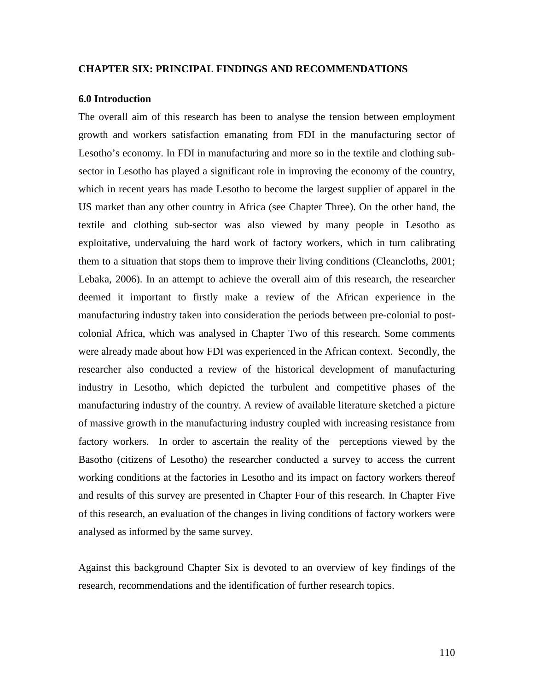### **CHAPTER SIX: PRINCIPAL FINDINGS AND RECOMMENDATIONS**

### **6.0 Introduction**

The overall aim of this research has been to analyse the tension between employment growth and workers satisfaction emanating from FDI in the manufacturing sector of Lesotho's economy. In FDI in manufacturing and more so in the textile and clothing subsector in Lesotho has played a significant role in improving the economy of the country, which in recent years has made Lesotho to become the largest supplier of apparel in the US market than any other country in Africa (see Chapter Three). On the other hand, the textile and clothing sub-sector was also viewed by many people in Lesotho as exploitative, undervaluing the hard work of factory workers, which in turn calibrating them to a situation that stops them to improve their living conditions (Cleancloths, 2001; Lebaka, 2006). In an attempt to achieve the overall aim of this research, the researcher deemed it important to firstly make a review of the African experience in the manufacturing industry taken into consideration the periods between pre-colonial to postcolonial Africa, which was analysed in Chapter Two of this research. Some comments were already made about how FDI was experienced in the African context. Secondly, the researcher also conducted a review of the historical development of manufacturing industry in Lesotho, which depicted the turbulent and competitive phases of the manufacturing industry of the country. A review of available literature sketched a picture of massive growth in the manufacturing industry coupled with increasing resistance from factory workers. In order to ascertain the reality of the perceptions viewed by the Basotho (citizens of Lesotho) the researcher conducted a survey to access the current working conditions at the factories in Lesotho and its impact on factory workers thereof and results of this survey are presented in Chapter Four of this research. In Chapter Five of this research, an evaluation of the changes in living conditions of factory workers were analysed as informed by the same survey.

Against this background Chapter Six is devoted to an overview of key findings of the research, recommendations and the identification of further research topics.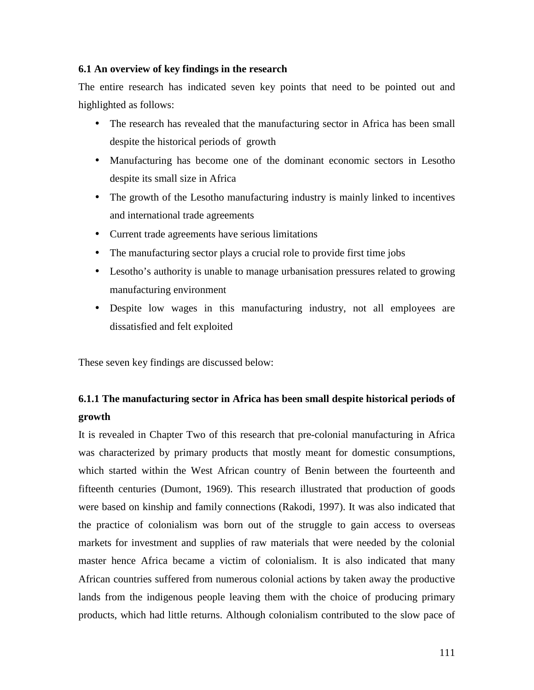## **6.1 An overview of key findings in the research**

The entire research has indicated seven key points that need to be pointed out and highlighted as follows:

- The research has revealed that the manufacturing sector in Africa has been small despite the historical periods of growth
- Manufacturing has become one of the dominant economic sectors in Lesotho despite its small size in Africa
- The growth of the Lesotho manufacturing industry is mainly linked to incentives and international trade agreements
- Current trade agreements have serious limitations
- The manufacturing sector plays a crucial role to provide first time jobs
- Lesotho's authority is unable to manage urbanisation pressures related to growing manufacturing environment
- Despite low wages in this manufacturing industry, not all employees are dissatisfied and felt exploited

These seven key findings are discussed below:

# **6.1.1 The manufacturing sector in Africa has been small despite historical periods of growth**

It is revealed in Chapter Two of this research that pre-colonial manufacturing in Africa was characterized by primary products that mostly meant for domestic consumptions, which started within the West African country of Benin between the fourteenth and fifteenth centuries (Dumont, 1969). This research illustrated that production of goods were based on kinship and family connections (Rakodi, 1997). It was also indicated that the practice of colonialism was born out of the struggle to gain access to overseas markets for investment and supplies of raw materials that were needed by the colonial master hence Africa became a victim of colonialism. It is also indicated that many African countries suffered from numerous colonial actions by taken away the productive lands from the indigenous people leaving them with the choice of producing primary products, which had little returns. Although colonialism contributed to the slow pace of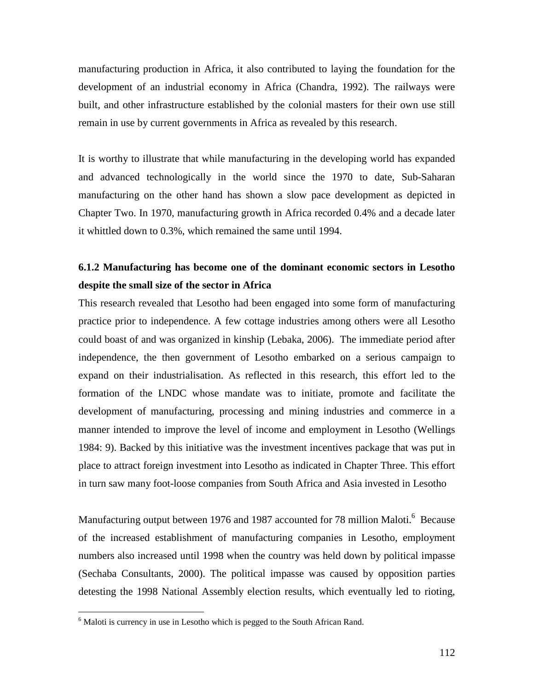manufacturing production in Africa, it also contributed to laying the foundation for the development of an industrial economy in Africa (Chandra, 1992). The railways were built, and other infrastructure established by the colonial masters for their own use still remain in use by current governments in Africa as revealed by this research.

It is worthy to illustrate that while manufacturing in the developing world has expanded and advanced technologically in the world since the 1970 to date, Sub-Saharan manufacturing on the other hand has shown a slow pace development as depicted in Chapter Two. In 1970, manufacturing growth in Africa recorded 0.4% and a decade later it whittled down to 0.3%, which remained the same until 1994.

# **6.1.2 Manufacturing has become one of the dominant economic sectors in Lesotho despite the small size of the sector in Africa**

This research revealed that Lesotho had been engaged into some form of manufacturing practice prior to independence. A few cottage industries among others were all Lesotho could boast of and was organized in kinship (Lebaka, 2006). The immediate period after independence, the then government of Lesotho embarked on a serious campaign to expand on their industrialisation. As reflected in this research, this effort led to the formation of the LNDC whose mandate was to initiate, promote and facilitate the development of manufacturing, processing and mining industries and commerce in a manner intended to improve the level of income and employment in Lesotho (Wellings 1984: 9). Backed by this initiative was the investment incentives package that was put in place to attract foreign investment into Lesotho as indicated in Chapter Three. This effort in turn saw many foot-loose companies from South Africa and Asia invested in Lesotho

Manufacturing output between 1976 and 1987 accounted for 78 million Maloti.<sup>6</sup> Because of the increased establishment of manufacturing companies in Lesotho, employment numbers also increased until 1998 when the country was held down by political impasse (Sechaba Consultants, 2000). The political impasse was caused by opposition parties detesting the 1998 National Assembly election results, which eventually led to rioting,

<u>.</u>

<sup>&</sup>lt;sup>6</sup> Maloti is currency in use in Lesotho which is pegged to the South African Rand.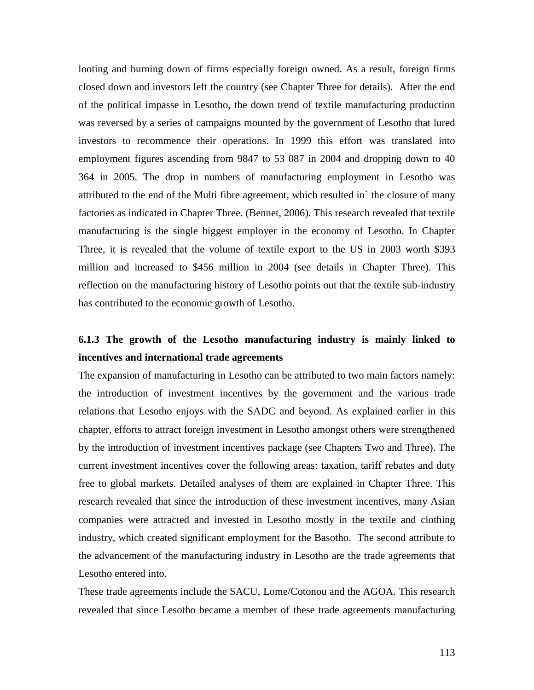looting and burning down of firms especially foreign owned. As a result, foreign firms closed down and investors left the country (see Chapter Three for details). After the end of the political impasse in Lesotho, the down trend of textile manufacturing production was reversed by a series of campaigns mounted by the government of Lesotho that lured investors to recommence their operations. In 1999 this effort was translated into employment figures ascending from 9847 to 53 087 in 2004 and dropping down to 40 364 in 2005. The drop in numbers of manufacturing employment in Lesotho was attributed to the end of the Multi fibre agreement, which resulted in` the closure of many factories as indicated in Chapter Three. (Bennet, 2006). This research revealed that textile manufacturing is the single biggest employer in the economy of Lesotho. In Chapter Three, it is revealed that the volume of textile export to the US in 2003 worth \$393 million and increased to \$456 million in 2004 (see details in Chapter Three). This reflection on the manufacturing history of Lesotho points out that the textile sub-industry has contributed to the economic growth of Lesotho.

# **6.1.3 The growth of the Lesotho manufacturing industry is mainly linked to incentives and international trade agreements**

The expansion of manufacturing in Lesotho can be attributed to two main factors namely: the introduction of investment incentives by the government and the various trade relations that Lesotho enjoys with the SADC and beyond. As explained earlier in this chapter, efforts to attract foreign investment in Lesotho amongst others were strengthened by the introduction of investment incentives package (see Chapters Two and Three). The current investment incentives cover the following areas: taxation, tariff rebates and duty free to global markets. Detailed analyses of them are explained in Chapter Three. This research revealed that since the introduction of these investment incentives, many Asian companies were attracted and invested in Lesotho mostly in the textile and clothing industry, which created significant employment for the Basotho. The second attribute to the advancement of the manufacturing industry in Lesotho are the trade agreements that Lesotho entered into.

These trade agreements include the SACU, Lome/Cotonou and the AGOA. This research revealed that since Lesotho became a member of these trade agreements manufacturing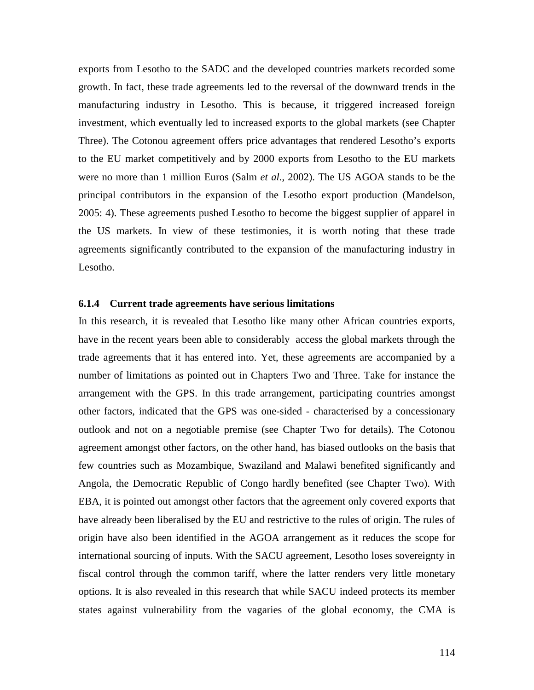exports from Lesotho to the SADC and the developed countries markets recorded some growth. In fact, these trade agreements led to the reversal of the downward trends in the manufacturing industry in Lesotho. This is because, it triggered increased foreign investment, which eventually led to increased exports to the global markets (see Chapter Three). The Cotonou agreement offers price advantages that rendered Lesotho's exports to the EU market competitively and by 2000 exports from Lesotho to the EU markets were no more than 1 million Euros (Salm *et al.*, 2002). The US AGOA stands to be the principal contributors in the expansion of the Lesotho export production (Mandelson, 2005: 4). These agreements pushed Lesotho to become the biggest supplier of apparel in the US markets. In view of these testimonies, it is worth noting that these trade agreements significantly contributed to the expansion of the manufacturing industry in Lesotho.

### **6.1.4 Current trade agreements have serious limitations**

In this research, it is revealed that Lesotho like many other African countries exports, have in the recent years been able to considerably access the global markets through the trade agreements that it has entered into. Yet, these agreements are accompanied by a number of limitations as pointed out in Chapters Two and Three. Take for instance the arrangement with the GPS. In this trade arrangement, participating countries amongst other factors, indicated that the GPS was one-sided - characterised by a concessionary outlook and not on a negotiable premise (see Chapter Two for details). The Cotonou agreement amongst other factors, on the other hand, has biased outlooks on the basis that few countries such as Mozambique, Swaziland and Malawi benefited significantly and Angola, the Democratic Republic of Congo hardly benefited (see Chapter Two). With EBA, it is pointed out amongst other factors that the agreement only covered exports that have already been liberalised by the EU and restrictive to the rules of origin. The rules of origin have also been identified in the AGOA arrangement as it reduces the scope for international sourcing of inputs. With the SACU agreement, Lesotho loses sovereignty in fiscal control through the common tariff, where the latter renders very little monetary options. It is also revealed in this research that while SACU indeed protects its member states against vulnerability from the vagaries of the global economy, the CMA is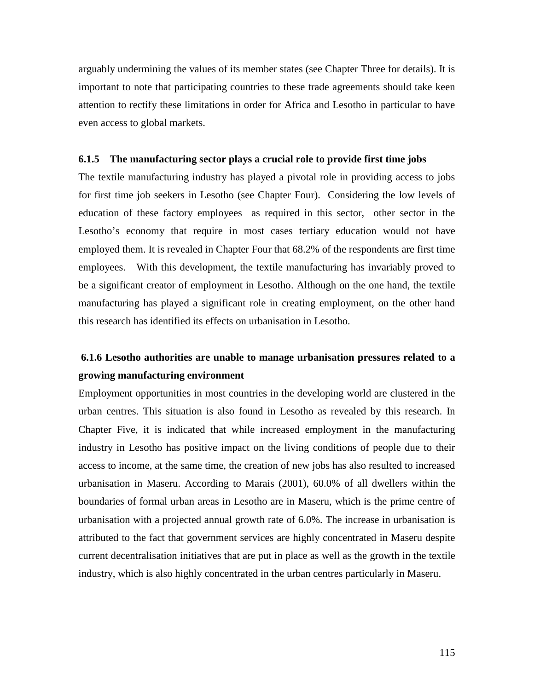arguably undermining the values of its member states (see Chapter Three for details). It is important to note that participating countries to these trade agreements should take keen attention to rectify these limitations in order for Africa and Lesotho in particular to have even access to global markets.

#### **6.1.5 The manufacturing sector plays a crucial role to provide first time jobs**

The textile manufacturing industry has played a pivotal role in providing access to jobs for first time job seekers in Lesotho (see Chapter Four). Considering the low levels of education of these factory employees as required in this sector, other sector in the Lesotho's economy that require in most cases tertiary education would not have employed them. It is revealed in Chapter Four that 68.2% of the respondents are first time employees. With this development, the textile manufacturing has invariably proved to be a significant creator of employment in Lesotho. Although on the one hand, the textile manufacturing has played a significant role in creating employment, on the other hand this research has identified its effects on urbanisation in Lesotho.

# **6.1.6 Lesotho authorities are unable to manage urbanisation pressures related to a growing manufacturing environment**

Employment opportunities in most countries in the developing world are clustered in the urban centres. This situation is also found in Lesotho as revealed by this research. In Chapter Five, it is indicated that while increased employment in the manufacturing industry in Lesotho has positive impact on the living conditions of people due to their access to income, at the same time, the creation of new jobs has also resulted to increased urbanisation in Maseru. According to Marais (2001), 60.0% of all dwellers within the boundaries of formal urban areas in Lesotho are in Maseru, which is the prime centre of urbanisation with a projected annual growth rate of 6.0%. The increase in urbanisation is attributed to the fact that government services are highly concentrated in Maseru despite current decentralisation initiatives that are put in place as well as the growth in the textile industry, which is also highly concentrated in the urban centres particularly in Maseru.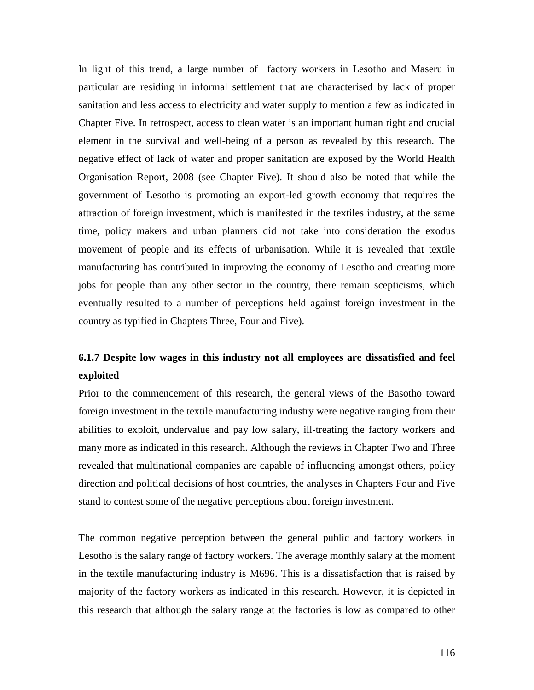In light of this trend, a large number of factory workers in Lesotho and Maseru in particular are residing in informal settlement that are characterised by lack of proper sanitation and less access to electricity and water supply to mention a few as indicated in Chapter Five. In retrospect, access to clean water is an important human right and crucial element in the survival and well-being of a person as revealed by this research. The negative effect of lack of water and proper sanitation are exposed by the World Health Organisation Report, 2008 (see Chapter Five). It should also be noted that while the government of Lesotho is promoting an export-led growth economy that requires the attraction of foreign investment, which is manifested in the textiles industry, at the same time, policy makers and urban planners did not take into consideration the exodus movement of people and its effects of urbanisation. While it is revealed that textile manufacturing has contributed in improving the economy of Lesotho and creating more jobs for people than any other sector in the country, there remain scepticisms, which eventually resulted to a number of perceptions held against foreign investment in the country as typified in Chapters Three, Four and Five).

# **6.1.7 Despite low wages in this industry not all employees are dissatisfied and feel exploited**

Prior to the commencement of this research, the general views of the Basotho toward foreign investment in the textile manufacturing industry were negative ranging from their abilities to exploit, undervalue and pay low salary, ill-treating the factory workers and many more as indicated in this research. Although the reviews in Chapter Two and Three revealed that multinational companies are capable of influencing amongst others, policy direction and political decisions of host countries, the analyses in Chapters Four and Five stand to contest some of the negative perceptions about foreign investment.

The common negative perception between the general public and factory workers in Lesotho is the salary range of factory workers. The average monthly salary at the moment in the textile manufacturing industry is M696. This is a dissatisfaction that is raised by majority of the factory workers as indicated in this research. However, it is depicted in this research that although the salary range at the factories is low as compared to other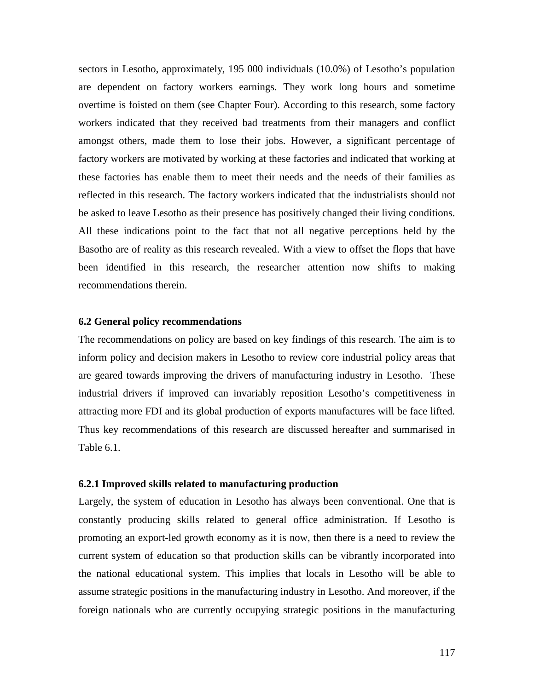sectors in Lesotho, approximately, 195 000 individuals (10.0%) of Lesotho's population are dependent on factory workers earnings. They work long hours and sometime overtime is foisted on them (see Chapter Four). According to this research, some factory workers indicated that they received bad treatments from their managers and conflict amongst others, made them to lose their jobs. However, a significant percentage of factory workers are motivated by working at these factories and indicated that working at these factories has enable them to meet their needs and the needs of their families as reflected in this research. The factory workers indicated that the industrialists should not be asked to leave Lesotho as their presence has positively changed their living conditions. All these indications point to the fact that not all negative perceptions held by the Basotho are of reality as this research revealed. With a view to offset the flops that have been identified in this research, the researcher attention now shifts to making recommendations therein.

### **6.2 General policy recommendations**

The recommendations on policy are based on key findings of this research. The aim is to inform policy and decision makers in Lesotho to review core industrial policy areas that are geared towards improving the drivers of manufacturing industry in Lesotho. These industrial drivers if improved can invariably reposition Lesotho's competitiveness in attracting more FDI and its global production of exports manufactures will be face lifted. Thus key recommendations of this research are discussed hereafter and summarised in Table 6.1.

# **6.2.1 Improved skills related to manufacturing production**

Largely, the system of education in Lesotho has always been conventional. One that is constantly producing skills related to general office administration. If Lesotho is promoting an export-led growth economy as it is now, then there is a need to review the current system of education so that production skills can be vibrantly incorporated into the national educational system. This implies that locals in Lesotho will be able to assume strategic positions in the manufacturing industry in Lesotho. And moreover, if the foreign nationals who are currently occupying strategic positions in the manufacturing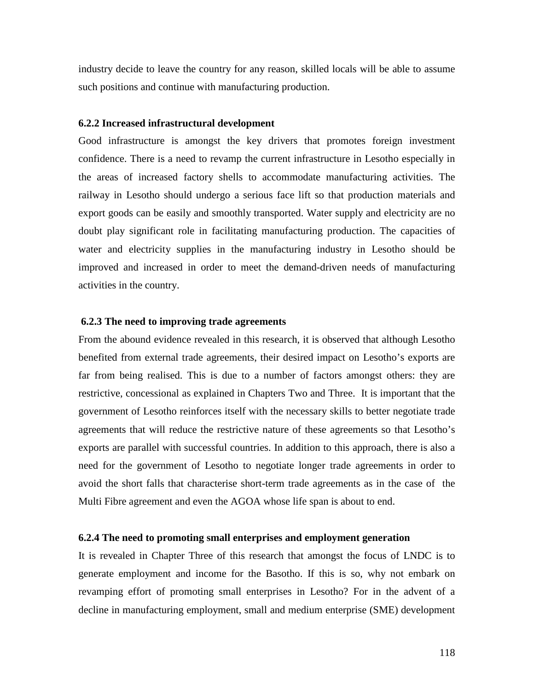industry decide to leave the country for any reason, skilled locals will be able to assume such positions and continue with manufacturing production.

#### **6.2.2 Increased infrastructural development**

Good infrastructure is amongst the key drivers that promotes foreign investment confidence. There is a need to revamp the current infrastructure in Lesotho especially in the areas of increased factory shells to accommodate manufacturing activities. The railway in Lesotho should undergo a serious face lift so that production materials and export goods can be easily and smoothly transported. Water supply and electricity are no doubt play significant role in facilitating manufacturing production. The capacities of water and electricity supplies in the manufacturing industry in Lesotho should be improved and increased in order to meet the demand-driven needs of manufacturing activities in the country.

### **6.2.3 The need to improving trade agreements**

From the abound evidence revealed in this research, it is observed that although Lesotho benefited from external trade agreements, their desired impact on Lesotho's exports are far from being realised. This is due to a number of factors amongst others: they are restrictive, concessional as explained in Chapters Two and Three. It is important that the government of Lesotho reinforces itself with the necessary skills to better negotiate trade agreements that will reduce the restrictive nature of these agreements so that Lesotho's exports are parallel with successful countries. In addition to this approach, there is also a need for the government of Lesotho to negotiate longer trade agreements in order to avoid the short falls that characterise short-term trade agreements as in the case of the Multi Fibre agreement and even the AGOA whose life span is about to end.

### **6.2.4 The need to promoting small enterprises and employment generation**

It is revealed in Chapter Three of this research that amongst the focus of LNDC is to generate employment and income for the Basotho. If this is so, why not embark on revamping effort of promoting small enterprises in Lesotho? For in the advent of a decline in manufacturing employment, small and medium enterprise (SME) development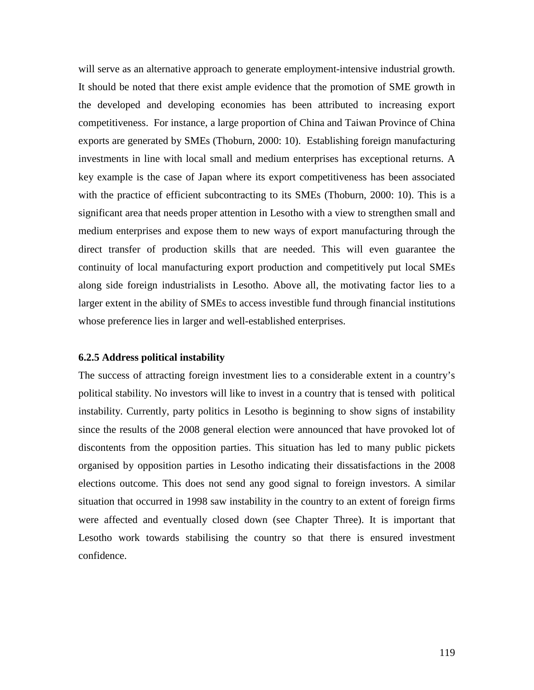will serve as an alternative approach to generate employment-intensive industrial growth. It should be noted that there exist ample evidence that the promotion of SME growth in the developed and developing economies has been attributed to increasing export competitiveness. For instance, a large proportion of China and Taiwan Province of China exports are generated by SMEs (Thoburn, 2000: 10). Establishing foreign manufacturing investments in line with local small and medium enterprises has exceptional returns. A key example is the case of Japan where its export competitiveness has been associated with the practice of efficient subcontracting to its SMEs (Thoburn, 2000: 10). This is a significant area that needs proper attention in Lesotho with a view to strengthen small and medium enterprises and expose them to new ways of export manufacturing through the direct transfer of production skills that are needed. This will even guarantee the continuity of local manufacturing export production and competitively put local SMEs along side foreign industrialists in Lesotho. Above all, the motivating factor lies to a larger extent in the ability of SMEs to access investible fund through financial institutions whose preference lies in larger and well-established enterprises.

#### **6.2.5 Address political instability**

The success of attracting foreign investment lies to a considerable extent in a country's political stability. No investors will like to invest in a country that is tensed with political instability. Currently, party politics in Lesotho is beginning to show signs of instability since the results of the 2008 general election were announced that have provoked lot of discontents from the opposition parties. This situation has led to many public pickets organised by opposition parties in Lesotho indicating their dissatisfactions in the 2008 elections outcome. This does not send any good signal to foreign investors. A similar situation that occurred in 1998 saw instability in the country to an extent of foreign firms were affected and eventually closed down (see Chapter Three). It is important that Lesotho work towards stabilising the country so that there is ensured investment confidence.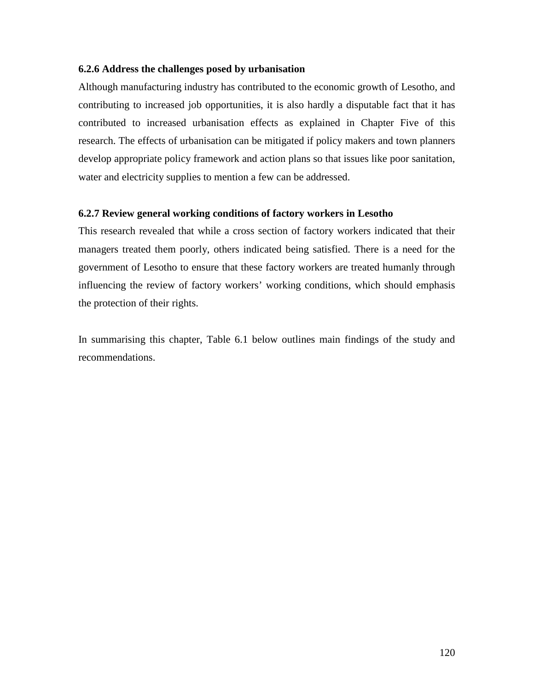## **6.2.6 Address the challenges posed by urbanisation**

Although manufacturing industry has contributed to the economic growth of Lesotho, and contributing to increased job opportunities, it is also hardly a disputable fact that it has contributed to increased urbanisation effects as explained in Chapter Five of this research. The effects of urbanisation can be mitigated if policy makers and town planners develop appropriate policy framework and action plans so that issues like poor sanitation, water and electricity supplies to mention a few can be addressed.

## **6.2.7 Review general working conditions of factory workers in Lesotho**

This research revealed that while a cross section of factory workers indicated that their managers treated them poorly, others indicated being satisfied. There is a need for the government of Lesotho to ensure that these factory workers are treated humanly through influencing the review of factory workers' working conditions, which should emphasis the protection of their rights.

In summarising this chapter, Table 6.1 below outlines main findings of the study and recommendations.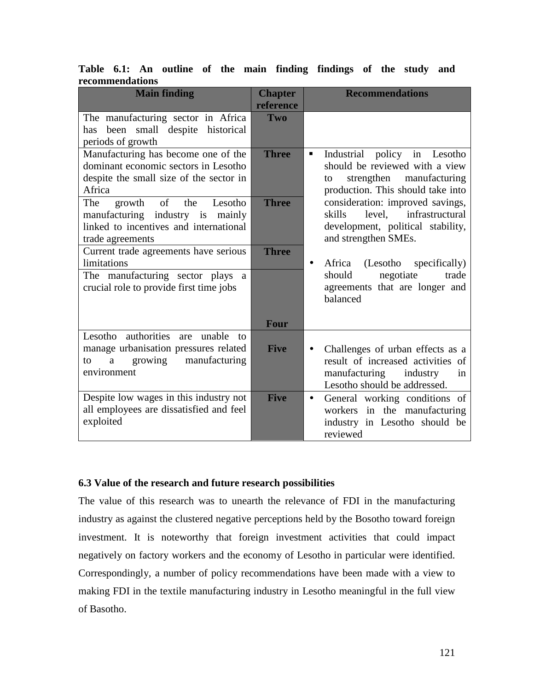|                 |  |  |  | Table 6.1: An outline of the main finding findings of the study and |  |  |
|-----------------|--|--|--|---------------------------------------------------------------------|--|--|
| recommendations |  |  |  |                                                                     |  |  |

| <b>Main finding</b>                                                                                                                            | <b>Chapter</b><br>reference | <b>Recommendations</b>                                                                                                                                |
|------------------------------------------------------------------------------------------------------------------------------------------------|-----------------------------|-------------------------------------------------------------------------------------------------------------------------------------------------------|
| The manufacturing sector in Africa<br>been small despite historical<br>has<br>periods of growth                                                | Two                         |                                                                                                                                                       |
| Manufacturing has become one of the<br>dominant economic sectors in Lesotho<br>despite the small size of the sector in<br>Africa               | <b>Three</b>                | Industrial<br>policy in Lesotho<br>Ξ<br>should be reviewed with a view<br>strengthen<br>manufacturing<br>to<br>production. This should take into      |
| The<br>of<br>the<br>Lesotho<br>growth<br>manufacturing industry is<br>mainly<br>linked to incentives and international<br>trade agreements     | <b>Three</b>                | consideration: improved savings,<br>level, infrastructural<br>skills<br>development, political stability,<br>and strengthen SMEs.                     |
| Current trade agreements have serious<br>limitations<br>The manufacturing sector plays a<br>crucial role to provide first time jobs            | <b>Three</b>                | Africa (Lesotho<br>specifically)<br>$\bullet$<br>should<br>negotiate<br>trade<br>agreements that are longer and<br>balanced                           |
| Lesotho authorities are unable<br>to<br>manage urbanisation pressures related<br>growing<br>manufacturing<br>$\mathbf{a}$<br>to<br>environment | <b>Four</b><br><b>Five</b>  | Challenges of urban effects as a<br>$\bullet$<br>result of increased activities of<br>manufacturing<br>industry<br>in<br>Lesotho should be addressed. |
| Despite low wages in this industry not<br>all employees are dissatisfied and feel<br>exploited                                                 | <b>Five</b>                 | General working conditions of<br>$\bullet$<br>workers in the manufacturing<br>industry in Lesotho should be<br>reviewed                               |

## **6.3 Value of the research and future research possibilities**

The value of this research was to unearth the relevance of FDI in the manufacturing industry as against the clustered negative perceptions held by the Bosotho toward foreign investment. It is noteworthy that foreign investment activities that could impact negatively on factory workers and the economy of Lesotho in particular were identified. Correspondingly, a number of policy recommendations have been made with a view to making FDI in the textile manufacturing industry in Lesotho meaningful in the full view of Basotho.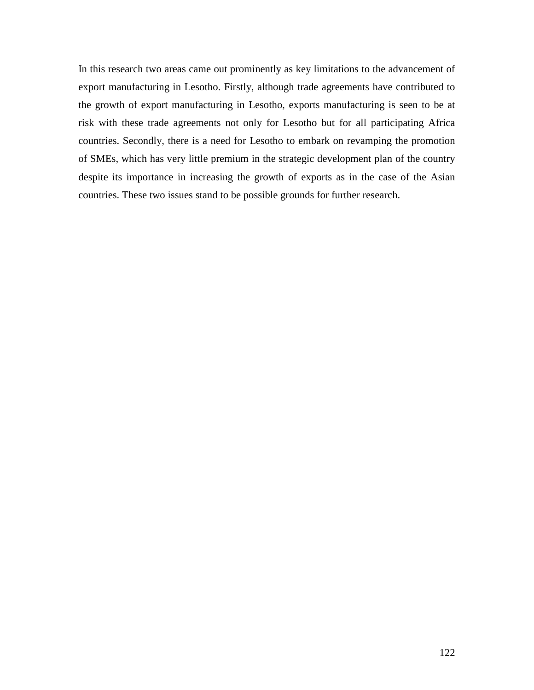In this research two areas came out prominently as key limitations to the advancement of export manufacturing in Lesotho. Firstly, although trade agreements have contributed to the growth of export manufacturing in Lesotho, exports manufacturing is seen to be at risk with these trade agreements not only for Lesotho but for all participating Africa countries. Secondly, there is a need for Lesotho to embark on revamping the promotion of SMEs, which has very little premium in the strategic development plan of the country despite its importance in increasing the growth of exports as in the case of the Asian countries. These two issues stand to be possible grounds for further research.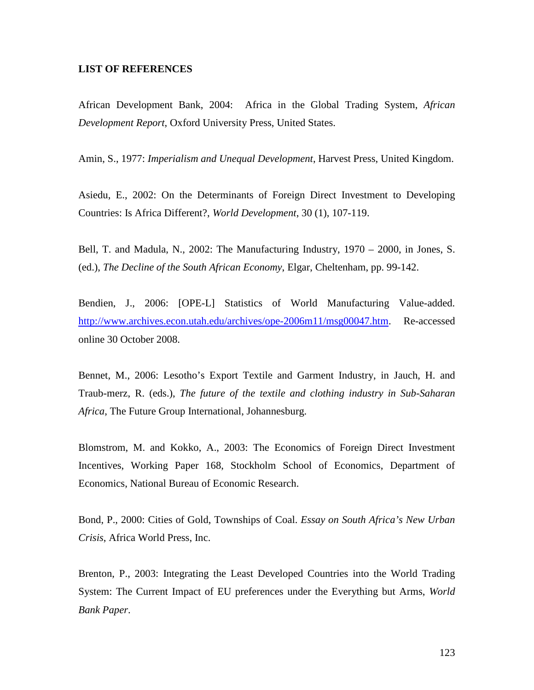### **LIST OF REFERENCES**

African Development Bank, 2004: Africa in the Global Trading System, *African Development Report*, Oxford University Press, United States.

Amin, S., 1977: *Imperialism and Unequal Development*, Harvest Press, United Kingdom.

Asiedu, E., 2002: On the Determinants of Foreign Direct Investment to Developing Countries: Is Africa Different?, *World Development*, 30 (1), 107-119.

Bell, T. and Madula, N., 2002: The Manufacturing Industry, 1970 – 2000, in Jones, S. (ed.), *The Decline of the South African Economy*, Elgar, Cheltenham, pp. 99-142.

Bendien, J., 2006: [OPE-L] Statistics of World Manufacturing Value-added. http://www.archives.econ.utah.edu/archives/ope-2006m11/msg00047.htm. Re-accessed online 30 October 2008.

Bennet, M., 2006: Lesotho's Export Textile and Garment Industry, in Jauch, H. and Traub-merz, R. (eds.), *The future of the textile and clothing industry in Sub-Saharan Africa*, The Future Group International, Johannesburg.

Blomstrom, M. and Kokko, A., 2003: The Economics of Foreign Direct Investment Incentives, Working Paper 168, Stockholm School of Economics, Department of Economics, National Bureau of Economic Research.

Bond, P., 2000: Cities of Gold, Townships of Coal. *Essay on South Africa's New Urban Crisis*, Africa World Press, Inc.

Brenton, P., 2003: Integrating the Least Developed Countries into the World Trading System: The Current Impact of EU preferences under the Everything but Arms, *World Bank Paper*.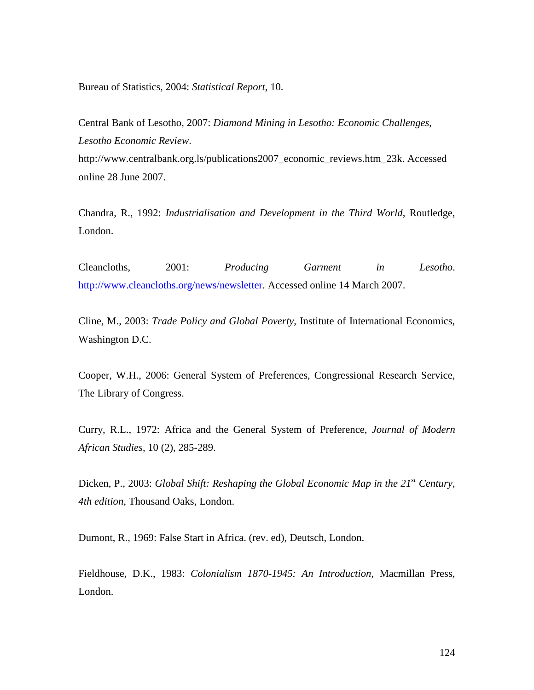Bureau of Statistics, 2004: *Statistical Report*, 10.

Central Bank of Lesotho, 2007: *Diamond Mining in Lesotho: Economic Challenges*, *Lesotho Economic Review*. http://www.centralbank.org.ls/publications2007\_economic\_reviews.htm\_23k. Accessed online 28 June 2007.

Chandra, R., 1992: *Industrialisation and Development in the Third World*, Routledge, London.

Cleancloths, 2001: *Producing Garment in Lesotho*. http://www.cleancloths.org/news/newsletter. Accessed online 14 March 2007.

Cline, M., 2003: *Trade Policy and Global Poverty*, Institute of International Economics, Washington D.C.

Cooper, W.H., 2006: General System of Preferences, Congressional Research Service, The Library of Congress.

Curry, R.L., 1972: Africa and the General System of Preference, *Journal of Modern African Studies*, 10 (2), 285-289.

Dicken, P., 2003: *Global Shift: Reshaping the Global Economic Map in the 21st Century, 4th edition*, Thousand Oaks, London.

Dumont, R., 1969: False Start in Africa. (rev. ed), Deutsch, London.

Fieldhouse, D.K., 1983: *Colonialism 1870-1945: An Introduction*, Macmillan Press, London.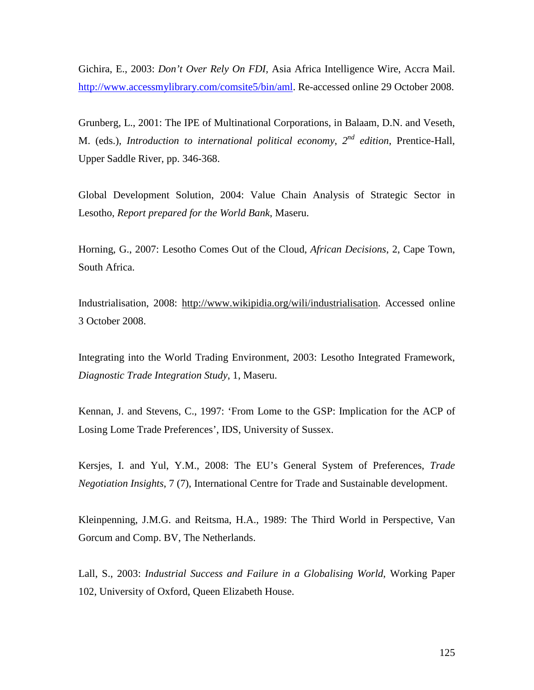Gichira, E., 2003: *Don't Over Rely On FDI,* Asia Africa Intelligence Wire, Accra Mail. http://www.accessmylibrary.com/comsite5/bin/aml. Re-accessed online 29 October 2008.

Grunberg, L., 2001: The IPE of Multinational Corporations, in Balaam, D.N. and Veseth, M. (eds.), *Introduction to international political economy,*  $2^{nd}$  *edition*, Prentice-Hall, Upper Saddle River, pp. 346-368.

Global Development Solution, 2004: Value Chain Analysis of Strategic Sector in Lesotho, *Report prepared for the World Bank*, Maseru.

Horning, G., 2007: Lesotho Comes Out of the Cloud, *African Decisions*, 2, Cape Town, South Africa.

Industrialisation, 2008: http://www.wikipidia.org/wili/industrialisation. Accessed online 3 October 2008.

Integrating into the World Trading Environment, 2003: Lesotho Integrated Framework, *Diagnostic Trade Integration Study*, 1, Maseru.

Kennan, J. and Stevens, C., 1997: 'From Lome to the GSP: Implication for the ACP of Losing Lome Trade Preferences', IDS, University of Sussex.

Kersjes, I. and Yul, Y.M., 2008: The EU's General System of Preferences, *Trade Negotiation Insights*, 7 (7), International Centre for Trade and Sustainable development.

Kleinpenning, J.M.G. and Reitsma, H.A., 1989: The Third World in Perspective, Van Gorcum and Comp. BV, The Netherlands.

Lall, S., 2003: *Industrial Success and Failure in a Globalising World*, Working Paper 102, University of Oxford, Queen Elizabeth House.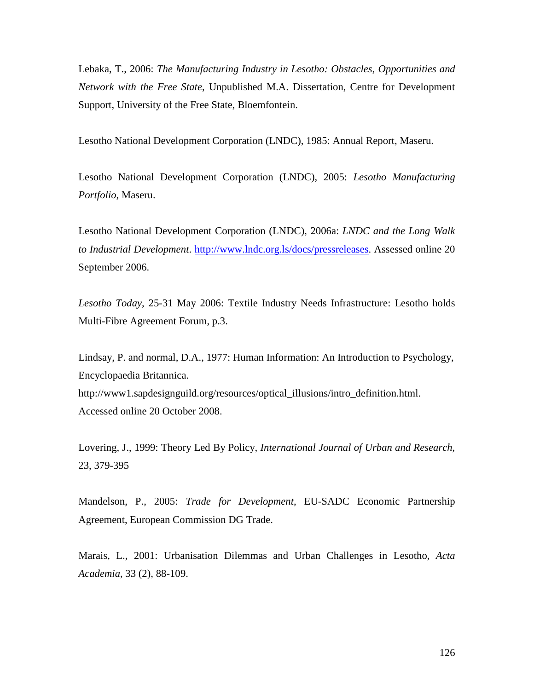Lebaka, T., 2006: *The Manufacturing Industry in Lesotho: Obstacles, Opportunities and Network with the Free State*, Unpublished M.A. Dissertation, Centre for Development Support, University of the Free State, Bloemfontein.

Lesotho National Development Corporation (LNDC), 1985: Annual Report, Maseru.

Lesotho National Development Corporation (LNDC), 2005: *Lesotho Manufacturing Portfolio*, Maseru.

Lesotho National Development Corporation (LNDC), 2006a: *LNDC and the Long Walk to Industrial Development*. http://www.lndc.org.ls/docs/pressreleases. Assessed online 20 September 2006.

*Lesotho Today*, 25-31 May 2006: Textile Industry Needs Infrastructure: Lesotho holds Multi-Fibre Agreement Forum, p.3.

Lindsay, P. and normal, D.A., 1977: Human Information: An Introduction to Psychology, Encyclopaedia Britannica. http://www1.sapdesignguild.org/resources/optical\_illusions/intro\_definition.html. Accessed online 20 October 2008.

Lovering, J., 1999: Theory Led By Policy, *International Journal of Urban and Research*, 23, 379-395

Mandelson, P., 2005: *Trade for Development*, EU-SADC Economic Partnership Agreement, European Commission DG Trade.

Marais, L., 2001: Urbanisation Dilemmas and Urban Challenges in Lesotho, *Acta Academia*, 33 (2), 88-109.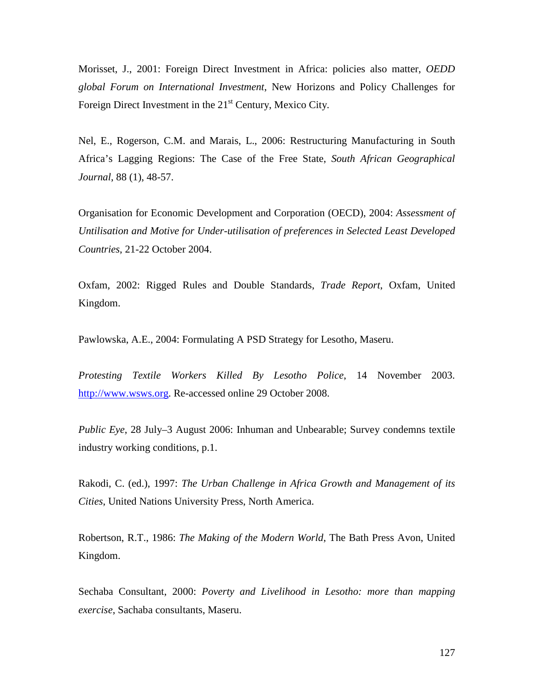Morisset, J., 2001: Foreign Direct Investment in Africa: policies also matter, *OEDD global Forum on International Investment*, New Horizons and Policy Challenges for Foreign Direct Investment in the  $21<sup>st</sup>$  Century, Mexico City.

Nel, E., Rogerson, C.M. and Marais, L., 2006: Restructuring Manufacturing in South Africa's Lagging Regions: The Case of the Free State, *South African Geographical Journal*, 88 (1), 48-57.

Organisation for Economic Development and Corporation (OECD), 2004: *Assessment of Untilisation and Motive for Under-utilisation of preferences in Selected Least Developed Countries*, 21-22 October 2004.

Oxfam, 2002: Rigged Rules and Double Standards, *Trade Report*, Oxfam, United Kingdom.

Pawlowska, A.E., 2004: Formulating A PSD Strategy for Lesotho, Maseru.

*Protesting Textile Workers Killed By Lesotho Police*, 14 November 2003. http://www.wsws.org. Re-accessed online 29 October 2008.

*Public Eye*, 28 July–3 August 2006: Inhuman and Unbearable; Survey condemns textile industry working conditions, p.1.

Rakodi, C. (ed.), 1997: *The Urban Challenge in Africa Growth and Management of its Cities*, United Nations University Press, North America.

Robertson, R.T., 1986: *The Making of the Modern World*, The Bath Press Avon, United Kingdom.

Sechaba Consultant, 2000: *Poverty and Livelihood in Lesotho: more than mapping exercise*, Sachaba consultants, Maseru.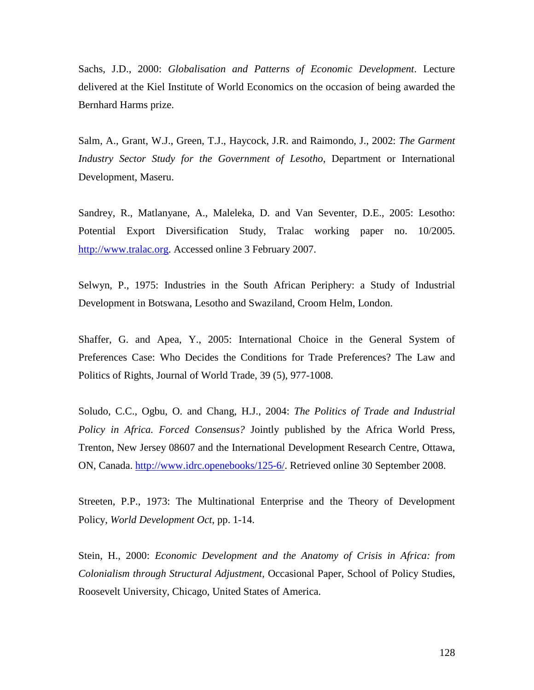Sachs, J.D., 2000: *Globalisation and Patterns of Economic Development*. Lecture delivered at the Kiel Institute of World Economics on the occasion of being awarded the Bernhard Harms prize.

Salm, A., Grant, W.J., Green, T.J., Haycock, J.R. and Raimondo, J., 2002: *The Garment Industry Sector Study for the Government of Lesotho*, Department or International Development, Maseru.

Sandrey, R., Matlanyane, A., Maleleka, D. and Van Seventer, D.E., 2005: Lesotho: Potential Export Diversification Study, Tralac working paper no. 10/2005. http://www.tralac.org. Accessed online 3 February 2007.

Selwyn, P., 1975: Industries in the South African Periphery: a Study of Industrial Development in Botswana, Lesotho and Swaziland, Croom Helm, London.

Shaffer, G. and Apea, Y., 2005: International Choice in the General System of Preferences Case: Who Decides the Conditions for Trade Preferences? The Law and Politics of Rights, Journal of World Trade, 39 (5), 977-1008.

Soludo, C.C., Ogbu, O. and Chang, H.J., 2004: *The Politics of Trade and Industrial Policy in Africa. Forced Consensus?* Jointly published by the Africa World Press, Trenton, New Jersey 08607 and the International Development Research Centre, Ottawa, ON, Canada. http://www.idrc.openebooks/125-6/. Retrieved online 30 September 2008.

Streeten, P.P., 1973: The Multinational Enterprise and the Theory of Development Policy, *World Development Oct*, pp. 1-14.

Stein, H., 2000: *Economic Development and the Anatomy of Crisis in Africa: from Colonialism through Structural Adjustment*, Occasional Paper, School of Policy Studies, Roosevelt University, Chicago, United States of America.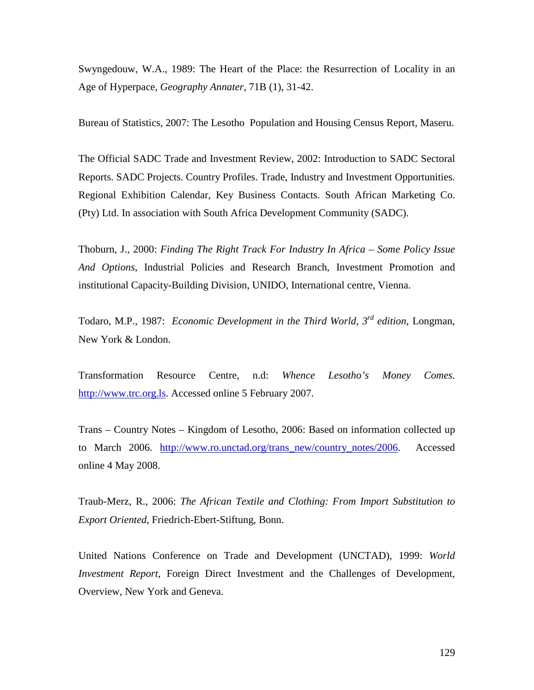Swyngedouw, W.A., 1989: The Heart of the Place: the Resurrection of Locality in an Age of Hyperpace, *Geography Annater*, 71B (1), 31-42.

Bureau of Statistics, 2007: The Lesotho Population and Housing Census Report, Maseru.

The Official SADC Trade and Investment Review, 2002: Introduction to SADC Sectoral Reports. SADC Projects. Country Profiles. Trade, Industry and Investment Opportunities. Regional Exhibition Calendar, Key Business Contacts. South African Marketing Co. (Pty) Ltd. In association with South Africa Development Community (SADC).

Thoburn, J., 2000: *Finding The Right Track For Industry In Africa – Some Policy Issue And Options*, Industrial Policies and Research Branch, Investment Promotion and institutional Capacity-Building Division, UNIDO, International centre, Vienna.

Todaro, M.P., 1987: *Economic Development in the Third World, 3rd edition*, Longman, New York & London.

Transformation Resource Centre, n.d: *Whence Lesotho's Money Comes*. http://www.trc.org.ls. Accessed online 5 February 2007.

Trans – Country Notes – Kingdom of Lesotho, 2006: Based on information collected up to March 2006. http://www.ro.unctad.org/trans\_new/country\_notes/2006. Accessed online 4 May 2008.

Traub-Merz, R., 2006: *The African Textile and Clothing: From Import Substitution to Export Oriented*, Friedrich-Ebert-Stiftung, Bonn.

United Nations Conference on Trade and Development (UNCTAD), 1999: *World Investment Report*, Foreign Direct Investment and the Challenges of Development, Overview, New York and Geneva.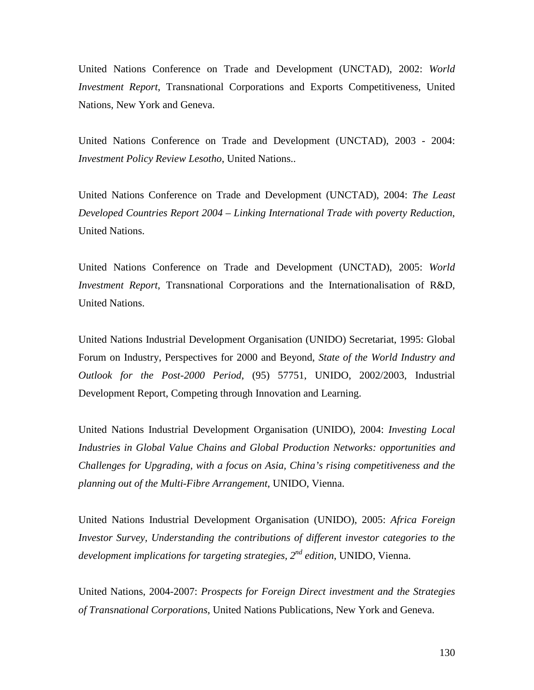United Nations Conference on Trade and Development (UNCTAD), 2002: *World Investment Report*, Transnational Corporations and Exports Competitiveness, United Nations, New York and Geneva.

United Nations Conference on Trade and Development (UNCTAD), 2003 - 2004: *Investment Policy Review Lesotho*, United Nations..

United Nations Conference on Trade and Development (UNCTAD), 2004: *The Least Developed Countries Report 2004 – Linking International Trade with poverty Reduction*, United Nations.

United Nations Conference on Trade and Development (UNCTAD), 2005: *World Investment Report*, Transnational Corporations and the Internationalisation of R&D, United Nations.

United Nations Industrial Development Organisation (UNIDO) Secretariat, 1995: Global Forum on Industry, Perspectives for 2000 and Beyond, *State of the World Industry and Outlook for the Post-2000 Period*, (95) 57751, UNIDO, 2002/2003, Industrial Development Report, Competing through Innovation and Learning.

United Nations Industrial Development Organisation (UNIDO), 2004: *Investing Local Industries in Global Value Chains and Global Production Networks: opportunities and Challenges for Upgrading, with a focus on Asia, China's rising competitiveness and the planning out of the Multi-Fibre Arrangement*, UNIDO, Vienna.

United Nations Industrial Development Organisation (UNIDO), 2005: *Africa Foreign Investor Survey, Understanding the contributions of different investor categories to the development implications for targeting strategies, 2 nd edition*, UNIDO, Vienna.

United Nations, 2004-2007: *Prospects for Foreign Direct investment and the Strategies of Transnational Corporations*, United Nations Publications, New York and Geneva.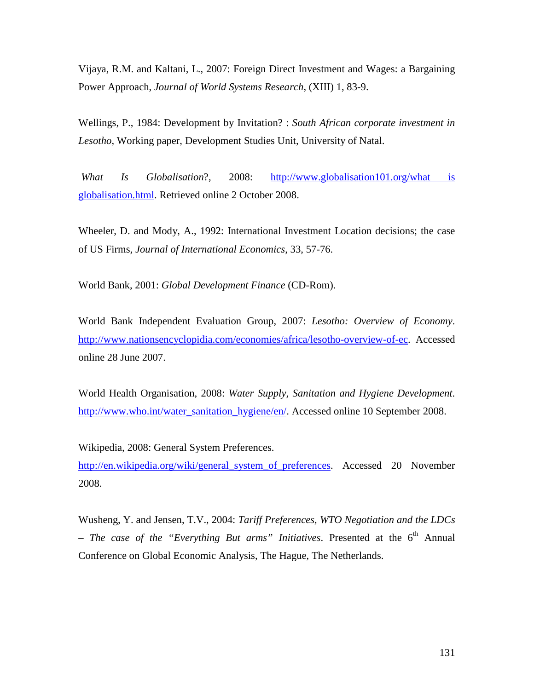Vijaya, R.M. and Kaltani, L., 2007: Foreign Direct Investment and Wages: a Bargaining Power Approach, *Journal of World Systems Research*, (XIII) 1, 83-9.

Wellings, P., 1984: Development by Invitation? : *South African corporate investment in Lesotho*, Working paper, Development Studies Unit, University of Natal.

*What Is Globalisation*?, 2008: http://www.globalisation101.org/what is globalisation.html. Retrieved online 2 October 2008.

Wheeler, D. and Mody, A., 1992: International Investment Location decisions; the case of US Firms, *Journal of International Economics*, 33, 57-76.

World Bank, 2001: *Global Development Finance* (CD-Rom).

World Bank Independent Evaluation Group, 2007: *Lesotho: Overview of Economy*. http://www.nationsencyclopidia.com/economies/africa/lesotho-overview-of-ec. Accessed online 28 June 2007.

World Health Organisation, 2008: *Water Supply, Sanitation and Hygiene Development*. http://www.who.int/water\_sanitation\_hygiene/en/. Accessed online 10 September 2008.

Wikipedia, 2008: General System Preferences.

http://en.wikipedia.org/wiki/general system of preferences. Accessed 20 November 2008.

Wusheng, Y. and Jensen, T.V., 2004: *Tariff Preferences, WTO Negotiation and the LDCs – The case of the "Everything But arms" Initiatives.* Presented at the 6<sup>th</sup> Annual Conference on Global Economic Analysis, The Hague, The Netherlands.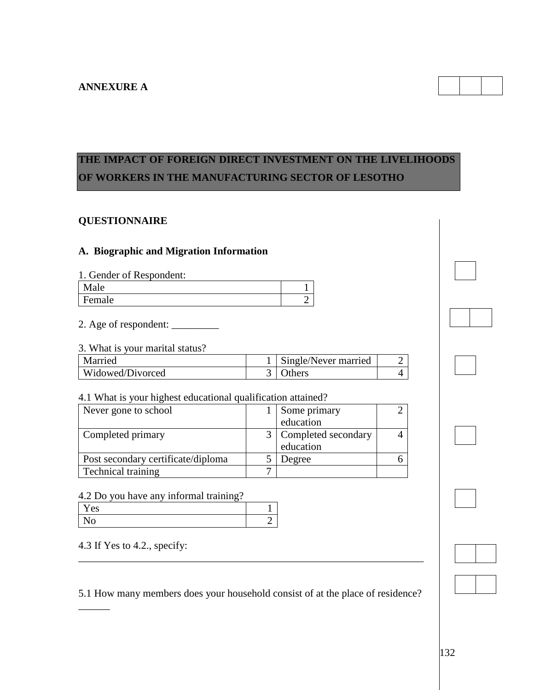

# **QUESTIONNAIRE**

# **A. Biographic and Migration Information**

| 1. Gender of Respondent: |  |
|--------------------------|--|
| <b>Male</b>              |  |
| Female                   |  |

2. Age of respondent: \_\_\_\_\_\_\_\_\_

#### 3. What is your marital status?

| Married          | Single/Never married |  |
|------------------|----------------------|--|
| Widowed/Divorced | <b>Others</b>        |  |

#### 4.1 What is your highest educational qualification attained?

| Never gone to school               | Some primary            |  |
|------------------------------------|-------------------------|--|
|                                    | education               |  |
| Completed primary                  | 3   Completed secondary |  |
|                                    | education               |  |
| Post secondary certificate/diploma | Degree                  |  |
| <b>Technical training</b>          |                         |  |

### 4.2 Do you have any informal training?

| es |  |  |
|----|--|--|
|    |  |  |

4.3 If Yes to 4.2., specify:

 $\overline{\phantom{a}}$ 

5.1 How many members does your household consist of at the place of residence?

\_\_\_\_\_\_\_\_\_\_\_\_\_\_\_\_\_\_\_\_\_\_\_\_\_\_\_\_\_\_\_\_\_\_\_\_\_\_\_\_\_\_\_\_\_\_\_\_\_\_\_\_\_\_\_\_\_\_\_\_\_\_\_\_\_\_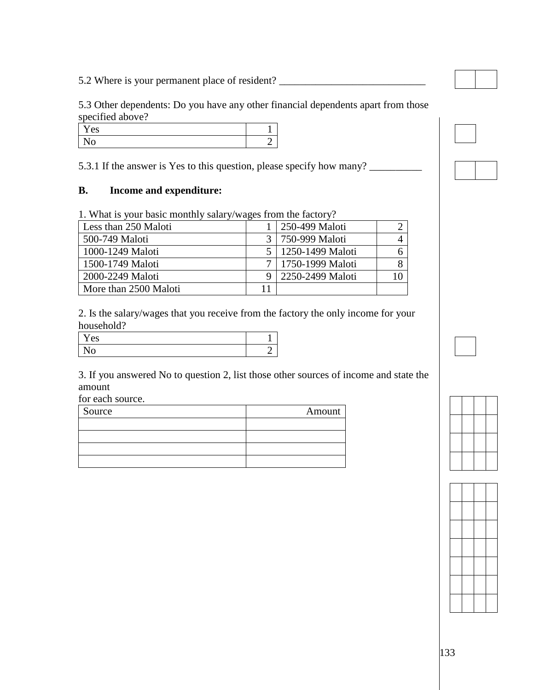5.2 Where is your permanent place of resident? \_\_\_\_\_\_\_\_\_\_\_\_\_\_\_\_\_\_\_\_\_\_\_\_\_\_\_\_\_\_\_\_\_

5.3 Other dependents: Do you have any other financial dependents apart from those specified above?

| es |  |
|----|--|
| v  |  |

5.3.1 If the answer is Yes to this question, please specify how many?

## **B. Income and expenditure:**

1. What is your basic monthly salary/wages from the factory?

| Less than 250 Maloti  |    | 250-499 Maloti       |    |
|-----------------------|----|----------------------|----|
| 500-749 Maloti        |    | 750-999 Maloti       |    |
| 1000-1249 Maloti      |    | 1250-1499 Maloti     |    |
| 1500-1749 Maloti      |    | 7   1750-1999 Maloti |    |
| 2000-2249 Maloti      |    | 2250-2499 Maloti     | 10 |
| More than 2500 Maloti | 11 |                      |    |

2. Is the salary/wages that you receive from the factory the only income for your household?

| es |  |
|----|--|
|    |  |

3. If you answered No to question 2, list those other sources of income and state the amount

for each source.

| Source | Amount |
|--------|--------|
|        |        |
|        |        |
|        |        |
|        |        |



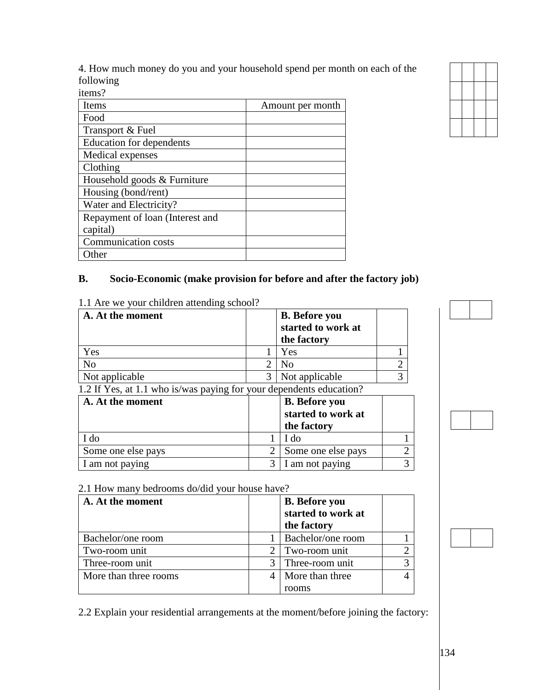4. How much money do you and your household spend per month on each of the following items?

| 1601110 L                       |                  |
|---------------------------------|------------------|
| Items                           | Amount per month |
| Food                            |                  |
| Transport & Fuel                |                  |
| <b>Education for dependents</b> |                  |
| Medical expenses                |                  |
| Clothing                        |                  |
| Household goods & Furniture     |                  |
| Housing (bond/rent)             |                  |
| Water and Electricity?          |                  |
| Repayment of loan (Interest and |                  |
| capital)                        |                  |
| <b>Communication costs</b>      |                  |
| Other                           |                  |

## **B. Socio-Economic (make provision for before and after the factory job)**

| A. At the moment                                                    |                             | <b>B.</b> Before you |   |
|---------------------------------------------------------------------|-----------------------------|----------------------|---|
|                                                                     |                             | started to work at   |   |
|                                                                     |                             | the factory          |   |
| Yes                                                                 |                             | Yes                  |   |
| N <sub>o</sub>                                                      | $\mathcal{D}_{\mathcal{L}}$ | N <sub>0</sub>       | 2 |
| Not applicable                                                      | 3                           | Not applicable       | 3 |
| 1.2 If Yes, at 1.1 who is/was paying for your dependents education? |                             |                      |   |
| A. At the moment                                                    |                             | <b>B.</b> Before you |   |
|                                                                     |                             | started to work at   |   |
|                                                                     |                             | the factory          |   |
| I do                                                                |                             | I do                 |   |
| Some one else pays                                                  | 2                           | Some one else pays   | ◠ |
| I am not paying                                                     | 3                           | I am not paying      |   |

1.1 Are we your children attending school?

# 2.1 How many bedrooms do/did your house have?

| A. At the moment      | <b>B.</b> Before you<br>started to work at<br>the factory |  |
|-----------------------|-----------------------------------------------------------|--|
| Bachelor/one room     | Bachelor/one room                                         |  |
| Two-room unit         | Two-room unit                                             |  |
| Three-room unit       | Three-room unit                                           |  |
| More than three rooms | More than three                                           |  |
|                       | rooms                                                     |  |

2.2 Explain your residential arrangements at the moment/before joining the factory: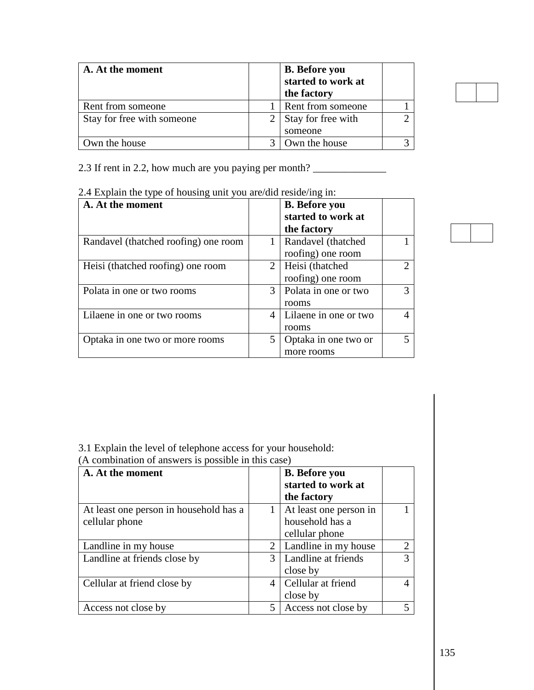| A. At the moment           | <b>B.</b> Before you<br>started to work at<br>the factory |  |
|----------------------------|-----------------------------------------------------------|--|
| Rent from someone          | Rent from someone                                         |  |
| Stay for free with someone | Stay for free with<br>someone                             |  |
| Own the house              | Own the house                                             |  |

2.3 If rent in 2.2, how much are you paying per month? \_\_\_\_\_\_\_\_\_\_\_\_\_\_\_\_\_\_\_\_\_\_\_\_\_\_

| A. At the moment                     |                | <b>B.</b> Before you<br>started to work at<br>the factory |               |
|--------------------------------------|----------------|-----------------------------------------------------------|---------------|
| Randavel (thatched roofing) one room |                | Randavel (thatched<br>roofing) one room                   |               |
| Heisi (thatched roofing) one room    | $\overline{2}$ | Heisi (thatched<br>roofing) one room                      | $\mathcal{D}$ |
| Polata in one or two rooms           | $\mathcal{F}$  | Polata in one or two<br>rooms                             | 3             |
| Lilaene in one or two rooms          |                | Lilaene in one or two<br>rooms                            |               |
| Optaka in one two or more rooms      |                | Optaka in one two or<br>more rooms                        | 5             |

2.4 Explain the type of housing unit you are/did reside/ing in:

3.1 Explain the level of telephone access for your household:

(A combination of answers is possible in this case)

| A. At the moment                       |   | <b>B.</b> Before you<br>started to work at |                |
|----------------------------------------|---|--------------------------------------------|----------------|
|                                        |   | the factory                                |                |
| At least one person in household has a |   | At least one person in                     |                |
| cellular phone                         |   | household has a                            |                |
|                                        |   | cellular phone                             |                |
| Landline in my house                   | 2 | Landline in my house                       | $\overline{2}$ |
| Landline at friends close by           |   | Landline at friends                        | 3              |
|                                        |   | close by                                   |                |
| Cellular at friend close by            |   | Cellular at friend                         |                |
|                                        |   | close by                                   |                |
| Access not close by                    |   | Access not close by                        | 5              |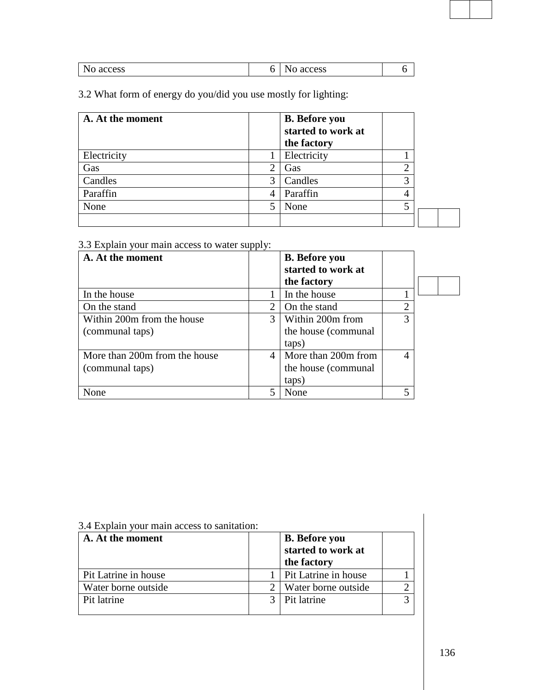3.2 What form of energy do you/did you use mostly for lighting:

| A. At the moment |   | <b>B.</b> Before you |   |  |
|------------------|---|----------------------|---|--|
|                  |   | started to work at   |   |  |
|                  |   | the factory          |   |  |
| Electricity      |   | Electricity          |   |  |
| Gas              | 2 | Gas                  |   |  |
| Candles          | 3 | Candles              | 3 |  |
| Paraffin         | 4 | Paraffin             | 4 |  |
| None             |   | None                 | 5 |  |
|                  |   |                      |   |  |

3.3 Explain your main access to water supply:

| A. At the moment              |   | <b>B.</b> Before you |                |  |
|-------------------------------|---|----------------------|----------------|--|
|                               |   | started to work at   |                |  |
|                               |   | the factory          |                |  |
| In the house                  |   | In the house         |                |  |
| On the stand                  | 2 | On the stand         | $\overline{2}$ |  |
| Within 200m from the house    | 3 | Within 200m from     | 3              |  |
| (communal taps)               |   | the house (communal  |                |  |
|                               |   | taps)                |                |  |
| More than 200m from the house | 4 | More than 200m from  | 4              |  |
| (communal taps)               |   | the house (communal) |                |  |
|                               |   | taps)                |                |  |
| None                          | 5 | None                 | 5              |  |

| 3.4 Explain your main access to sanitation:<br>A. At the moment | <b>B.</b> Before you<br>started to work at<br>the factory |  |
|-----------------------------------------------------------------|-----------------------------------------------------------|--|
| Pit Latrine in house                                            | Pit Latrine in house                                      |  |
| Water borne outside                                             | Water borne outside                                       |  |
| Pit latrine                                                     | Pit latrine                                               |  |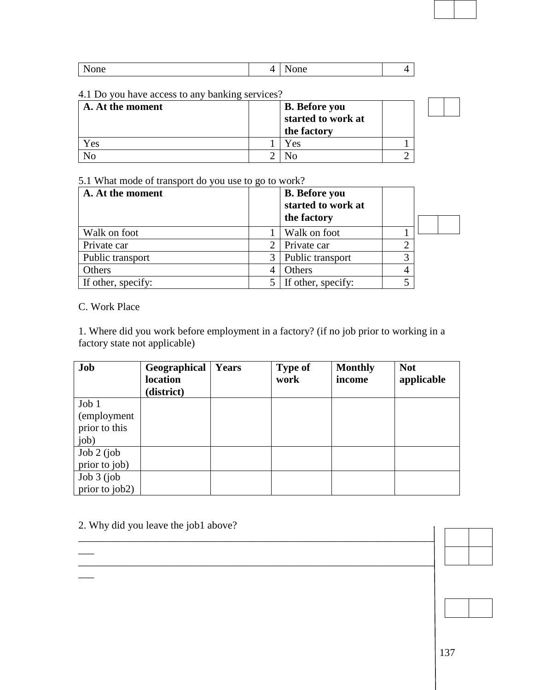| $-1$ |                     |  |
|------|---------------------|--|
| None | <br>one<br>. .<br>- |  |

#### 4.1 Do you have access to any banking services?

| A. At the moment | <b>B.</b> Before you<br>started to work at<br>the factory |  |
|------------------|-----------------------------------------------------------|--|
| ces)             | Yes                                                       |  |
|                  |                                                           |  |

#### 5.1 What mode of transport do you use to go to work?

| A. At the moment   |   | <b>B.</b> Before you<br>started to work at<br>the factory |   |  |
|--------------------|---|-----------------------------------------------------------|---|--|
| Walk on foot       |   | Walk on foot                                              |   |  |
| Private car        |   | Private car                                               |   |  |
| Public transport   | 3 | Public transport                                          |   |  |
| Others             |   | Others                                                    | 4 |  |
| If other, specify: |   | If other, specify:                                        |   |  |

## C. Work Place

\_\_\_

 $\overline{\phantom{a}}$ 

1. Where did you work before employment in a factory? (if no job prior to working in a factory state not applicable)

| Job            | Geographical<br>location | Years | <b>Type of</b><br>work | <b>Monthly</b><br>income | <b>Not</b><br>applicable |
|----------------|--------------------------|-------|------------------------|--------------------------|--------------------------|
|                | (district)               |       |                        |                          |                          |
| Job 1          |                          |       |                        |                          |                          |
| (employment)   |                          |       |                        |                          |                          |
| prior to this  |                          |       |                        |                          |                          |
| job)           |                          |       |                        |                          |                          |
| $Job 2$ (job   |                          |       |                        |                          |                          |
| prior to job)  |                          |       |                        |                          |                          |
| $Job 3$ (job   |                          |       |                        |                          |                          |
| prior to job2) |                          |       |                        |                          |                          |

\_\_\_\_\_\_\_\_\_\_\_\_\_\_\_\_\_\_\_\_\_\_\_\_\_\_\_\_\_\_\_\_\_\_\_\_\_\_\_\_\_\_\_\_\_\_\_\_\_\_\_\_\_\_\_\_\_\_\_\_\_\_\_\_\_\_\_\_

\_\_\_\_\_\_\_\_\_\_\_\_\_\_\_\_\_\_\_\_\_\_\_\_\_\_\_\_\_\_\_\_\_\_\_\_\_\_\_\_\_\_\_\_\_\_\_\_\_\_\_\_\_\_\_\_\_\_\_\_\_\_\_\_\_\_\_\_

# 2. Why did you leave the job1 above?

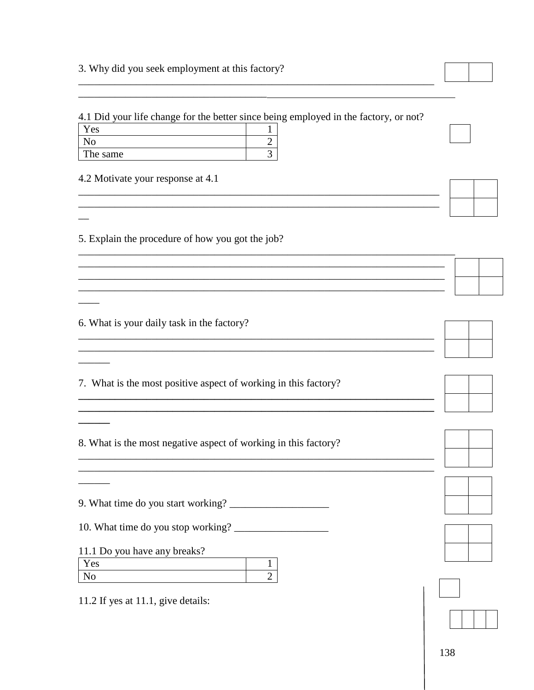### 3. Why did you seek employment at this factory?

4.1 Did your life change for the better since being employed in the factory, or not?

| 'es      |  |
|----------|--|
|          |  |
| The same |  |

4.2 Motivate your response at 4.1

 $\overline{\phantom{0}}$ 

5. Explain the procedure of how you got the job?

6. What is your daily task in the factory?

|  |  | 7. What is the most positive aspect of working in this factory? |  |
|--|--|-----------------------------------------------------------------|--|

8. What is the most negative aspect of working in this factory?

10. What time do you stop working?

11.1 Do you have any breaks?

| es |  |
|----|--|
| טו |  |

11.2 If yes at 11.1, give details:





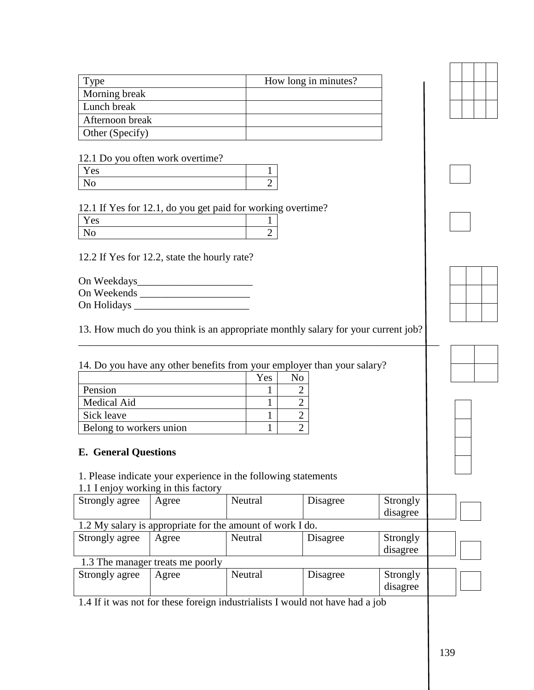| <i>l</i> ype    | How long in minutes? |
|-----------------|----------------------|
| Morning break   |                      |
| Lunch break     |                      |
| Afternoon break |                      |
| Other (Specify) |                      |

### 12.1 Do you often work overtime?

| es |   |
|----|---|
|    | - |

### 12.1 If Yes for 12.1, do you get paid for working overtime?

| es |  |
|----|--|
| ັບ |  |

12.2 If Yes for 12.2, state the hourly rate?

On Weekdays\_\_\_\_\_\_\_\_\_\_\_\_\_\_\_\_\_\_\_\_\_\_ On Weekends \_\_\_\_\_\_\_\_\_\_\_\_\_\_\_\_\_\_\_\_\_ On Holidays

13. How much do you think is an appropriate monthly salary for your current job?

\_\_\_\_\_\_\_\_\_\_\_\_\_\_\_\_\_\_\_\_\_\_\_\_\_\_\_\_\_\_\_\_\_\_\_\_\_\_\_\_\_\_\_\_\_\_\_\_\_\_\_\_\_\_\_\_\_\_\_\_\_\_\_\_\_\_\_\_\_

| 14. Do you have any other benefits from your employer than your salary? |            |    |  |
|-------------------------------------------------------------------------|------------|----|--|
|                                                                         | <b>Yes</b> | Nο |  |
| Pension                                                                 |            |    |  |
| Medical Aid                                                             |            |    |  |
| Sick leave                                                              |            |    |  |
| Belong to workers union                                                 |            |    |  |

## **E. General Questions**

1. Please indicate your experience in the following statements

|  | 1.1 I enjoy working in this factory |  |  |
|--|-------------------------------------|--|--|
|  |                                     |  |  |

| Strongly agree | Agree                            | Neutral                                                   | Disagree | Strongly<br>disagree |  |
|----------------|----------------------------------|-----------------------------------------------------------|----------|----------------------|--|
|                |                                  | 1.2 My salary is appropriate for the amount of work I do. |          |                      |  |
| Strongly agree | Agree                            | Neutral                                                   | Disagree | Strongly             |  |
|                |                                  |                                                           |          | disagree             |  |
|                | 1.3 The manager treats me poorly |                                                           |          |                      |  |
| Strongly agree | Agree                            | Neutral                                                   | Disagree | Strongly<br>disagree |  |

1.4 If it was not for these foreign industrialists I would not have had a job